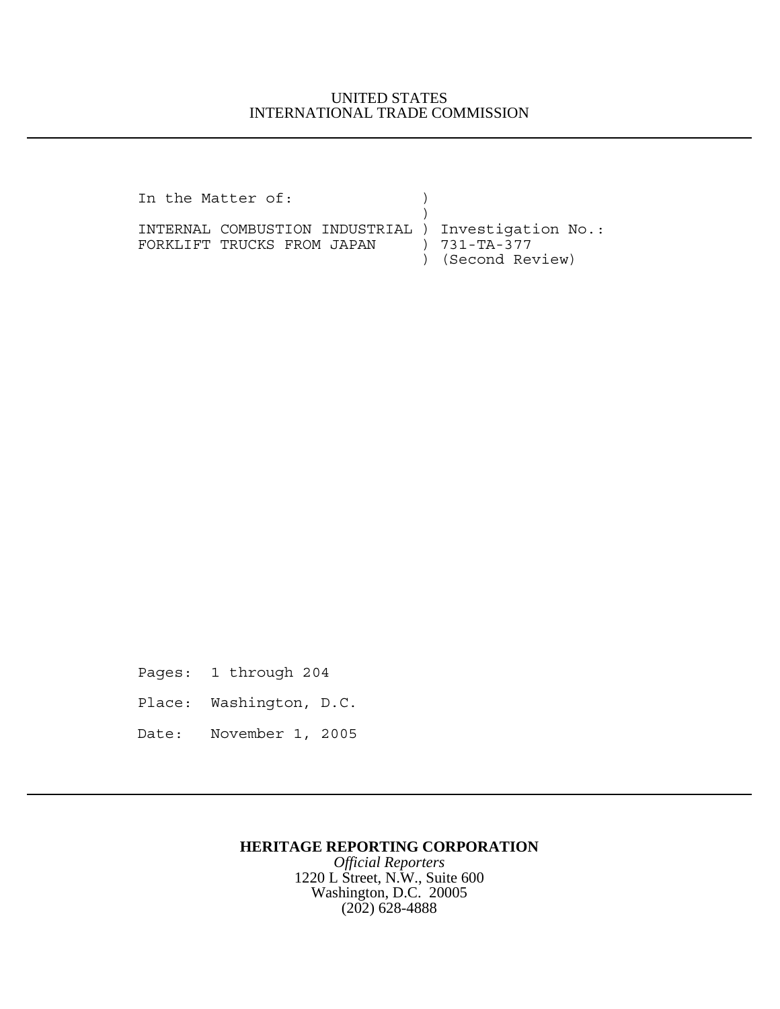## UNITED STATES INTERNATIONAL TRADE COMMISSION

| In the Matter of:                                   |                   |
|-----------------------------------------------------|-------------------|
|                                                     |                   |
| INTERNAL COMBUSTION INDUSTRIAL ) Investigation No.: |                   |
| FORKLIFT TRUCKS FROM JAPAN                          | ) 731-TA-377      |
|                                                     | ) (Second Review) |

Pages: 1 through 204

- Place: Washington, D.C.
- Date: November 1, 2005

## **HERITAGE REPORTING CORPORATION**

*Official Reporters* 1220 L Street, N.W., Suite 600 Washington, D.C. 20005 (202) 628-4888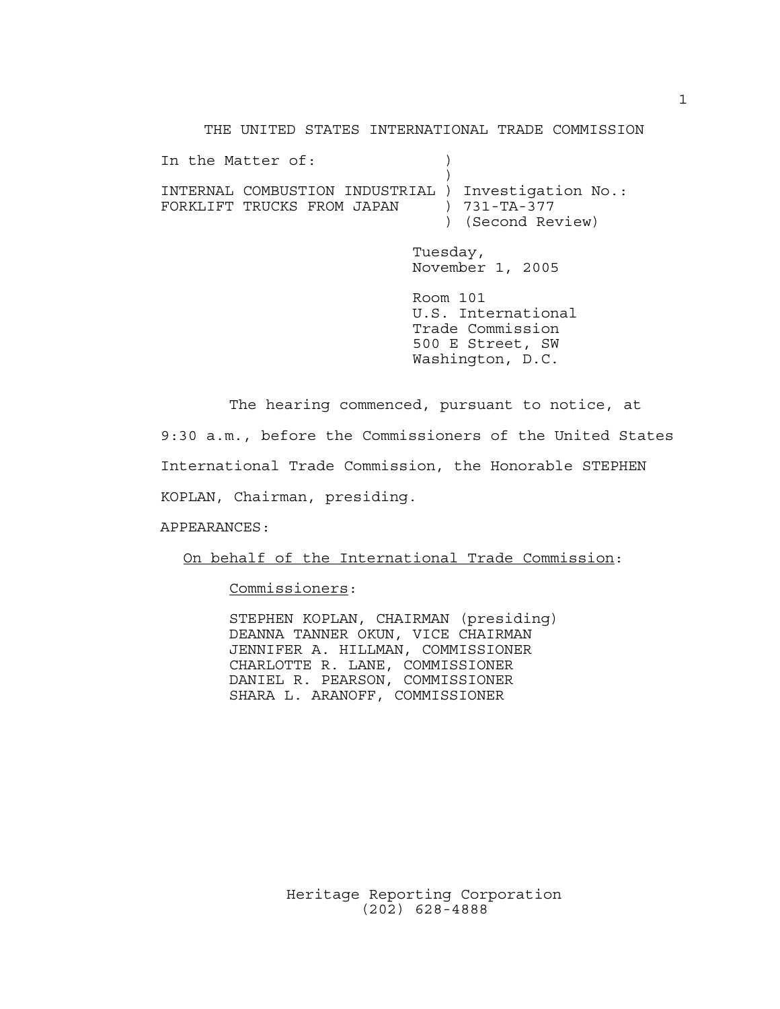THE UNITED STATES INTERNATIONAL TRADE COMMISSION

In the Matter of:  $)$  $)$ INTERNAL COMBUSTION INDUSTRIAL ) Investigation No.: FORKLIFT TRUCKS FROM JAPAN ) 731-TA-377 ) (Second Review) Tuesday, November 1, 2005 Room 101 U.S. International Trade Commission 500 E Street, SW Washington, D.C.

The hearing commenced, pursuant to notice, at 9:30 a.m., before the Commissioners of the United States International Trade Commission, the Honorable STEPHEN KOPLAN, Chairman, presiding.

APPEARANCES:

On behalf of the International Trade Commission:

Commissioners:

STEPHEN KOPLAN, CHAIRMAN (presiding) DEANNA TANNER OKUN, VICE CHAIRMAN JENNIFER A. HILLMAN, COMMISSIONER CHARLOTTE R. LANE, COMMISSIONER DANIEL R. PEARSON, COMMISSIONER SHARA L. ARANOFF, COMMISSIONER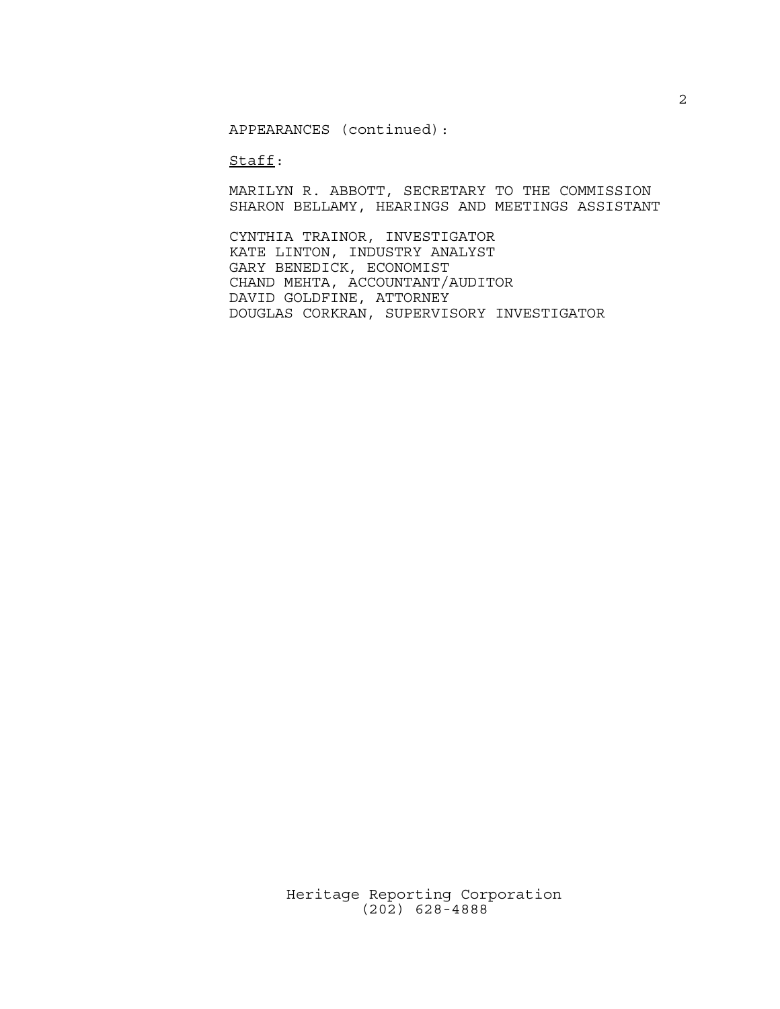APPEARANCES (continued):

Staff:

MARILYN R. ABBOTT, SECRETARY TO THE COMMISSION SHARON BELLAMY, HEARINGS AND MEETINGS ASSISTANT

CYNTHIA TRAINOR, INVESTIGATOR KATE LINTON, INDUSTRY ANALYST GARY BENEDICK, ECONOMIST CHAND MEHTA, ACCOUNTANT/AUDITOR DAVID GOLDFINE, ATTORNEY DOUGLAS CORKRAN, SUPERVISORY INVESTIGATOR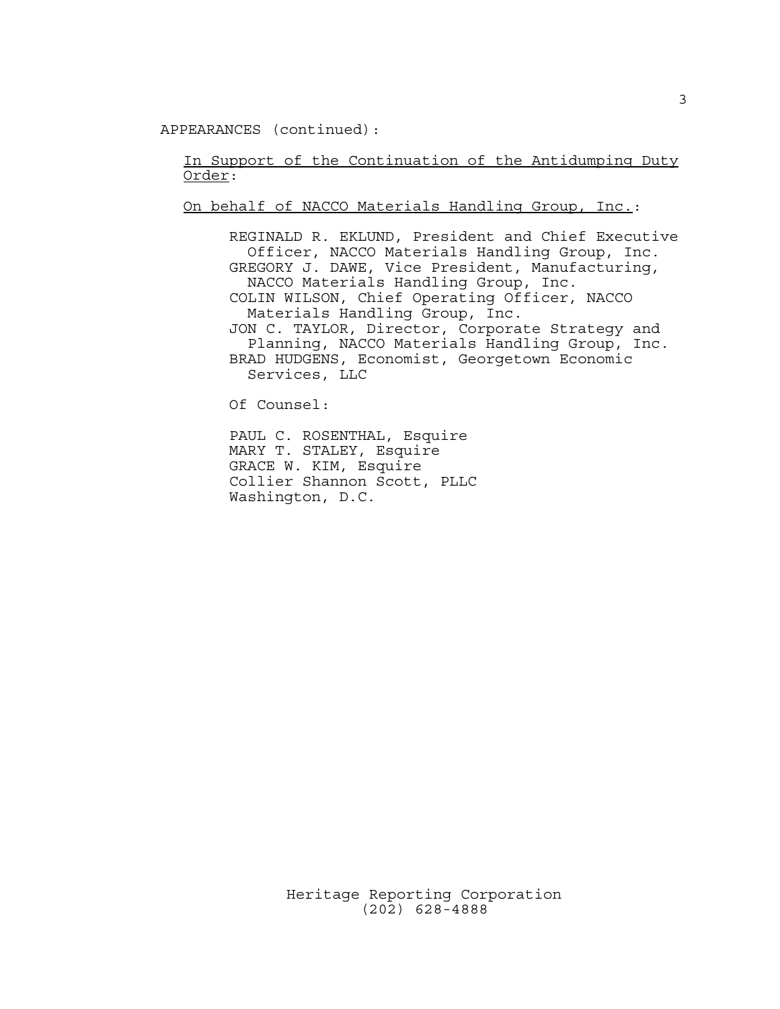APPEARANCES (continued):

In Support of the Continuation of the Antidumping Duty Order:

On behalf of NACCO Materials Handling Group, Inc.:

REGINALD R. EKLUND, President and Chief Executive Officer, NACCO Materials Handling Group, Inc. GREGORY J. DAWE, Vice President, Manufacturing, NACCO Materials Handling Group, Inc. COLIN WILSON, Chief Operating Officer, NACCO Materials Handling Group, Inc. JON C. TAYLOR, Director, Corporate Strategy and Planning, NACCO Materials Handling Group, Inc. BRAD HUDGENS, Economist, Georgetown Economic Services, LLC

Of Counsel:

PAUL C. ROSENTHAL, Esquire MARY T. STALEY, Esquire GRACE W. KIM, Esquire Collier Shannon Scott, PLLC Washington, D.C.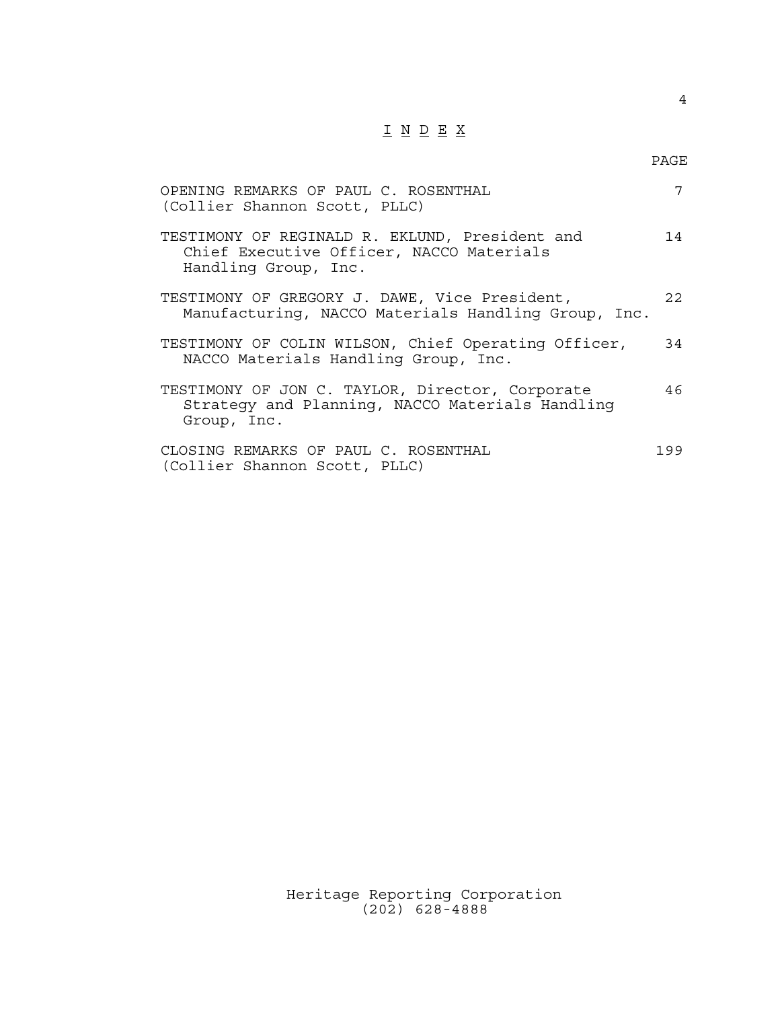## $\underline{\texttt{I}} \underline{\texttt{N}} \underline{\texttt{D}} \underline{\texttt{E}} \underline{\texttt{X}}$

| OPENING REMARKS OF PAUL C. ROSENTHAL<br>(Collier Shannon Scott, PLLC)                                              | 7    |
|--------------------------------------------------------------------------------------------------------------------|------|
| TESTIMONY OF REGINALD R. EKLUND, President and<br>Chief Executive Officer, NACCO Materials<br>Handling Group, Inc. | 14   |
| TESTIMONY OF GREGORY J. DAWE, Vice President,<br>Manufacturing, NACCO Materials Handling Group, Inc.               | 2.2. |
| TESTIMONY OF COLIN WILSON, Chief Operating Officer,<br>NACCO Materials Handling Group, Inc.                        | 34   |
| TESTIMONY OF JON C. TAYLOR, Director, Corporate<br>Strategy and Planning, NACCO Materials Handling<br>Group, Inc.  | 46   |
| CLOSING REMARKS OF PAUL C. ROSENTHAL<br>(Collier Shannon Scott, PLLC)                                              | 199  |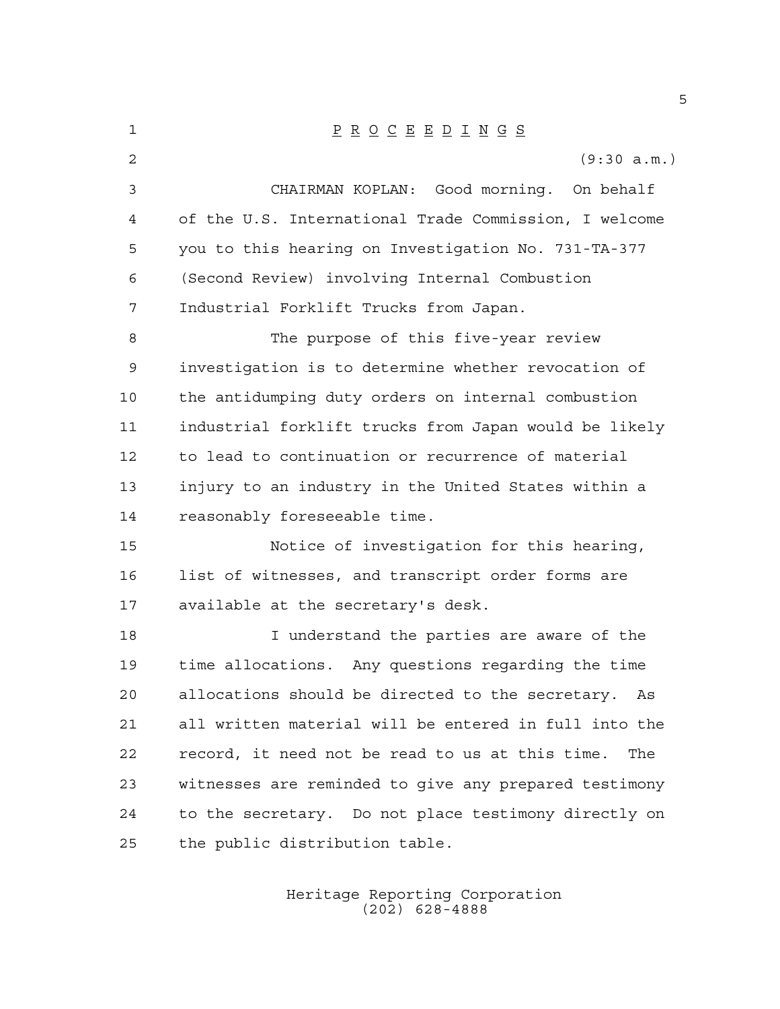| $\mathbf 1$    | $\underline{P} \underline{R} \underline{O} \underline{C} \underline{E} \underline{E} \underline{D} \underline{I} \underline{N} \underline{G} \underline{S}$ |
|----------------|-------------------------------------------------------------------------------------------------------------------------------------------------------------|
| $\overline{a}$ | (9:30 a.m.)                                                                                                                                                 |
| 3              | CHAIRMAN KOPLAN: Good morning. On behalf                                                                                                                    |
| 4              | of the U.S. International Trade Commission, I welcome                                                                                                       |
| 5              | you to this hearing on Investigation No. 731-TA-377                                                                                                         |
| 6              | (Second Review) involving Internal Combustion                                                                                                               |
| 7              | Industrial Forklift Trucks from Japan.                                                                                                                      |
| 8              | The purpose of this five-year review                                                                                                                        |
| 9              | investigation is to determine whether revocation of                                                                                                         |
| 10             | the antidumping duty orders on internal combustion                                                                                                          |
| 11             | industrial forklift trucks from Japan would be likely                                                                                                       |
| 12             | to lead to continuation or recurrence of material                                                                                                           |
| 13             | injury to an industry in the United States within a                                                                                                         |
| 14             | reasonably foreseeable time.                                                                                                                                |
| 15             | Notice of investigation for this hearing,                                                                                                                   |
| 16             | list of witnesses, and transcript order forms are                                                                                                           |
| 17             | available at the secretary's desk.                                                                                                                          |
| 18             | I understand the parties are aware of the                                                                                                                   |
| 19             | time allocations. Any questions regarding the time                                                                                                          |
| 20             | allocations should be directed to the secretary. As                                                                                                         |
| 21             | all written material will be entered in full into the                                                                                                       |
| 22             | record, it need not be read to us at this time.<br>The                                                                                                      |
| 23             | witnesses are reminded to give any prepared testimony                                                                                                       |
| 24             | to the secretary. Do not place testimony directly on                                                                                                        |
| 25             | the public distribution table.                                                                                                                              |
|                |                                                                                                                                                             |

Heritage Reporting Corporation (202) 628-4888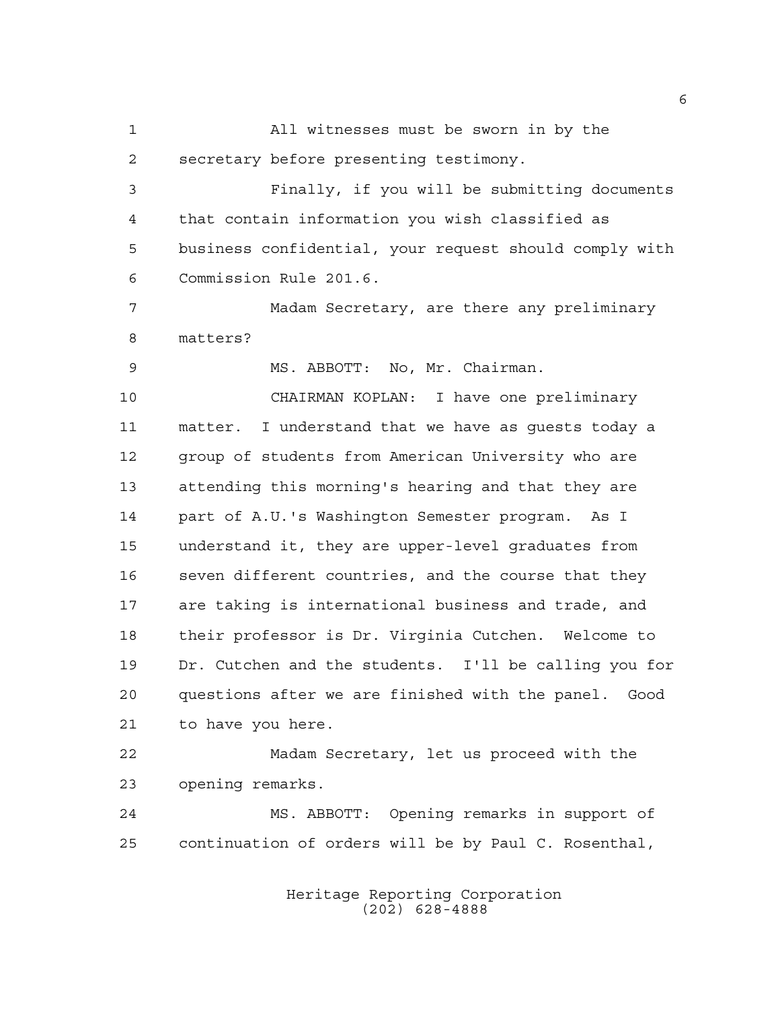All witnesses must be sworn in by the secretary before presenting testimony.

 Finally, if you will be submitting documents that contain information you wish classified as business confidential, your request should comply with Commission Rule 201.6.

 Madam Secretary, are there any preliminary matters?

MS. ABBOTT: No, Mr. Chairman.

 CHAIRMAN KOPLAN: I have one preliminary matter. I understand that we have as guests today a group of students from American University who are attending this morning's hearing and that they are part of A.U.'s Washington Semester program. As I understand it, they are upper-level graduates from seven different countries, and the course that they are taking is international business and trade, and their professor is Dr. Virginia Cutchen. Welcome to Dr. Cutchen and the students. I'll be calling you for questions after we are finished with the panel. Good to have you here.

 Madam Secretary, let us proceed with the opening remarks.

 MS. ABBOTT: Opening remarks in support of continuation of orders will be by Paul C. Rosenthal,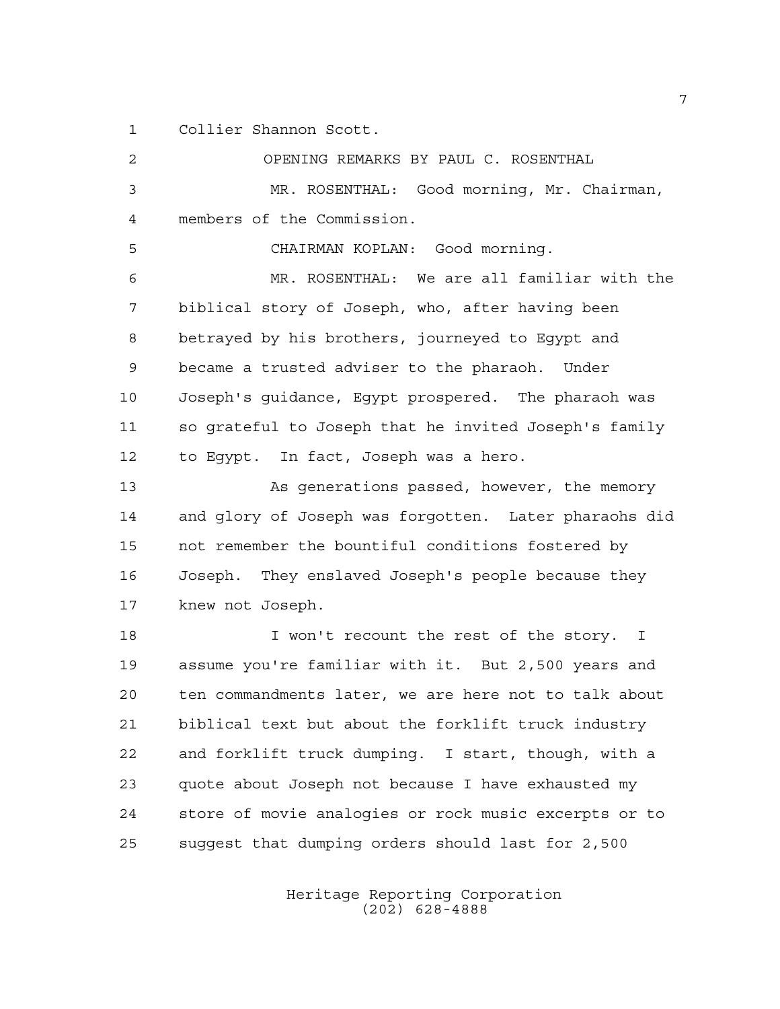Collier Shannon Scott.

 OPENING REMARKS BY PAUL C. ROSENTHAL MR. ROSENTHAL: Good morning, Mr. Chairman, members of the Commission. CHAIRMAN KOPLAN: Good morning. MR. ROSENTHAL: We are all familiar with the biblical story of Joseph, who, after having been betrayed by his brothers, journeyed to Egypt and became a trusted adviser to the pharaoh. Under Joseph's guidance, Egypt prospered. The pharaoh was so grateful to Joseph that he invited Joseph's family to Egypt. In fact, Joseph was a hero. 13 As generations passed, however, the memory and glory of Joseph was forgotten. Later pharaohs did not remember the bountiful conditions fostered by Joseph. They enslaved Joseph's people because they knew not Joseph. 18 I won't recount the rest of the story. I assume you're familiar with it. But 2,500 years and ten commandments later, we are here not to talk about biblical text but about the forklift truck industry and forklift truck dumping. I start, though, with a quote about Joseph not because I have exhausted my store of movie analogies or rock music excerpts or to suggest that dumping orders should last for 2,500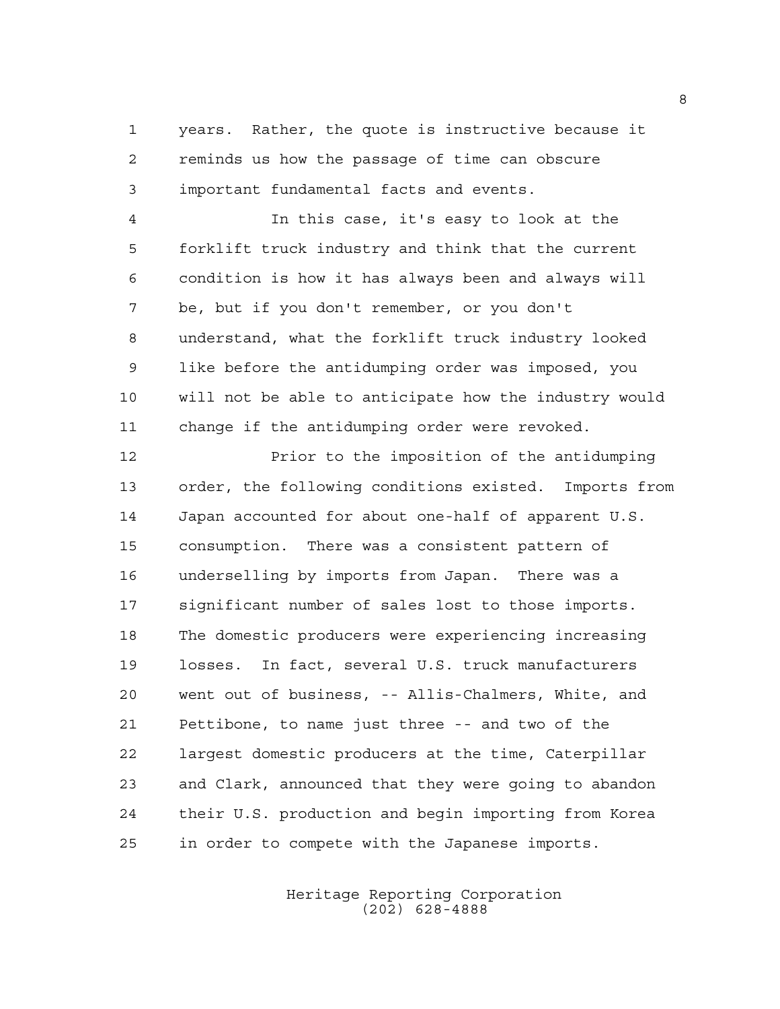years. Rather, the quote is instructive because it reminds us how the passage of time can obscure important fundamental facts and events.

 In this case, it's easy to look at the forklift truck industry and think that the current condition is how it has always been and always will be, but if you don't remember, or you don't understand, what the forklift truck industry looked like before the antidumping order was imposed, you will not be able to anticipate how the industry would change if the antidumping order were revoked.

 Prior to the imposition of the antidumping order, the following conditions existed. Imports from Japan accounted for about one-half of apparent U.S. consumption. There was a consistent pattern of underselling by imports from Japan. There was a significant number of sales lost to those imports. The domestic producers were experiencing increasing losses. In fact, several U.S. truck manufacturers went out of business, -- Allis-Chalmers, White, and Pettibone, to name just three -- and two of the largest domestic producers at the time, Caterpillar and Clark, announced that they were going to abandon their U.S. production and begin importing from Korea in order to compete with the Japanese imports.

> Heritage Reporting Corporation (202) 628-4888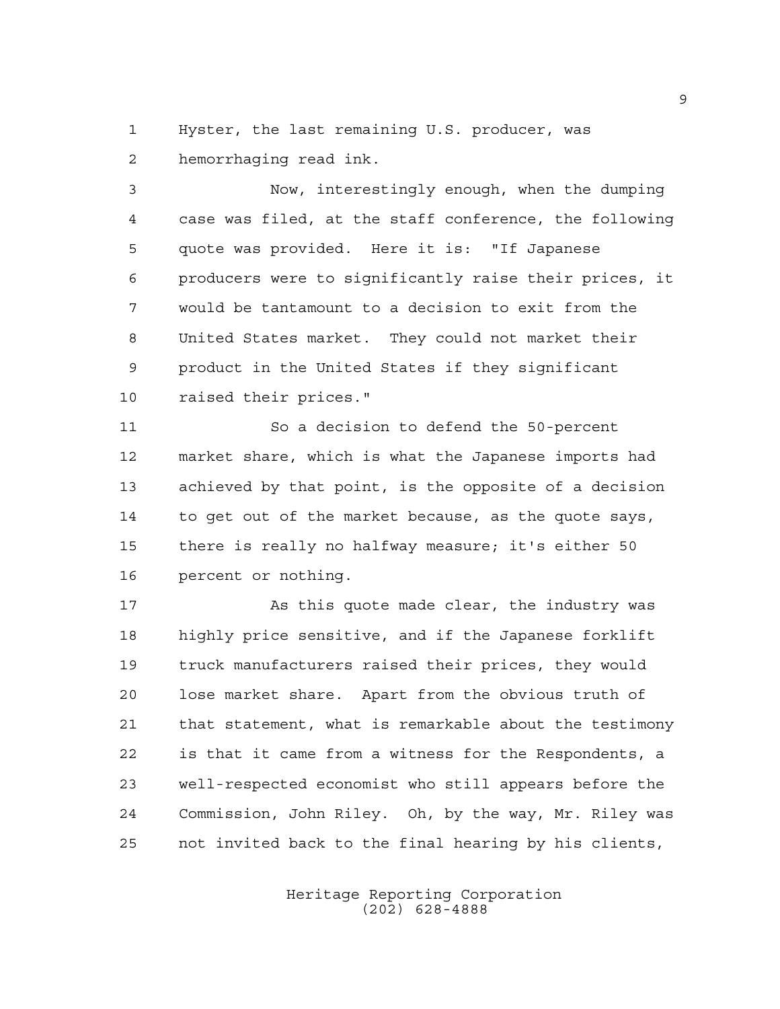Hyster, the last remaining U.S. producer, was hemorrhaging read ink.

 Now, interestingly enough, when the dumping case was filed, at the staff conference, the following quote was provided. Here it is: "If Japanese producers were to significantly raise their prices, it would be tantamount to a decision to exit from the United States market. They could not market their product in the United States if they significant raised their prices."

 So a decision to defend the 50-percent market share, which is what the Japanese imports had achieved by that point, is the opposite of a decision to get out of the market because, as the quote says, there is really no halfway measure; it's either 50 percent or nothing.

17 As this quote made clear, the industry was highly price sensitive, and if the Japanese forklift truck manufacturers raised their prices, they would lose market share. Apart from the obvious truth of that statement, what is remarkable about the testimony is that it came from a witness for the Respondents, a well-respected economist who still appears before the Commission, John Riley. Oh, by the way, Mr. Riley was not invited back to the final hearing by his clients,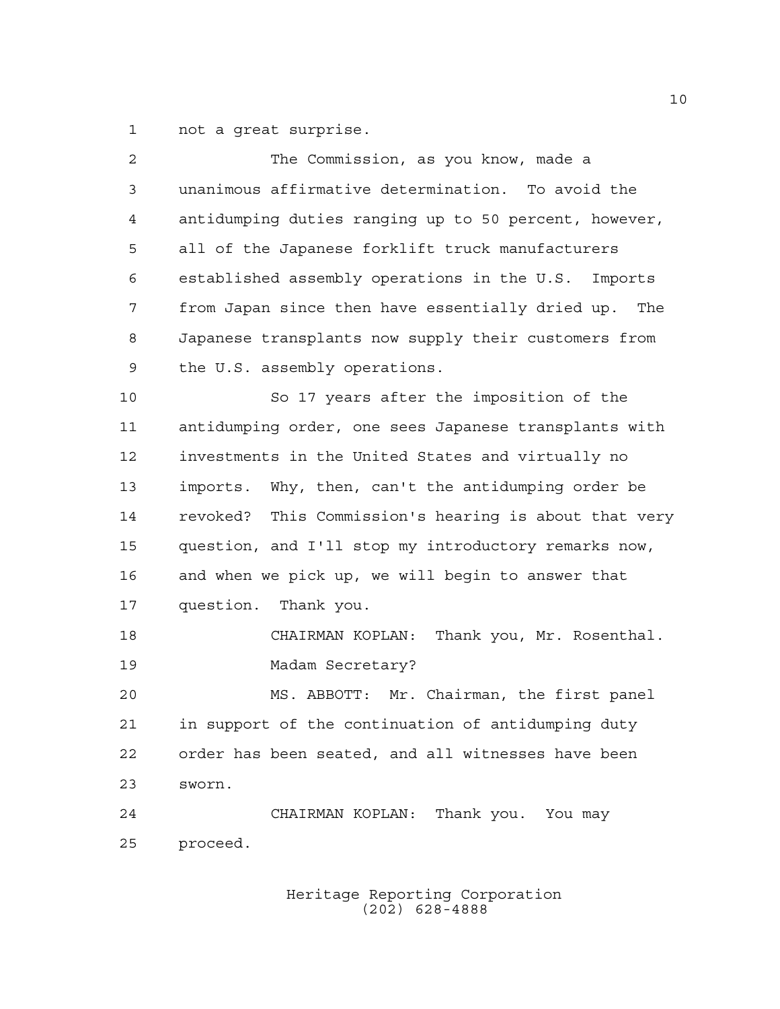not a great surprise.

| 2              | The Commission, as you know, made a                     |
|----------------|---------------------------------------------------------|
| $\mathfrak{Z}$ | unanimous affirmative determination. To avoid the       |
| 4              | antidumping duties ranging up to 50 percent, however,   |
| 5              | all of the Japanese forklift truck manufacturers        |
| 6              | established assembly operations in the U.S. Imports     |
| 7              | from Japan since then have essentially dried up.<br>The |
| 8              | Japanese transplants now supply their customers from    |
| 9              | the U.S. assembly operations.                           |
| 10             | So 17 years after the imposition of the                 |
| 11             | antidumping order, one sees Japanese transplants with   |
| 12             | investments in the United States and virtually no       |
| 13             | imports. Why, then, can't the antidumping order be      |
| 14             | revoked? This Commission's hearing is about that very   |
| 15             | question, and I'll stop my introductory remarks now,    |
| 16             | and when we pick up, we will begin to answer that       |
| 17             | question. Thank you.                                    |
| 18             | CHAIRMAN KOPLAN:<br>Thank you, Mr. Rosenthal.           |
| 19             | Madam Secretary?                                        |
| 20             | MS. ABBOTT: Mr. Chairman, the first panel               |
| 21             | in support of the continuation of antidumping duty      |
| 22             | order has been seated, and all witnesses have been      |
| 23             | sworn.                                                  |
| 24             | CHAIRMAN KOPLAN: Thank you. You may                     |
| 25             | proceed.                                                |
|                |                                                         |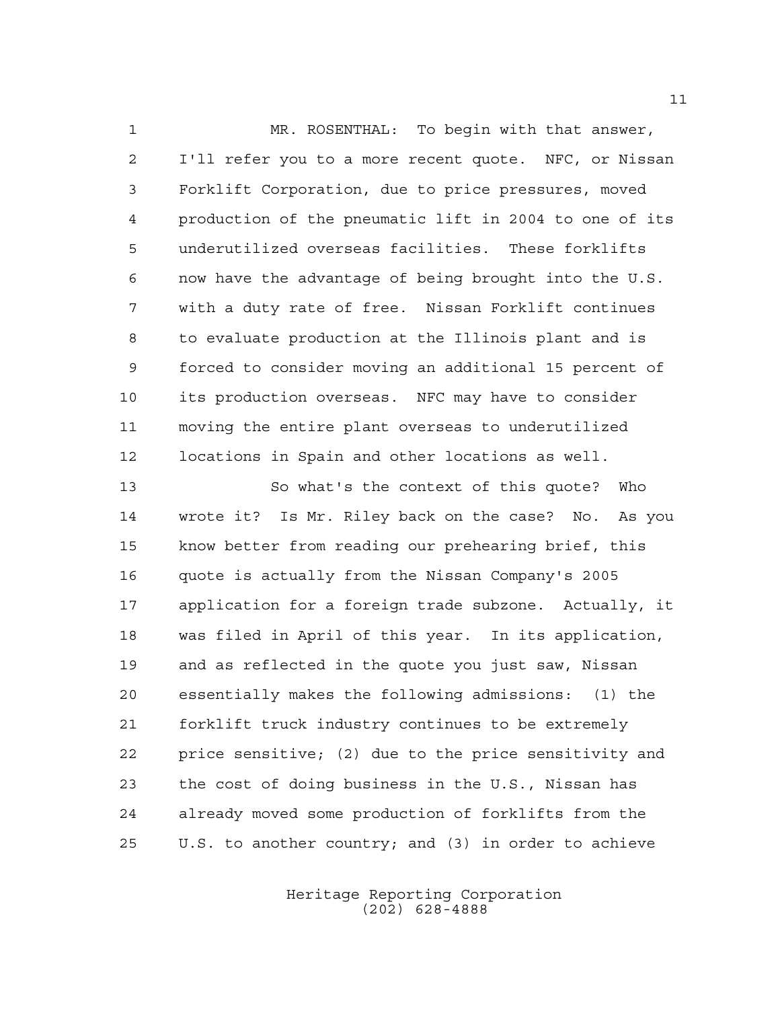MR. ROSENTHAL: To begin with that answer, I'll refer you to a more recent quote. NFC, or Nissan Forklift Corporation, due to price pressures, moved production of the pneumatic lift in 2004 to one of its underutilized overseas facilities. These forklifts now have the advantage of being brought into the U.S. with a duty rate of free. Nissan Forklift continues to evaluate production at the Illinois plant and is forced to consider moving an additional 15 percent of its production overseas. NFC may have to consider moving the entire plant overseas to underutilized locations in Spain and other locations as well.

 So what's the context of this quote? Who wrote it? Is Mr. Riley back on the case? No. As you know better from reading our prehearing brief, this quote is actually from the Nissan Company's 2005 application for a foreign trade subzone. Actually, it was filed in April of this year. In its application, and as reflected in the quote you just saw, Nissan essentially makes the following admissions: (1) the forklift truck industry continues to be extremely price sensitive; (2) due to the price sensitivity and the cost of doing business in the U.S., Nissan has already moved some production of forklifts from the U.S. to another country; and (3) in order to achieve

> Heritage Reporting Corporation (202) 628-4888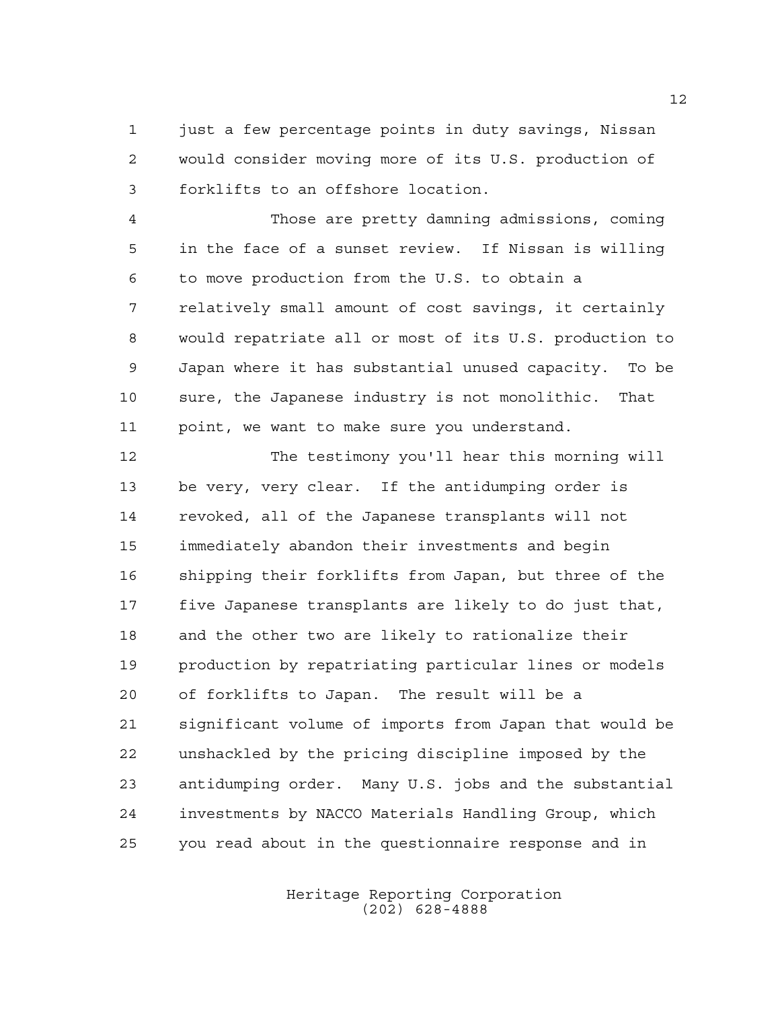1 just a few percentage points in duty savings, Nissan would consider moving more of its U.S. production of forklifts to an offshore location.

 Those are pretty damning admissions, coming in the face of a sunset review. If Nissan is willing to move production from the U.S. to obtain a relatively small amount of cost savings, it certainly would repatriate all or most of its U.S. production to Japan where it has substantial unused capacity. To be sure, the Japanese industry is not monolithic. That point, we want to make sure you understand.

 The testimony you'll hear this morning will be very, very clear. If the antidumping order is revoked, all of the Japanese transplants will not immediately abandon their investments and begin shipping their forklifts from Japan, but three of the five Japanese transplants are likely to do just that, and the other two are likely to rationalize their production by repatriating particular lines or models of forklifts to Japan. The result will be a significant volume of imports from Japan that would be unshackled by the pricing discipline imposed by the antidumping order. Many U.S. jobs and the substantial investments by NACCO Materials Handling Group, which you read about in the questionnaire response and in

> Heritage Reporting Corporation (202) 628-4888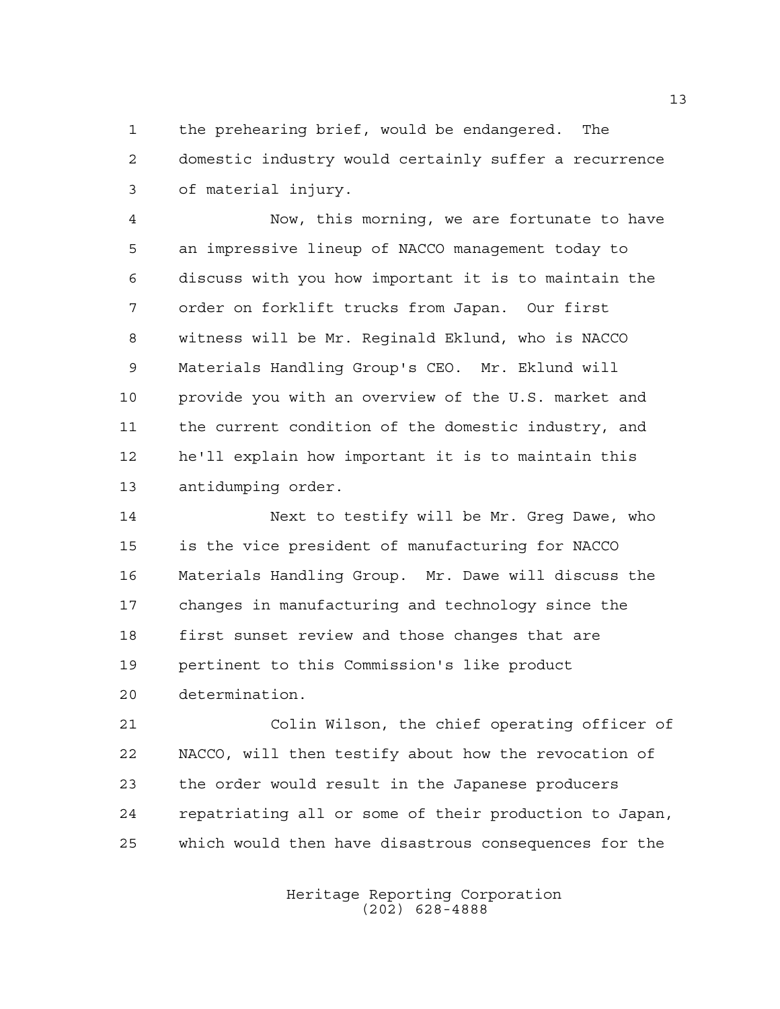the prehearing brief, would be endangered. The domestic industry would certainly suffer a recurrence of material injury.

 Now, this morning, we are fortunate to have an impressive lineup of NACCO management today to discuss with you how important it is to maintain the order on forklift trucks from Japan. Our first witness will be Mr. Reginald Eklund, who is NACCO Materials Handling Group's CEO. Mr. Eklund will 10 provide you with an overview of the U.S. market and the current condition of the domestic industry, and he'll explain how important it is to maintain this antidumping order.

14 Next to testify will be Mr. Greg Dawe, who is the vice president of manufacturing for NACCO Materials Handling Group. Mr. Dawe will discuss the changes in manufacturing and technology since the first sunset review and those changes that are pertinent to this Commission's like product determination.

 Colin Wilson, the chief operating officer of NACCO, will then testify about how the revocation of the order would result in the Japanese producers repatriating all or some of their production to Japan, which would then have disastrous consequences for the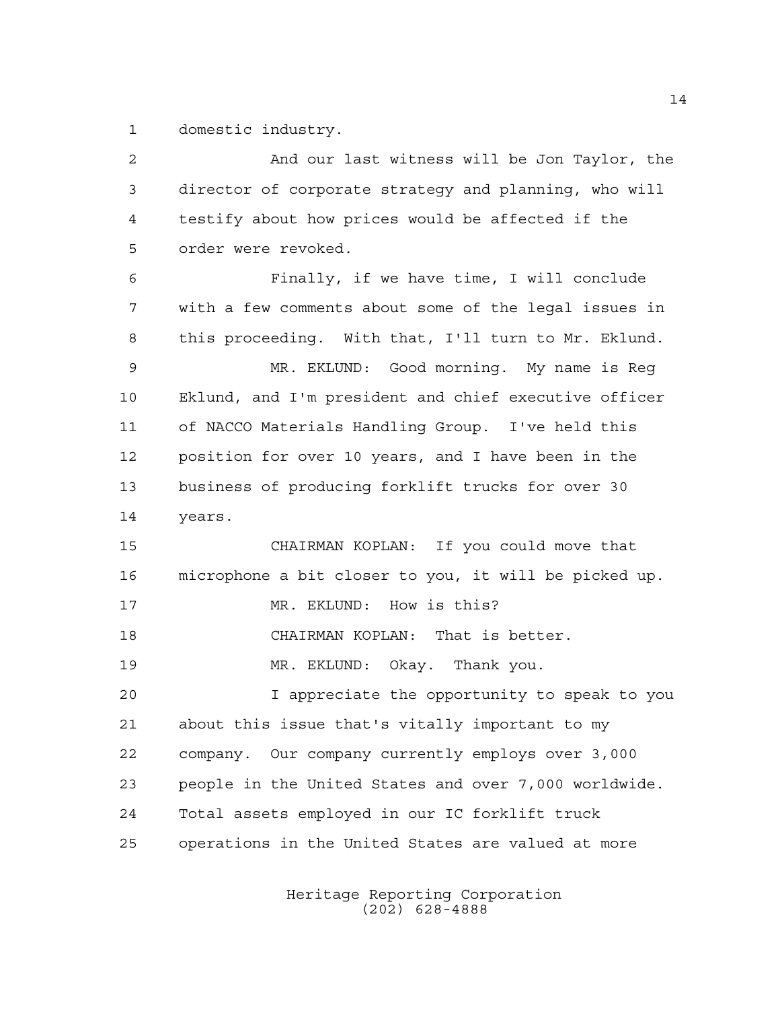domestic industry.

| $\overline{2}$ | And our last witness will be Jon Taylor, the          |
|----------------|-------------------------------------------------------|
| 3              | director of corporate strategy and planning, who will |
| 4              | testify about how prices would be affected if the     |
| 5              | order were revoked.                                   |
| 6              | Finally, if we have time, I will conclude             |
| 7              | with a few comments about some of the legal issues in |
| 8              | this proceeding. With that, I'll turn to Mr. Eklund.  |
| 9              | MR. EKLUND: Good morning. My name is Reg              |
| 10             | Eklund, and I'm president and chief executive officer |
| 11             | of NACCO Materials Handling Group. I've held this     |
| 12             | position for over 10 years, and I have been in the    |
| 13             | business of producing forklift trucks for over 30     |
| 14             | years.                                                |
| 15             | CHAIRMAN KOPLAN: If you could move that               |
| 16             | microphone a bit closer to you, it will be picked up. |
| 17             | MR. EKLUND: How is this?                              |
| 18             | CHAIRMAN KOPLAN: That is better.                      |
| 19             | MR. EKLUND: Okay. Thank you.                          |
| 20             | I appreciate the opportunity to speak to you          |
| 21             | about this issue that's vitally important to my       |
| 22             | company. Our company currently employs over 3,000     |
| 23             | people in the United States and over 7,000 worldwide. |
| 24             | Total assets employed in our IC forklift truck        |
| 25             | operations in the United States are valued at more    |
|                |                                                       |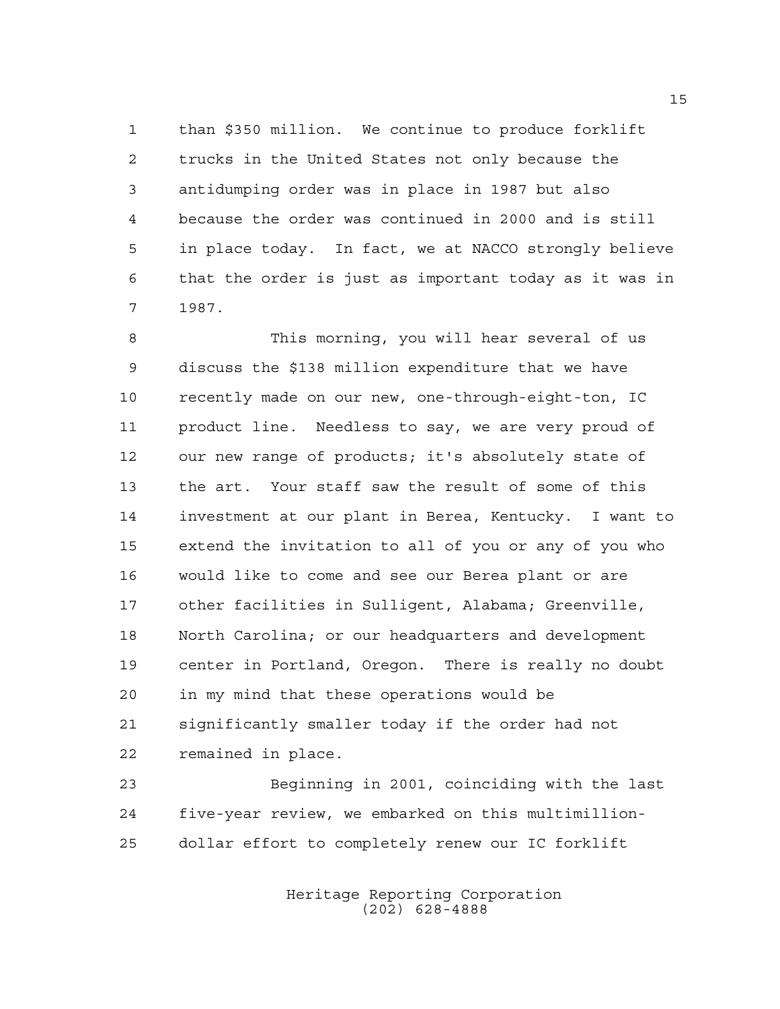than \$350 million. We continue to produce forklift trucks in the United States not only because the antidumping order was in place in 1987 but also because the order was continued in 2000 and is still in place today. In fact, we at NACCO strongly believe that the order is just as important today as it was in 1987.

 This morning, you will hear several of us discuss the \$138 million expenditure that we have recently made on our new, one-through-eight-ton, IC product line. Needless to say, we are very proud of our new range of products; it's absolutely state of the art. Your staff saw the result of some of this investment at our plant in Berea, Kentucky. I want to extend the invitation to all of you or any of you who would like to come and see our Berea plant or are other facilities in Sulligent, Alabama; Greenville, North Carolina; or our headquarters and development center in Portland, Oregon. There is really no doubt in my mind that these operations would be significantly smaller today if the order had not remained in place.

 Beginning in 2001, coinciding with the last five-year review, we embarked on this multimillion-dollar effort to completely renew our IC forklift

> Heritage Reporting Corporation (202) 628-4888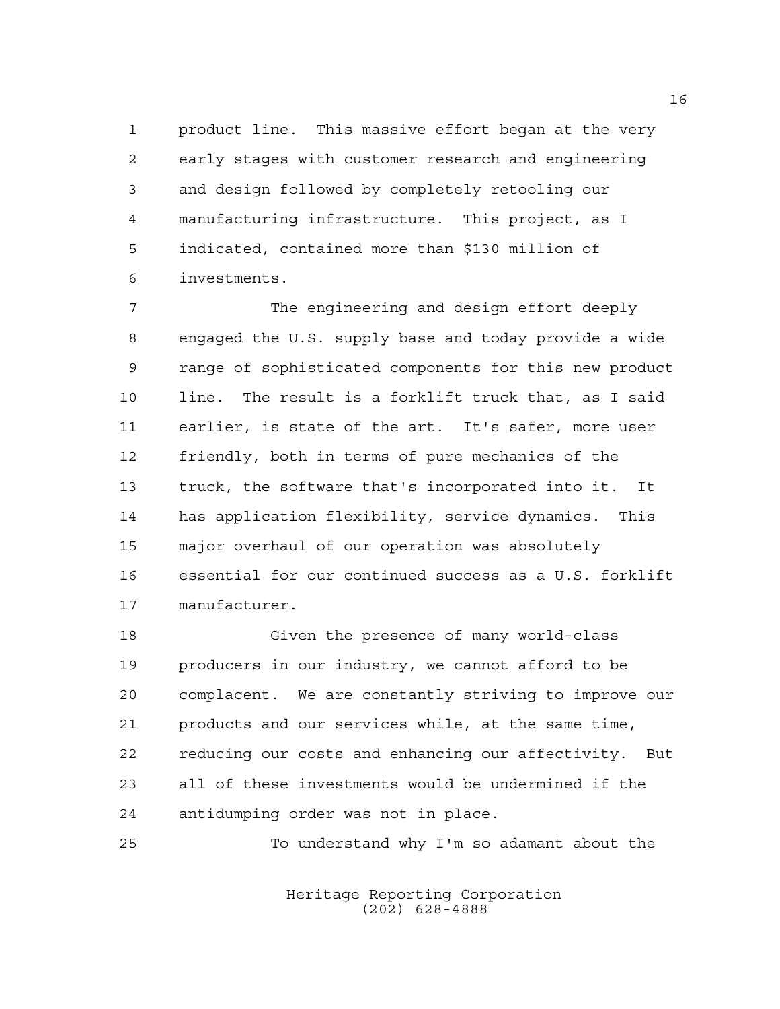product line. This massive effort began at the very early stages with customer research and engineering and design followed by completely retooling our manufacturing infrastructure. This project, as I indicated, contained more than \$130 million of investments.

 The engineering and design effort deeply engaged the U.S. supply base and today provide a wide range of sophisticated components for this new product line. The result is a forklift truck that, as I said earlier, is state of the art. It's safer, more user friendly, both in terms of pure mechanics of the truck, the software that's incorporated into it. It has application flexibility, service dynamics. This major overhaul of our operation was absolutely essential for our continued success as a U.S. forklift manufacturer.

 Given the presence of many world-class producers in our industry, we cannot afford to be complacent. We are constantly striving to improve our products and our services while, at the same time, reducing our costs and enhancing our affectivity. But all of these investments would be undermined if the antidumping order was not in place.

To understand why I'm so adamant about the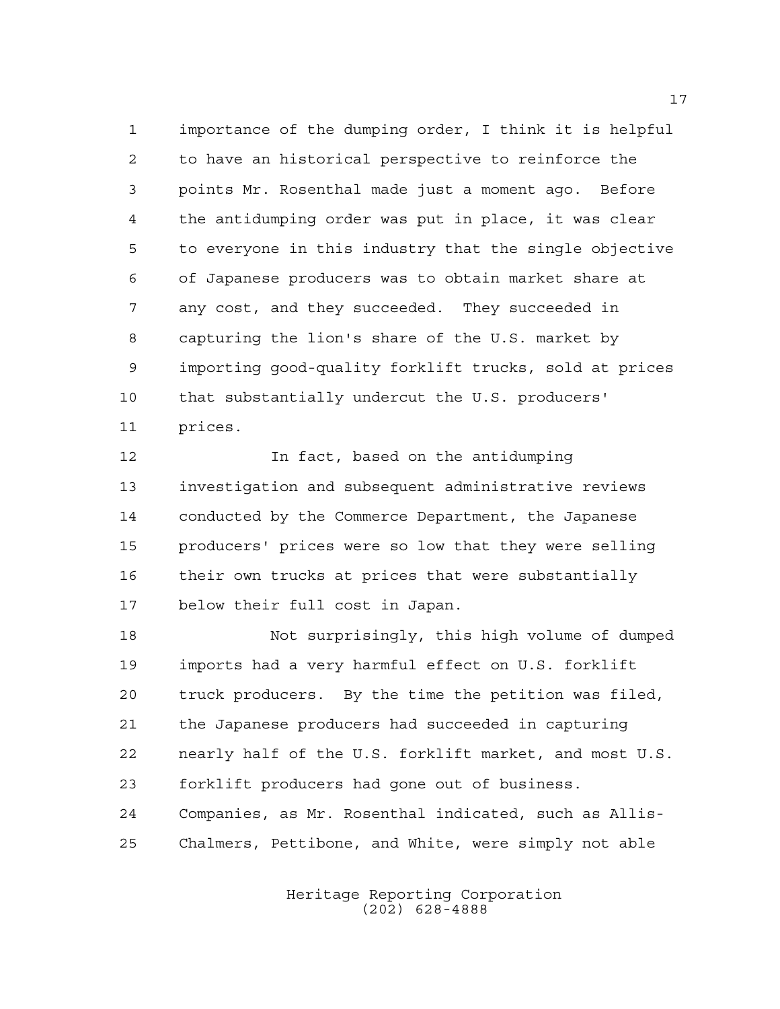importance of the dumping order, I think it is helpful to have an historical perspective to reinforce the points Mr. Rosenthal made just a moment ago. Before the antidumping order was put in place, it was clear to everyone in this industry that the single objective of Japanese producers was to obtain market share at any cost, and they succeeded. They succeeded in capturing the lion's share of the U.S. market by importing good-quality forklift trucks, sold at prices that substantially undercut the U.S. producers' prices.

**In fact, based on the antidumping**  investigation and subsequent administrative reviews conducted by the Commerce Department, the Japanese producers' prices were so low that they were selling their own trucks at prices that were substantially below their full cost in Japan.

 Not surprisingly, this high volume of dumped imports had a very harmful effect on U.S. forklift truck producers. By the time the petition was filed, the Japanese producers had succeeded in capturing nearly half of the U.S. forklift market, and most U.S. forklift producers had gone out of business. Companies, as Mr. Rosenthal indicated, such as Allis-Chalmers, Pettibone, and White, were simply not able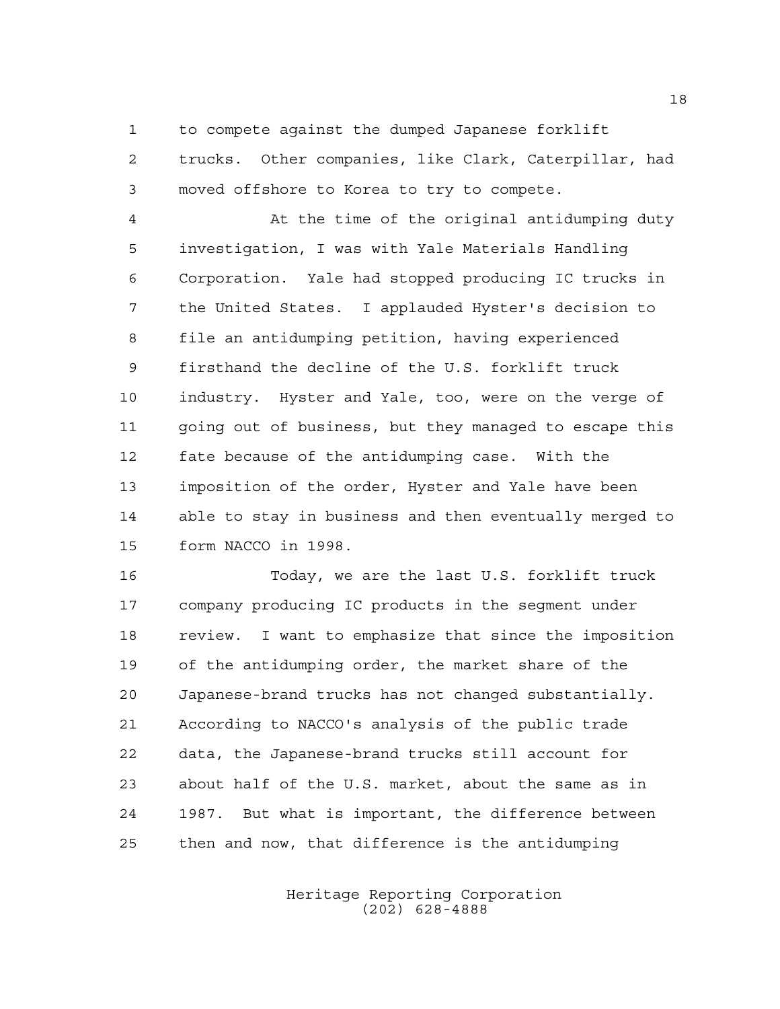to compete against the dumped Japanese forklift trucks. Other companies, like Clark, Caterpillar, had moved offshore to Korea to try to compete.

 At the time of the original antidumping duty investigation, I was with Yale Materials Handling Corporation. Yale had stopped producing IC trucks in the United States. I applauded Hyster's decision to file an antidumping petition, having experienced firsthand the decline of the U.S. forklift truck industry. Hyster and Yale, too, were on the verge of going out of business, but they managed to escape this fate because of the antidumping case. With the imposition of the order, Hyster and Yale have been able to stay in business and then eventually merged to form NACCO in 1998.

 Today, we are the last U.S. forklift truck company producing IC products in the segment under review. I want to emphasize that since the imposition of the antidumping order, the market share of the Japanese-brand trucks has not changed substantially. According to NACCO's analysis of the public trade data, the Japanese-brand trucks still account for about half of the U.S. market, about the same as in 1987. But what is important, the difference between then and now, that difference is the antidumping

> Heritage Reporting Corporation (202) 628-4888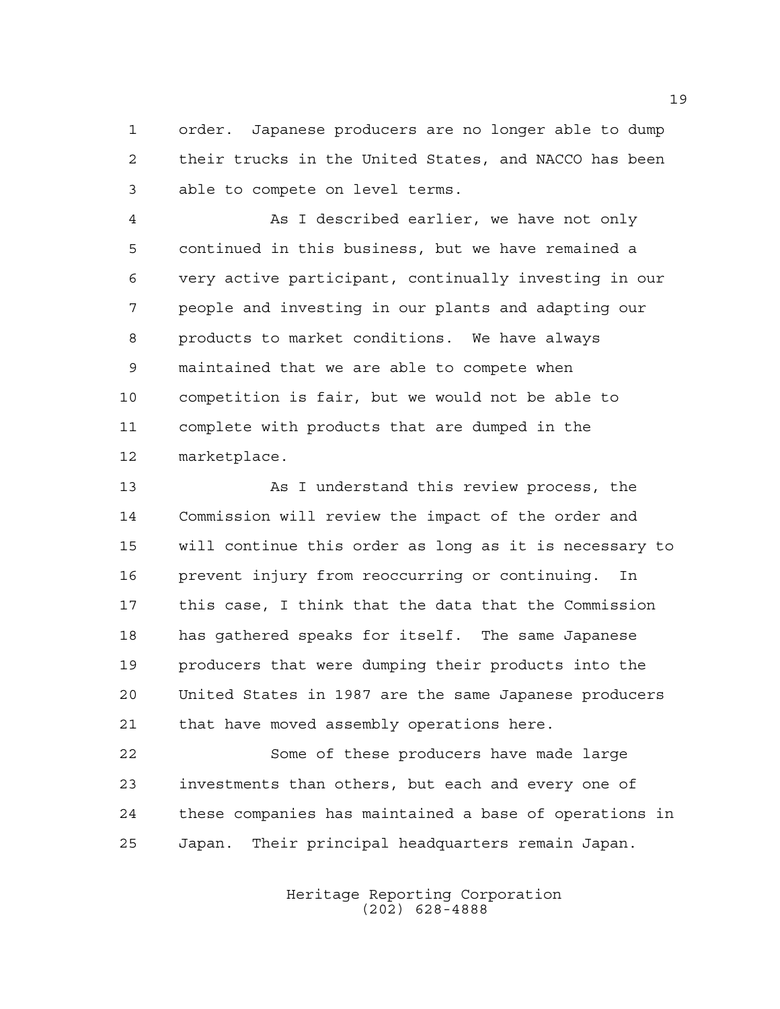order. Japanese producers are no longer able to dump their trucks in the United States, and NACCO has been able to compete on level terms.

 As I described earlier, we have not only continued in this business, but we have remained a very active participant, continually investing in our people and investing in our plants and adapting our products to market conditions. We have always maintained that we are able to compete when competition is fair, but we would not be able to complete with products that are dumped in the marketplace.

 As I understand this review process, the Commission will review the impact of the order and will continue this order as long as it is necessary to prevent injury from reoccurring or continuing. In this case, I think that the data that the Commission has gathered speaks for itself. The same Japanese producers that were dumping their products into the United States in 1987 are the same Japanese producers that have moved assembly operations here.

 Some of these producers have made large investments than others, but each and every one of these companies has maintained a base of operations in Japan. Their principal headquarters remain Japan.

> Heritage Reporting Corporation (202) 628-4888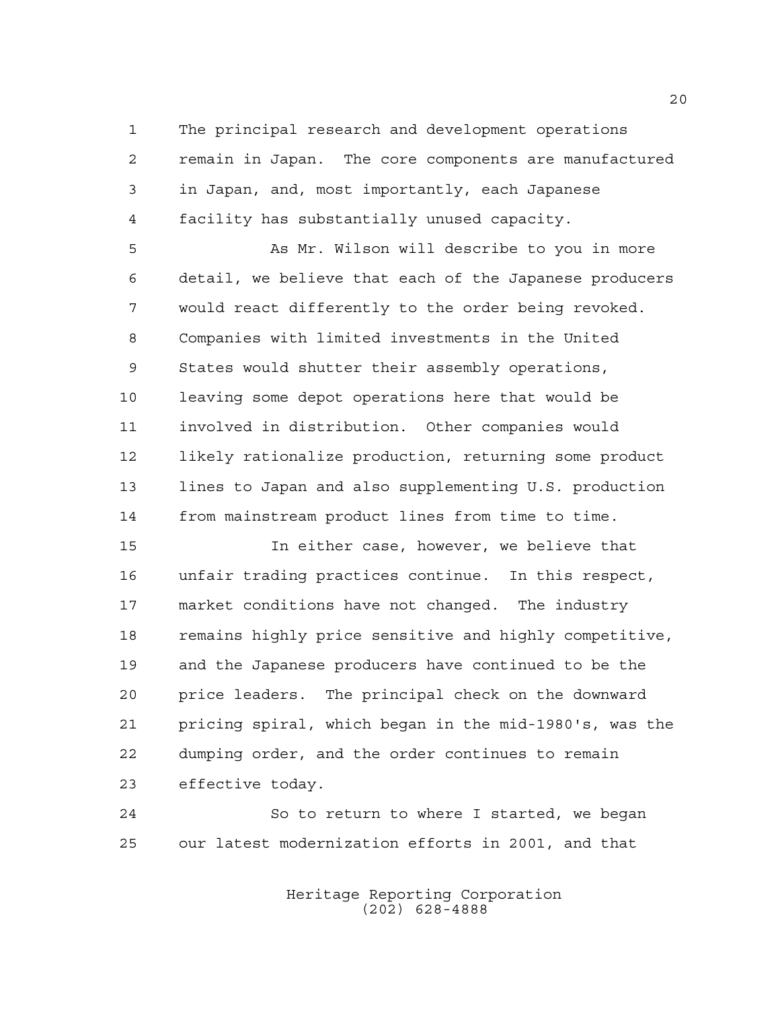The principal research and development operations remain in Japan. The core components are manufactured in Japan, and, most importantly, each Japanese facility has substantially unused capacity.

 As Mr. Wilson will describe to you in more detail, we believe that each of the Japanese producers would react differently to the order being revoked. Companies with limited investments in the United States would shutter their assembly operations, leaving some depot operations here that would be involved in distribution. Other companies would likely rationalize production, returning some product lines to Japan and also supplementing U.S. production from mainstream product lines from time to time.

 In either case, however, we believe that unfair trading practices continue. In this respect, market conditions have not changed. The industry 18 remains highly price sensitive and highly competitive, and the Japanese producers have continued to be the price leaders. The principal check on the downward pricing spiral, which began in the mid-1980's, was the dumping order, and the order continues to remain effective today.

 So to return to where I started, we began our latest modernization efforts in 2001, and that

> Heritage Reporting Corporation (202) 628-4888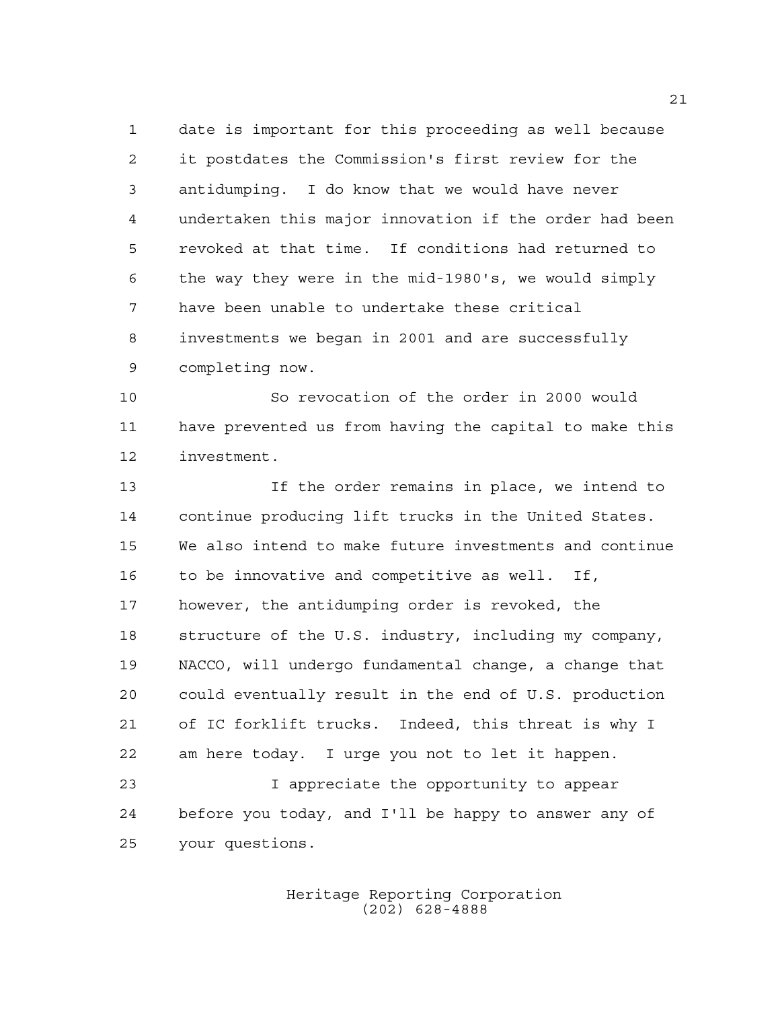date is important for this proceeding as well because it postdates the Commission's first review for the antidumping. I do know that we would have never undertaken this major innovation if the order had been revoked at that time. If conditions had returned to the way they were in the mid-1980's, we would simply have been unable to undertake these critical investments we began in 2001 and are successfully completing now.

 So revocation of the order in 2000 would have prevented us from having the capital to make this investment.

 If the order remains in place, we intend to continue producing lift trucks in the United States. We also intend to make future investments and continue to be innovative and competitive as well. If, however, the antidumping order is revoked, the structure of the U.S. industry, including my company, NACCO, will undergo fundamental change, a change that could eventually result in the end of U.S. production of IC forklift trucks. Indeed, this threat is why I am here today. I urge you not to let it happen. I appreciate the opportunity to appear before you today, and I'll be happy to answer any of your questions.

> Heritage Reporting Corporation (202) 628-4888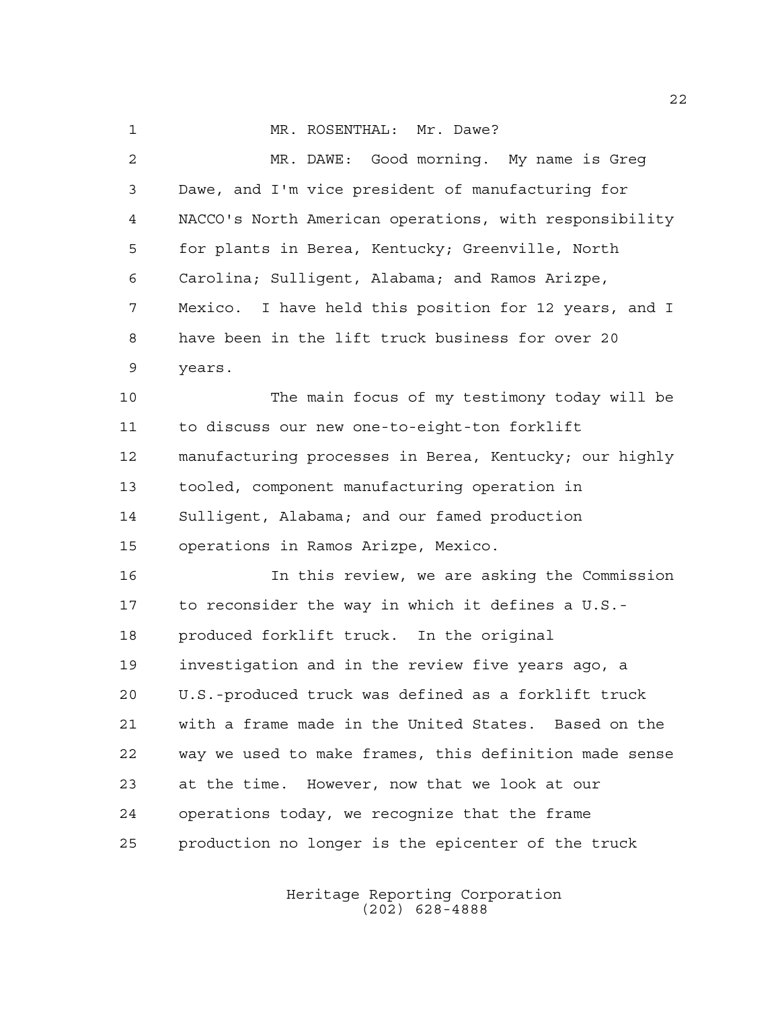1 MR. ROSENTHAL: Mr. Dawe? MR. DAWE: Good morning. My name is Greg Dawe, and I'm vice president of manufacturing for NACCO's North American operations, with responsibility for plants in Berea, Kentucky; Greenville, North Carolina; Sulligent, Alabama; and Ramos Arizpe, Mexico. I have held this position for 12 years, and I have been in the lift truck business for over 20 years. The main focus of my testimony today will be to discuss our new one-to-eight-ton forklift manufacturing processes in Berea, Kentucky; our highly tooled, component manufacturing operation in Sulligent, Alabama; and our famed production operations in Ramos Arizpe, Mexico. In this review, we are asking the Commission to reconsider the way in which it defines a U.S.- produced forklift truck. In the original investigation and in the review five years ago, a U.S.-produced truck was defined as a forklift truck with a frame made in the United States. Based on the way we used to make frames, this definition made sense at the time. However, now that we look at our operations today, we recognize that the frame production no longer is the epicenter of the truck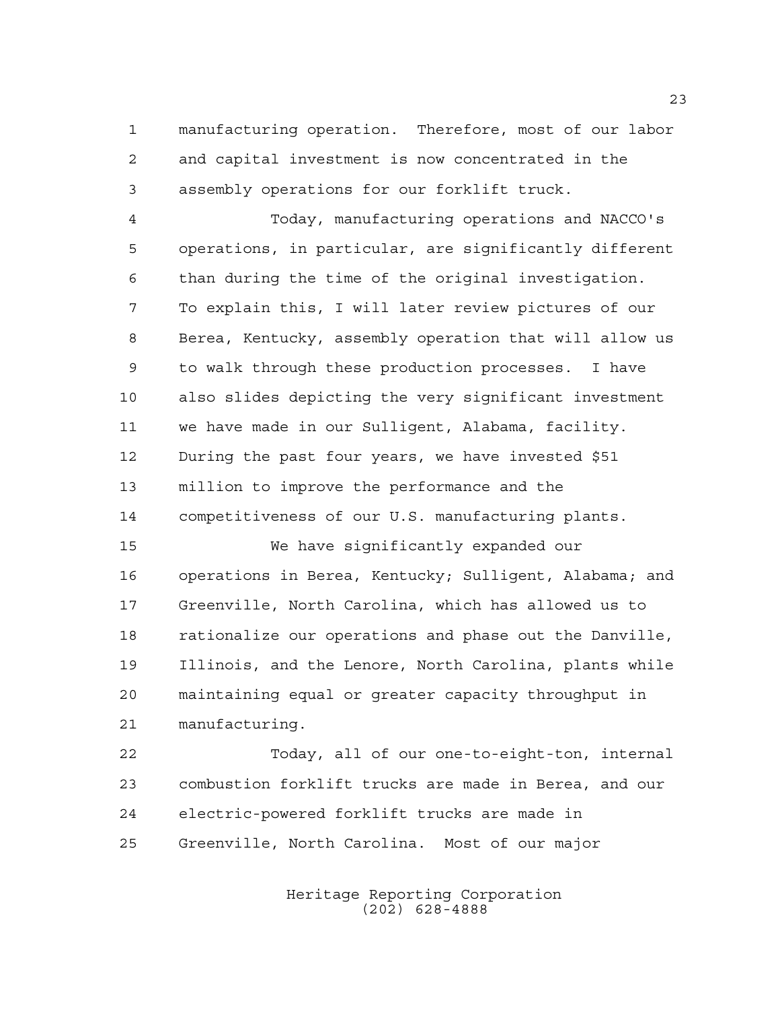manufacturing operation. Therefore, most of our labor and capital investment is now concentrated in the assembly operations for our forklift truck.

 Today, manufacturing operations and NACCO's operations, in particular, are significantly different than during the time of the original investigation. To explain this, I will later review pictures of our Berea, Kentucky, assembly operation that will allow us to walk through these production processes. I have also slides depicting the very significant investment we have made in our Sulligent, Alabama, facility. During the past four years, we have invested \$51 million to improve the performance and the competitiveness of our U.S. manufacturing plants.

 We have significantly expanded our operations in Berea, Kentucky; Sulligent, Alabama; and Greenville, North Carolina, which has allowed us to rationalize our operations and phase out the Danville, Illinois, and the Lenore, North Carolina, plants while maintaining equal or greater capacity throughput in manufacturing.

 Today, all of our one-to-eight-ton, internal combustion forklift trucks are made in Berea, and our electric-powered forklift trucks are made in Greenville, North Carolina. Most of our major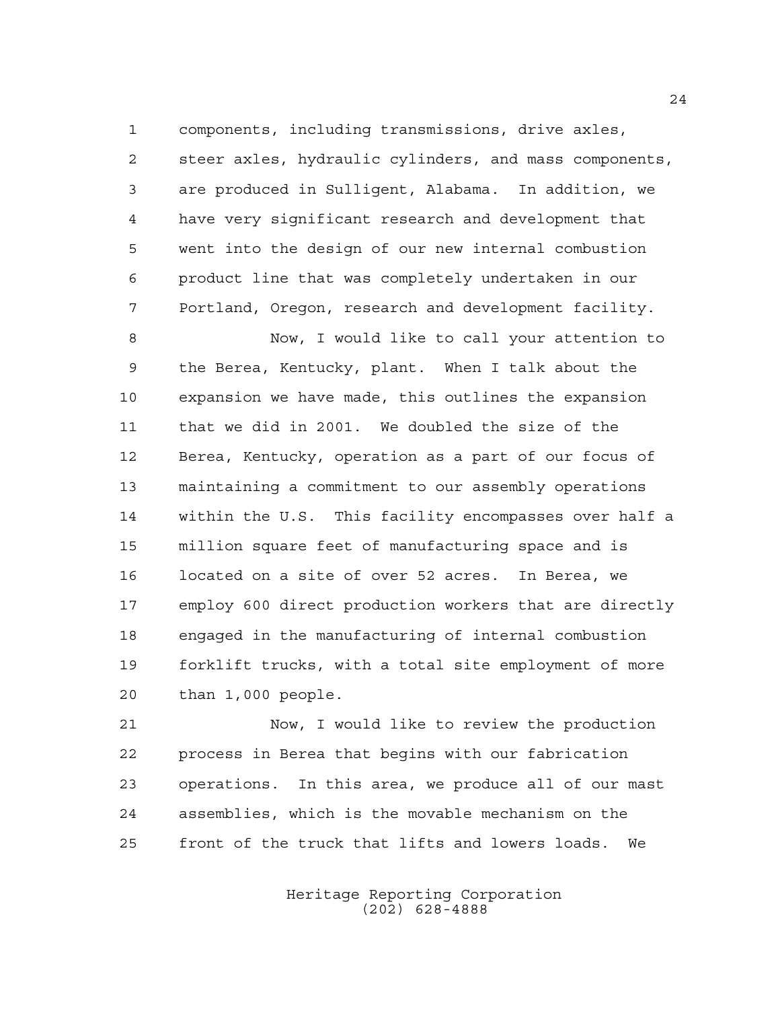components, including transmissions, drive axles, steer axles, hydraulic cylinders, and mass components, are produced in Sulligent, Alabama. In addition, we have very significant research and development that went into the design of our new internal combustion product line that was completely undertaken in our Portland, Oregon, research and development facility.

 Now, I would like to call your attention to the Berea, Kentucky, plant. When I talk about the expansion we have made, this outlines the expansion that we did in 2001. We doubled the size of the Berea, Kentucky, operation as a part of our focus of maintaining a commitment to our assembly operations within the U.S. This facility encompasses over half a million square feet of manufacturing space and is located on a site of over 52 acres. In Berea, we employ 600 direct production workers that are directly engaged in the manufacturing of internal combustion forklift trucks, with a total site employment of more than 1,000 people.

 Now, I would like to review the production process in Berea that begins with our fabrication operations. In this area, we produce all of our mast assemblies, which is the movable mechanism on the front of the truck that lifts and lowers loads. We

> Heritage Reporting Corporation (202) 628-4888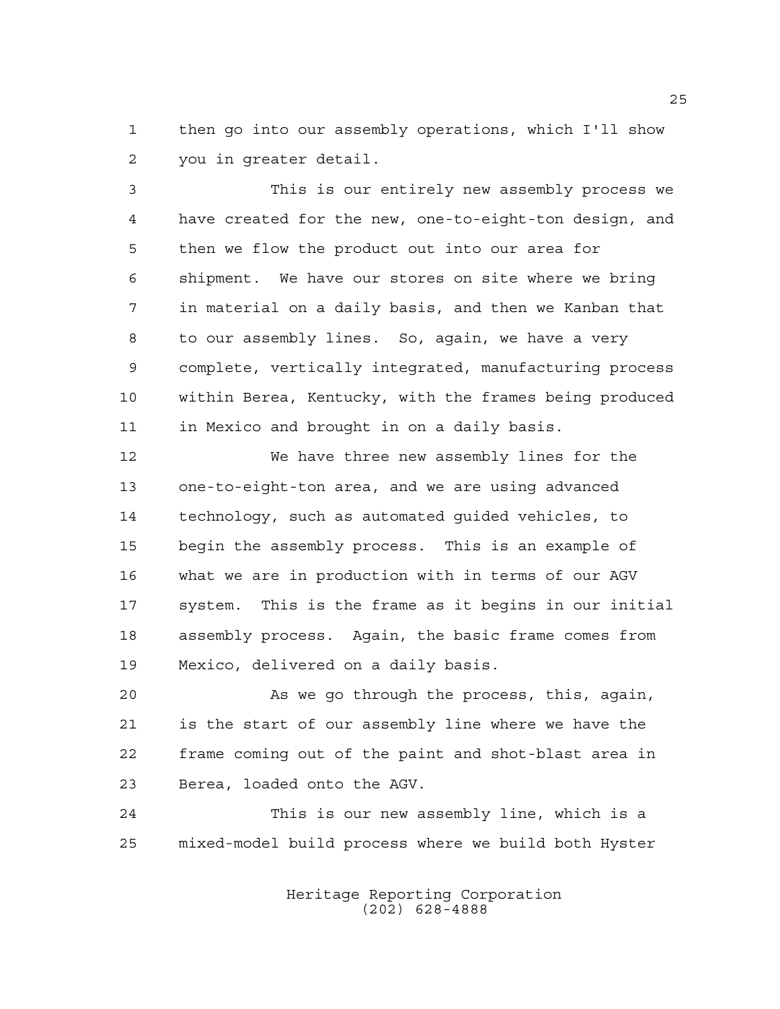then go into our assembly operations, which I'll show you in greater detail.

 This is our entirely new assembly process we have created for the new, one-to-eight-ton design, and then we flow the product out into our area for shipment. We have our stores on site where we bring in material on a daily basis, and then we Kanban that to our assembly lines. So, again, we have a very complete, vertically integrated, manufacturing process within Berea, Kentucky, with the frames being produced in Mexico and brought in on a daily basis.

 We have three new assembly lines for the one-to-eight-ton area, and we are using advanced technology, such as automated guided vehicles, to begin the assembly process. This is an example of what we are in production with in terms of our AGV system. This is the frame as it begins in our initial assembly process. Again, the basic frame comes from Mexico, delivered on a daily basis.

 As we go through the process, this, again, is the start of our assembly line where we have the frame coming out of the paint and shot-blast area in Berea, loaded onto the AGV.

 This is our new assembly line, which is a mixed-model build process where we build both Hyster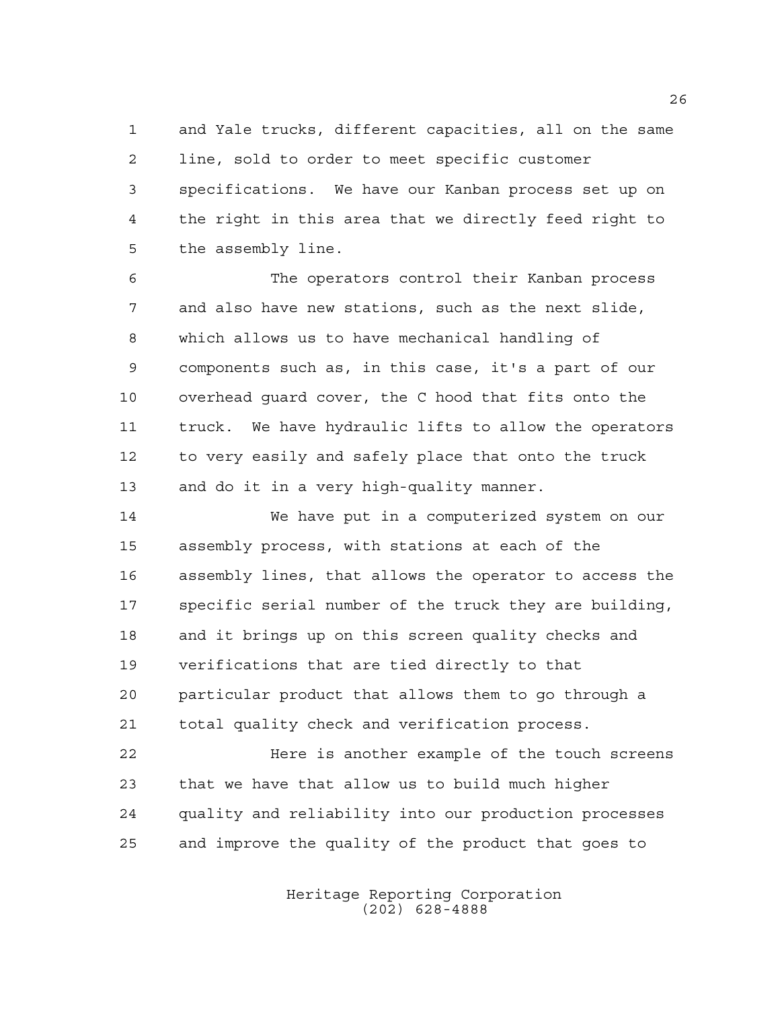and Yale trucks, different capacities, all on the same line, sold to order to meet specific customer specifications. We have our Kanban process set up on the right in this area that we directly feed right to the assembly line.

 The operators control their Kanban process and also have new stations, such as the next slide, which allows us to have mechanical handling of components such as, in this case, it's a part of our overhead guard cover, the C hood that fits onto the truck. We have hydraulic lifts to allow the operators to very easily and safely place that onto the truck and do it in a very high-quality manner.

 We have put in a computerized system on our assembly process, with stations at each of the assembly lines, that allows the operator to access the specific serial number of the truck they are building, and it brings up on this screen quality checks and verifications that are tied directly to that particular product that allows them to go through a total quality check and verification process.

 Here is another example of the touch screens that we have that allow us to build much higher quality and reliability into our production processes and improve the quality of the product that goes to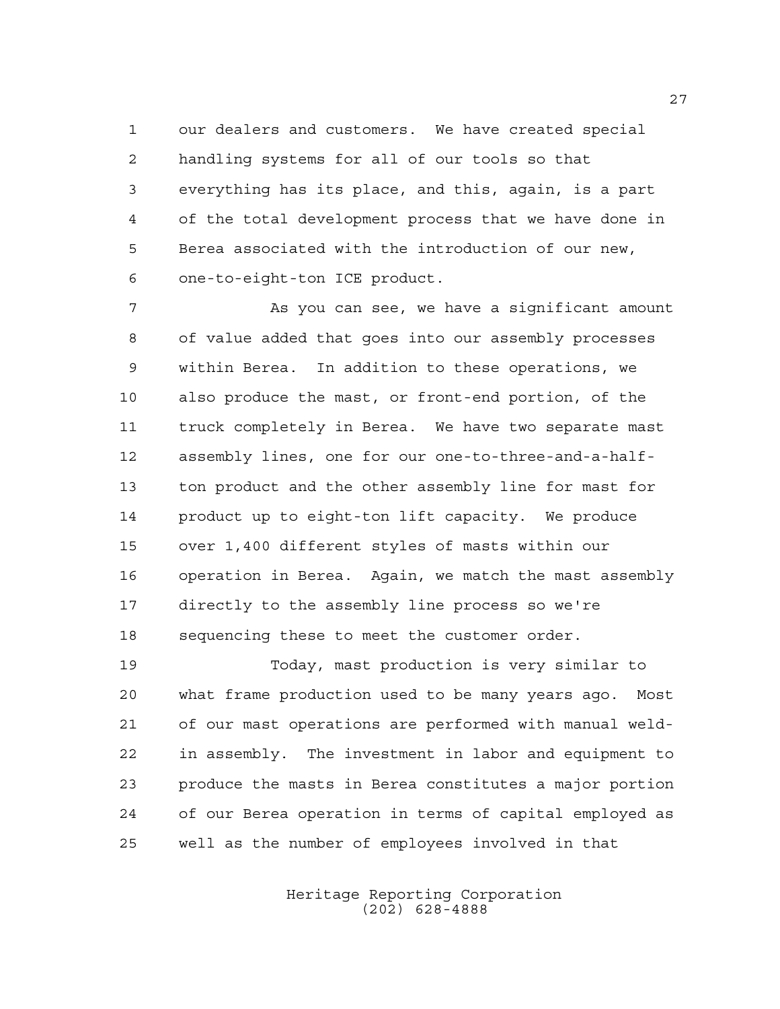our dealers and customers. We have created special handling systems for all of our tools so that everything has its place, and this, again, is a part of the total development process that we have done in Berea associated with the introduction of our new, one-to-eight-ton ICE product.

 As you can see, we have a significant amount of value added that goes into our assembly processes within Berea. In addition to these operations, we also produce the mast, or front-end portion, of the truck completely in Berea. We have two separate mast assembly lines, one for our one-to-three-and-a-half- ton product and the other assembly line for mast for product up to eight-ton lift capacity. We produce over 1,400 different styles of masts within our operation in Berea. Again, we match the mast assembly directly to the assembly line process so we're sequencing these to meet the customer order.

 Today, mast production is very similar to what frame production used to be many years ago. Most of our mast operations are performed with manual weld- in assembly. The investment in labor and equipment to produce the masts in Berea constitutes a major portion of our Berea operation in terms of capital employed as well as the number of employees involved in that

> Heritage Reporting Corporation (202) 628-4888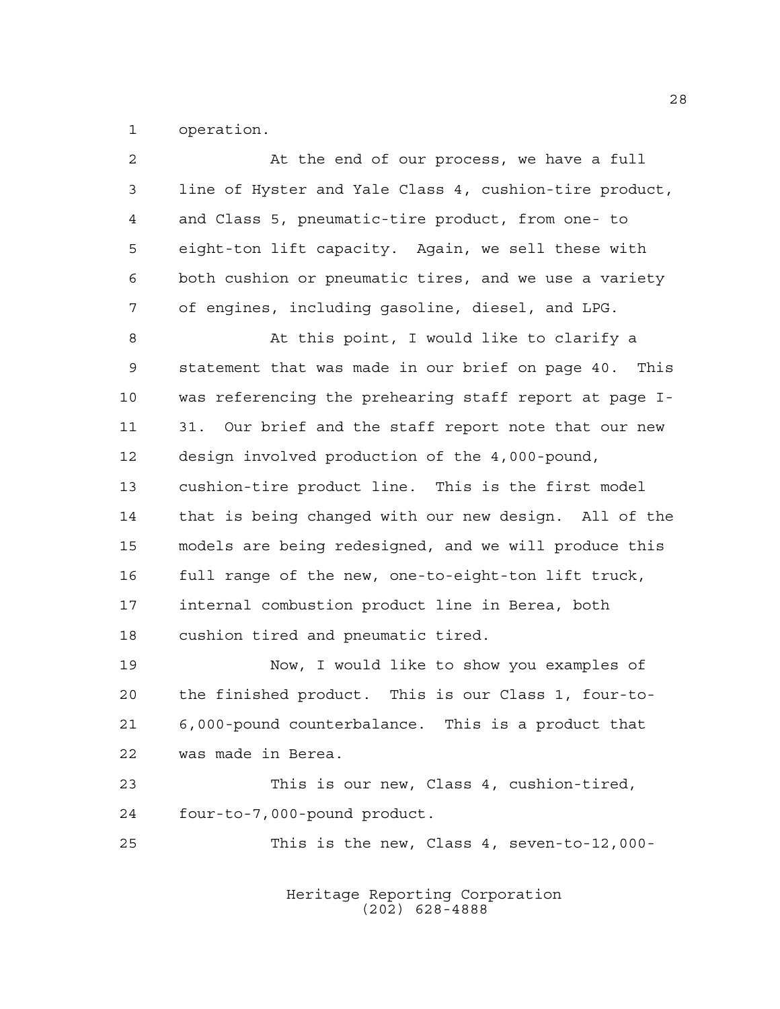operation.

| 2              | At the end of our process, we have a full              |
|----------------|--------------------------------------------------------|
| 3              | line of Hyster and Yale Class 4, cushion-tire product, |
| $\overline{4}$ | and Class 5, pneumatic-tire product, from one- to      |
| 5              | eight-ton lift capacity. Again, we sell these with     |
| 6              | both cushion or pneumatic tires, and we use a variety  |
| 7              | of engines, including gasoline, diesel, and LPG.       |
| 8              | At this point, I would like to clarify a               |
| $\mathsf 9$    | statement that was made in our brief on page 40. This  |
| 10             | was referencing the prehearing staff report at page I- |
| 11             | 31. Our brief and the staff report note that our new   |
| 12             | design involved production of the 4,000-pound,         |
| 13             | cushion-tire product line. This is the first model     |
| 14             | that is being changed with our new design. All of the  |
| 15             | models are being redesigned, and we will produce this  |
| 16             | full range of the new, one-to-eight-ton lift truck,    |
| 17             | internal combustion product line in Berea, both        |
| $18\,$         | cushion tired and pneumatic tired.                     |
| 19             | Now, I would like to show you examples of              |
| 20             | the finished product. This is our Class 1, four-to-    |
| $2\,1$         | 6,000-pound counterbalance. This is a product that     |
| 22             | was made in Berea.                                     |
| 23             | This is our new, Class 4, cushion-tired,               |
| 24             | four-to-7,000-pound product.                           |
| 25             | This is the new, Class 4, seven-to-12,000-             |
|                |                                                        |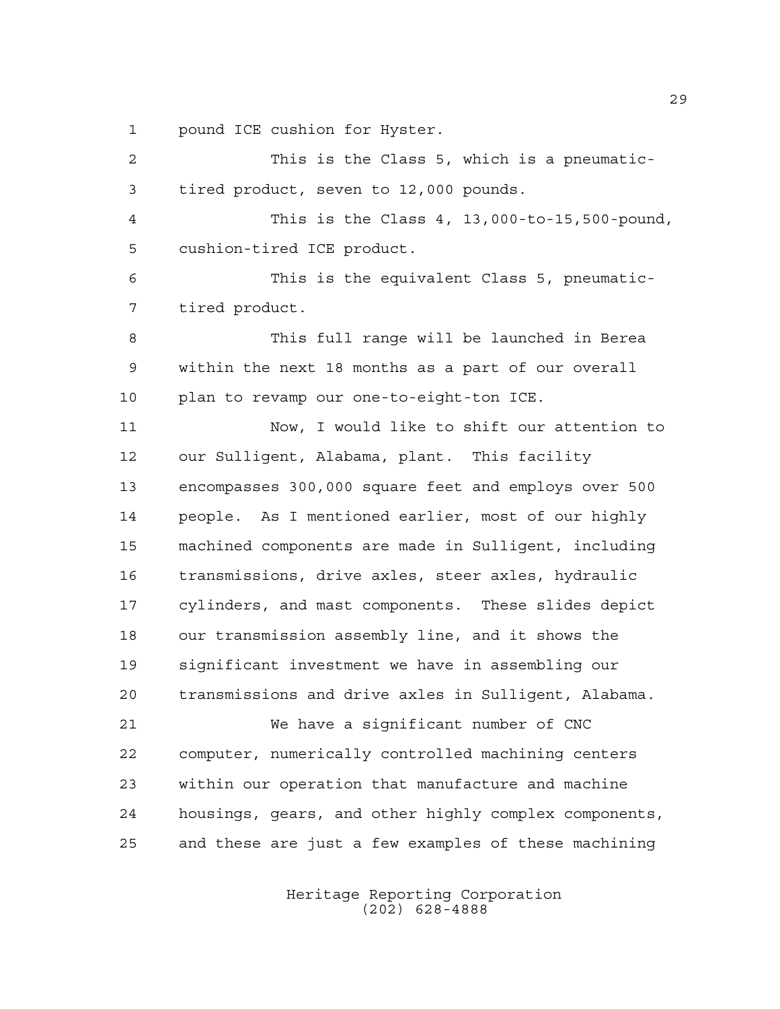pound ICE cushion for Hyster.

| $\overline{a}$ | This is the Class 5, which is a pneumatic-            |
|----------------|-------------------------------------------------------|
| 3              | tired product, seven to 12,000 pounds.                |
| 4              | This is the Class 4, 13,000-to-15,500-pound,          |
| 5              | cushion-tired ICE product.                            |
| 6              | This is the equivalent Class 5, pneumatic-            |
| 7              | tired product.                                        |
| 8              | This full range will be launched in Berea             |
| 9              | within the next 18 months as a part of our overall    |
| 10             | plan to revamp our one-to-eight-ton ICE.              |
| 11             | Now, I would like to shift our attention to           |
| 12             | our Sulligent, Alabama, plant. This facility          |
| 13             | encompasses 300,000 square feet and employs over 500  |
| 14             | people. As I mentioned earlier, most of our highly    |
| 15             | machined components are made in Sulligent, including  |
| 16             | transmissions, drive axles, steer axles, hydraulic    |
| 17             | cylinders, and mast components. These slides depict   |
| 18             | our transmission assembly line, and it shows the      |
| 19             | significant investment we have in assembling our      |
| 20             | transmissions and drive axles in Sulligent, Alabama.  |
| 21             | We have a significant number of CNC                   |
| 22             | computer, numerically controlled machining centers    |
| 23             | within our operation that manufacture and machine     |
| 24             | housings, gears, and other highly complex components, |
| 25             | and these are just a few examples of these machining  |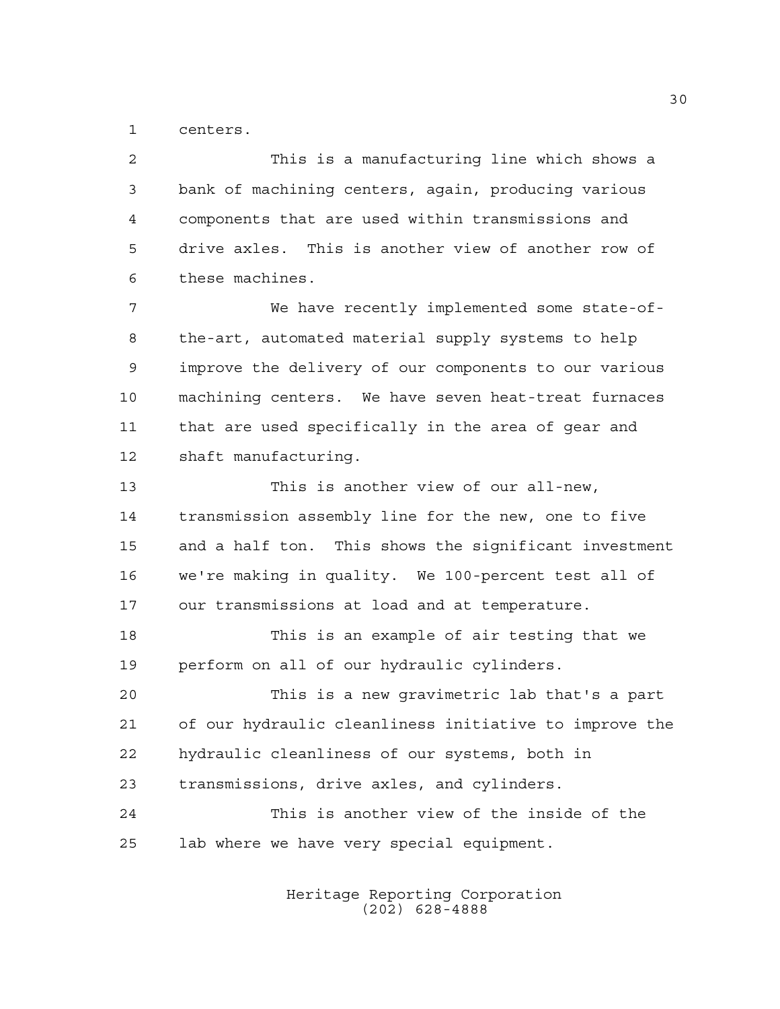centers.

 This is a manufacturing line which shows a bank of machining centers, again, producing various components that are used within transmissions and drive axles. This is another view of another row of these machines. We have recently implemented some state-of- the-art, automated material supply systems to help improve the delivery of our components to our various machining centers. We have seven heat-treat furnaces that are used specifically in the area of gear and shaft manufacturing. This is another view of our all-new, transmission assembly line for the new, one to five and a half ton. This shows the significant investment we're making in quality. We 100-percent test all of our transmissions at load and at temperature. This is an example of air testing that we perform on all of our hydraulic cylinders. This is a new gravimetric lab that's a part of our hydraulic cleanliness initiative to improve the hydraulic cleanliness of our systems, both in transmissions, drive axles, and cylinders. This is another view of the inside of the lab where we have very special equipment.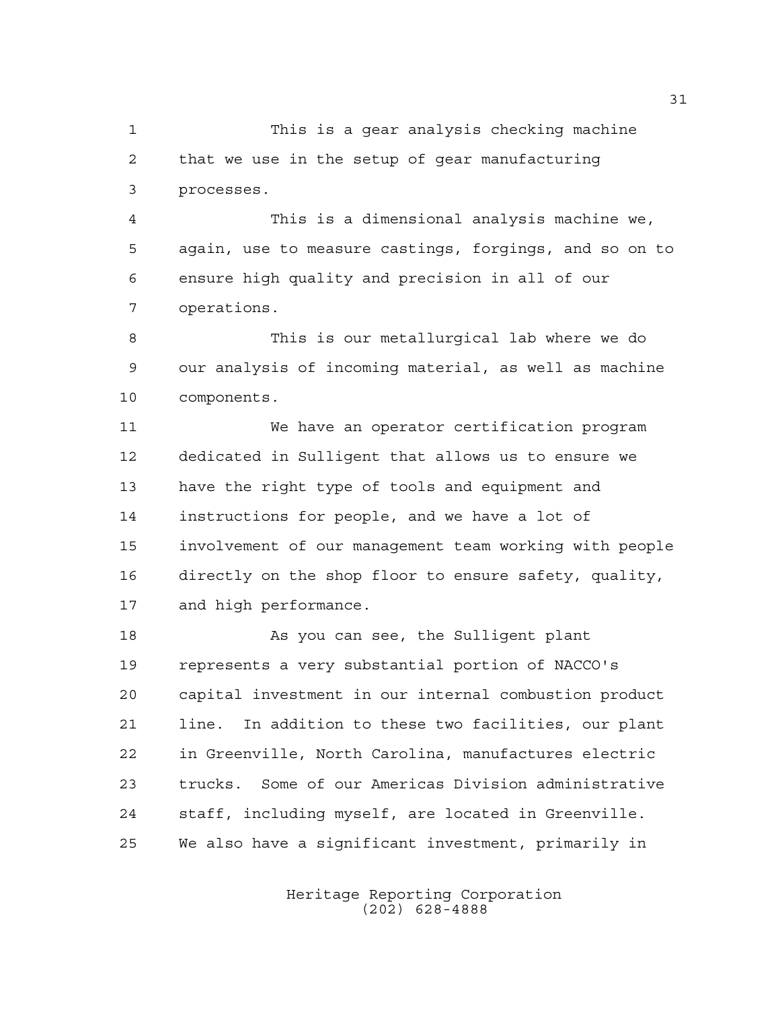This is a gear analysis checking machine that we use in the setup of gear manufacturing processes.

 This is a dimensional analysis machine we, again, use to measure castings, forgings, and so on to ensure high quality and precision in all of our operations.

 This is our metallurgical lab where we do our analysis of incoming material, as well as machine components.

 We have an operator certification program dedicated in Sulligent that allows us to ensure we have the right type of tools and equipment and instructions for people, and we have a lot of involvement of our management team working with people directly on the shop floor to ensure safety, quality, and high performance.

18 As you can see, the Sulligent plant represents a very substantial portion of NACCO's capital investment in our internal combustion product line. In addition to these two facilities, our plant in Greenville, North Carolina, manufactures electric trucks. Some of our Americas Division administrative staff, including myself, are located in Greenville. We also have a significant investment, primarily in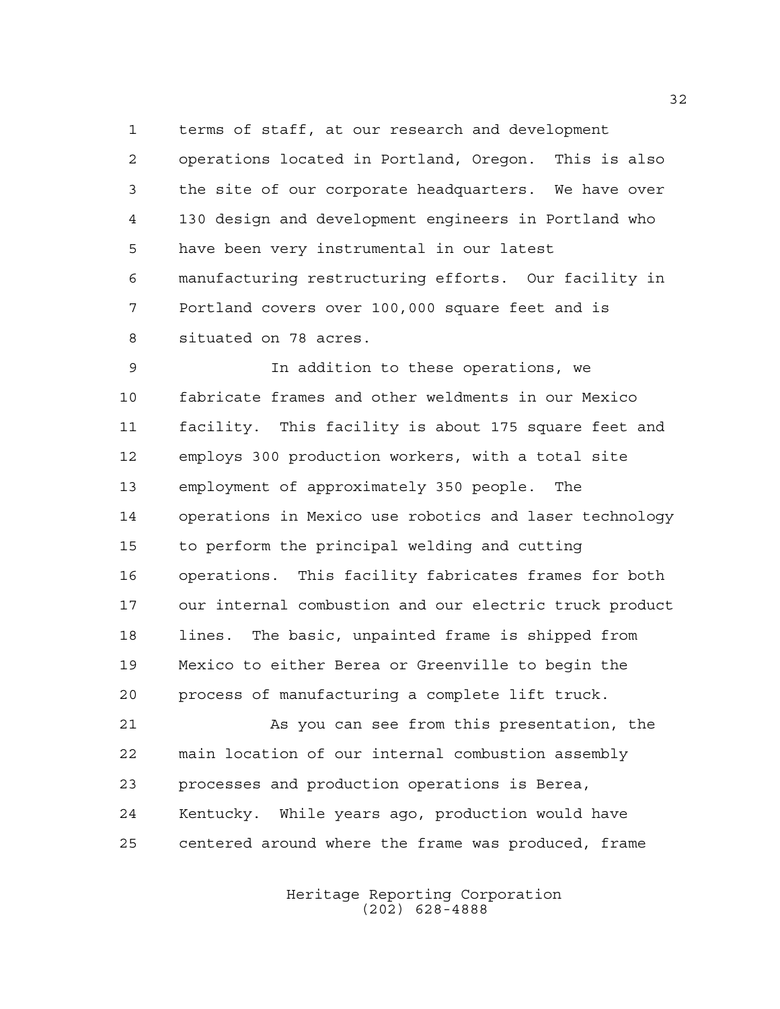terms of staff, at our research and development operations located in Portland, Oregon. This is also the site of our corporate headquarters. We have over 130 design and development engineers in Portland who have been very instrumental in our latest manufacturing restructuring efforts. Our facility in Portland covers over 100,000 square feet and is situated on 78 acres.

 In addition to these operations, we fabricate frames and other weldments in our Mexico facility. This facility is about 175 square feet and employs 300 production workers, with a total site employment of approximately 350 people. The operations in Mexico use robotics and laser technology to perform the principal welding and cutting operations. This facility fabricates frames for both our internal combustion and our electric truck product lines. The basic, unpainted frame is shipped from Mexico to either Berea or Greenville to begin the process of manufacturing a complete lift truck.

 As you can see from this presentation, the main location of our internal combustion assembly processes and production operations is Berea, Kentucky. While years ago, production would have centered around where the frame was produced, frame

> Heritage Reporting Corporation (202) 628-4888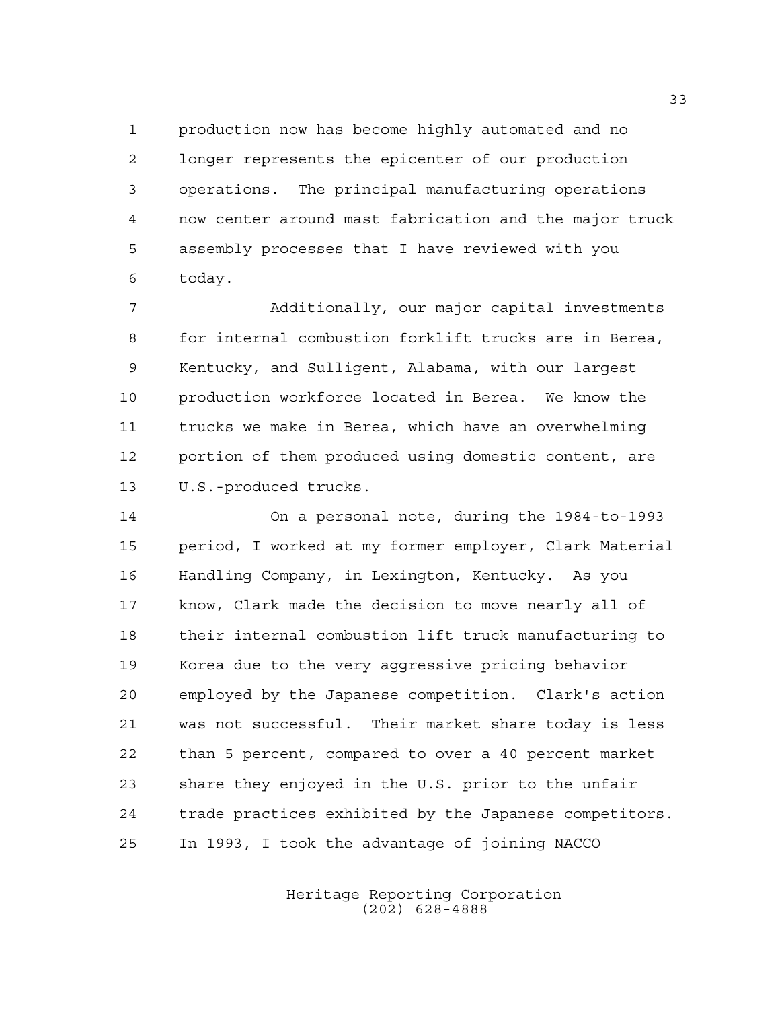production now has become highly automated and no longer represents the epicenter of our production operations. The principal manufacturing operations now center around mast fabrication and the major truck assembly processes that I have reviewed with you today.

 Additionally, our major capital investments for internal combustion forklift trucks are in Berea, Kentucky, and Sulligent, Alabama, with our largest production workforce located in Berea. We know the trucks we make in Berea, which have an overwhelming portion of them produced using domestic content, are U.S.-produced trucks.

 On a personal note, during the 1984-to-1993 period, I worked at my former employer, Clark Material Handling Company, in Lexington, Kentucky. As you know, Clark made the decision to move nearly all of their internal combustion lift truck manufacturing to Korea due to the very aggressive pricing behavior employed by the Japanese competition. Clark's action was not successful. Their market share today is less than 5 percent, compared to over a 40 percent market share they enjoyed in the U.S. prior to the unfair trade practices exhibited by the Japanese competitors. In 1993, I took the advantage of joining NACCO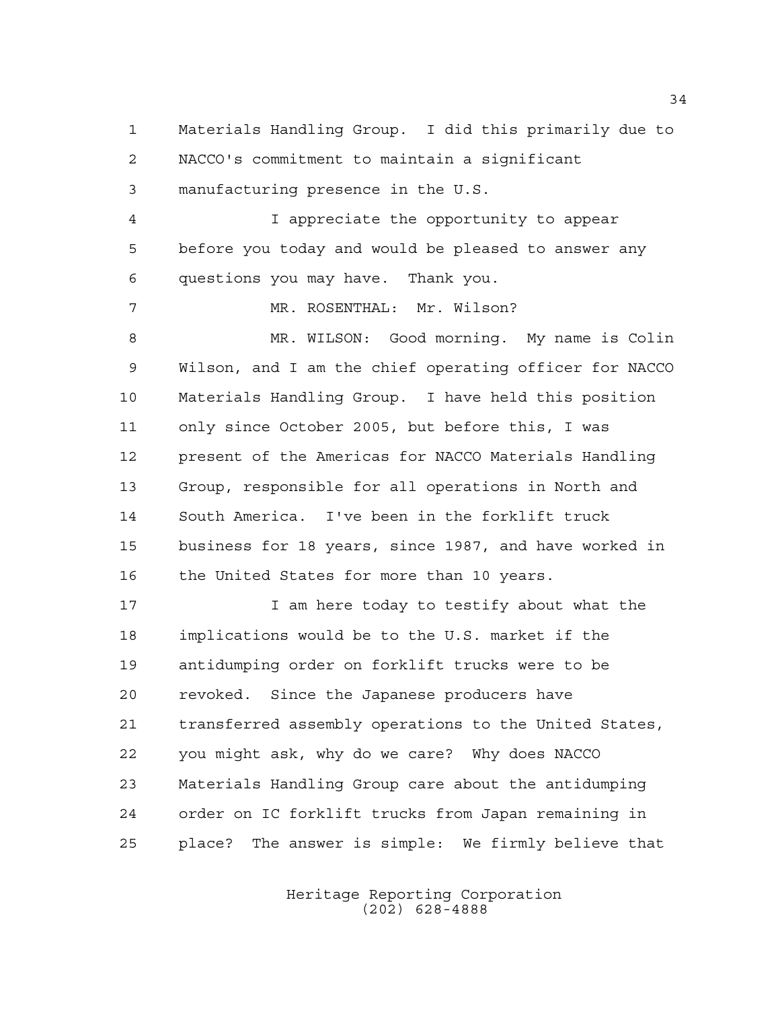Materials Handling Group. I did this primarily due to NACCO's commitment to maintain a significant manufacturing presence in the U.S. I appreciate the opportunity to appear before you today and would be pleased to answer any questions you may have. Thank you. MR. ROSENTHAL: Mr. Wilson? MR. WILSON: Good morning. My name is Colin Wilson, and I am the chief operating officer for NACCO Materials Handling Group. I have held this position only since October 2005, but before this, I was present of the Americas for NACCO Materials Handling Group, responsible for all operations in North and South America. I've been in the forklift truck business for 18 years, since 1987, and have worked in 16 the United States for more than 10 years. I am here today to testify about what the implications would be to the U.S. market if the antidumping order on forklift trucks were to be revoked. Since the Japanese producers have transferred assembly operations to the United States, you might ask, why do we care? Why does NACCO Materials Handling Group care about the antidumping order on IC forklift trucks from Japan remaining in place? The answer is simple: We firmly believe that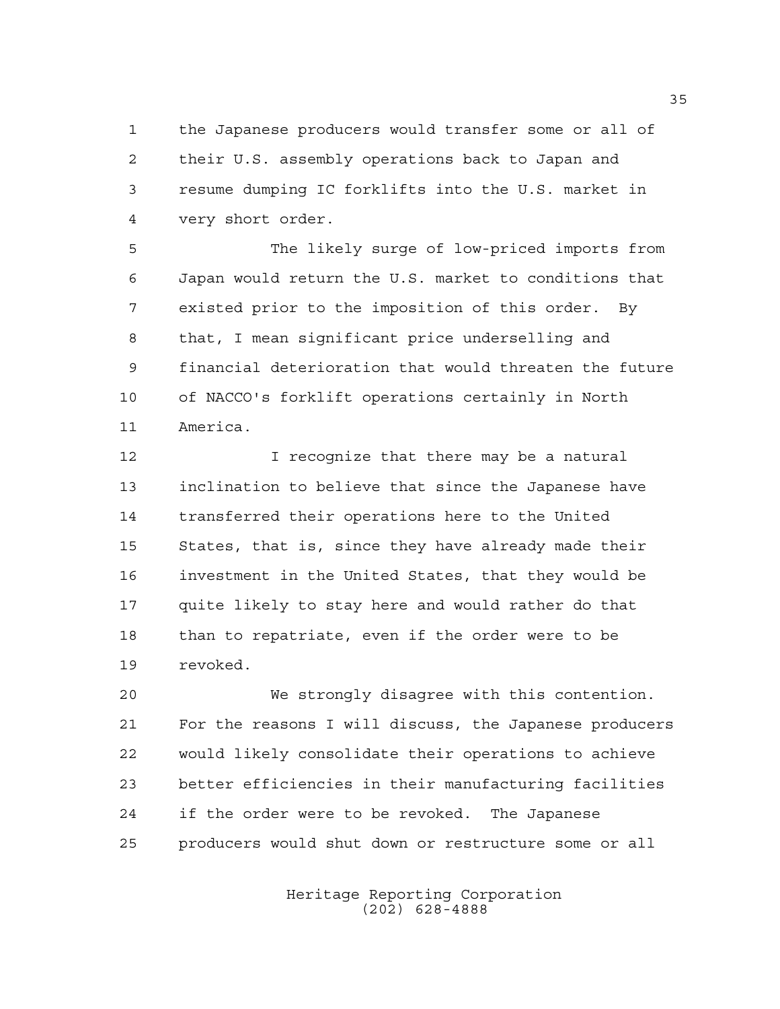the Japanese producers would transfer some or all of their U.S. assembly operations back to Japan and resume dumping IC forklifts into the U.S. market in very short order.

 The likely surge of low-priced imports from Japan would return the U.S. market to conditions that existed prior to the imposition of this order. By that, I mean significant price underselling and financial deterioration that would threaten the future of NACCO's forklift operations certainly in North America.

 I recognize that there may be a natural inclination to believe that since the Japanese have transferred their operations here to the United States, that is, since they have already made their investment in the United States, that they would be quite likely to stay here and would rather do that than to repatriate, even if the order were to be revoked.

 We strongly disagree with this contention. For the reasons I will discuss, the Japanese producers would likely consolidate their operations to achieve better efficiencies in their manufacturing facilities if the order were to be revoked. The Japanese producers would shut down or restructure some or all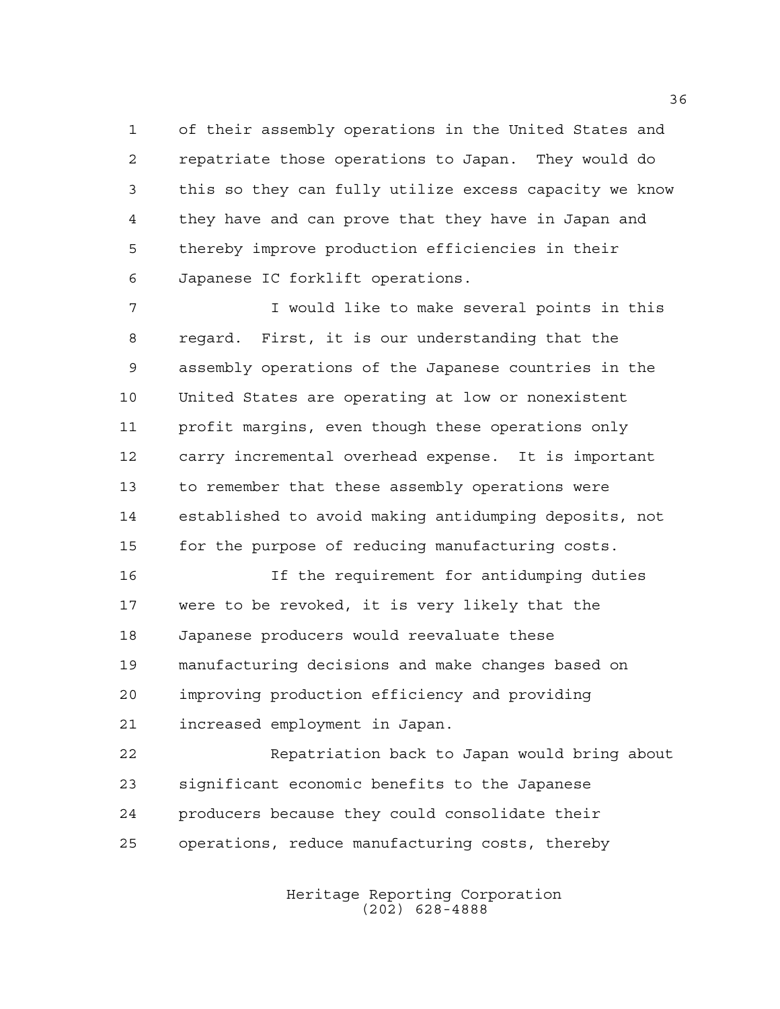of their assembly operations in the United States and repatriate those operations to Japan. They would do this so they can fully utilize excess capacity we know they have and can prove that they have in Japan and thereby improve production efficiencies in their Japanese IC forklift operations.

 I would like to make several points in this regard. First, it is our understanding that the assembly operations of the Japanese countries in the United States are operating at low or nonexistent profit margins, even though these operations only carry incremental overhead expense. It is important to remember that these assembly operations were established to avoid making antidumping deposits, not for the purpose of reducing manufacturing costs.

 If the requirement for antidumping duties were to be revoked, it is very likely that the Japanese producers would reevaluate these manufacturing decisions and make changes based on improving production efficiency and providing increased employment in Japan.

 Repatriation back to Japan would bring about significant economic benefits to the Japanese producers because they could consolidate their operations, reduce manufacturing costs, thereby

> Heritage Reporting Corporation (202) 628-4888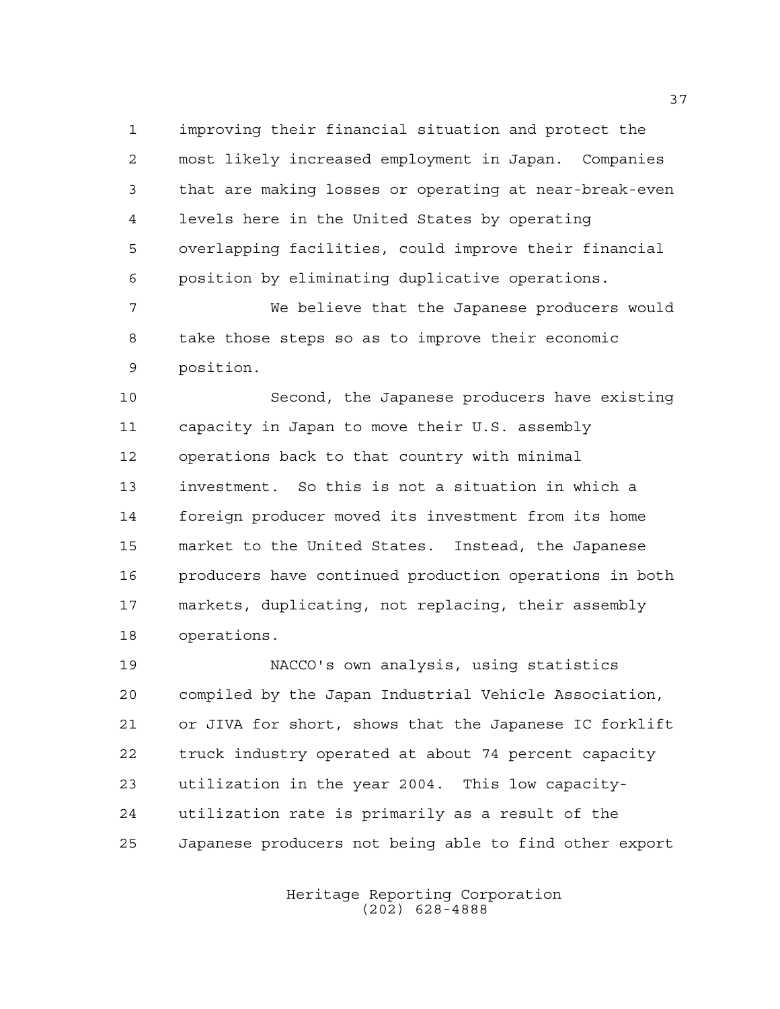improving their financial situation and protect the most likely increased employment in Japan. Companies that are making losses or operating at near-break-even levels here in the United States by operating overlapping facilities, could improve their financial position by eliminating duplicative operations.

 We believe that the Japanese producers would take those steps so as to improve their economic position.

 Second, the Japanese producers have existing capacity in Japan to move their U.S. assembly operations back to that country with minimal investment. So this is not a situation in which a foreign producer moved its investment from its home market to the United States. Instead, the Japanese producers have continued production operations in both markets, duplicating, not replacing, their assembly operations.

 NACCO's own analysis, using statistics compiled by the Japan Industrial Vehicle Association, or JIVA for short, shows that the Japanese IC forklift truck industry operated at about 74 percent capacity utilization in the year 2004. This low capacity- utilization rate is primarily as a result of the Japanese producers not being able to find other export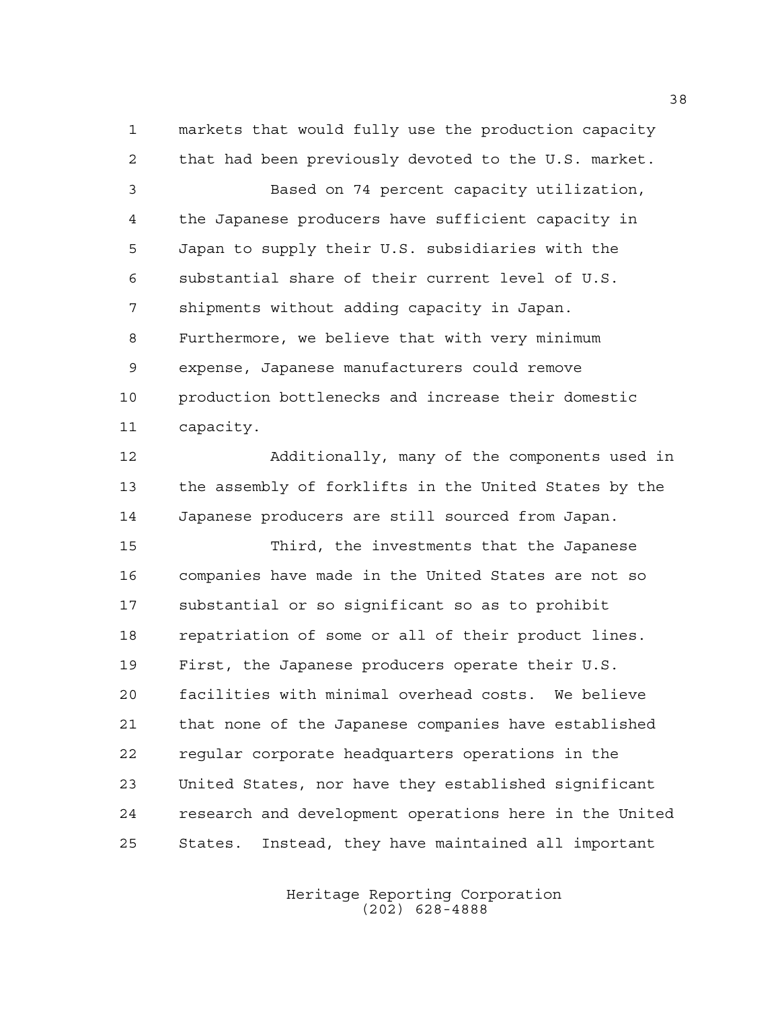markets that would fully use the production capacity that had been previously devoted to the U.S. market.

 Based on 74 percent capacity utilization, the Japanese producers have sufficient capacity in Japan to supply their U.S. subsidiaries with the substantial share of their current level of U.S. shipments without adding capacity in Japan. Furthermore, we believe that with very minimum expense, Japanese manufacturers could remove production bottlenecks and increase their domestic capacity.

 Additionally, many of the components used in the assembly of forklifts in the United States by the Japanese producers are still sourced from Japan.

 Third, the investments that the Japanese companies have made in the United States are not so substantial or so significant so as to prohibit repatriation of some or all of their product lines. First, the Japanese producers operate their U.S. facilities with minimal overhead costs. We believe that none of the Japanese companies have established regular corporate headquarters operations in the United States, nor have they established significant research and development operations here in the United States. Instead, they have maintained all important

> Heritage Reporting Corporation (202) 628-4888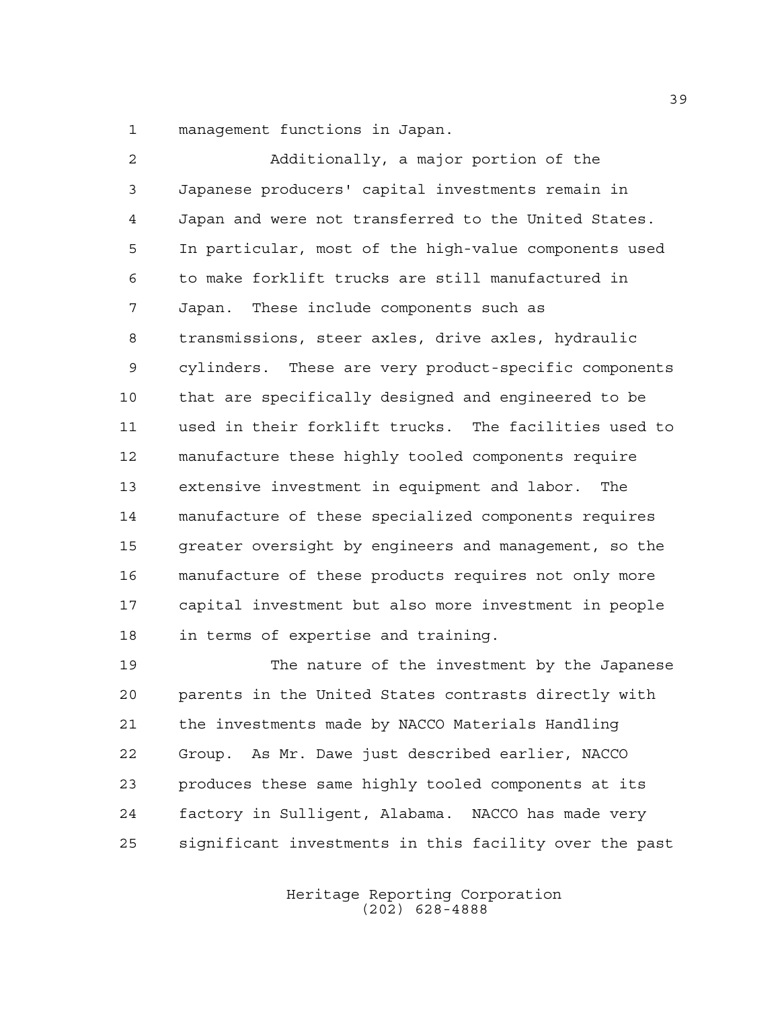management functions in Japan.

 Additionally, a major portion of the Japanese producers' capital investments remain in Japan and were not transferred to the United States. In particular, most of the high-value components used to make forklift trucks are still manufactured in Japan. These include components such as transmissions, steer axles, drive axles, hydraulic cylinders. These are very product-specific components that are specifically designed and engineered to be used in their forklift trucks. The facilities used to manufacture these highly tooled components require extensive investment in equipment and labor. The manufacture of these specialized components requires greater oversight by engineers and management, so the manufacture of these products requires not only more capital investment but also more investment in people in terms of expertise and training.

 The nature of the investment by the Japanese parents in the United States contrasts directly with the investments made by NACCO Materials Handling Group. As Mr. Dawe just described earlier, NACCO produces these same highly tooled components at its factory in Sulligent, Alabama. NACCO has made very significant investments in this facility over the past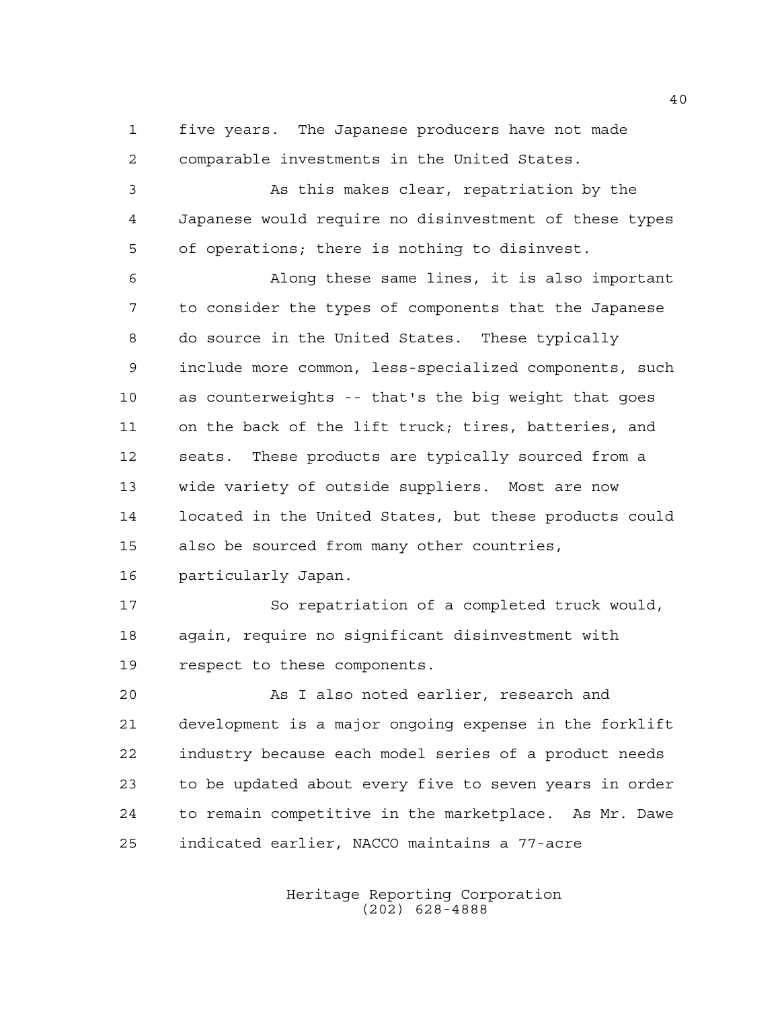five years. The Japanese producers have not made comparable investments in the United States.

 As this makes clear, repatriation by the Japanese would require no disinvestment of these types of operations; there is nothing to disinvest.

 Along these same lines, it is also important to consider the types of components that the Japanese do source in the United States. These typically include more common, less-specialized components, such as counterweights -- that's the big weight that goes on the back of the lift truck; tires, batteries, and seats. These products are typically sourced from a wide variety of outside suppliers. Most are now located in the United States, but these products could also be sourced from many other countries, particularly Japan.

 So repatriation of a completed truck would, again, require no significant disinvestment with respect to these components.

 As I also noted earlier, research and development is a major ongoing expense in the forklift industry because each model series of a product needs to be updated about every five to seven years in order to remain competitive in the marketplace. As Mr. Dawe indicated earlier, NACCO maintains a 77-acre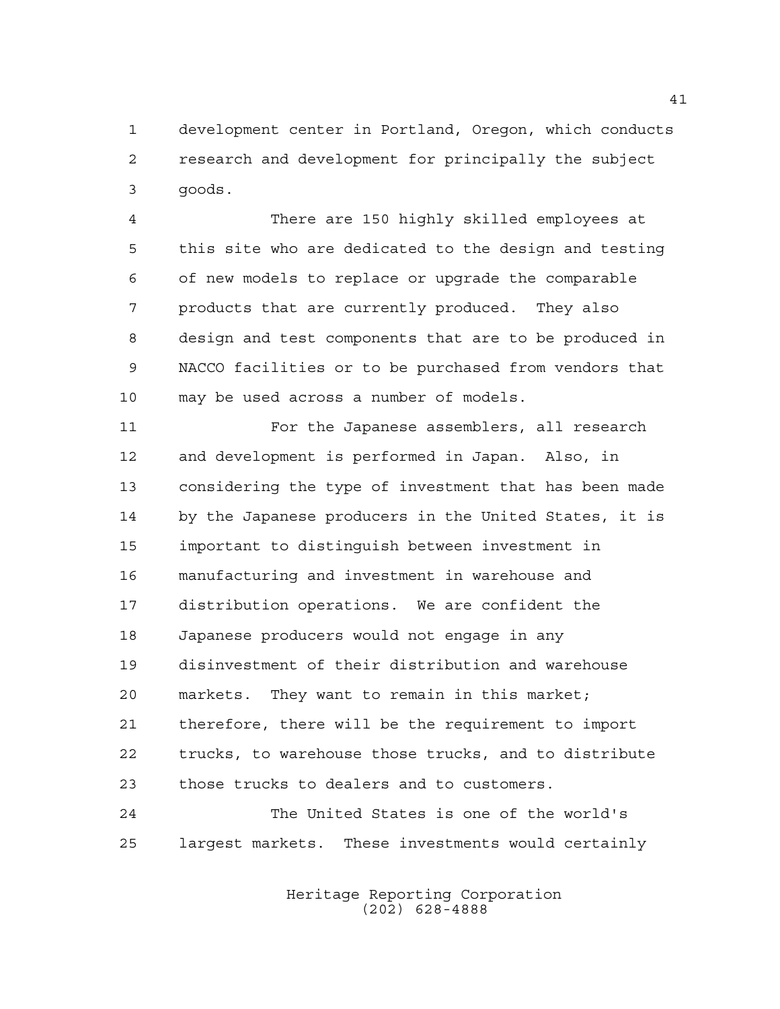development center in Portland, Oregon, which conducts research and development for principally the subject goods.

 There are 150 highly skilled employees at this site who are dedicated to the design and testing of new models to replace or upgrade the comparable products that are currently produced. They also design and test components that are to be produced in NACCO facilities or to be purchased from vendors that may be used across a number of models.

 For the Japanese assemblers, all research and development is performed in Japan. Also, in considering the type of investment that has been made by the Japanese producers in the United States, it is important to distinguish between investment in manufacturing and investment in warehouse and distribution operations. We are confident the Japanese producers would not engage in any disinvestment of their distribution and warehouse markets. They want to remain in this market; therefore, there will be the requirement to import trucks, to warehouse those trucks, and to distribute those trucks to dealers and to customers. The United States is one of the world's

largest markets. These investments would certainly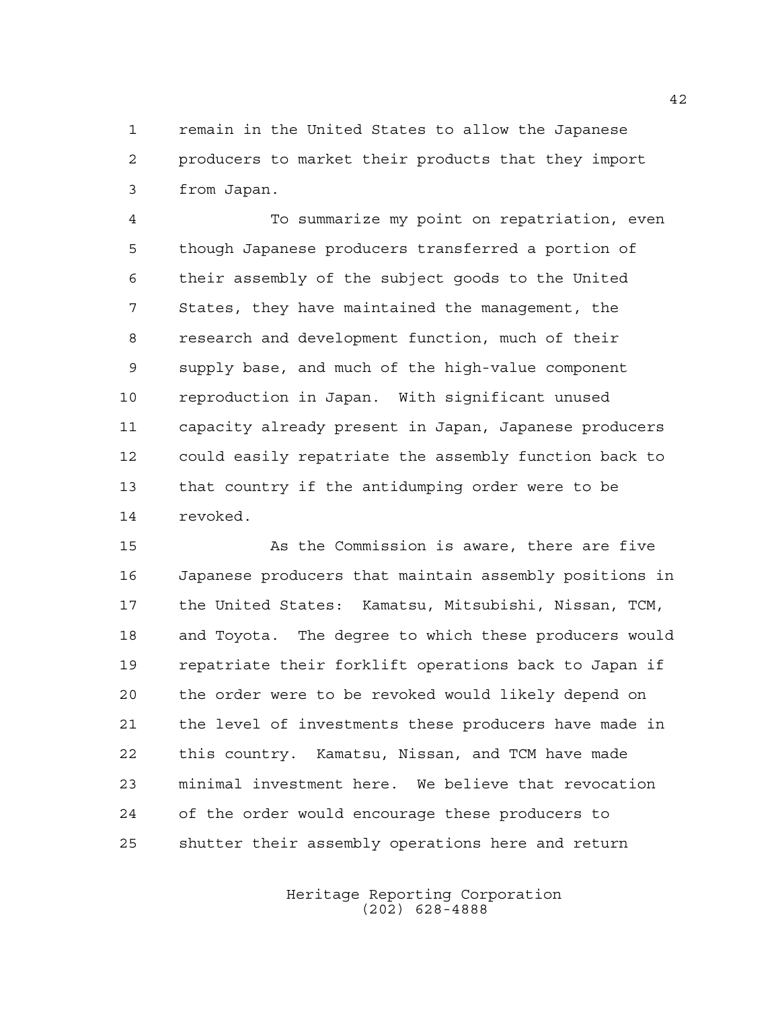remain in the United States to allow the Japanese producers to market their products that they import from Japan.

 To summarize my point on repatriation, even though Japanese producers transferred a portion of their assembly of the subject goods to the United States, they have maintained the management, the research and development function, much of their supply base, and much of the high-value component reproduction in Japan. With significant unused capacity already present in Japan, Japanese producers could easily repatriate the assembly function back to that country if the antidumping order were to be revoked.

 As the Commission is aware, there are five Japanese producers that maintain assembly positions in the United States: Kamatsu, Mitsubishi, Nissan, TCM, and Toyota. The degree to which these producers would repatriate their forklift operations back to Japan if the order were to be revoked would likely depend on the level of investments these producers have made in this country. Kamatsu, Nissan, and TCM have made minimal investment here. We believe that revocation of the order would encourage these producers to shutter their assembly operations here and return

> Heritage Reporting Corporation (202) 628-4888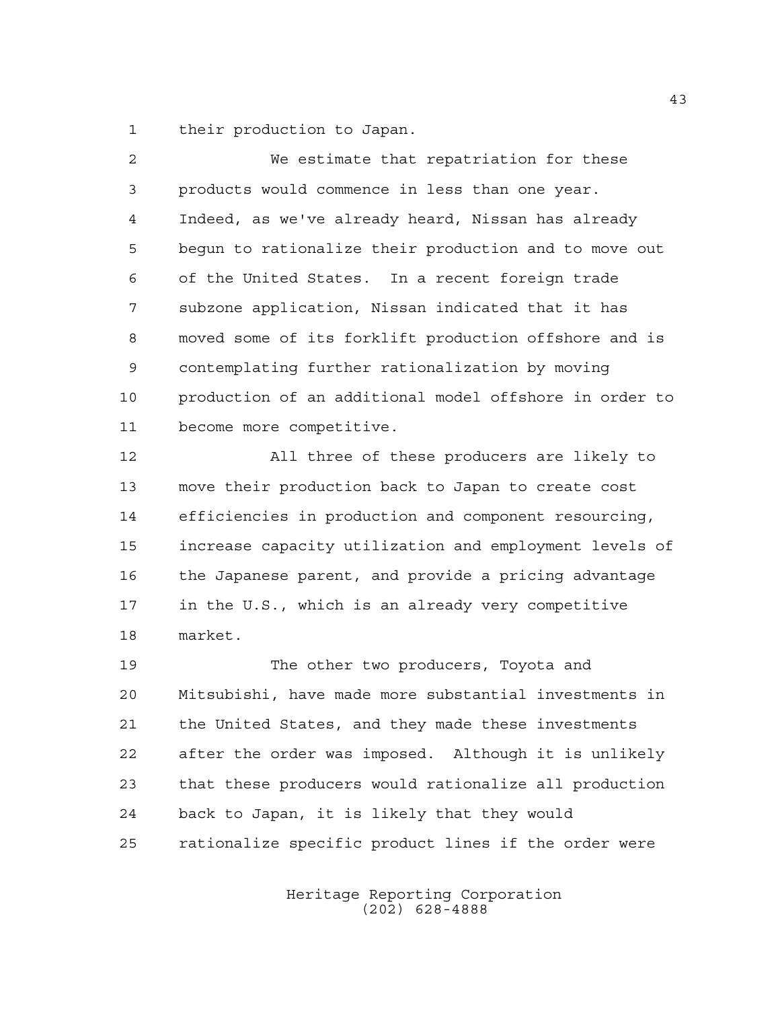their production to Japan.

 We estimate that repatriation for these products would commence in less than one year. Indeed, as we've already heard, Nissan has already begun to rationalize their production and to move out of the United States. In a recent foreign trade subzone application, Nissan indicated that it has moved some of its forklift production offshore and is contemplating further rationalization by moving production of an additional model offshore in order to become more competitive.

 All three of these producers are likely to move their production back to Japan to create cost efficiencies in production and component resourcing, increase capacity utilization and employment levels of the Japanese parent, and provide a pricing advantage in the U.S., which is an already very competitive market.

 The other two producers, Toyota and Mitsubishi, have made more substantial investments in the United States, and they made these investments after the order was imposed. Although it is unlikely that these producers would rationalize all production back to Japan, it is likely that they would rationalize specific product lines if the order were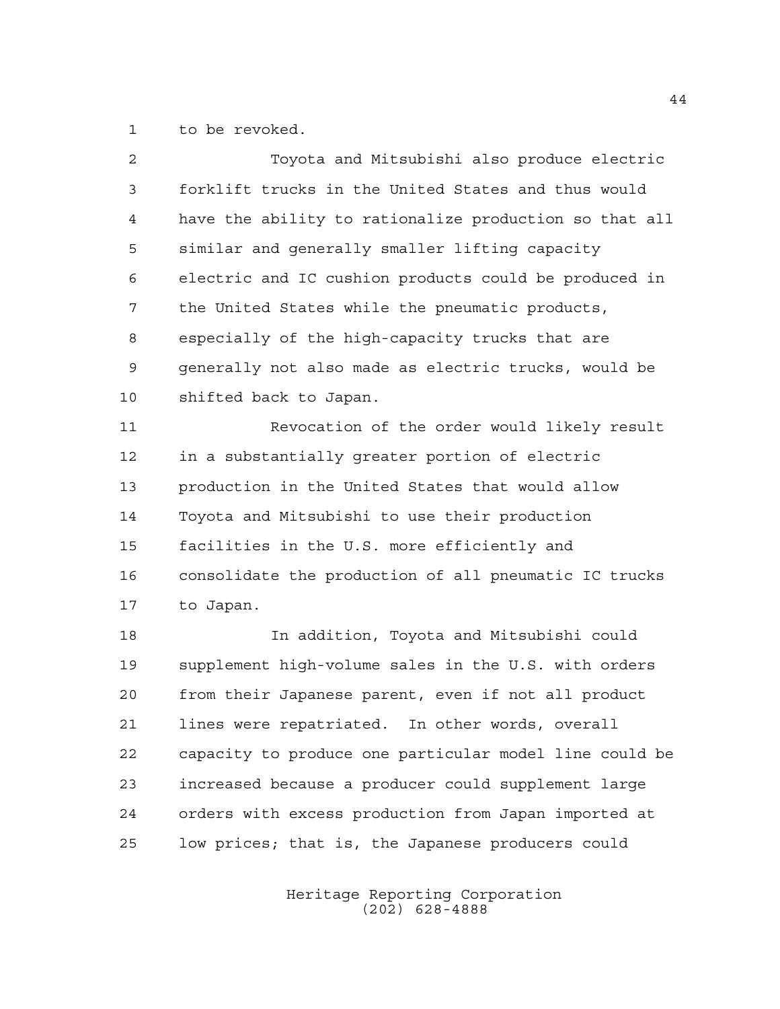to be revoked.

| 2  | Toyota and Mitsubishi also produce electric            |
|----|--------------------------------------------------------|
| 3  | forklift trucks in the United States and thus would    |
| 4  | have the ability to rationalize production so that all |
| 5  | similar and generally smaller lifting capacity         |
| 6  | electric and IC cushion products could be produced in  |
| 7  | the United States while the pneumatic products,        |
| 8  | especially of the high-capacity trucks that are        |
| 9  | generally not also made as electric trucks, would be   |
| 10 | shifted back to Japan.                                 |
| 11 | Revocation of the order would likely result            |
| 12 | in a substantially greater portion of electric         |
| 13 | production in the United States that would allow       |
| 14 | Toyota and Mitsubishi to use their production          |
| 15 | facilities in the U.S. more efficiently and            |
| 16 | consolidate the production of all pneumatic IC trucks  |
| 17 | to Japan.                                              |
| 18 | In addition, Toyota and Mitsubishi could               |
| 19 | supplement high-volume sales in the U.S. with orders   |
| 20 | from their Japanese parent, even if not all product    |
| 21 | lines were repatriated. In other words, overall        |
| 22 | capacity to produce one particular model line could be |
| 23 | increased because a producer could supplement large    |

low prices; that is, the Japanese producers could

orders with excess production from Japan imported at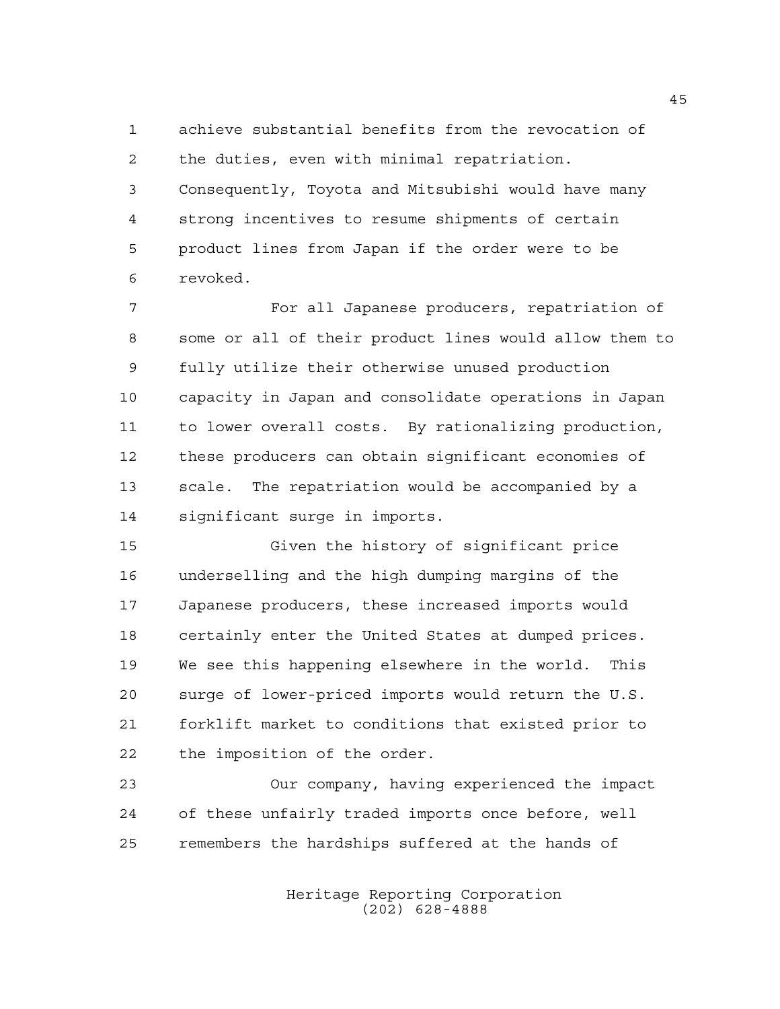achieve substantial benefits from the revocation of the duties, even with minimal repatriation. Consequently, Toyota and Mitsubishi would have many strong incentives to resume shipments of certain

 product lines from Japan if the order were to be revoked.

 For all Japanese producers, repatriation of some or all of their product lines would allow them to fully utilize their otherwise unused production capacity in Japan and consolidate operations in Japan to lower overall costs. By rationalizing production, these producers can obtain significant economies of scale. The repatriation would be accompanied by a significant surge in imports.

 Given the history of significant price underselling and the high dumping margins of the Japanese producers, these increased imports would certainly enter the United States at dumped prices. We see this happening elsewhere in the world. This surge of lower-priced imports would return the U.S. forklift market to conditions that existed prior to the imposition of the order.

 Our company, having experienced the impact of these unfairly traded imports once before, well remembers the hardships suffered at the hands of

> Heritage Reporting Corporation (202) 628-4888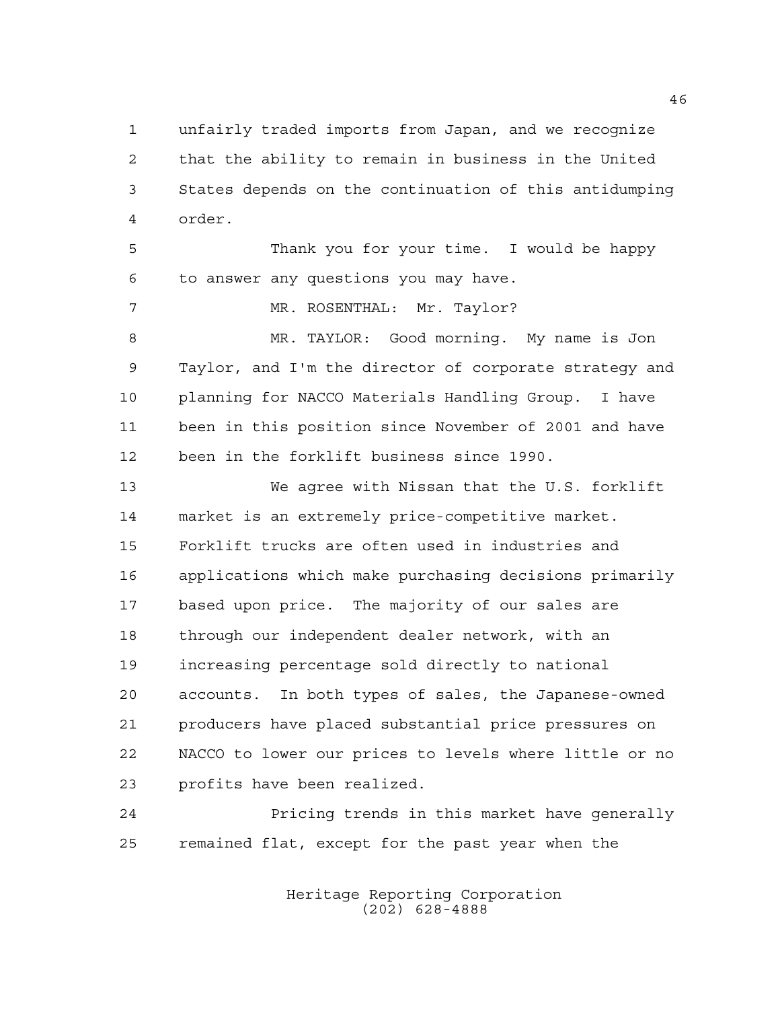unfairly traded imports from Japan, and we recognize that the ability to remain in business in the United States depends on the continuation of this antidumping order.

 Thank you for your time. I would be happy to answer any questions you may have.

7 MR. ROSENTHAL: Mr. Taylor?

 MR. TAYLOR: Good morning. My name is Jon Taylor, and I'm the director of corporate strategy and planning for NACCO Materials Handling Group. I have been in this position since November of 2001 and have been in the forklift business since 1990.

 We agree with Nissan that the U.S. forklift market is an extremely price-competitive market. Forklift trucks are often used in industries and applications which make purchasing decisions primarily based upon price. The majority of our sales are through our independent dealer network, with an increasing percentage sold directly to national accounts. In both types of sales, the Japanese-owned producers have placed substantial price pressures on NACCO to lower our prices to levels where little or no profits have been realized.

 Pricing trends in this market have generally remained flat, except for the past year when the

> Heritage Reporting Corporation (202) 628-4888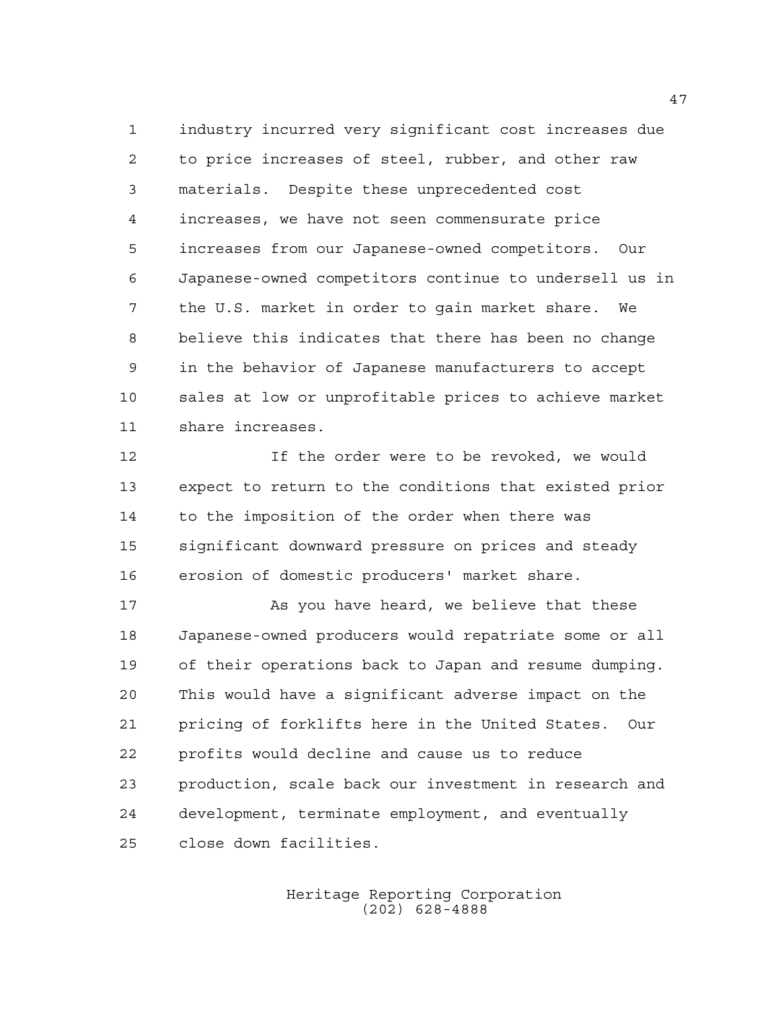industry incurred very significant cost increases due to price increases of steel, rubber, and other raw materials. Despite these unprecedented cost increases, we have not seen commensurate price increases from our Japanese-owned competitors. Our Japanese-owned competitors continue to undersell us in the U.S. market in order to gain market share. We believe this indicates that there has been no change in the behavior of Japanese manufacturers to accept sales at low or unprofitable prices to achieve market share increases.

 If the order were to be revoked, we would expect to return to the conditions that existed prior to the imposition of the order when there was significant downward pressure on prices and steady erosion of domestic producers' market share.

 As you have heard, we believe that these Japanese-owned producers would repatriate some or all of their operations back to Japan and resume dumping. This would have a significant adverse impact on the pricing of forklifts here in the United States. Our profits would decline and cause us to reduce production, scale back our investment in research and development, terminate employment, and eventually close down facilities.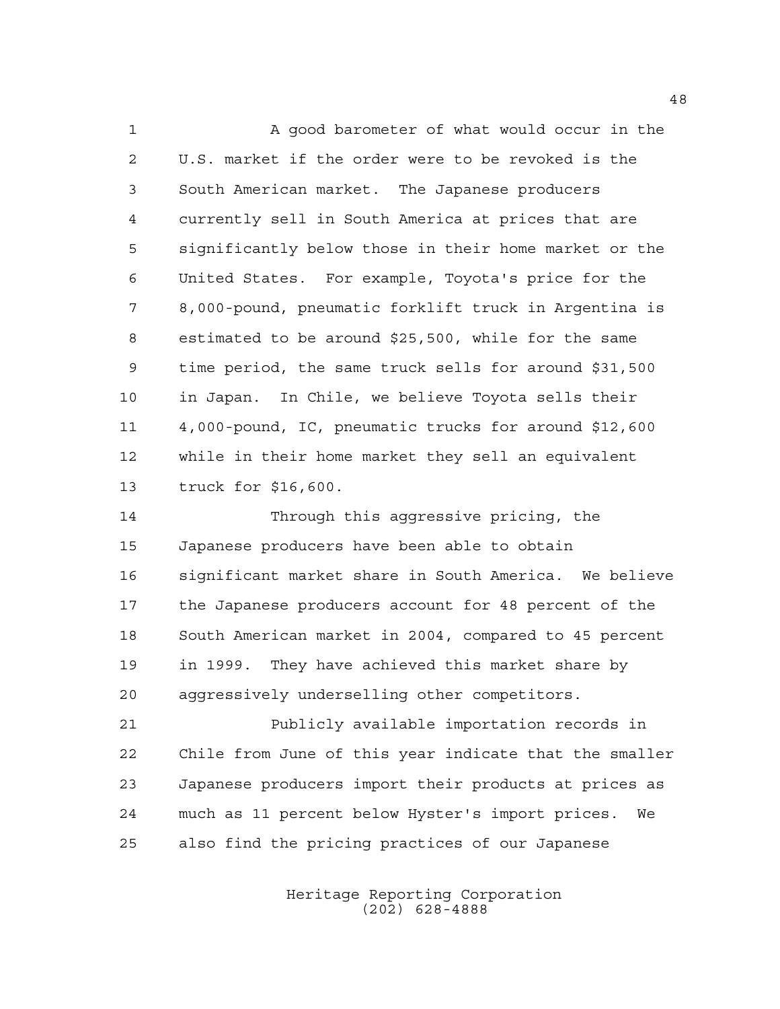1 A good barometer of what would occur in the U.S. market if the order were to be revoked is the South American market. The Japanese producers currently sell in South America at prices that are significantly below those in their home market or the United States. For example, Toyota's price for the 8,000-pound, pneumatic forklift truck in Argentina is estimated to be around \$25,500, while for the same time period, the same truck sells for around \$31,500 in Japan. In Chile, we believe Toyota sells their 4,000-pound, IC, pneumatic trucks for around \$12,600 while in their home market they sell an equivalent truck for \$16,600.

 Through this aggressive pricing, the Japanese producers have been able to obtain significant market share in South America. We believe the Japanese producers account for 48 percent of the South American market in 2004, compared to 45 percent in 1999. They have achieved this market share by aggressively underselling other competitors.

 Publicly available importation records in Chile from June of this year indicate that the smaller Japanese producers import their products at prices as much as 11 percent below Hyster's import prices. We also find the pricing practices of our Japanese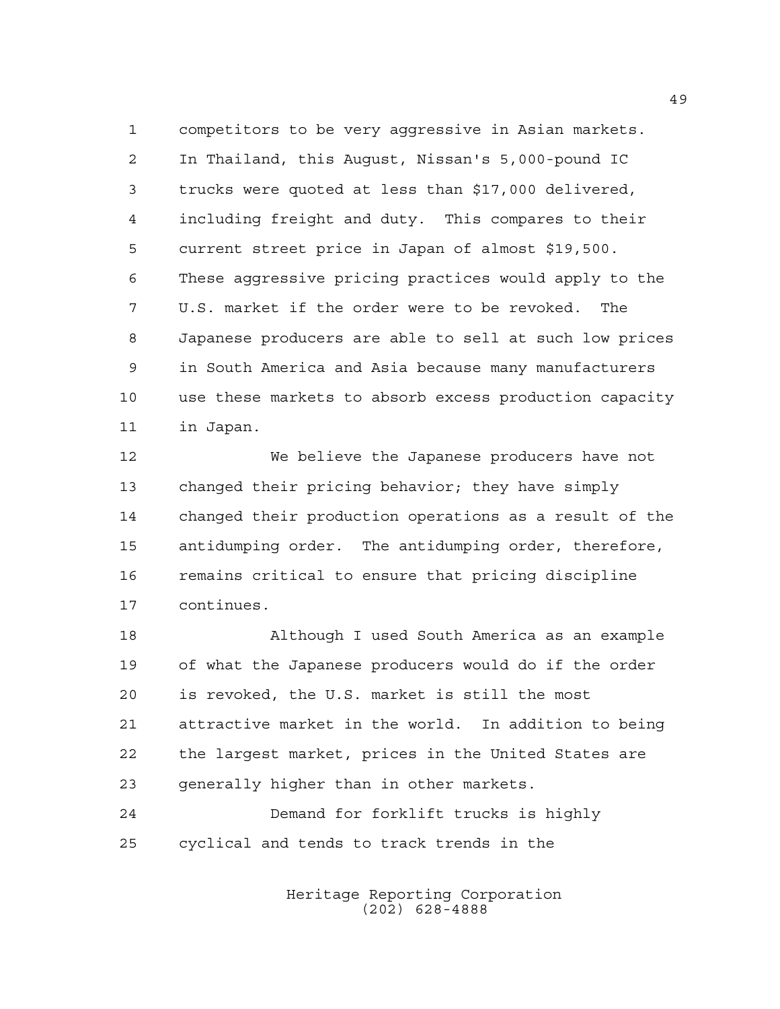competitors to be very aggressive in Asian markets. In Thailand, this August, Nissan's 5,000-pound IC trucks were quoted at less than \$17,000 delivered, including freight and duty. This compares to their current street price in Japan of almost \$19,500. These aggressive pricing practices would apply to the U.S. market if the order were to be revoked. The Japanese producers are able to sell at such low prices in South America and Asia because many manufacturers use these markets to absorb excess production capacity in Japan.

 We believe the Japanese producers have not changed their pricing behavior; they have simply changed their production operations as a result of the antidumping order. The antidumping order, therefore, remains critical to ensure that pricing discipline continues.

 Although I used South America as an example of what the Japanese producers would do if the order is revoked, the U.S. market is still the most attractive market in the world. In addition to being the largest market, prices in the United States are generally higher than in other markets.

 Demand for forklift trucks is highly cyclical and tends to track trends in the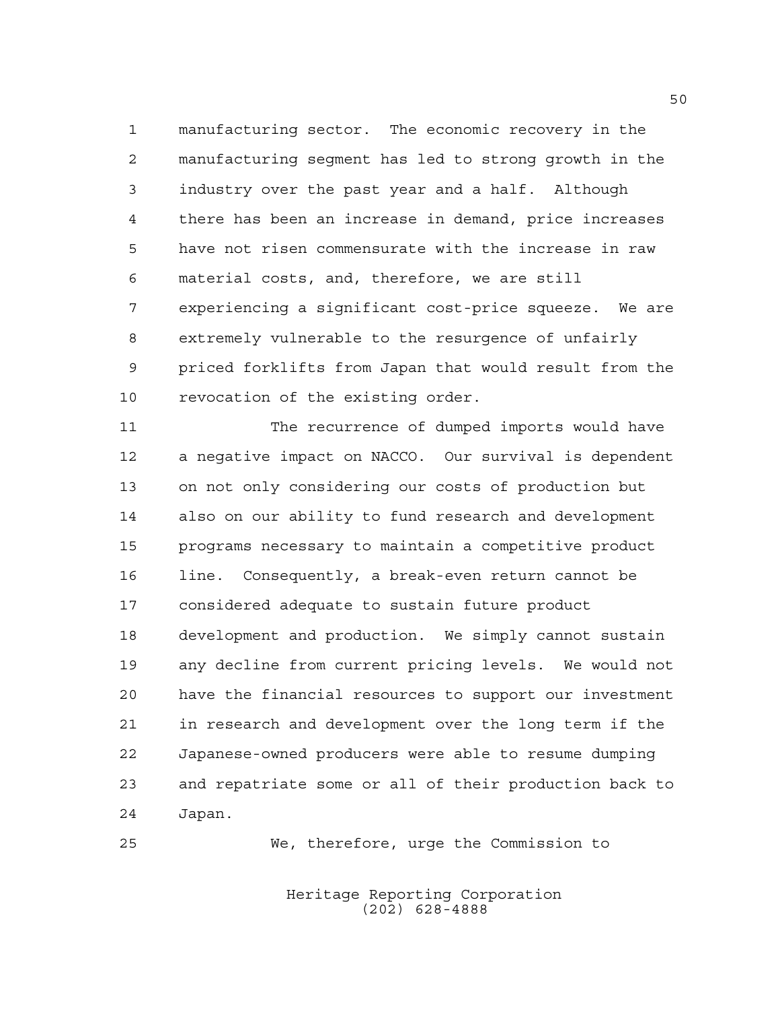manufacturing sector. The economic recovery in the manufacturing segment has led to strong growth in the industry over the past year and a half. Although there has been an increase in demand, price increases have not risen commensurate with the increase in raw material costs, and, therefore, we are still experiencing a significant cost-price squeeze. We are extremely vulnerable to the resurgence of unfairly priced forklifts from Japan that would result from the revocation of the existing order.

 The recurrence of dumped imports would have a negative impact on NACCO. Our survival is dependent on not only considering our costs of production but also on our ability to fund research and development programs necessary to maintain a competitive product line. Consequently, a break-even return cannot be considered adequate to sustain future product development and production. We simply cannot sustain any decline from current pricing levels. We would not have the financial resources to support our investment in research and development over the long term if the Japanese-owned producers were able to resume dumping and repatriate some or all of their production back to Japan.

We, therefore, urge the Commission to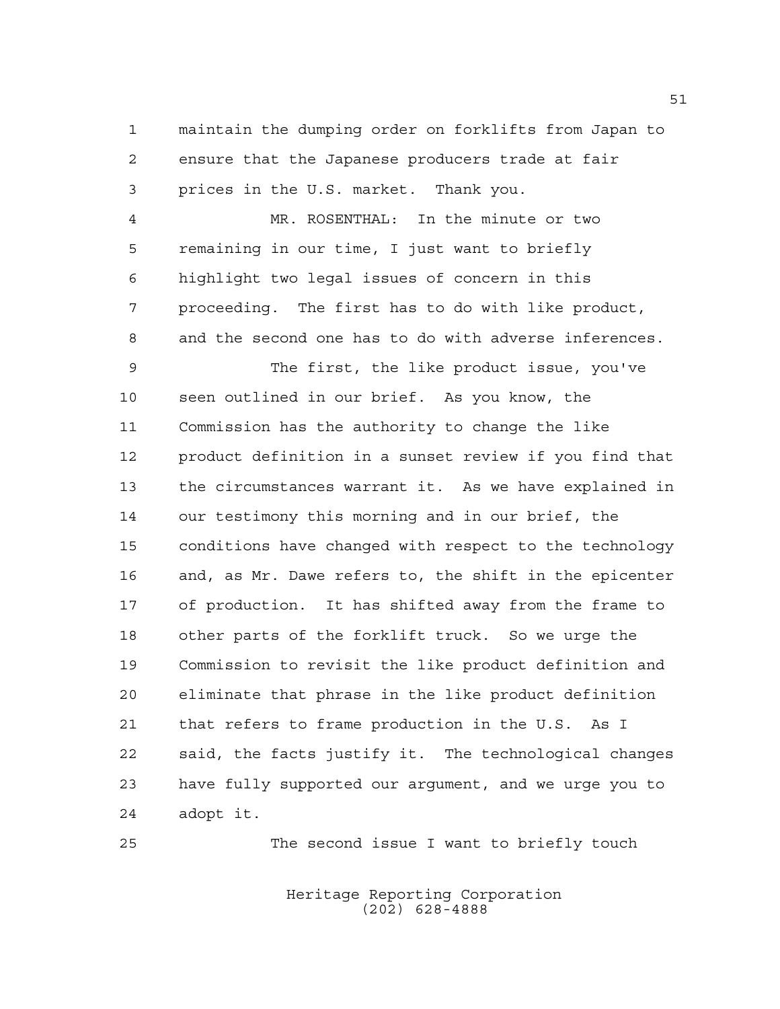maintain the dumping order on forklifts from Japan to ensure that the Japanese producers trade at fair prices in the U.S. market. Thank you.

 MR. ROSENTHAL: In the minute or two remaining in our time, I just want to briefly highlight two legal issues of concern in this proceeding. The first has to do with like product, and the second one has to do with adverse inferences.

 The first, the like product issue, you've seen outlined in our brief. As you know, the Commission has the authority to change the like product definition in a sunset review if you find that the circumstances warrant it. As we have explained in our testimony this morning and in our brief, the conditions have changed with respect to the technology and, as Mr. Dawe refers to, the shift in the epicenter of production. It has shifted away from the frame to other parts of the forklift truck. So we urge the Commission to revisit the like product definition and eliminate that phrase in the like product definition that refers to frame production in the U.S. As I said, the facts justify it. The technological changes have fully supported our argument, and we urge you to adopt it.

The second issue I want to briefly touch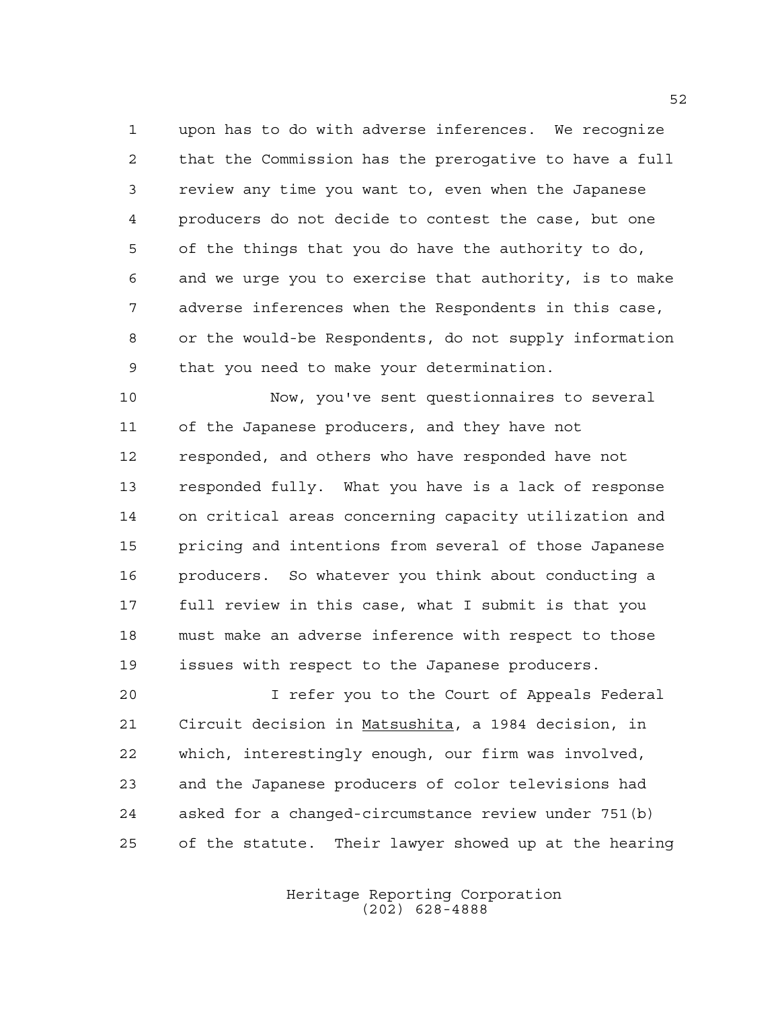upon has to do with adverse inferences. We recognize that the Commission has the prerogative to have a full review any time you want to, even when the Japanese producers do not decide to contest the case, but one of the things that you do have the authority to do, and we urge you to exercise that authority, is to make adverse inferences when the Respondents in this case, or the would-be Respondents, do not supply information that you need to make your determination.

 Now, you've sent questionnaires to several of the Japanese producers, and they have not responded, and others who have responded have not responded fully. What you have is a lack of response on critical areas concerning capacity utilization and pricing and intentions from several of those Japanese producers. So whatever you think about conducting a full review in this case, what I submit is that you must make an adverse inference with respect to those issues with respect to the Japanese producers.

 I refer you to the Court of Appeals Federal Circuit decision in Matsushita, a 1984 decision, in which, interestingly enough, our firm was involved, and the Japanese producers of color televisions had asked for a changed-circumstance review under 751(b) of the statute. Their lawyer showed up at the hearing

> Heritage Reporting Corporation (202) 628-4888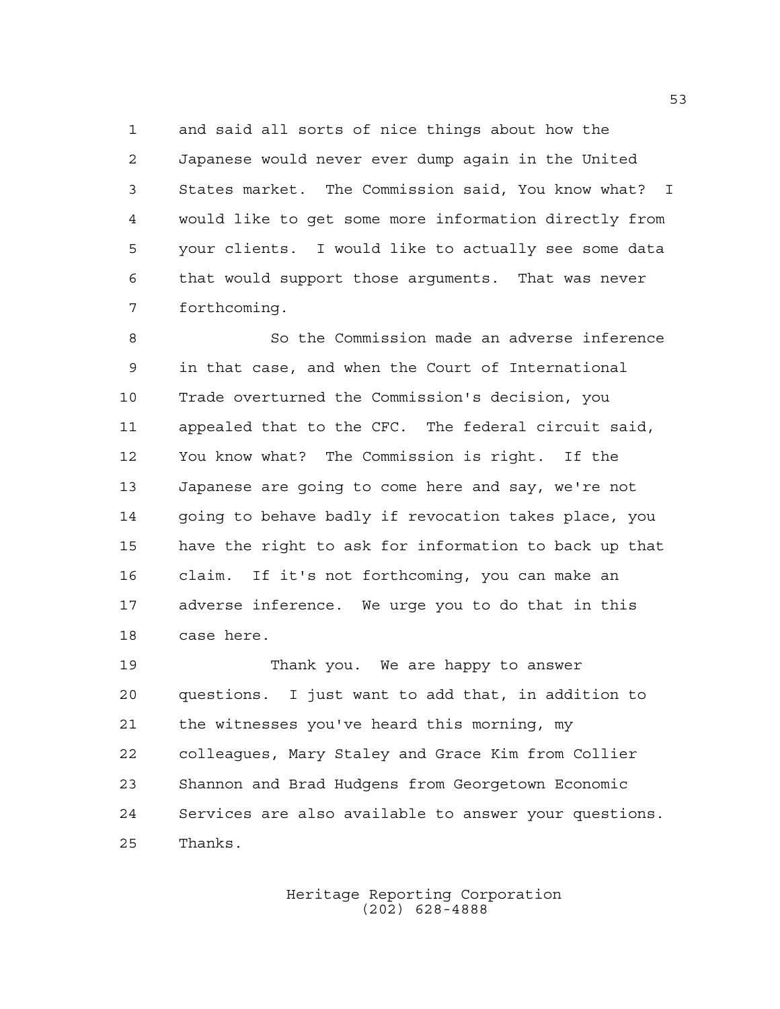and said all sorts of nice things about how the Japanese would never ever dump again in the United States market. The Commission said, You know what? I would like to get some more information directly from your clients. I would like to actually see some data that would support those arguments. That was never forthcoming.

 So the Commission made an adverse inference in that case, and when the Court of International Trade overturned the Commission's decision, you appealed that to the CFC. The federal circuit said, You know what? The Commission is right. If the Japanese are going to come here and say, we're not going to behave badly if revocation takes place, you have the right to ask for information to back up that claim. If it's not forthcoming, you can make an adverse inference. We urge you to do that in this case here.

 Thank you. We are happy to answer questions. I just want to add that, in addition to the witnesses you've heard this morning, my colleagues, Mary Staley and Grace Kim from Collier Shannon and Brad Hudgens from Georgetown Economic Services are also available to answer your questions. Thanks.

> Heritage Reporting Corporation (202) 628-4888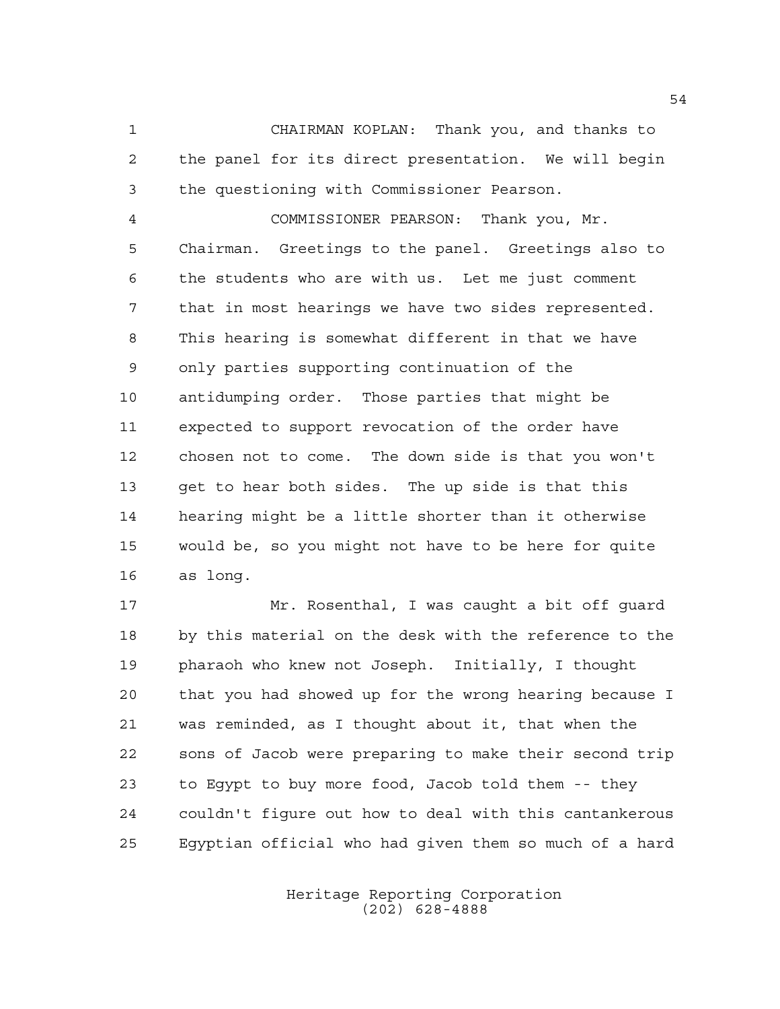CHAIRMAN KOPLAN: Thank you, and thanks to the panel for its direct presentation. We will begin the questioning with Commissioner Pearson.

 COMMISSIONER PEARSON: Thank you, Mr. Chairman. Greetings to the panel. Greetings also to the students who are with us. Let me just comment that in most hearings we have two sides represented. This hearing is somewhat different in that we have only parties supporting continuation of the antidumping order. Those parties that might be expected to support revocation of the order have chosen not to come. The down side is that you won't get to hear both sides. The up side is that this hearing might be a little shorter than it otherwise would be, so you might not have to be here for quite as long.

 Mr. Rosenthal, I was caught a bit off guard by this material on the desk with the reference to the pharaoh who knew not Joseph. Initially, I thought that you had showed up for the wrong hearing because I was reminded, as I thought about it, that when the sons of Jacob were preparing to make their second trip to Egypt to buy more food, Jacob told them -- they couldn't figure out how to deal with this cantankerous Egyptian official who had given them so much of a hard

> Heritage Reporting Corporation (202) 628-4888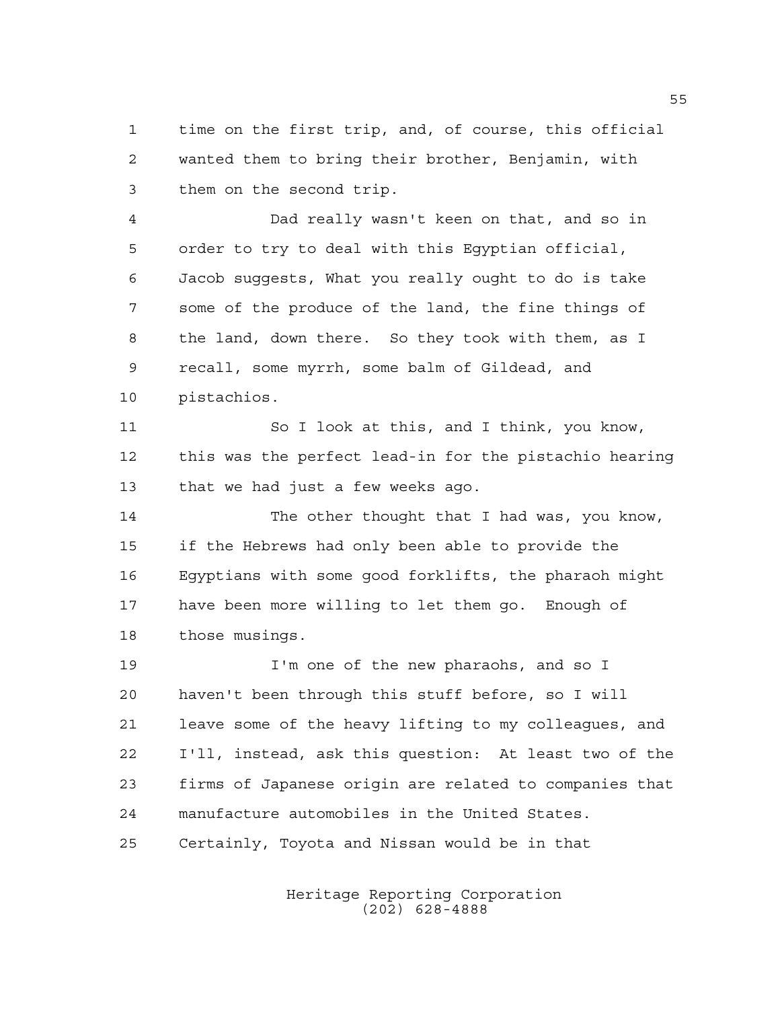time on the first trip, and, of course, this official wanted them to bring their brother, Benjamin, with them on the second trip.

 Dad really wasn't keen on that, and so in order to try to deal with this Egyptian official, Jacob suggests, What you really ought to do is take some of the produce of the land, the fine things of the land, down there. So they took with them, as I recall, some myrrh, some balm of Gildead, and pistachios.

 So I look at this, and I think, you know, this was the perfect lead-in for the pistachio hearing that we had just a few weeks ago.

 The other thought that I had was, you know, if the Hebrews had only been able to provide the Egyptians with some good forklifts, the pharaoh might have been more willing to let them go. Enough of those musings.

 I'm one of the new pharaohs, and so I haven't been through this stuff before, so I will leave some of the heavy lifting to my colleagues, and I'll, instead, ask this question: At least two of the firms of Japanese origin are related to companies that manufacture automobiles in the United States. Certainly, Toyota and Nissan would be in that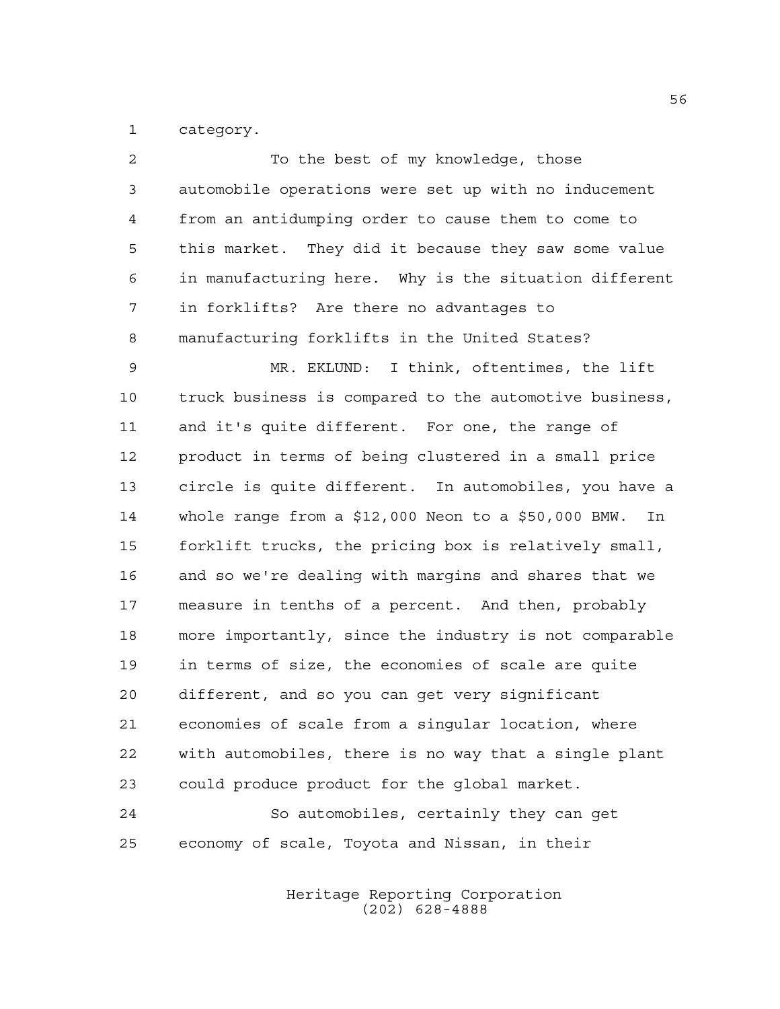category.

| $\overline{2}$ | To the best of my knowledge, those                          |
|----------------|-------------------------------------------------------------|
| 3              | automobile operations were set up with no inducement        |
| $\overline{4}$ | from an antidumping order to cause them to come to          |
| 5              | this market. They did it because they saw some value        |
| 6              | in manufacturing here. Why is the situation different       |
| 7              | in forklifts? Are there no advantages to                    |
| 8              | manufacturing forklifts in the United States?               |
| $\mathsf 9$    | MR. EKLUND: I think, oftentimes, the lift                   |
| 10             | truck business is compared to the automotive business,      |
| 11             | and it's quite different. For one, the range of             |
| 12             | product in terms of being clustered in a small price        |
| 13             | circle is quite different. In automobiles, you have a       |
| 14             | whole range from a $$12,000$ Neon to a $$50,000$ BMW.<br>In |
| 15             | forklift trucks, the pricing box is relatively small,       |
| 16             | and so we're dealing with margins and shares that we        |
| 17             | measure in tenths of a percent. And then, probably          |
| $18\,$         | more importantly, since the industry is not comparable      |
| 19             | in terms of size, the economies of scale are quite          |
| 20             | different, and so you can get very significant              |
| 21             | economies of scale from a singular location, where          |
| 22             | with automobiles, there is no way that a single plant       |
| 23             | could produce product for the global market.                |
| 24             | So automobiles, certainly they can get                      |
| 25             | economy of scale, Toyota and Nissan, in their               |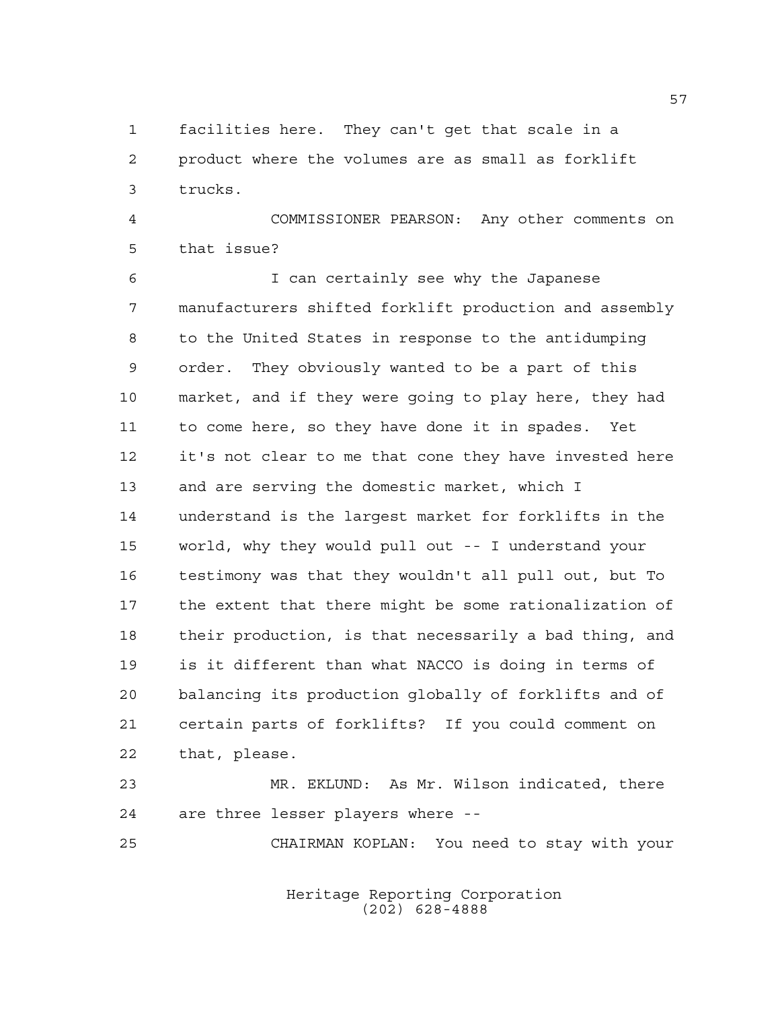facilities here. They can't get that scale in a product where the volumes are as small as forklift trucks.

 COMMISSIONER PEARSON: Any other comments on that issue?

 I can certainly see why the Japanese manufacturers shifted forklift production and assembly to the United States in response to the antidumping order. They obviously wanted to be a part of this market, and if they were going to play here, they had to come here, so they have done it in spades. Yet it's not clear to me that cone they have invested here and are serving the domestic market, which I understand is the largest market for forklifts in the world, why they would pull out -- I understand your testimony was that they wouldn't all pull out, but To the extent that there might be some rationalization of their production, is that necessarily a bad thing, and is it different than what NACCO is doing in terms of balancing its production globally of forklifts and of certain parts of forklifts? If you could comment on that, please.

 MR. EKLUND: As Mr. Wilson indicated, there are three lesser players where --

CHAIRMAN KOPLAN: You need to stay with your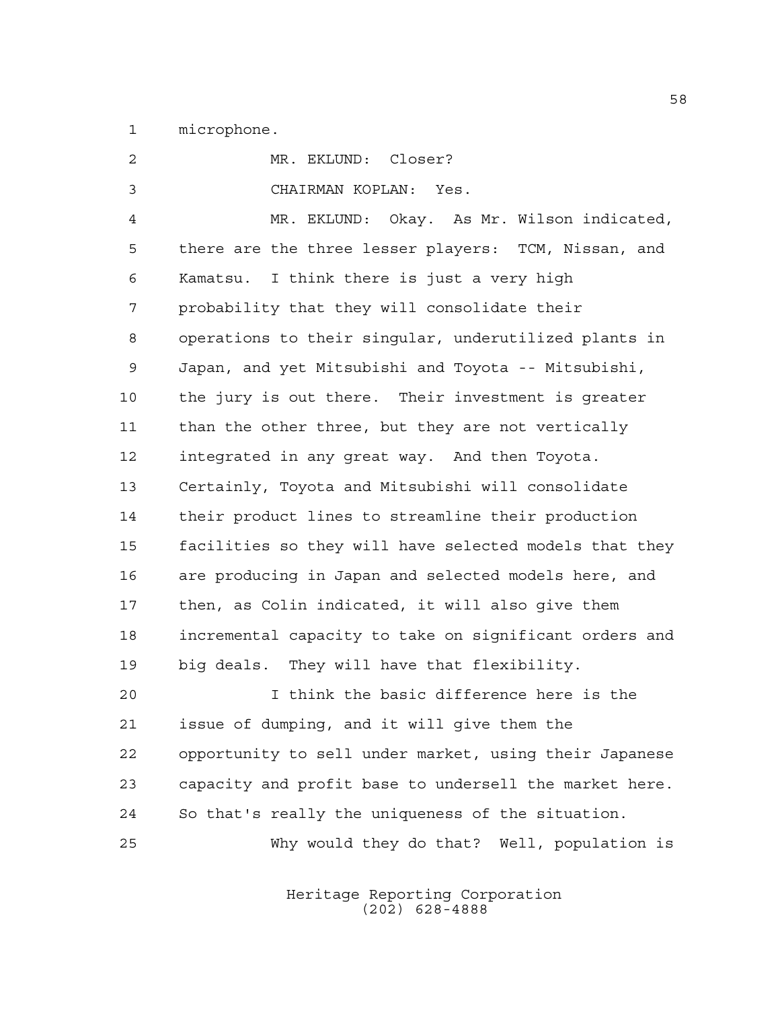microphone.

| $\overline{2}$ | MR. EKLUND: Closer?                                    |
|----------------|--------------------------------------------------------|
| 3              | CHAIRMAN KOPLAN: Yes.                                  |
| $\overline{4}$ | MR. EKLUND: Okay. As Mr. Wilson indicated,             |
| 5              | there are the three lesser players: TCM, Nissan, and   |
| 6              | Kamatsu. I think there is just a very high             |
| 7              | probability that they will consolidate their           |
| 8              | operations to their singular, underutilized plants in  |
| 9              | Japan, and yet Mitsubishi and Toyota -- Mitsubishi,    |
| 10             | the jury is out there. Their investment is greater     |
| 11             | than the other three, but they are not vertically      |
| 12             | integrated in any great way. And then Toyota.          |
| 13             | Certainly, Toyota and Mitsubishi will consolidate      |
| 14             | their product lines to streamline their production     |
| 15             | facilities so they will have selected models that they |
| 16             | are producing in Japan and selected models here, and   |
| 17             | then, as Colin indicated, it will also give them       |
| 18             | incremental capacity to take on significant orders and |
| 19             | big deals. They will have that flexibility.            |
| 20             | I think the basic difference here is the               |
| 21             | issue of dumping, and it will give them the            |
| 22             | opportunity to sell under market, using their Japanese |
| 23             | capacity and profit base to undersell the market here. |
| 24             | So that's really the uniqueness of the situation.      |
| 25             | Why would they do that? Well, population is            |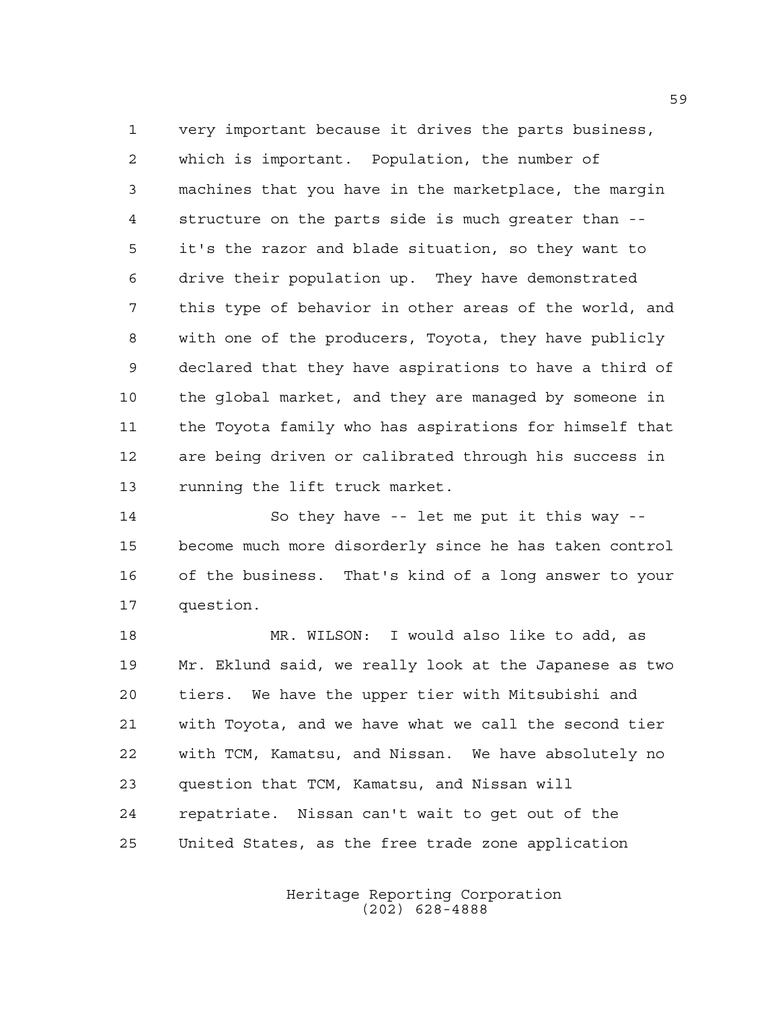very important because it drives the parts business, which is important. Population, the number of machines that you have in the marketplace, the margin structure on the parts side is much greater than -- it's the razor and blade situation, so they want to drive their population up. They have demonstrated this type of behavior in other areas of the world, and with one of the producers, Toyota, they have publicly declared that they have aspirations to have a third of the global market, and they are managed by someone in the Toyota family who has aspirations for himself that are being driven or calibrated through his success in running the lift truck market.

 So they have -- let me put it this way -- become much more disorderly since he has taken control of the business. That's kind of a long answer to your question.

 MR. WILSON: I would also like to add, as Mr. Eklund said, we really look at the Japanese as two tiers. We have the upper tier with Mitsubishi and with Toyota, and we have what we call the second tier with TCM, Kamatsu, and Nissan. We have absolutely no question that TCM, Kamatsu, and Nissan will repatriate. Nissan can't wait to get out of the United States, as the free trade zone application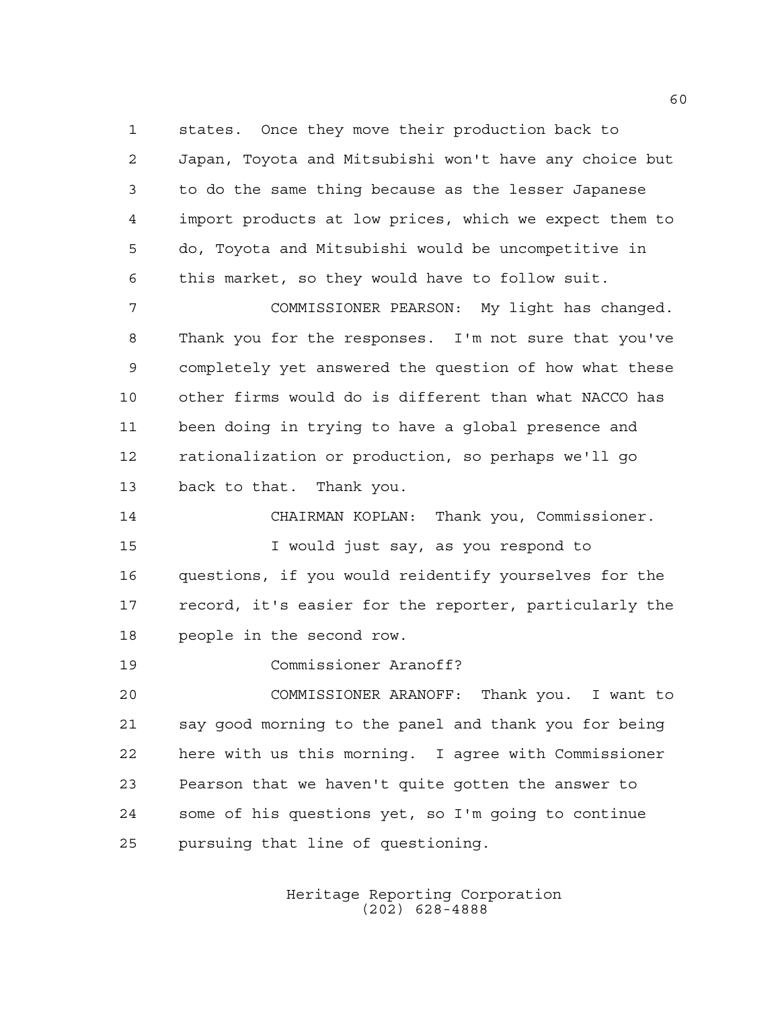states. Once they move their production back to Japan, Toyota and Mitsubishi won't have any choice but to do the same thing because as the lesser Japanese import products at low prices, which we expect them to do, Toyota and Mitsubishi would be uncompetitive in this market, so they would have to follow suit.

 COMMISSIONER PEARSON: My light has changed. Thank you for the responses. I'm not sure that you've completely yet answered the question of how what these other firms would do is different than what NACCO has been doing in trying to have a global presence and rationalization or production, so perhaps we'll go back to that. Thank you.

 CHAIRMAN KOPLAN: Thank you, Commissioner. I would just say, as you respond to questions, if you would reidentify yourselves for the record, it's easier for the reporter, particularly the people in the second row.

Commissioner Aranoff?

 COMMISSIONER ARANOFF: Thank you. I want to say good morning to the panel and thank you for being here with us this morning. I agree with Commissioner Pearson that we haven't quite gotten the answer to some of his questions yet, so I'm going to continue pursuing that line of questioning.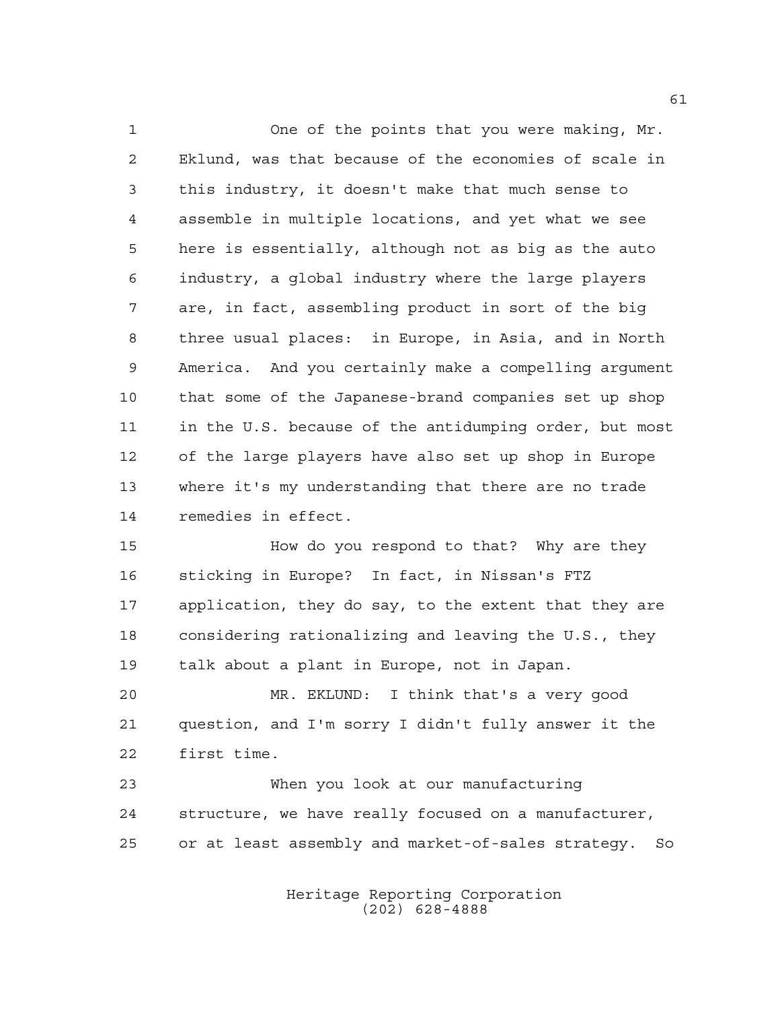One of the points that you were making, Mr. Eklund, was that because of the economies of scale in this industry, it doesn't make that much sense to assemble in multiple locations, and yet what we see here is essentially, although not as big as the auto industry, a global industry where the large players are, in fact, assembling product in sort of the big three usual places: in Europe, in Asia, and in North America. And you certainly make a compelling argument that some of the Japanese-brand companies set up shop in the U.S. because of the antidumping order, but most of the large players have also set up shop in Europe where it's my understanding that there are no trade remedies in effect.

 How do you respond to that? Why are they sticking in Europe? In fact, in Nissan's FTZ application, they do say, to the extent that they are considering rationalizing and leaving the U.S., they talk about a plant in Europe, not in Japan.

 MR. EKLUND: I think that's a very good question, and I'm sorry I didn't fully answer it the first time.

 When you look at our manufacturing structure, we have really focused on a manufacturer, or at least assembly and market-of-sales strategy. So

> Heritage Reporting Corporation (202) 628-4888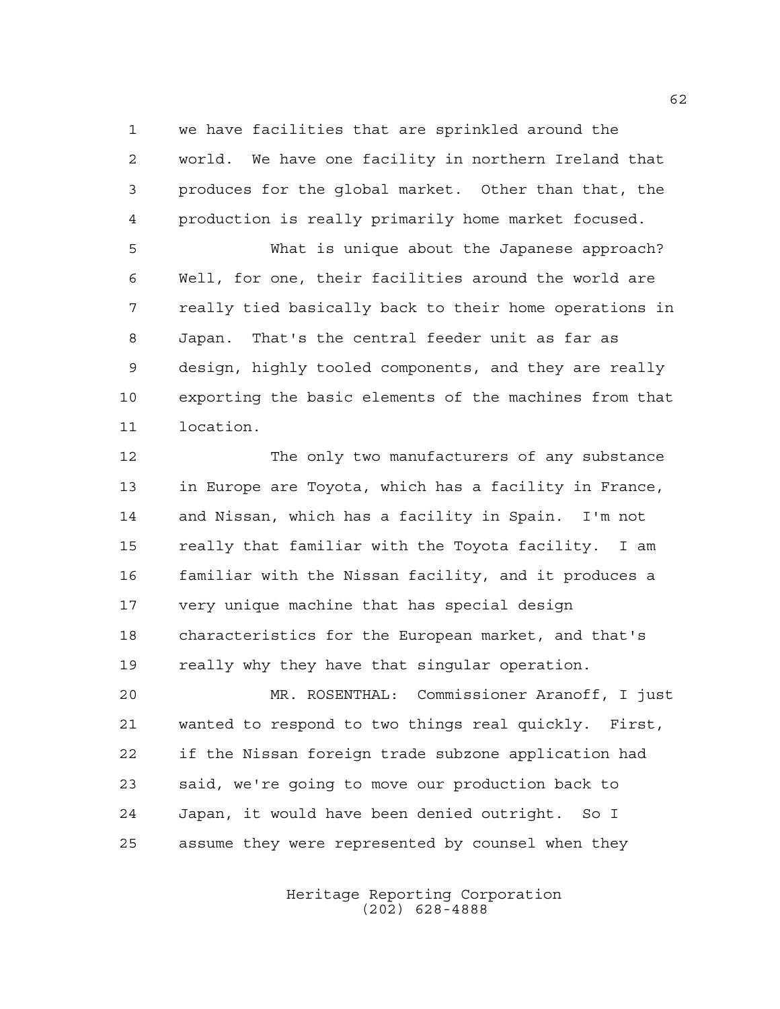we have facilities that are sprinkled around the world. We have one facility in northern Ireland that produces for the global market. Other than that, the production is really primarily home market focused.

 What is unique about the Japanese approach? Well, for one, their facilities around the world are really tied basically back to their home operations in Japan. That's the central feeder unit as far as design, highly tooled components, and they are really exporting the basic elements of the machines from that location.

 The only two manufacturers of any substance in Europe are Toyota, which has a facility in France, and Nissan, which has a facility in Spain. I'm not really that familiar with the Toyota facility. I am familiar with the Nissan facility, and it produces a very unique machine that has special design characteristics for the European market, and that's really why they have that singular operation.

 MR. ROSENTHAL: Commissioner Aranoff, I just wanted to respond to two things real quickly. First, if the Nissan foreign trade subzone application had said, we're going to move our production back to Japan, it would have been denied outright. So I assume they were represented by counsel when they

> Heritage Reporting Corporation (202) 628-4888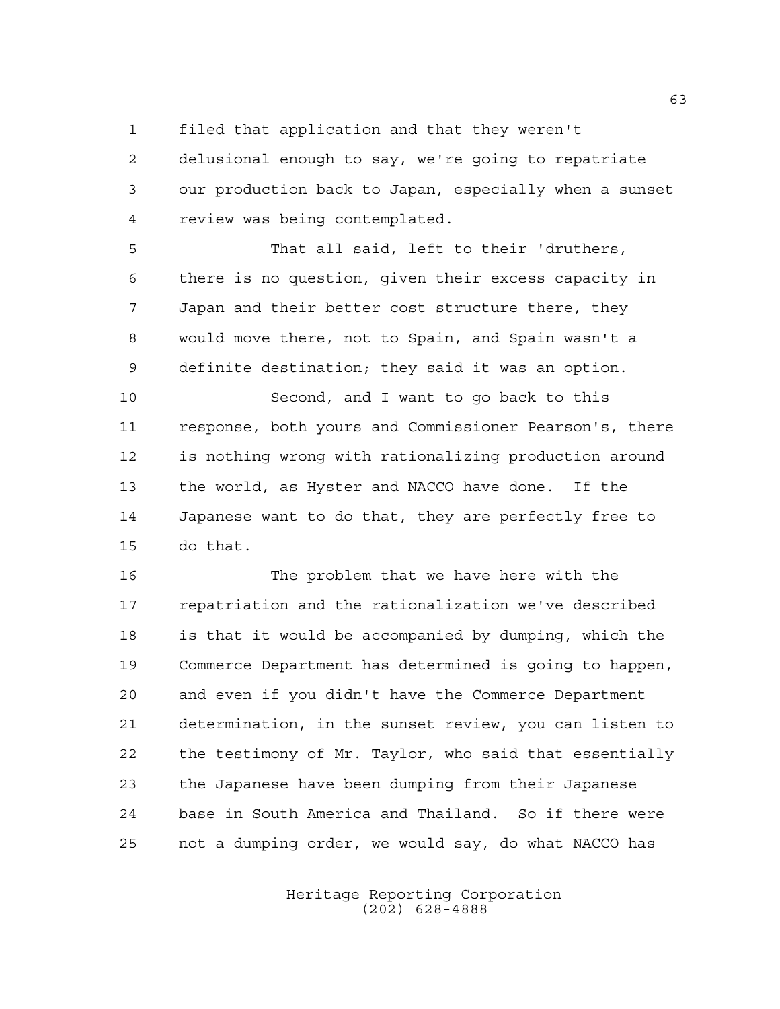filed that application and that they weren't

 delusional enough to say, we're going to repatriate our production back to Japan, especially when a sunset review was being contemplated.

 That all said, left to their 'druthers, there is no question, given their excess capacity in Japan and their better cost structure there, they would move there, not to Spain, and Spain wasn't a definite destination; they said it was an option.

 Second, and I want to go back to this response, both yours and Commissioner Pearson's, there is nothing wrong with rationalizing production around the world, as Hyster and NACCO have done. If the Japanese want to do that, they are perfectly free to do that.

 The problem that we have here with the repatriation and the rationalization we've described is that it would be accompanied by dumping, which the Commerce Department has determined is going to happen, and even if you didn't have the Commerce Department determination, in the sunset review, you can listen to the testimony of Mr. Taylor, who said that essentially the Japanese have been dumping from their Japanese base in South America and Thailand. So if there were not a dumping order, we would say, do what NACCO has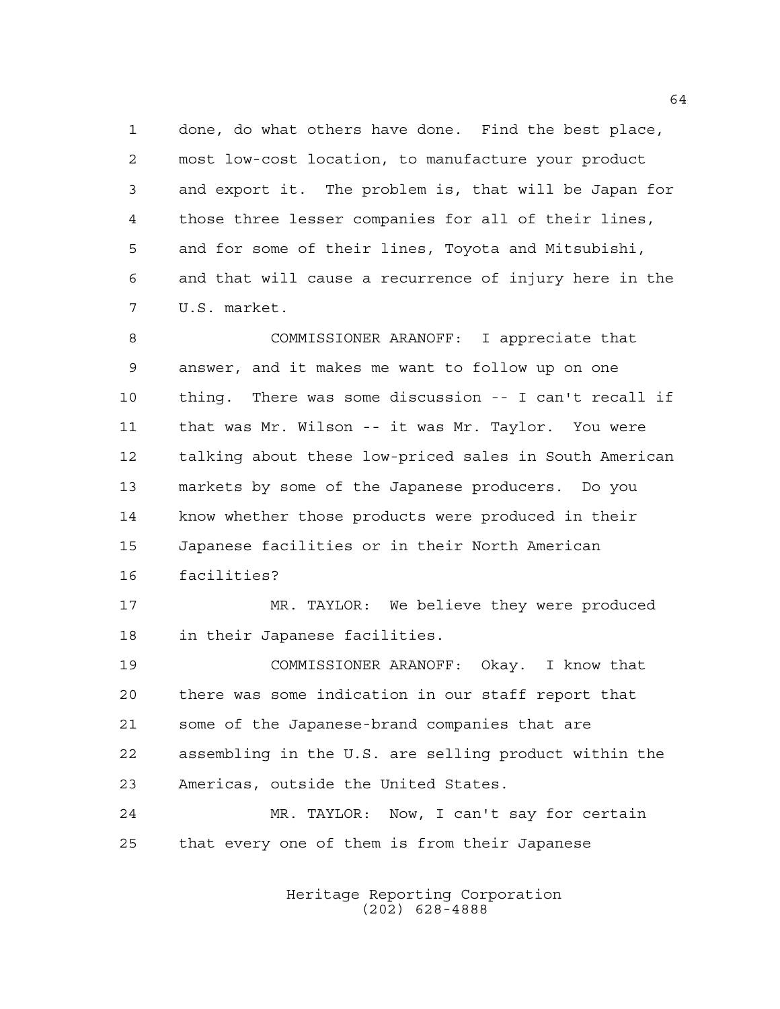done, do what others have done. Find the best place, most low-cost location, to manufacture your product and export it. The problem is, that will be Japan for those three lesser companies for all of their lines, and for some of their lines, Toyota and Mitsubishi, and that will cause a recurrence of injury here in the U.S. market.

 COMMISSIONER ARANOFF: I appreciate that answer, and it makes me want to follow up on one thing. There was some discussion -- I can't recall if that was Mr. Wilson -- it was Mr. Taylor. You were talking about these low-priced sales in South American markets by some of the Japanese producers. Do you know whether those products were produced in their Japanese facilities or in their North American facilities?

 MR. TAYLOR: We believe they were produced in their Japanese facilities.

 COMMISSIONER ARANOFF: Okay. I know that there was some indication in our staff report that some of the Japanese-brand companies that are assembling in the U.S. are selling product within the Americas, outside the United States.

 MR. TAYLOR: Now, I can't say for certain that every one of them is from their Japanese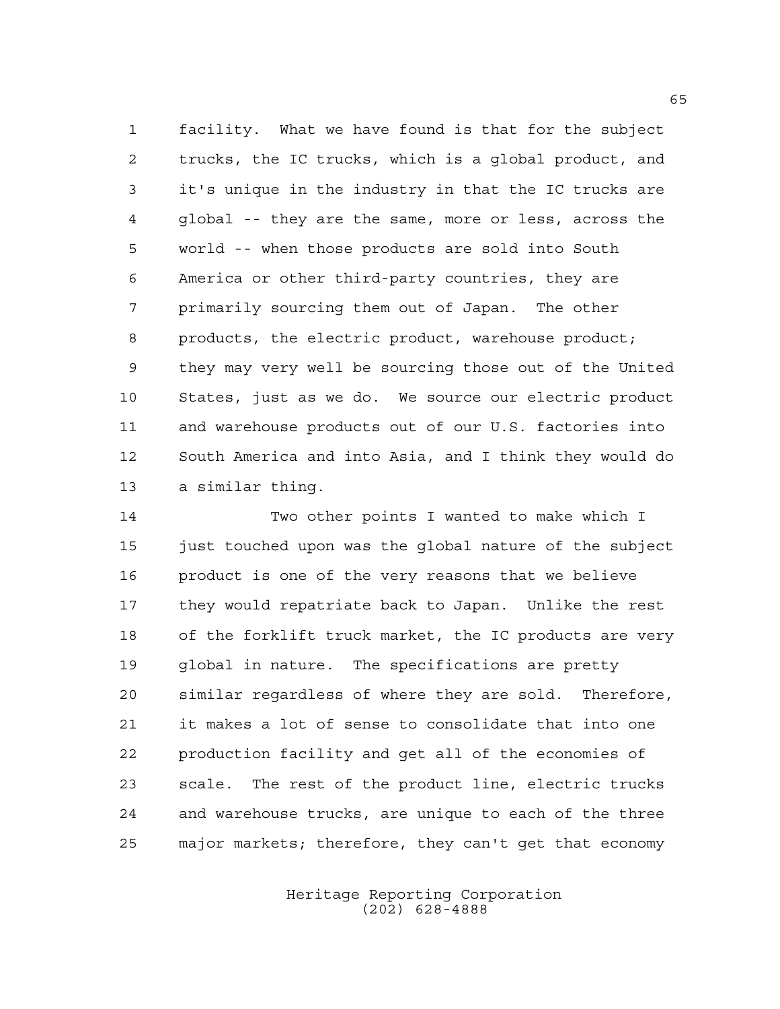facility. What we have found is that for the subject trucks, the IC trucks, which is a global product, and it's unique in the industry in that the IC trucks are global -- they are the same, more or less, across the world -- when those products are sold into South America or other third-party countries, they are primarily sourcing them out of Japan. The other products, the electric product, warehouse product; they may very well be sourcing those out of the United States, just as we do. We source our electric product and warehouse products out of our U.S. factories into South America and into Asia, and I think they would do a similar thing.

 Two other points I wanted to make which I just touched upon was the global nature of the subject product is one of the very reasons that we believe they would repatriate back to Japan. Unlike the rest of the forklift truck market, the IC products are very global in nature. The specifications are pretty similar regardless of where they are sold. Therefore, it makes a lot of sense to consolidate that into one production facility and get all of the economies of scale. The rest of the product line, electric trucks and warehouse trucks, are unique to each of the three major markets; therefore, they can't get that economy

> Heritage Reporting Corporation (202) 628-4888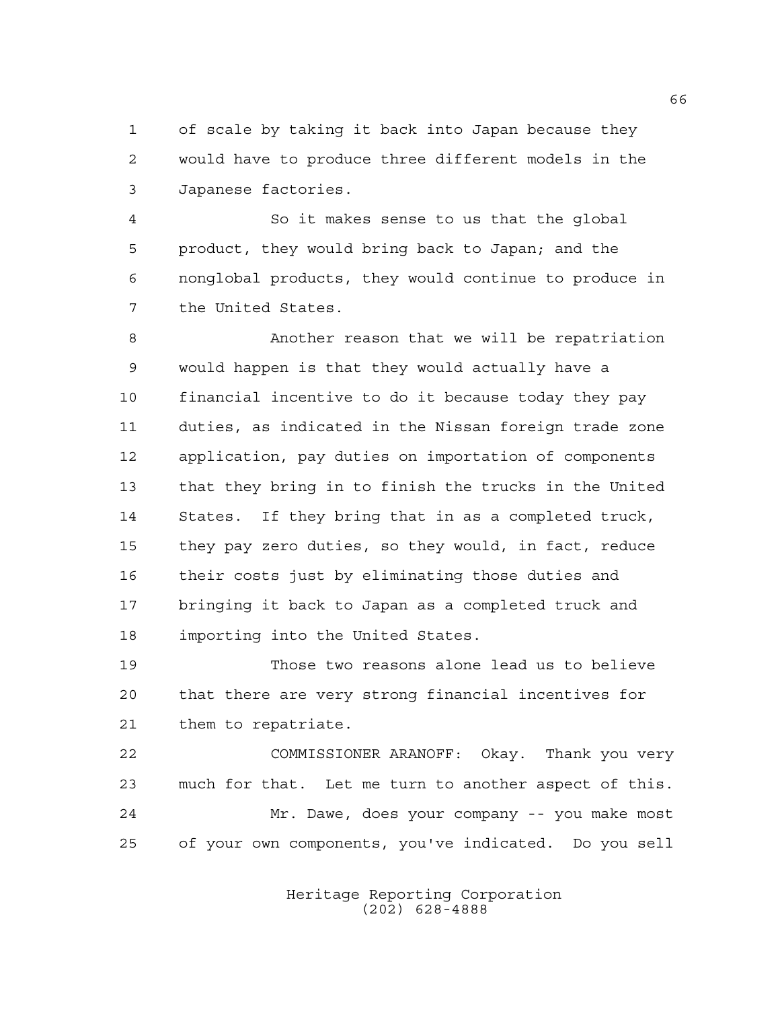of scale by taking it back into Japan because they would have to produce three different models in the Japanese factories.

 So it makes sense to us that the global product, they would bring back to Japan; and the nonglobal products, they would continue to produce in the United States.

 Another reason that we will be repatriation would happen is that they would actually have a financial incentive to do it because today they pay duties, as indicated in the Nissan foreign trade zone application, pay duties on importation of components that they bring in to finish the trucks in the United States. If they bring that in as a completed truck, they pay zero duties, so they would, in fact, reduce their costs just by eliminating those duties and bringing it back to Japan as a completed truck and importing into the United States.

 Those two reasons alone lead us to believe that there are very strong financial incentives for them to repatriate.

 COMMISSIONER ARANOFF: Okay. Thank you very much for that. Let me turn to another aspect of this. Mr. Dawe, does your company -- you make most of your own components, you've indicated. Do you sell

> Heritage Reporting Corporation (202) 628-4888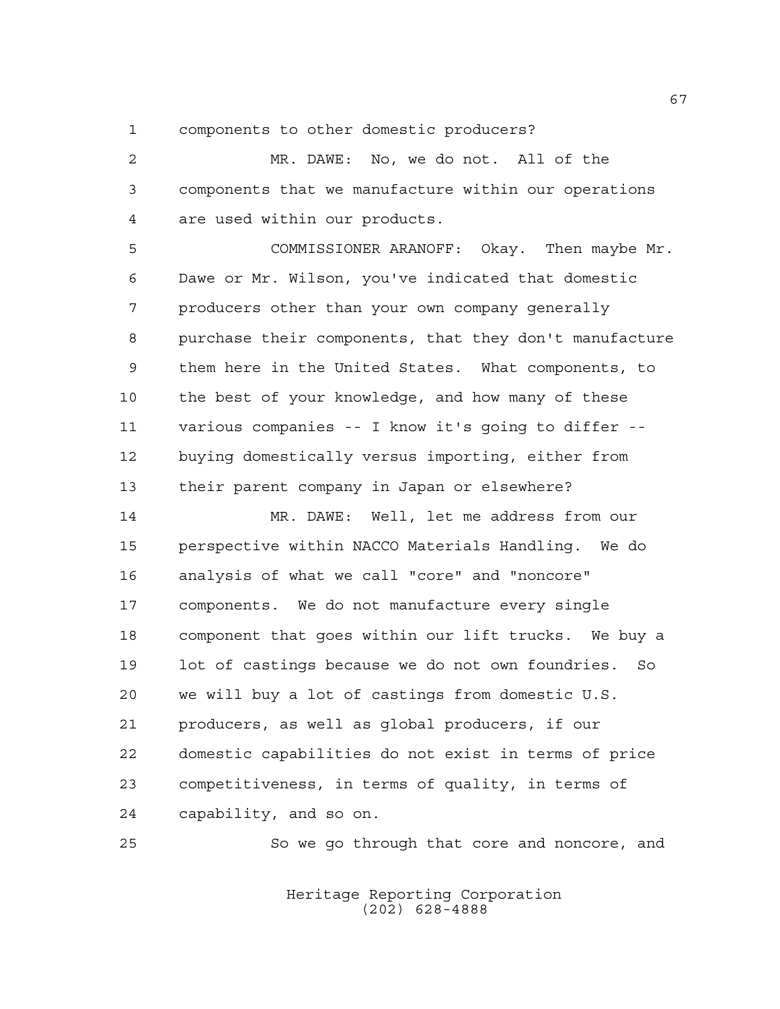components to other domestic producers?

 MR. DAWE: No, we do not. All of the components that we manufacture within our operations are used within our products.

 COMMISSIONER ARANOFF: Okay. Then maybe Mr. Dawe or Mr. Wilson, you've indicated that domestic producers other than your own company generally purchase their components, that they don't manufacture them here in the United States. What components, to the best of your knowledge, and how many of these various companies -- I know it's going to differ -- buying domestically versus importing, either from their parent company in Japan or elsewhere?

 MR. DAWE: Well, let me address from our perspective within NACCO Materials Handling. We do analysis of what we call "core" and "noncore" components. We do not manufacture every single component that goes within our lift trucks. We buy a lot of castings because we do not own foundries. So we will buy a lot of castings from domestic U.S. producers, as well as global producers, if our domestic capabilities do not exist in terms of price competitiveness, in terms of quality, in terms of capability, and so on.

So we go through that core and noncore, and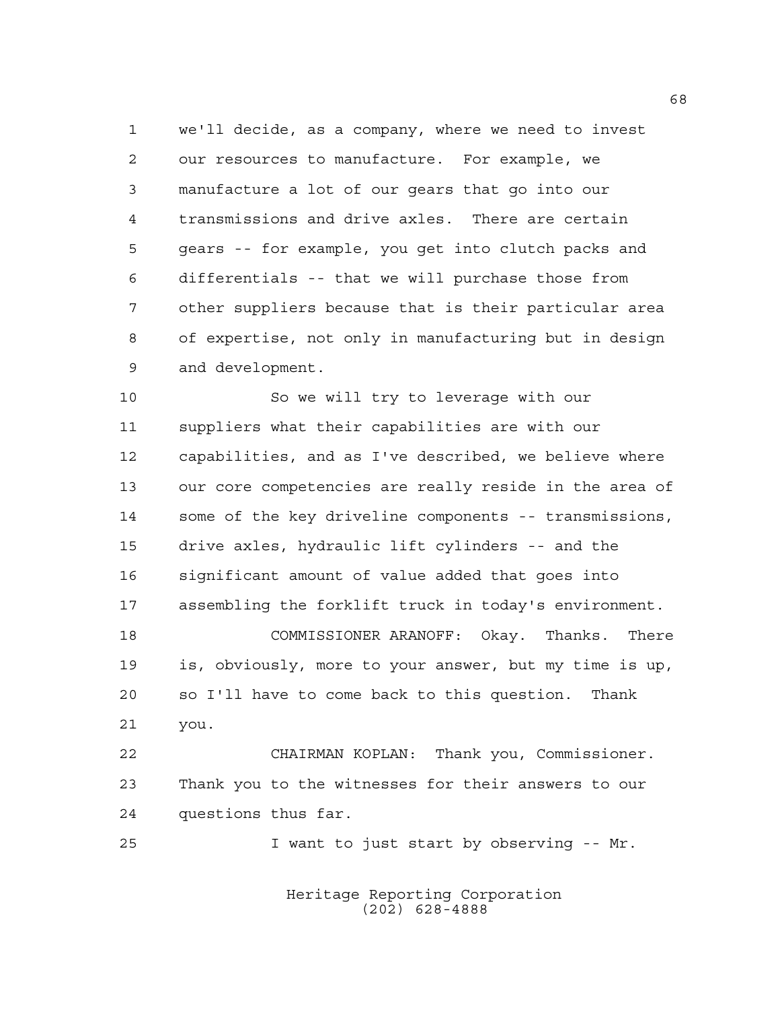we'll decide, as a company, where we need to invest our resources to manufacture. For example, we manufacture a lot of our gears that go into our transmissions and drive axles. There are certain gears -- for example, you get into clutch packs and differentials -- that we will purchase those from other suppliers because that is their particular area of expertise, not only in manufacturing but in design and development.

 So we will try to leverage with our suppliers what their capabilities are with our capabilities, and as I've described, we believe where our core competencies are really reside in the area of some of the key driveline components -- transmissions, drive axles, hydraulic lift cylinders -- and the significant amount of value added that goes into assembling the forklift truck in today's environment.

 COMMISSIONER ARANOFF: Okay. Thanks. There is, obviously, more to your answer, but my time is up, so I'll have to come back to this question. Thank you.

 CHAIRMAN KOPLAN: Thank you, Commissioner. Thank you to the witnesses for their answers to our questions thus far.

I want to just start by observing -- Mr.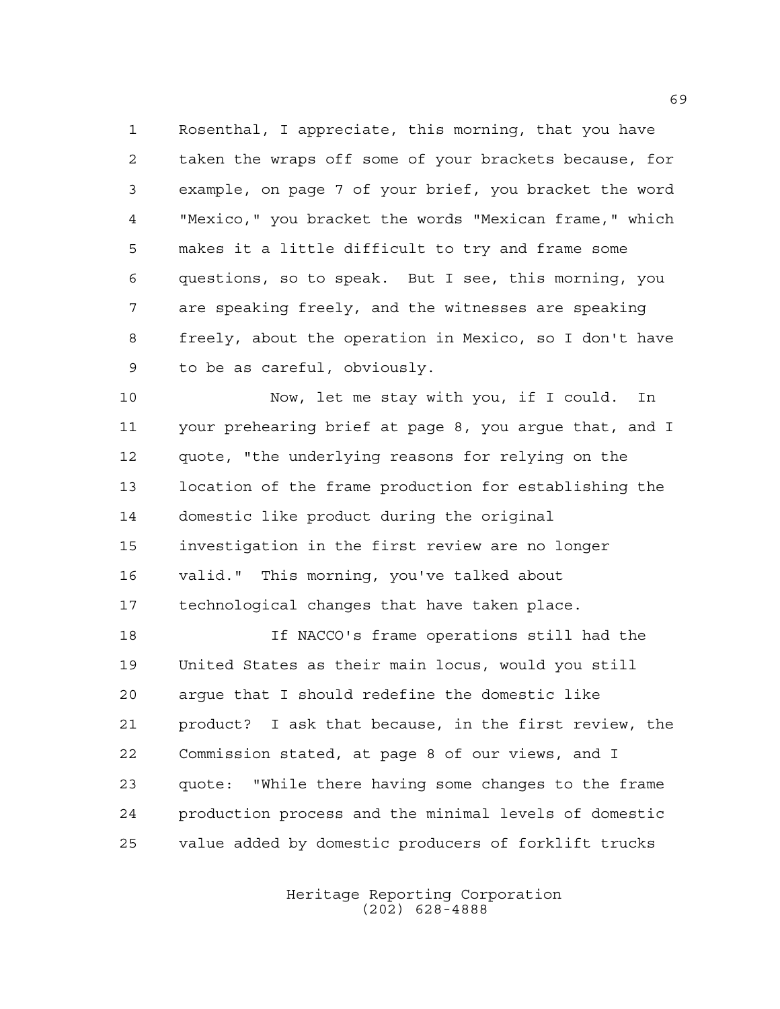Rosenthal, I appreciate, this morning, that you have taken the wraps off some of your brackets because, for example, on page 7 of your brief, you bracket the word "Mexico," you bracket the words "Mexican frame," which makes it a little difficult to try and frame some questions, so to speak. But I see, this morning, you are speaking freely, and the witnesses are speaking freely, about the operation in Mexico, so I don't have to be as careful, obviously.

 Now, let me stay with you, if I could. In your prehearing brief at page 8, you argue that, and I quote, "the underlying reasons for relying on the location of the frame production for establishing the domestic like product during the original investigation in the first review are no longer valid." This morning, you've talked about technological changes that have taken place.

 If NACCO's frame operations still had the United States as their main locus, would you still argue that I should redefine the domestic like product? I ask that because, in the first review, the Commission stated, at page 8 of our views, and I quote: "While there having some changes to the frame production process and the minimal levels of domestic value added by domestic producers of forklift trucks

> Heritage Reporting Corporation (202) 628-4888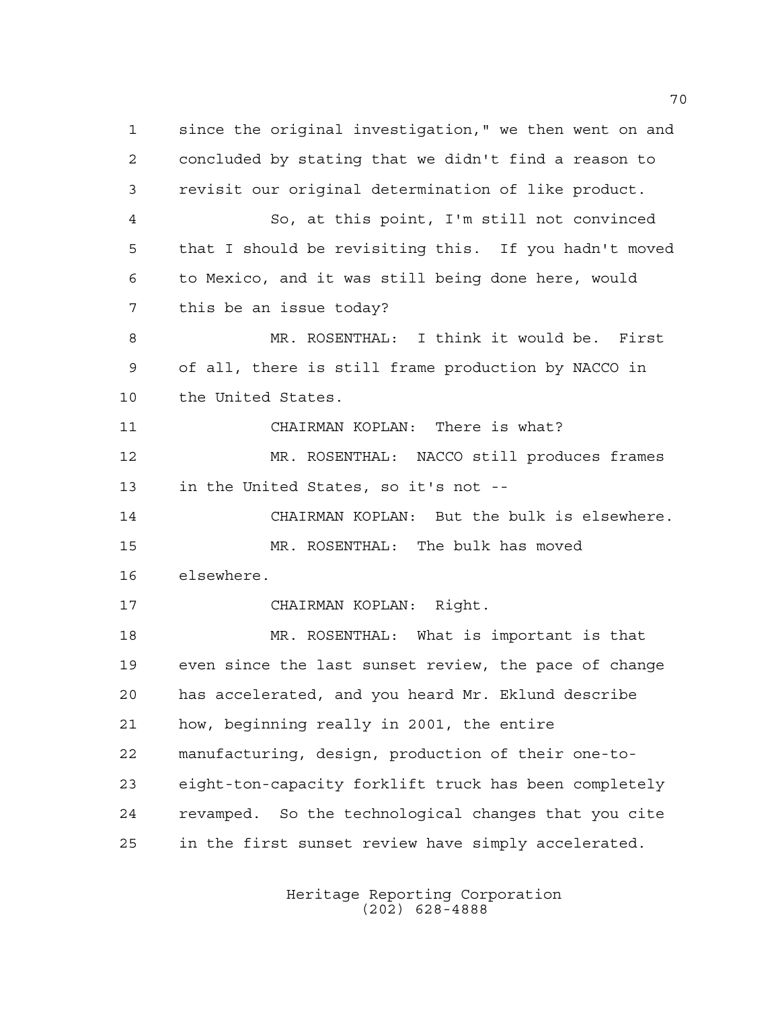since the original investigation," we then went on and concluded by stating that we didn't find a reason to revisit our original determination of like product. So, at this point, I'm still not convinced that I should be revisiting this. If you hadn't moved to Mexico, and it was still being done here, would this be an issue today? MR. ROSENTHAL: I think it would be. First of all, there is still frame production by NACCO in the United States. CHAIRMAN KOPLAN: There is what? MR. ROSENTHAL: NACCO still produces frames in the United States, so it's not -- CHAIRMAN KOPLAN: But the bulk is elsewhere. MR. ROSENTHAL: The bulk has moved elsewhere. CHAIRMAN KOPLAN: Right. MR. ROSENTHAL: What is important is that even since the last sunset review, the pace of change has accelerated, and you heard Mr. Eklund describe how, beginning really in 2001, the entire manufacturing, design, production of their one-to- eight-ton-capacity forklift truck has been completely revamped. So the technological changes that you cite in the first sunset review have simply accelerated.

> Heritage Reporting Corporation (202) 628-4888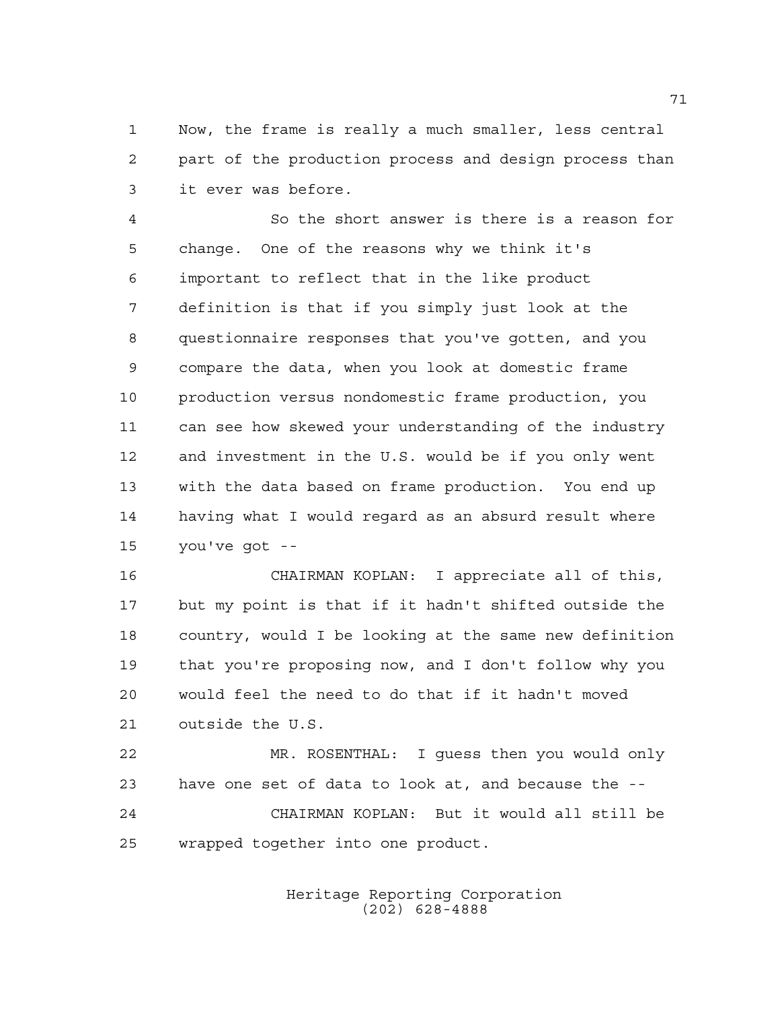Now, the frame is really a much smaller, less central part of the production process and design process than it ever was before.

 So the short answer is there is a reason for change. One of the reasons why we think it's important to reflect that in the like product definition is that if you simply just look at the questionnaire responses that you've gotten, and you compare the data, when you look at domestic frame production versus nondomestic frame production, you can see how skewed your understanding of the industry and investment in the U.S. would be if you only went with the data based on frame production. You end up having what I would regard as an absurd result where you've got --

 CHAIRMAN KOPLAN: I appreciate all of this, but my point is that if it hadn't shifted outside the country, would I be looking at the same new definition that you're proposing now, and I don't follow why you would feel the need to do that if it hadn't moved outside the U.S.

 MR. ROSENTHAL: I guess then you would only have one set of data to look at, and because the -- CHAIRMAN KOPLAN: But it would all still be wrapped together into one product.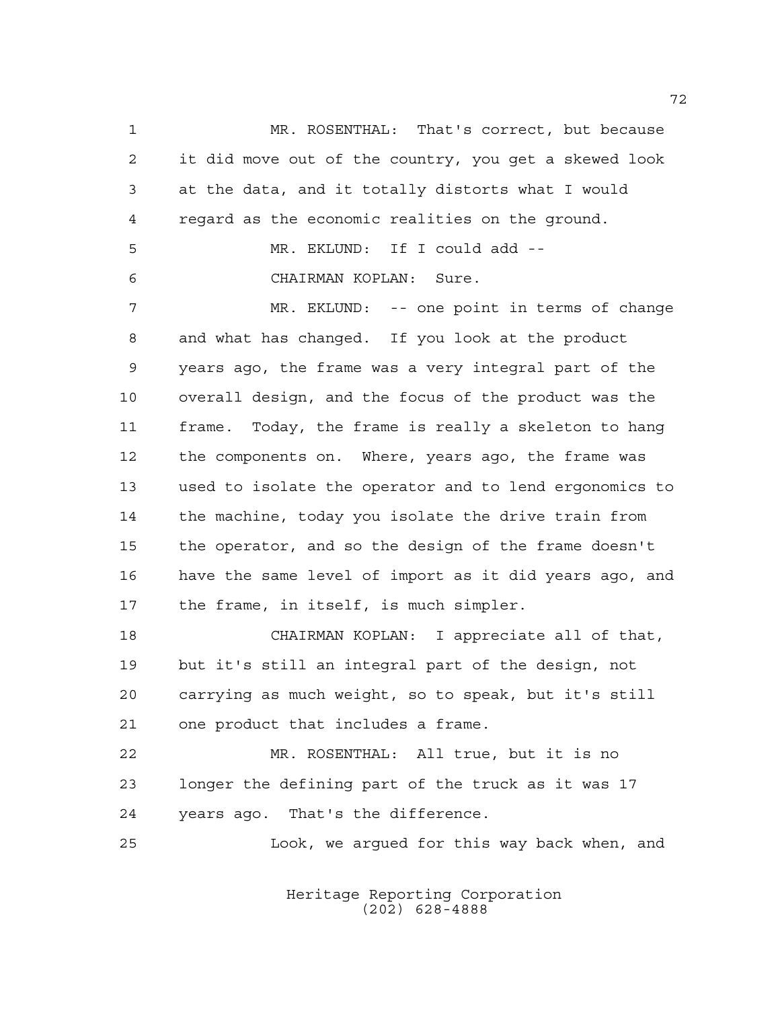1 MR. ROSENTHAL: That's correct, but because it did move out of the country, you get a skewed look at the data, and it totally distorts what I would regard as the economic realities on the ground. MR. EKLUND: If I could add -- CHAIRMAN KOPLAN: Sure. MR. EKLUND: -- one point in terms of change and what has changed. If you look at the product years ago, the frame was a very integral part of the overall design, and the focus of the product was the frame. Today, the frame is really a skeleton to hang the components on. Where, years ago, the frame was used to isolate the operator and to lend ergonomics to the machine, today you isolate the drive train from the operator, and so the design of the frame doesn't have the same level of import as it did years ago, and the frame, in itself, is much simpler. CHAIRMAN KOPLAN: I appreciate all of that, but it's still an integral part of the design, not carrying as much weight, so to speak, but it's still one product that includes a frame. MR. ROSENTHAL: All true, but it is no longer the defining part of the truck as it was 17

years ago. That's the difference.

Look, we argued for this way back when, and

Heritage Reporting Corporation (202) 628-4888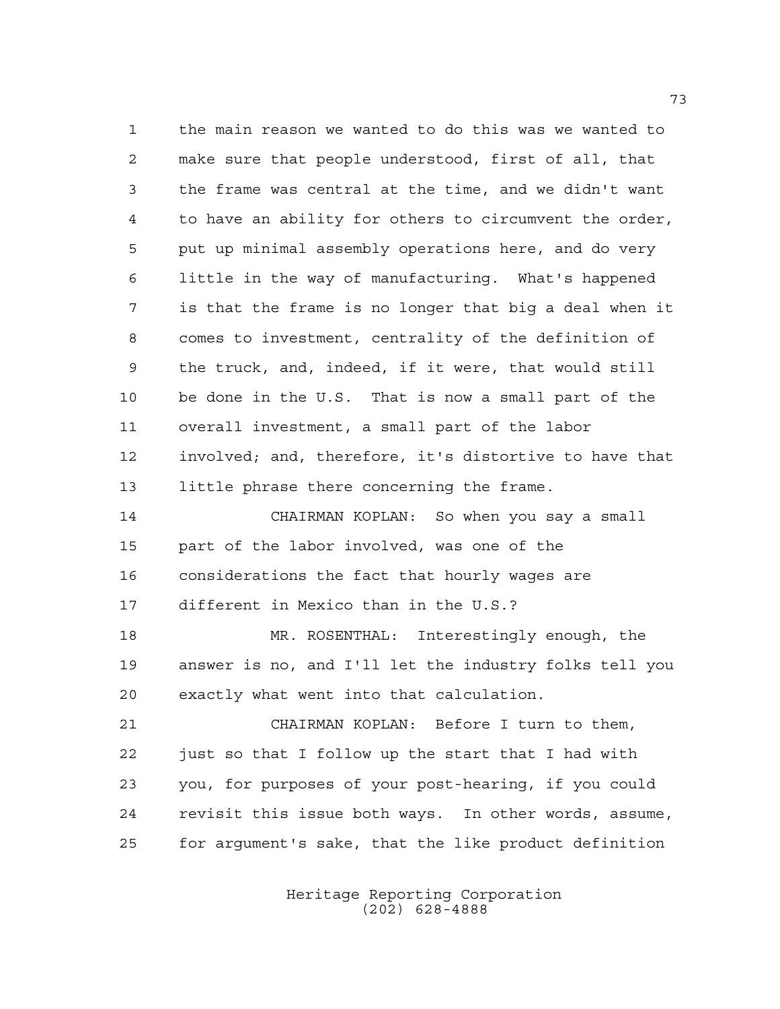the main reason we wanted to do this was we wanted to make sure that people understood, first of all, that the frame was central at the time, and we didn't want to have an ability for others to circumvent the order, put up minimal assembly operations here, and do very little in the way of manufacturing. What's happened is that the frame is no longer that big a deal when it comes to investment, centrality of the definition of the truck, and, indeed, if it were, that would still be done in the U.S. That is now a small part of the overall investment, a small part of the labor involved; and, therefore, it's distortive to have that little phrase there concerning the frame. CHAIRMAN KOPLAN: So when you say a small part of the labor involved, was one of the considerations the fact that hourly wages are different in Mexico than in the U.S.? MR. ROSENTHAL: Interestingly enough, the answer is no, and I'll let the industry folks tell you exactly what went into that calculation. CHAIRMAN KOPLAN: Before I turn to them, just so that I follow up the start that I had with you, for purposes of your post-hearing, if you could revisit this issue both ways. In other words, assume,

Heritage Reporting Corporation

for argument's sake, that the like product definition

(202) 628-4888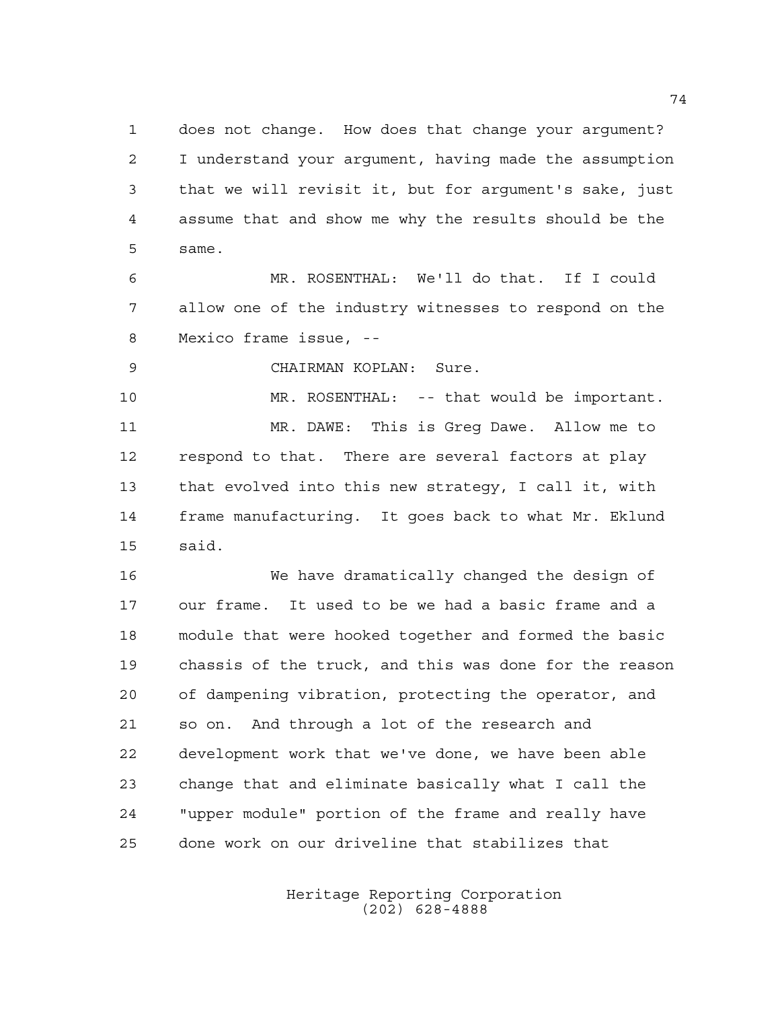does not change. How does that change your argument? I understand your argument, having made the assumption that we will revisit it, but for argument's sake, just assume that and show me why the results should be the same.

 MR. ROSENTHAL: We'll do that. If I could allow one of the industry witnesses to respond on the Mexico frame issue, --

CHAIRMAN KOPLAN: Sure.

 MR. ROSENTHAL: -- that would be important. MR. DAWE: This is Greg Dawe. Allow me to respond to that. There are several factors at play that evolved into this new strategy, I call it, with frame manufacturing. It goes back to what Mr. Eklund said.

 We have dramatically changed the design of our frame. It used to be we had a basic frame and a module that were hooked together and formed the basic chassis of the truck, and this was done for the reason of dampening vibration, protecting the operator, and so on. And through a lot of the research and development work that we've done, we have been able change that and eliminate basically what I call the "upper module" portion of the frame and really have done work on our driveline that stabilizes that

> Heritage Reporting Corporation (202) 628-4888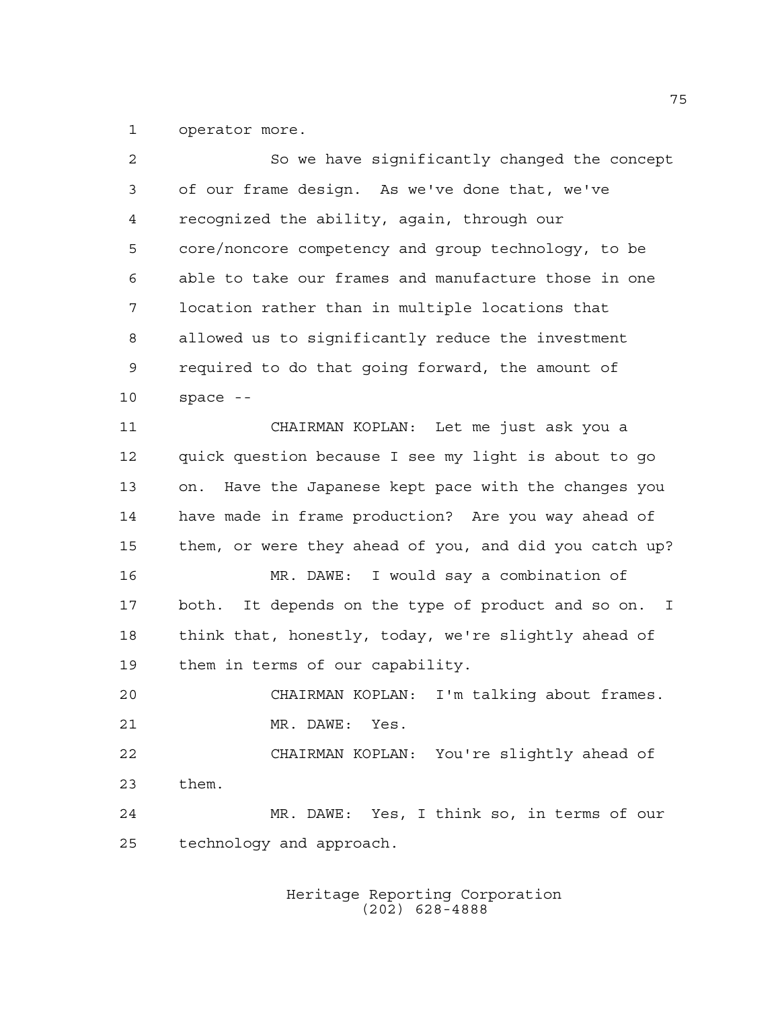operator more.

| $\overline{a}$ | So we have significantly changed the concept            |
|----------------|---------------------------------------------------------|
| 3              | of our frame design. As we've done that, we've          |
| 4              | recognized the ability, again, through our              |
| 5              | core/noncore competency and group technology, to be     |
| 6              | able to take our frames and manufacture those in one    |
| 7              | location rather than in multiple locations that         |
| 8              | allowed us to significantly reduce the investment       |
| 9              | required to do that going forward, the amount of        |
| 10             | space $-$                                               |
| 11             | CHAIRMAN KOPLAN: Let me just ask you a                  |
| 12             | quick question because I see my light is about to go    |
| 13             | Have the Japanese kept pace with the changes you<br>on. |
| 14             | have made in frame production? Are you way ahead of     |
| 15             | them, or were they ahead of you, and did you catch up?  |
| 16             | MR. DAWE: I would say a combination of                  |
| 17             | both. It depends on the type of product and so on. I    |
| 18             | think that, honestly, today, we're slightly ahead of    |
| 19             | them in terms of our capability.                        |
| 20             | CHAIRMAN KOPLAN: I'm talking about frames.              |
| 21             | MR. DAWE:<br>Yes.                                       |
| 22             | CHAIRMAN KOPLAN: You're slightly ahead of               |
| 23             | them.                                                   |
| 24             | MR. DAWE: Yes, I think so, in terms of our              |
| 25             | technology and approach.                                |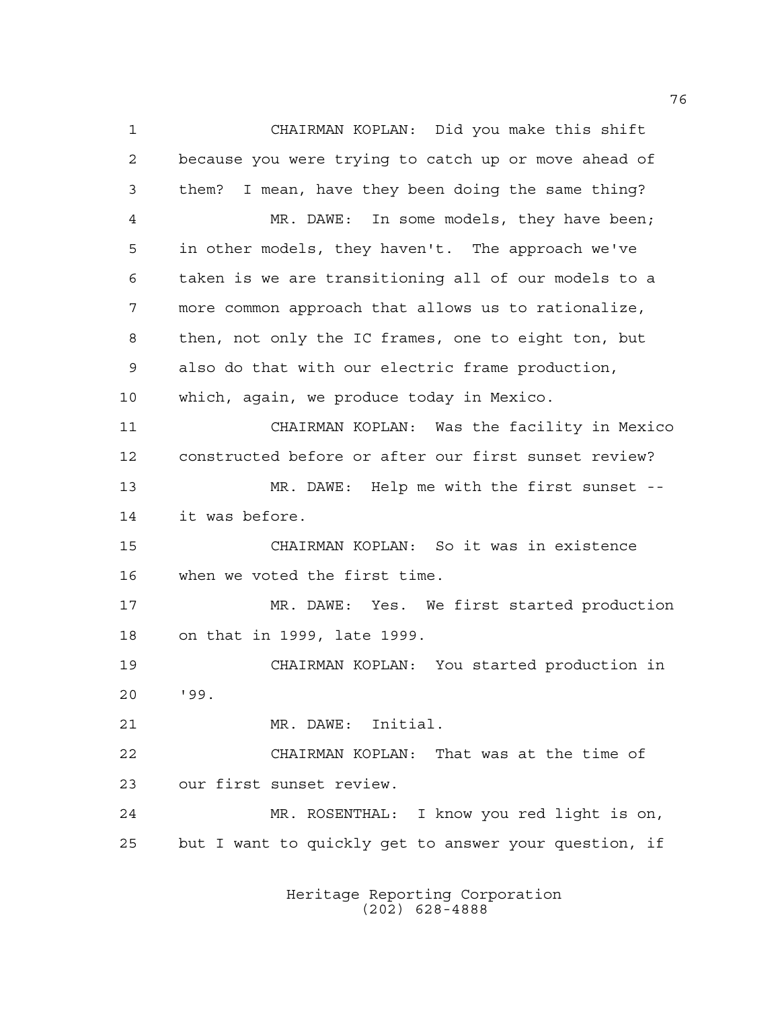CHAIRMAN KOPLAN: Did you make this shift because you were trying to catch up or move ahead of them? I mean, have they been doing the same thing? MR. DAWE: In some models, they have been; in other models, they haven't. The approach we've taken is we are transitioning all of our models to a more common approach that allows us to rationalize, then, not only the IC frames, one to eight ton, but also do that with our electric frame production, which, again, we produce today in Mexico. CHAIRMAN KOPLAN: Was the facility in Mexico constructed before or after our first sunset review? MR. DAWE: Help me with the first sunset -- it was before. CHAIRMAN KOPLAN: So it was in existence when we voted the first time. MR. DAWE: Yes. We first started production on that in 1999, late 1999. CHAIRMAN KOPLAN: You started production in '99. MR. DAWE: Initial. CHAIRMAN KOPLAN: That was at the time of our first sunset review. MR. ROSENTHAL: I know you red light is on, but I want to quickly get to answer your question, if

> Heritage Reporting Corporation (202) 628-4888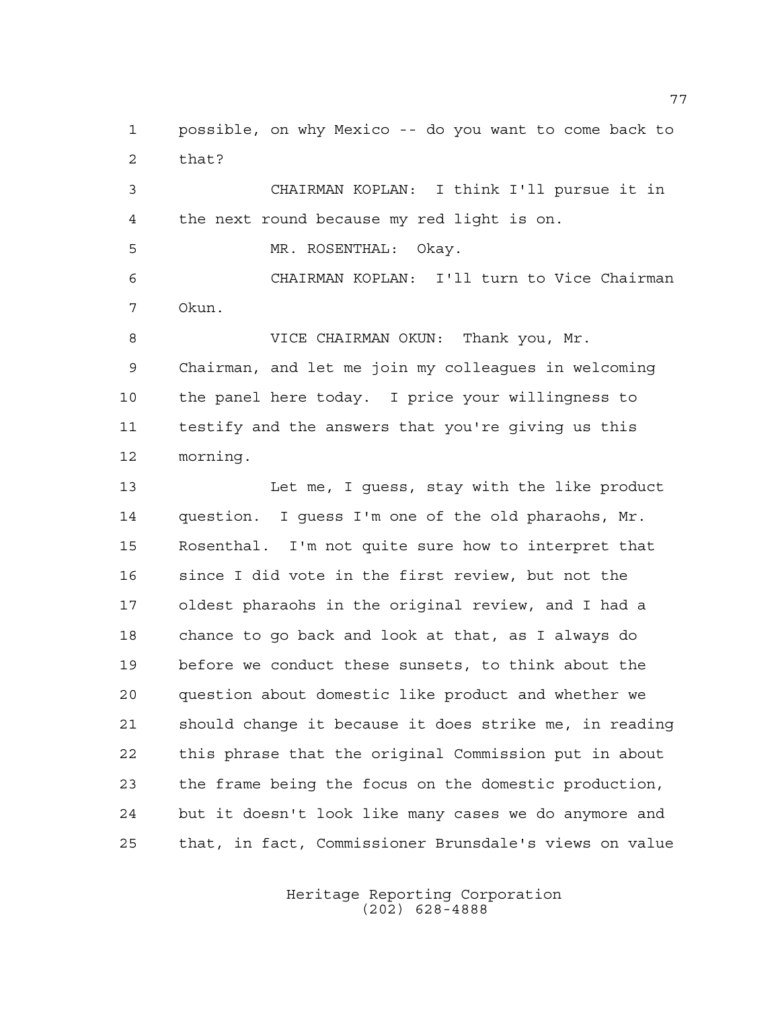possible, on why Mexico -- do you want to come back to that?

 CHAIRMAN KOPLAN: I think I'll pursue it in the next round because my red light is on.

MR. ROSENTHAL: Okay.

 CHAIRMAN KOPLAN: I'll turn to Vice Chairman Okun.

8 VICE CHAIRMAN OKUN: Thank you, Mr. Chairman, and let me join my colleagues in welcoming the panel here today. I price your willingness to testify and the answers that you're giving us this morning.

 Let me, I guess, stay with the like product question. I guess I'm one of the old pharaohs, Mr. Rosenthal. I'm not quite sure how to interpret that since I did vote in the first review, but not the oldest pharaohs in the original review, and I had a chance to go back and look at that, as I always do before we conduct these sunsets, to think about the question about domestic like product and whether we should change it because it does strike me, in reading this phrase that the original Commission put in about the frame being the focus on the domestic production, but it doesn't look like many cases we do anymore and that, in fact, Commissioner Brunsdale's views on value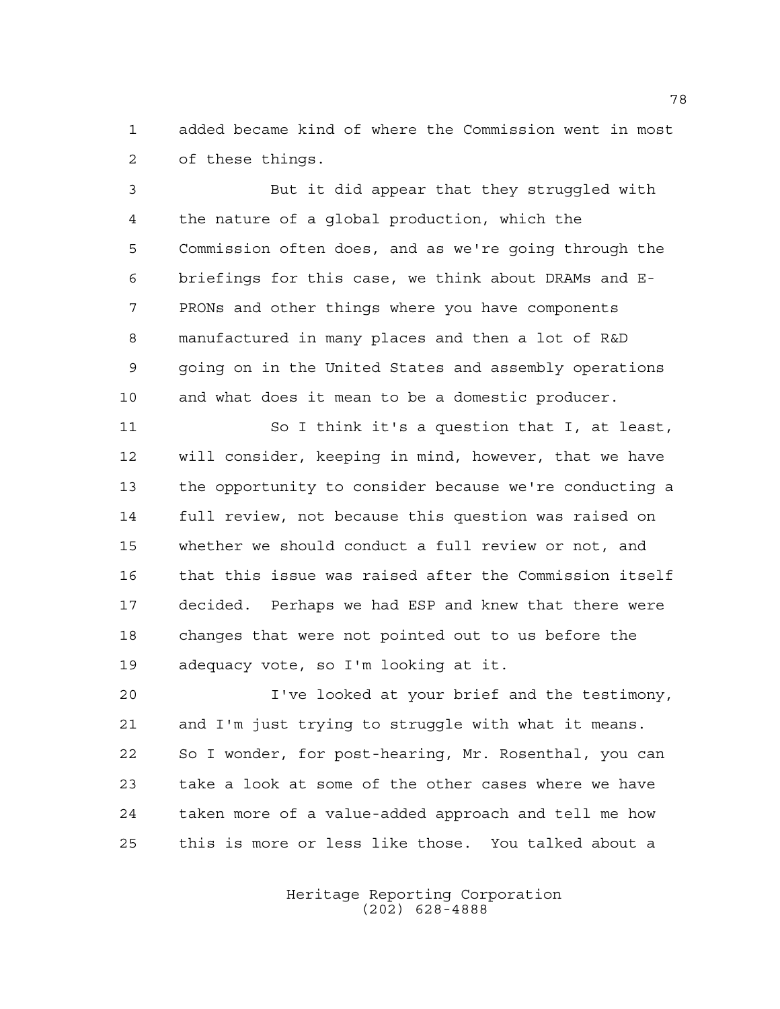added became kind of where the Commission went in most of these things.

 But it did appear that they struggled with the nature of a global production, which the Commission often does, and as we're going through the briefings for this case, we think about DRAMs and E- PRONs and other things where you have components manufactured in many places and then a lot of R&D going on in the United States and assembly operations and what does it mean to be a domestic producer.

 So I think it's a question that I, at least, will consider, keeping in mind, however, that we have the opportunity to consider because we're conducting a full review, not because this question was raised on whether we should conduct a full review or not, and that this issue was raised after the Commission itself decided. Perhaps we had ESP and knew that there were changes that were not pointed out to us before the adequacy vote, so I'm looking at it.

 I've looked at your brief and the testimony, and I'm just trying to struggle with what it means. So I wonder, for post-hearing, Mr. Rosenthal, you can take a look at some of the other cases where we have taken more of a value-added approach and tell me how this is more or less like those. You talked about a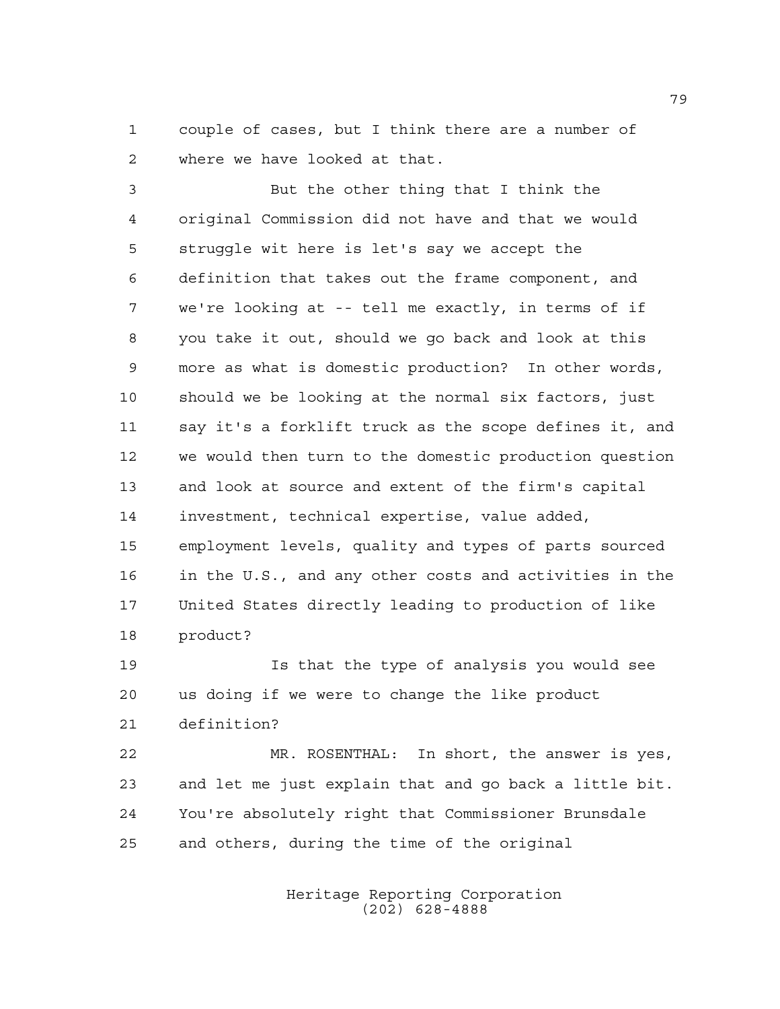couple of cases, but I think there are a number of where we have looked at that.

 But the other thing that I think the original Commission did not have and that we would struggle wit here is let's say we accept the definition that takes out the frame component, and we're looking at -- tell me exactly, in terms of if you take it out, should we go back and look at this more as what is domestic production? In other words, should we be looking at the normal six factors, just say it's a forklift truck as the scope defines it, and we would then turn to the domestic production question and look at source and extent of the firm's capital investment, technical expertise, value added, employment levels, quality and types of parts sourced in the U.S., and any other costs and activities in the United States directly leading to production of like product?

 Is that the type of analysis you would see us doing if we were to change the like product definition?

 MR. ROSENTHAL: In short, the answer is yes, and let me just explain that and go back a little bit. You're absolutely right that Commissioner Brunsdale and others, during the time of the original

> Heritage Reporting Corporation (202) 628-4888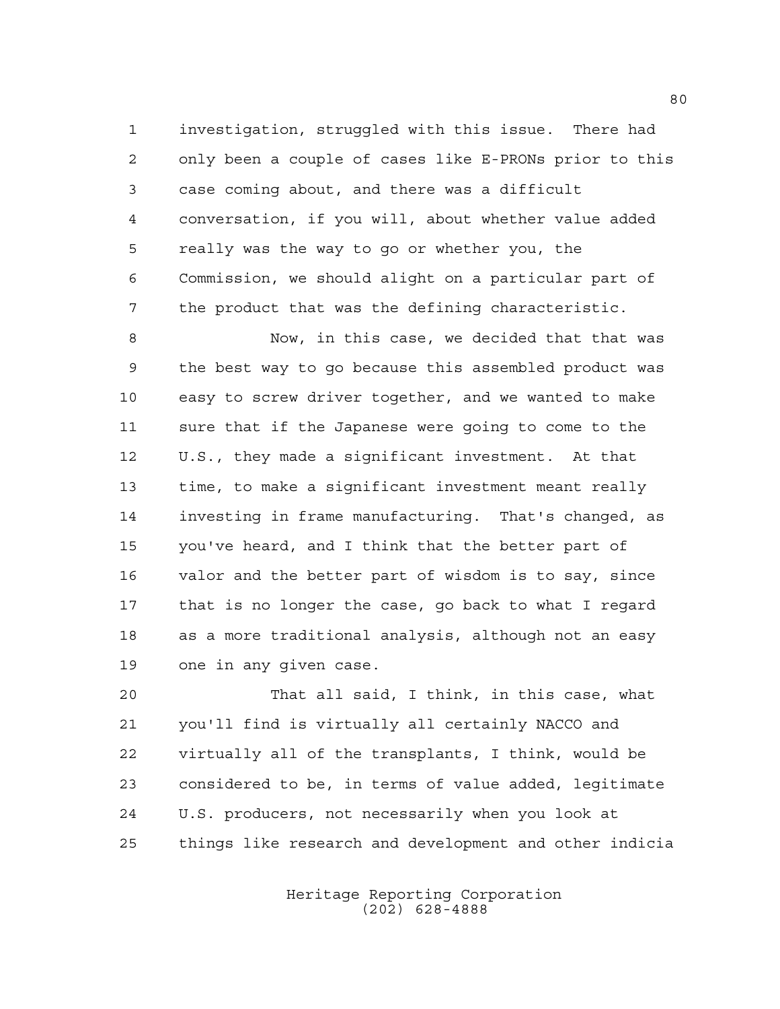investigation, struggled with this issue. There had only been a couple of cases like E-PRONs prior to this case coming about, and there was a difficult conversation, if you will, about whether value added really was the way to go or whether you, the Commission, we should alight on a particular part of the product that was the defining characteristic.

 Now, in this case, we decided that that was the best way to go because this assembled product was easy to screw driver together, and we wanted to make sure that if the Japanese were going to come to the U.S., they made a significant investment. At that time, to make a significant investment meant really investing in frame manufacturing. That's changed, as you've heard, and I think that the better part of valor and the better part of wisdom is to say, since that is no longer the case, go back to what I regard as a more traditional analysis, although not an easy one in any given case.

 That all said, I think, in this case, what you'll find is virtually all certainly NACCO and virtually all of the transplants, I think, would be considered to be, in terms of value added, legitimate U.S. producers, not necessarily when you look at things like research and development and other indicia

> Heritage Reporting Corporation (202) 628-4888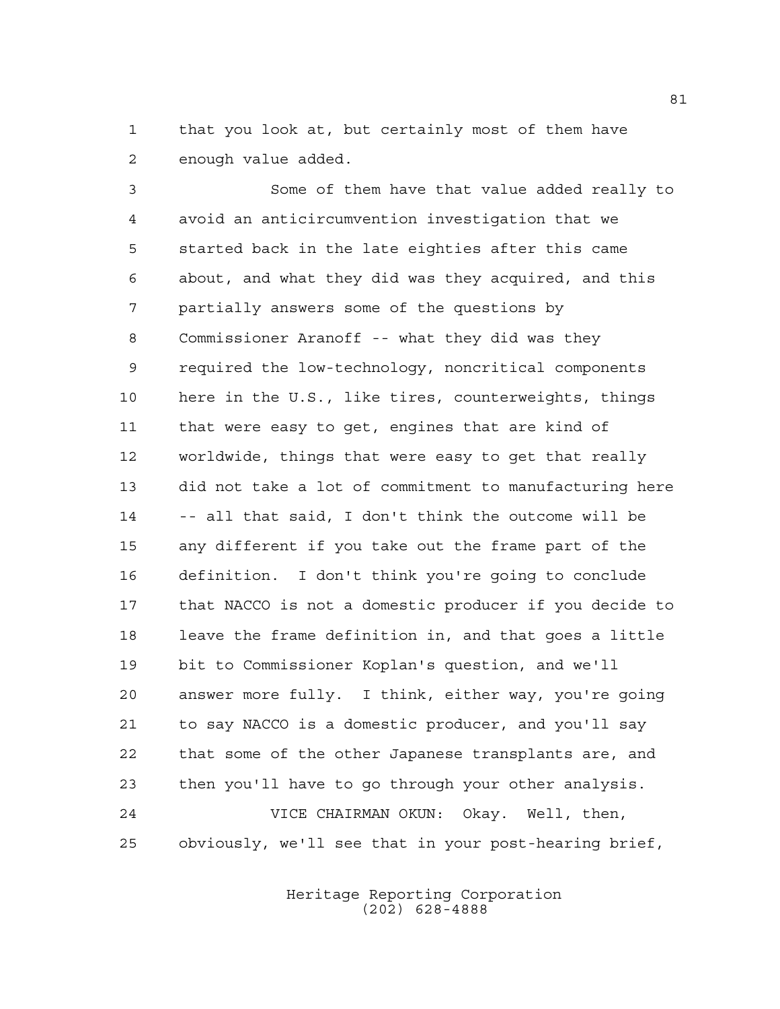that you look at, but certainly most of them have enough value added.

 Some of them have that value added really to avoid an anticircumvention investigation that we started back in the late eighties after this came about, and what they did was they acquired, and this partially answers some of the questions by Commissioner Aranoff -- what they did was they required the low-technology, noncritical components here in the U.S., like tires, counterweights, things that were easy to get, engines that are kind of worldwide, things that were easy to get that really did not take a lot of commitment to manufacturing here -- all that said, I don't think the outcome will be any different if you take out the frame part of the definition. I don't think you're going to conclude that NACCO is not a domestic producer if you decide to leave the frame definition in, and that goes a little bit to Commissioner Koplan's question, and we'll answer more fully. I think, either way, you're going to say NACCO is a domestic producer, and you'll say that some of the other Japanese transplants are, and then you'll have to go through your other analysis. VICE CHAIRMAN OKUN: Okay. Well, then, obviously, we'll see that in your post-hearing brief,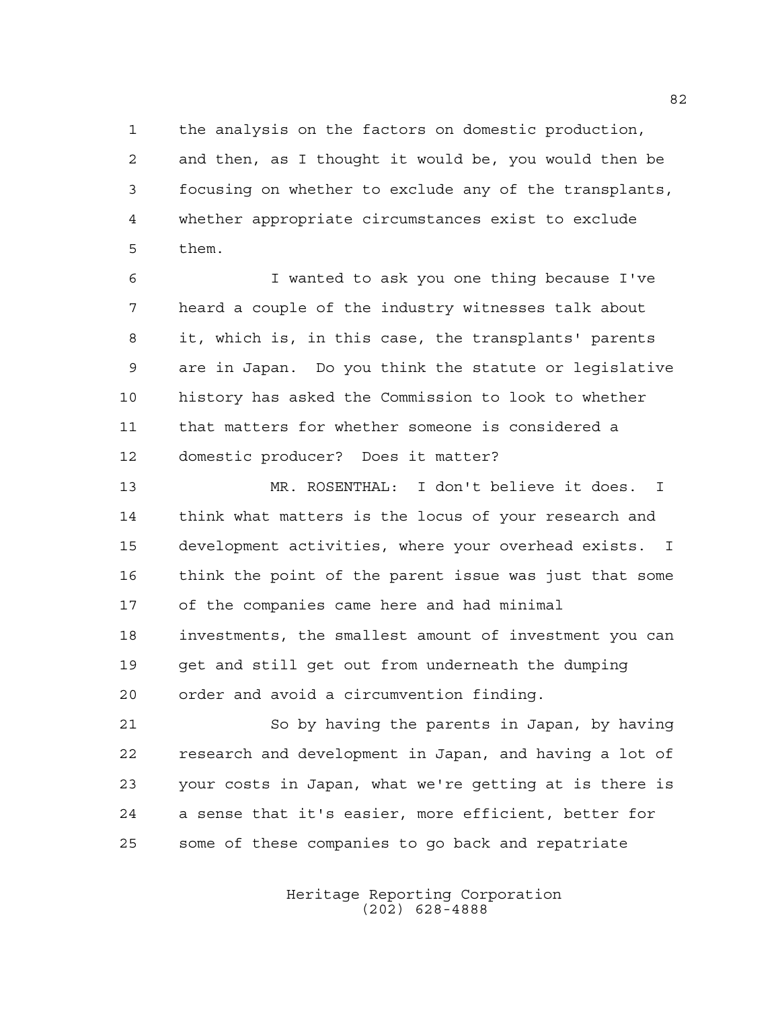the analysis on the factors on domestic production, and then, as I thought it would be, you would then be focusing on whether to exclude any of the transplants, whether appropriate circumstances exist to exclude them.

 I wanted to ask you one thing because I've heard a couple of the industry witnesses talk about it, which is, in this case, the transplants' parents are in Japan. Do you think the statute or legislative history has asked the Commission to look to whether that matters for whether someone is considered a domestic producer? Does it matter?

 MR. ROSENTHAL: I don't believe it does. I think what matters is the locus of your research and development activities, where your overhead exists. I think the point of the parent issue was just that some of the companies came here and had minimal investments, the smallest amount of investment you can get and still get out from underneath the dumping order and avoid a circumvention finding.

 So by having the parents in Japan, by having research and development in Japan, and having a lot of your costs in Japan, what we're getting at is there is a sense that it's easier, more efficient, better for some of these companies to go back and repatriate

> Heritage Reporting Corporation (202) 628-4888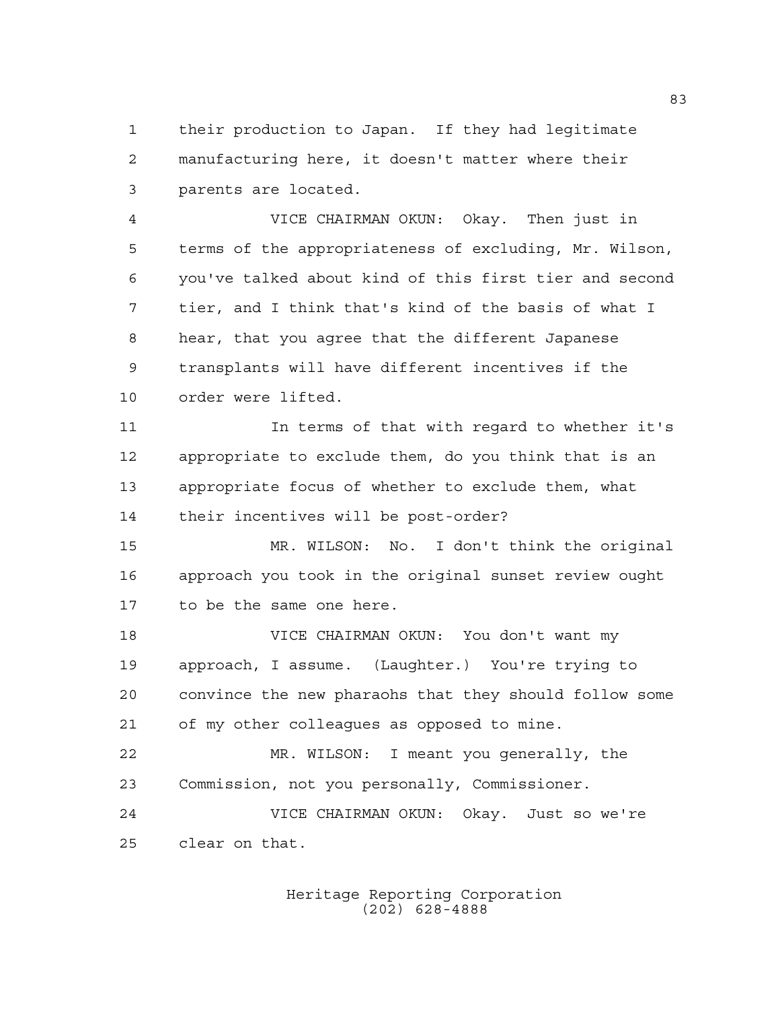their production to Japan. If they had legitimate manufacturing here, it doesn't matter where their parents are located.

 VICE CHAIRMAN OKUN: Okay. Then just in terms of the appropriateness of excluding, Mr. Wilson, you've talked about kind of this first tier and second tier, and I think that's kind of the basis of what I hear, that you agree that the different Japanese transplants will have different incentives if the order were lifted.

 In terms of that with regard to whether it's appropriate to exclude them, do you think that is an appropriate focus of whether to exclude them, what their incentives will be post-order?

 MR. WILSON: No. I don't think the original approach you took in the original sunset review ought to be the same one here.

 VICE CHAIRMAN OKUN: You don't want my approach, I assume. (Laughter.) You're trying to convince the new pharaohs that they should follow some of my other colleagues as opposed to mine.

 MR. WILSON: I meant you generally, the Commission, not you personally, Commissioner. VICE CHAIRMAN OKUN: Okay. Just so we're

clear on that.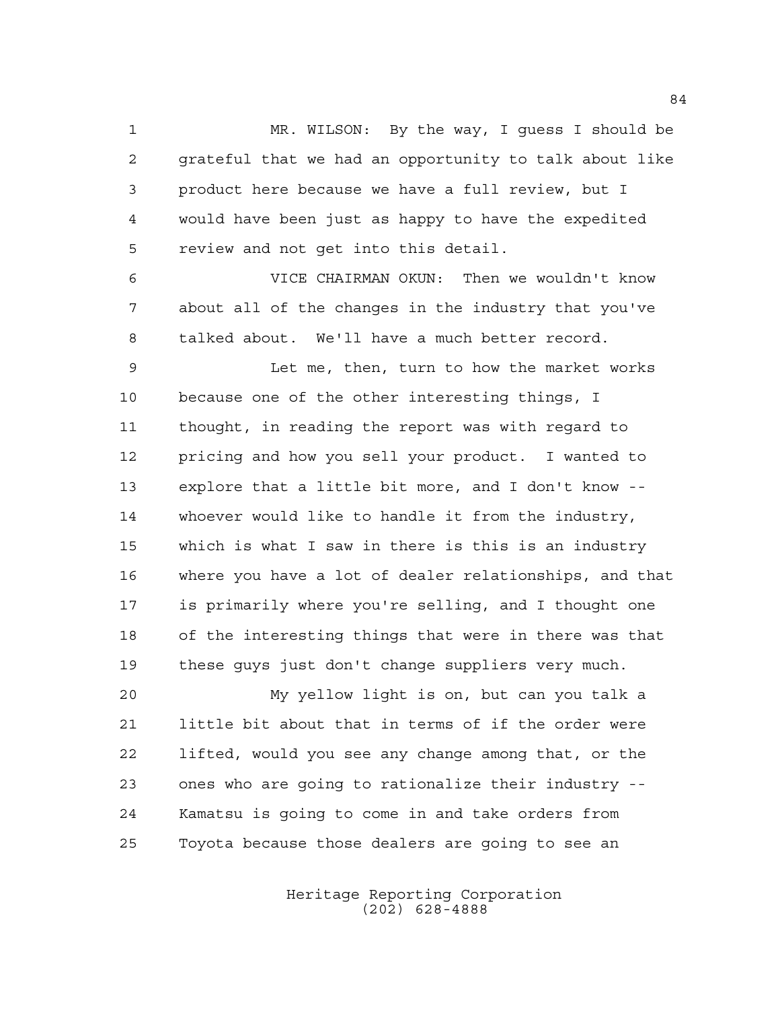MR. WILSON: By the way, I guess I should be grateful that we had an opportunity to talk about like product here because we have a full review, but I would have been just as happy to have the expedited review and not get into this detail.

 VICE CHAIRMAN OKUN: Then we wouldn't know about all of the changes in the industry that you've talked about. We'll have a much better record.

 Let me, then, turn to how the market works because one of the other interesting things, I thought, in reading the report was with regard to pricing and how you sell your product. I wanted to explore that a little bit more, and I don't know -- whoever would like to handle it from the industry, which is what I saw in there is this is an industry where you have a lot of dealer relationships, and that is primarily where you're selling, and I thought one of the interesting things that were in there was that these guys just don't change suppliers very much.

 My yellow light is on, but can you talk a little bit about that in terms of if the order were lifted, would you see any change among that, or the ones who are going to rationalize their industry -- Kamatsu is going to come in and take orders from Toyota because those dealers are going to see an

> Heritage Reporting Corporation (202) 628-4888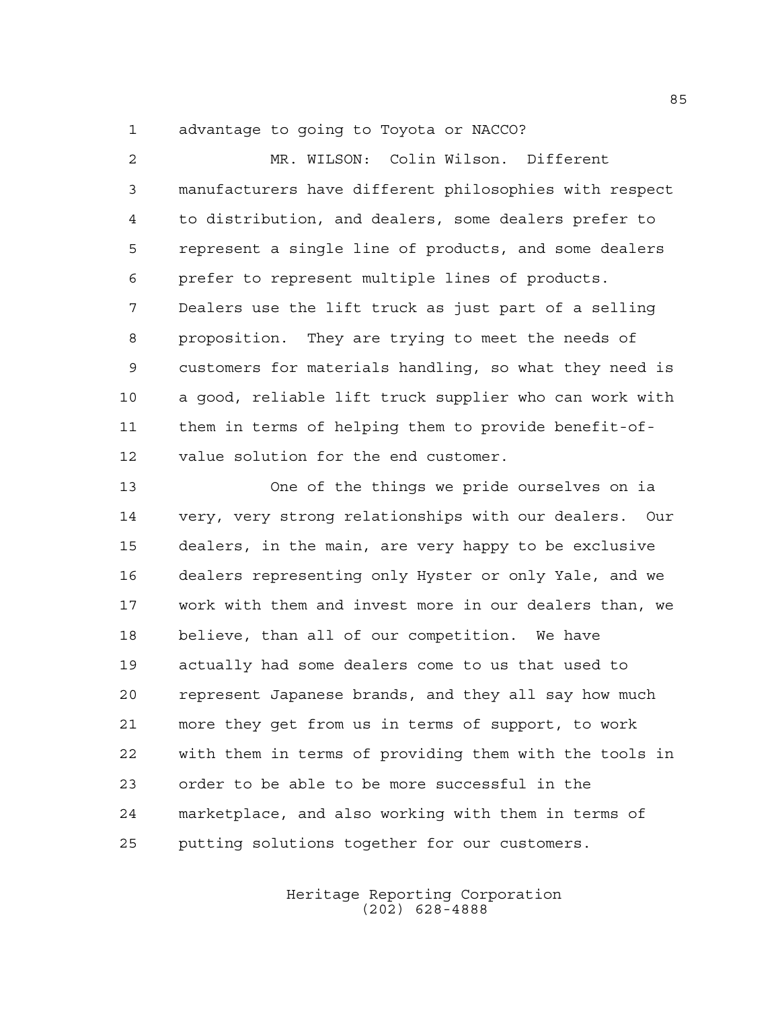advantage to going to Toyota or NACCO?

 MR. WILSON: Colin Wilson. Different manufacturers have different philosophies with respect to distribution, and dealers, some dealers prefer to represent a single line of products, and some dealers prefer to represent multiple lines of products. Dealers use the lift truck as just part of a selling proposition. They are trying to meet the needs of customers for materials handling, so what they need is a good, reliable lift truck supplier who can work with them in terms of helping them to provide benefit-of- value solution for the end customer. One of the things we pride ourselves on ia very, very strong relationships with our dealers. Our dealers, in the main, are very happy to be exclusive dealers representing only Hyster or only Yale, and we work with them and invest more in our dealers than, we believe, than all of our competition. We have actually had some dealers come to us that used to represent Japanese brands, and they all say how much more they get from us in terms of support, to work with them in terms of providing them with the tools in

 marketplace, and also working with them in terms of putting solutions together for our customers.

order to be able to be more successful in the

Heritage Reporting Corporation (202) 628-4888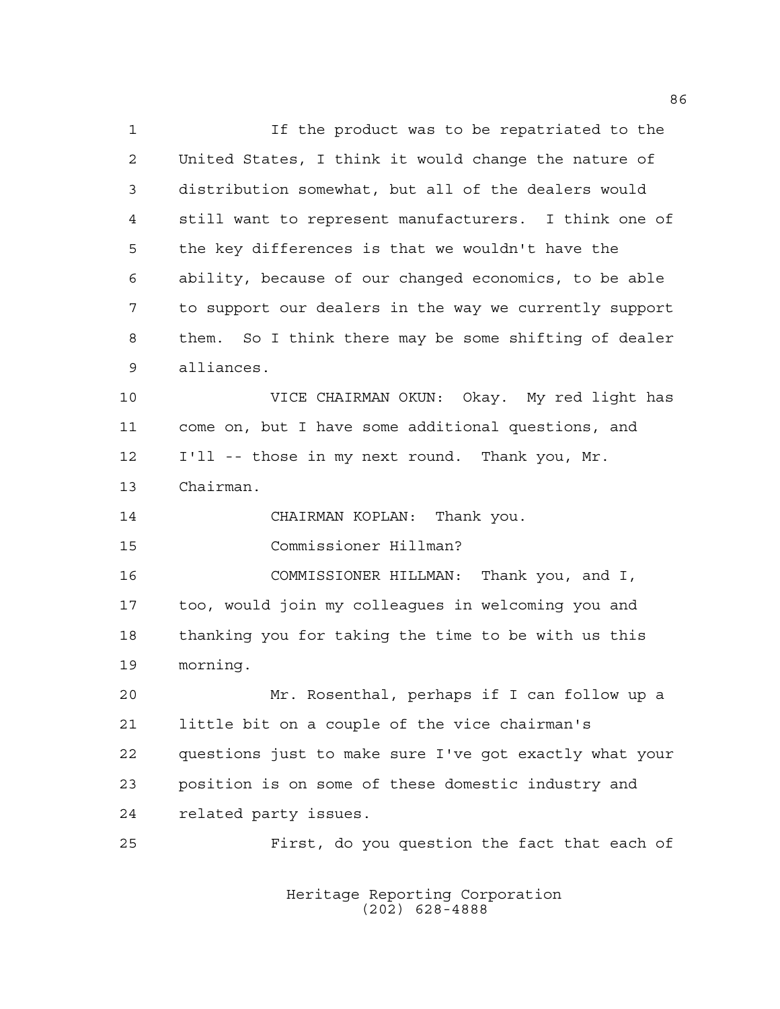If the product was to be repatriated to the United States, I think it would change the nature of distribution somewhat, but all of the dealers would still want to represent manufacturers. I think one of the key differences is that we wouldn't have the ability, because of our changed economics, to be able to support our dealers in the way we currently support them. So I think there may be some shifting of dealer alliances.

 VICE CHAIRMAN OKUN: Okay. My red light has come on, but I have some additional questions, and I'll -- those in my next round. Thank you, Mr. Chairman.

CHAIRMAN KOPLAN: Thank you.

Commissioner Hillman?

 COMMISSIONER HILLMAN: Thank you, and I, too, would join my colleagues in welcoming you and thanking you for taking the time to be with us this morning.

 Mr. Rosenthal, perhaps if I can follow up a little bit on a couple of the vice chairman's questions just to make sure I've got exactly what your position is on some of these domestic industry and related party issues.

First, do you question the fact that each of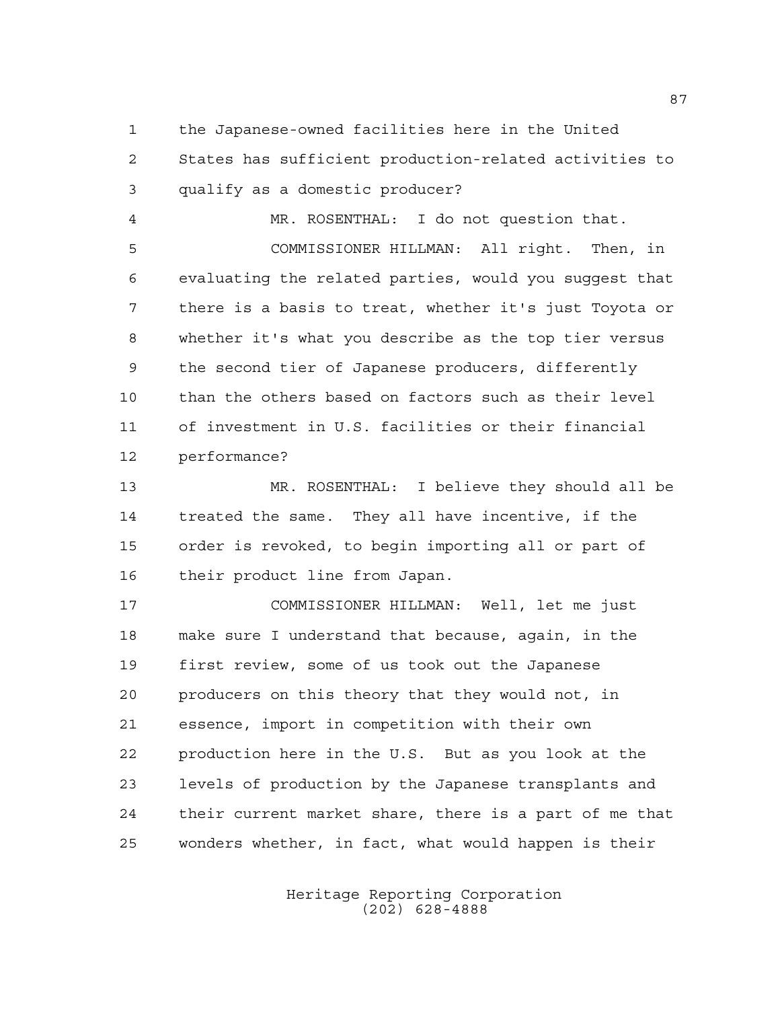the Japanese-owned facilities here in the United

 States has sufficient production-related activities to qualify as a domestic producer?

 MR. ROSENTHAL: I do not question that. COMMISSIONER HILLMAN: All right. Then, in evaluating the related parties, would you suggest that there is a basis to treat, whether it's just Toyota or whether it's what you describe as the top tier versus the second tier of Japanese producers, differently than the others based on factors such as their level of investment in U.S. facilities or their financial performance?

 MR. ROSENTHAL: I believe they should all be treated the same. They all have incentive, if the order is revoked, to begin importing all or part of their product line from Japan.

 COMMISSIONER HILLMAN: Well, let me just make sure I understand that because, again, in the first review, some of us took out the Japanese producers on this theory that they would not, in essence, import in competition with their own production here in the U.S. But as you look at the levels of production by the Japanese transplants and their current market share, there is a part of me that wonders whether, in fact, what would happen is their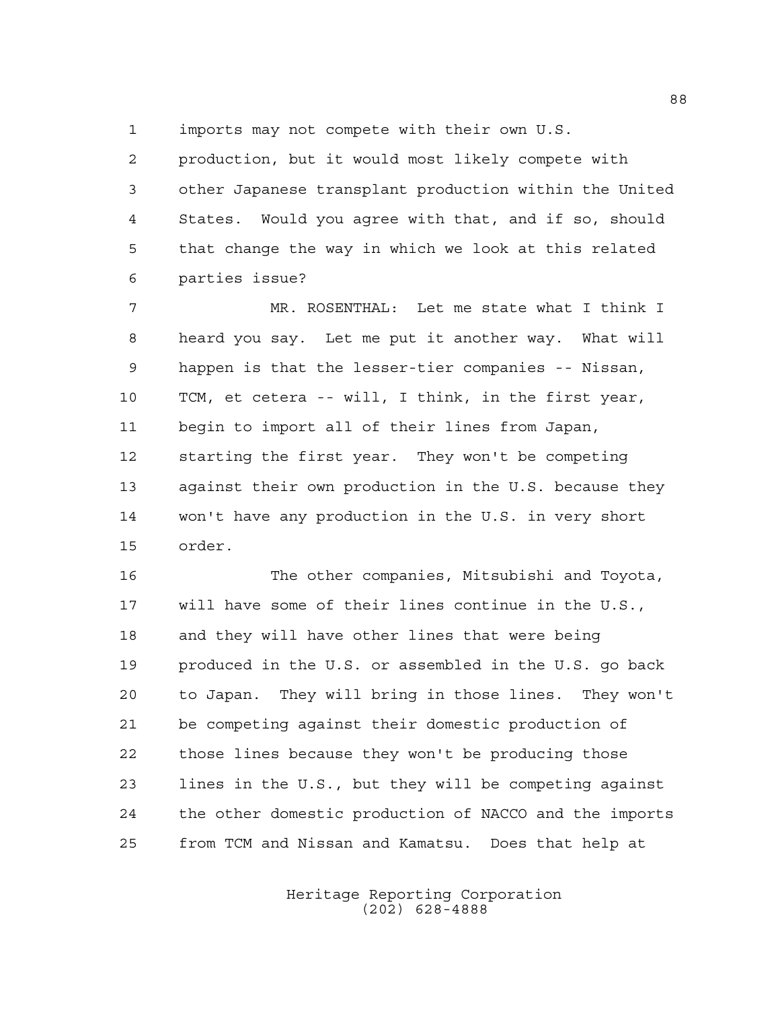imports may not compete with their own U.S.

 production, but it would most likely compete with other Japanese transplant production within the United States. Would you agree with that, and if so, should that change the way in which we look at this related parties issue?

 MR. ROSENTHAL: Let me state what I think I heard you say. Let me put it another way. What will happen is that the lesser-tier companies -- Nissan, TCM, et cetera -- will, I think, in the first year, begin to import all of their lines from Japan, starting the first year. They won't be competing against their own production in the U.S. because they won't have any production in the U.S. in very short order.

 The other companies, Mitsubishi and Toyota, will have some of their lines continue in the U.S., and they will have other lines that were being produced in the U.S. or assembled in the U.S. go back to Japan. They will bring in those lines. They won't be competing against their domestic production of those lines because they won't be producing those lines in the U.S., but they will be competing against the other domestic production of NACCO and the imports from TCM and Nissan and Kamatsu. Does that help at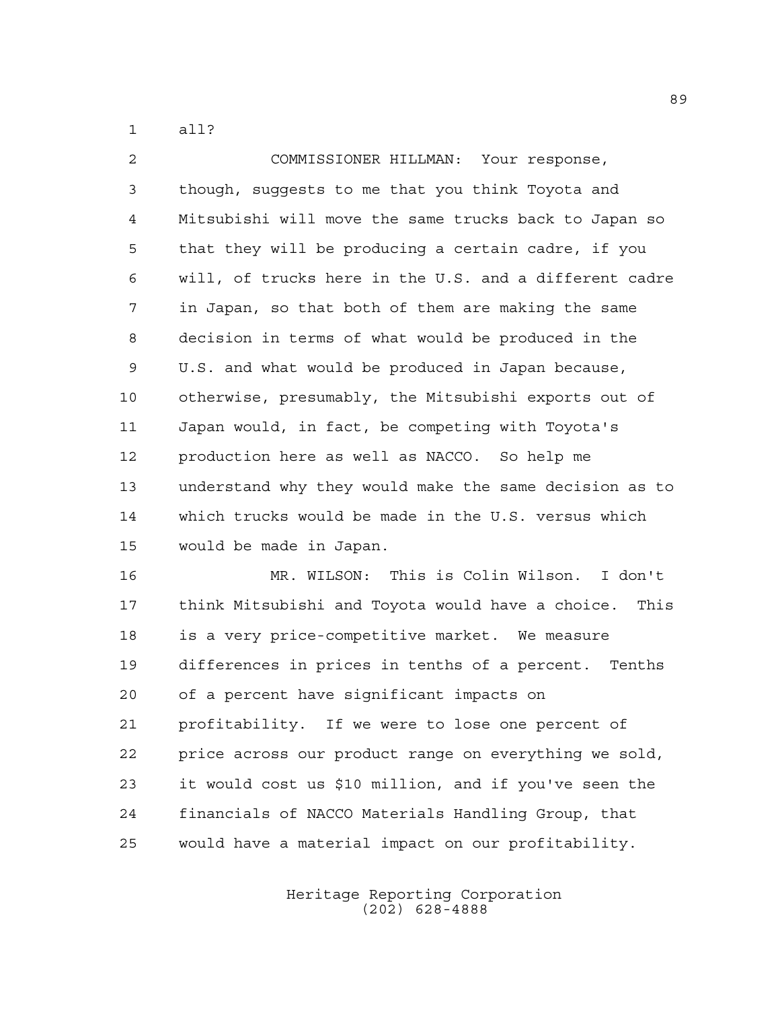all?

 COMMISSIONER HILLMAN: Your response, though, suggests to me that you think Toyota and Mitsubishi will move the same trucks back to Japan so that they will be producing a certain cadre, if you will, of trucks here in the U.S. and a different cadre in Japan, so that both of them are making the same decision in terms of what would be produced in the U.S. and what would be produced in Japan because, otherwise, presumably, the Mitsubishi exports out of Japan would, in fact, be competing with Toyota's production here as well as NACCO. So help me understand why they would make the same decision as to which trucks would be made in the U.S. versus which would be made in Japan.

 MR. WILSON: This is Colin Wilson. I don't think Mitsubishi and Toyota would have a choice. This is a very price-competitive market. We measure differences in prices in tenths of a percent. Tenths of a percent have significant impacts on profitability. If we were to lose one percent of price across our product range on everything we sold, it would cost us \$10 million, and if you've seen the financials of NACCO Materials Handling Group, that would have a material impact on our profitability.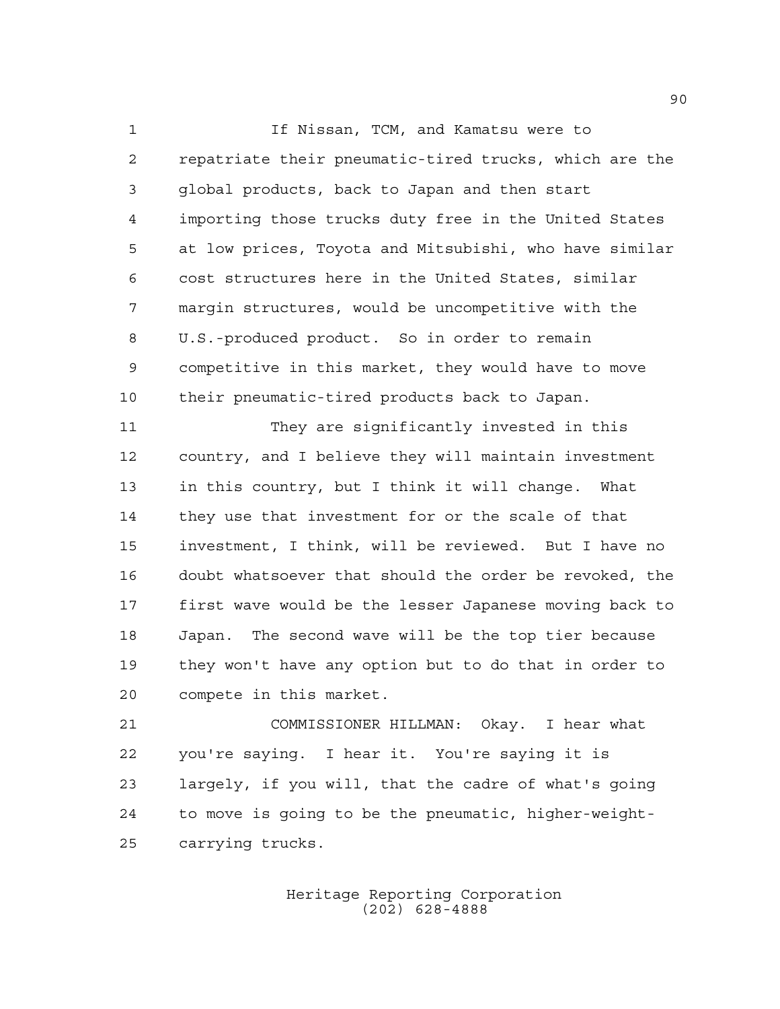If Nissan, TCM, and Kamatsu were to repatriate their pneumatic-tired trucks, which are the global products, back to Japan and then start importing those trucks duty free in the United States at low prices, Toyota and Mitsubishi, who have similar cost structures here in the United States, similar margin structures, would be uncompetitive with the U.S.-produced product. So in order to remain competitive in this market, they would have to move their pneumatic-tired products back to Japan.

 They are significantly invested in this country, and I believe they will maintain investment in this country, but I think it will change. What they use that investment for or the scale of that investment, I think, will be reviewed. But I have no doubt whatsoever that should the order be revoked, the first wave would be the lesser Japanese moving back to Japan. The second wave will be the top tier because they won't have any option but to do that in order to compete in this market.

 COMMISSIONER HILLMAN: Okay. I hear what you're saying. I hear it. You're saying it is largely, if you will, that the cadre of what's going to move is going to be the pneumatic, higher-weight-carrying trucks.

> Heritage Reporting Corporation (202) 628-4888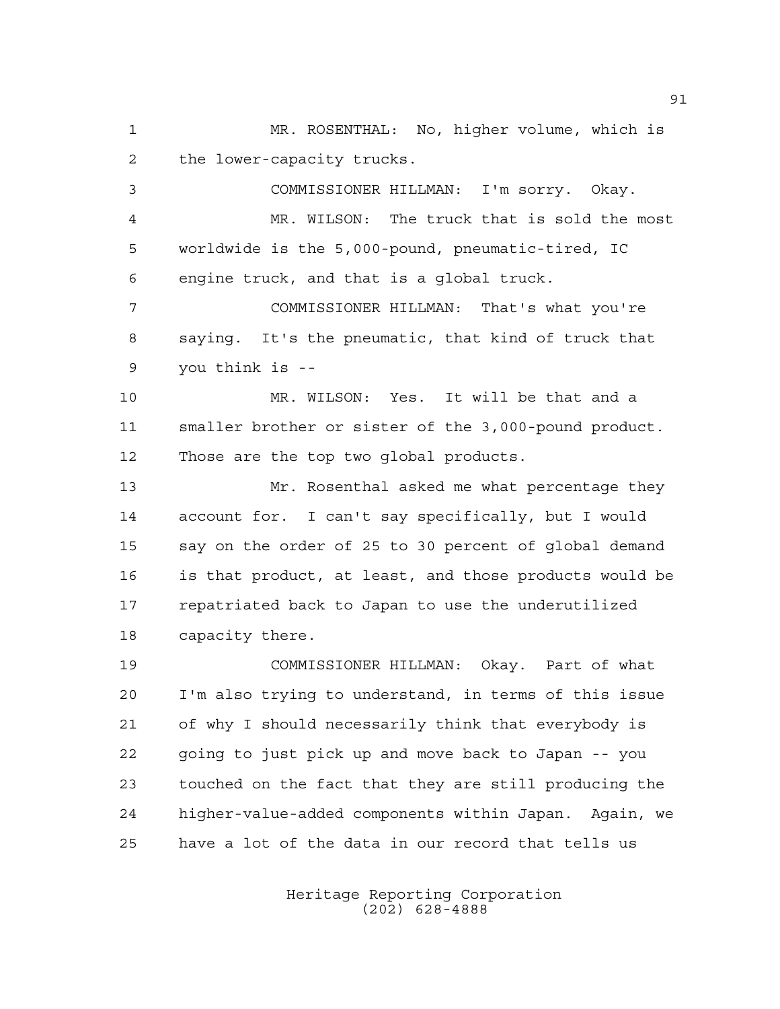MR. ROSENTHAL: No, higher volume, which is the lower-capacity trucks.

 COMMISSIONER HILLMAN: I'm sorry. Okay. MR. WILSON: The truck that is sold the most worldwide is the 5,000-pound, pneumatic-tired, IC engine truck, and that is a global truck. COMMISSIONER HILLMAN: That's what you're saying. It's the pneumatic, that kind of truck that you think is -- MR. WILSON: Yes. It will be that and a

 smaller brother or sister of the 3,000-pound product. Those are the top two global products.

 Mr. Rosenthal asked me what percentage they account for. I can't say specifically, but I would say on the order of 25 to 30 percent of global demand is that product, at least, and those products would be repatriated back to Japan to use the underutilized capacity there.

 COMMISSIONER HILLMAN: Okay. Part of what I'm also trying to understand, in terms of this issue of why I should necessarily think that everybody is going to just pick up and move back to Japan -- you touched on the fact that they are still producing the higher-value-added components within Japan. Again, we have a lot of the data in our record that tells us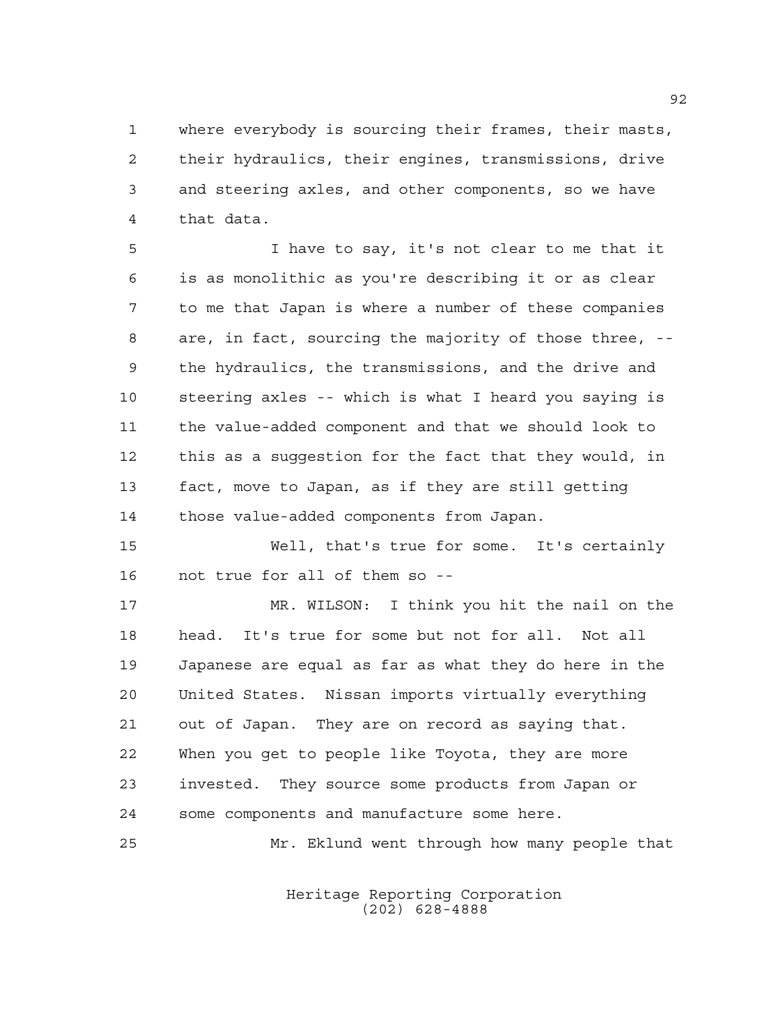where everybody is sourcing their frames, their masts, their hydraulics, their engines, transmissions, drive and steering axles, and other components, so we have that data.

 I have to say, it's not clear to me that it is as monolithic as you're describing it or as clear to me that Japan is where a number of these companies are, in fact, sourcing the majority of those three, -- the hydraulics, the transmissions, and the drive and steering axles -- which is what I heard you saying is the value-added component and that we should look to this as a suggestion for the fact that they would, in fact, move to Japan, as if they are still getting those value-added components from Japan.

 Well, that's true for some. It's certainly not true for all of them so --

 MR. WILSON: I think you hit the nail on the head. It's true for some but not for all. Not all Japanese are equal as far as what they do here in the United States. Nissan imports virtually everything out of Japan. They are on record as saying that. When you get to people like Toyota, they are more invested. They source some products from Japan or some components and manufacture some here. Mr. Eklund went through how many people that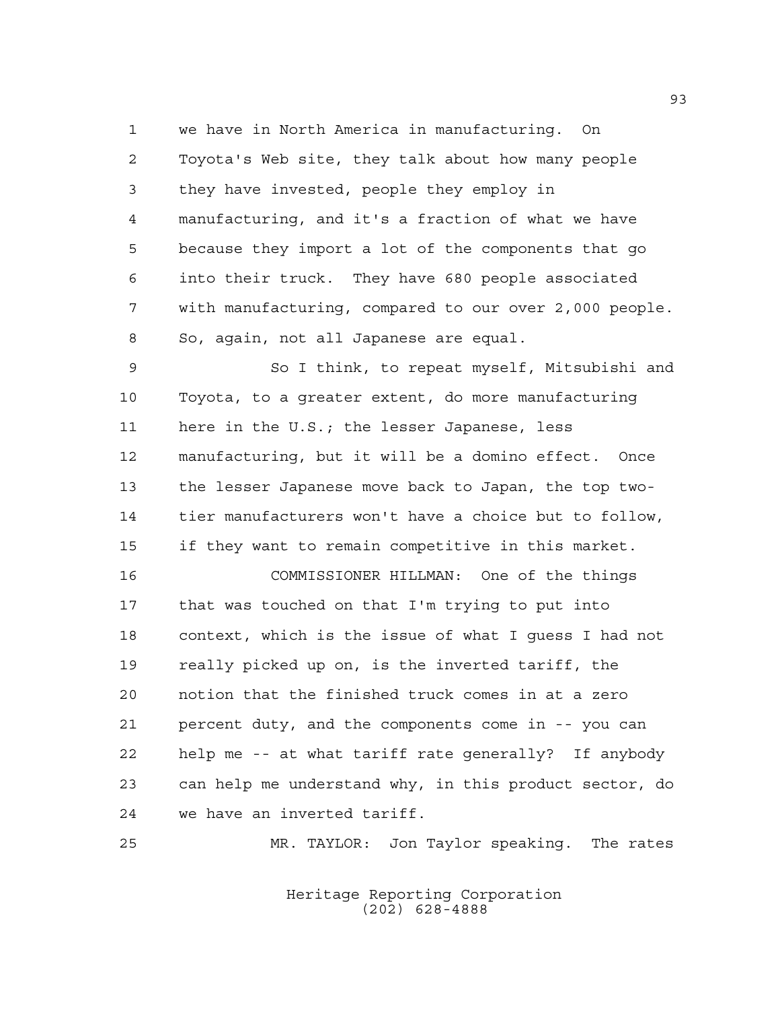we have in North America in manufacturing. On Toyota's Web site, they talk about how many people they have invested, people they employ in manufacturing, and it's a fraction of what we have because they import a lot of the components that go into their truck. They have 680 people associated with manufacturing, compared to our over 2,000 people. So, again, not all Japanese are equal.

 So I think, to repeat myself, Mitsubishi and Toyota, to a greater extent, do more manufacturing here in the U.S.; the lesser Japanese, less manufacturing, but it will be a domino effect. Once the lesser Japanese move back to Japan, the top two- tier manufacturers won't have a choice but to follow, if they want to remain competitive in this market.

 COMMISSIONER HILLMAN: One of the things that was touched on that I'm trying to put into context, which is the issue of what I guess I had not really picked up on, is the inverted tariff, the notion that the finished truck comes in at a zero percent duty, and the components come in -- you can help me -- at what tariff rate generally? If anybody can help me understand why, in this product sector, do we have an inverted tariff.

MR. TAYLOR: Jon Taylor speaking. The rates

Heritage Reporting Corporation (202) 628-4888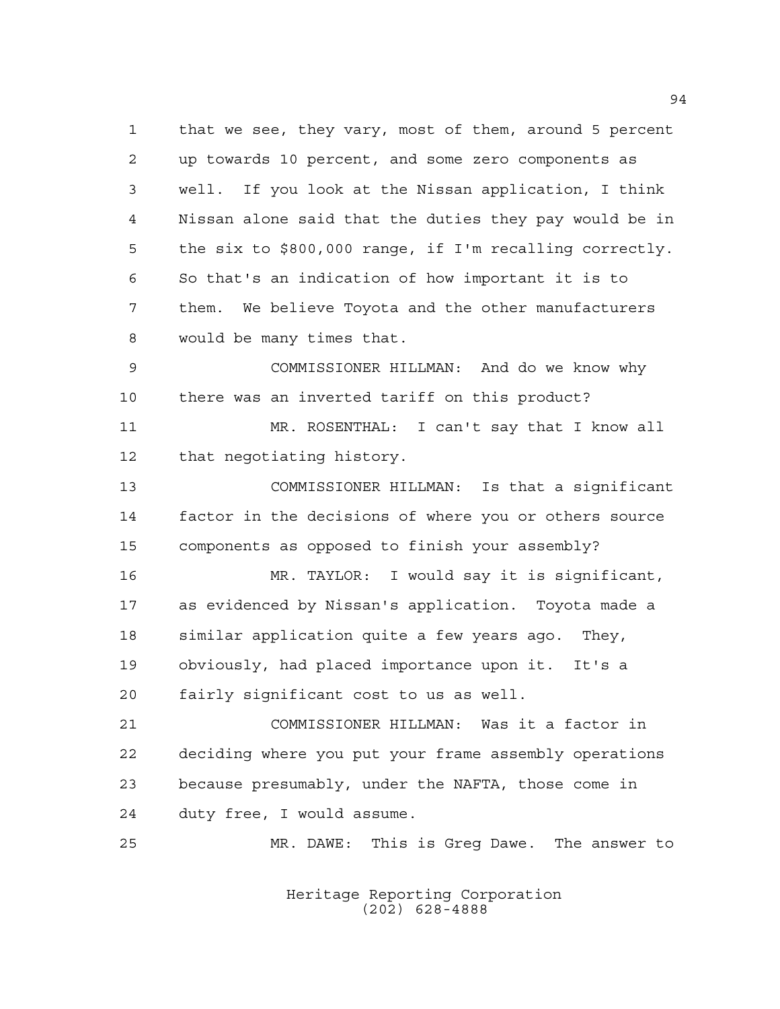that we see, they vary, most of them, around 5 percent up towards 10 percent, and some zero components as well. If you look at the Nissan application, I think Nissan alone said that the duties they pay would be in the six to \$800,000 range, if I'm recalling correctly. So that's an indication of how important it is to them. We believe Toyota and the other manufacturers would be many times that. COMMISSIONER HILLMAN: And do we know why there was an inverted tariff on this product? MR. ROSENTHAL: I can't say that I know all that negotiating history. COMMISSIONER HILLMAN: Is that a significant factor in the decisions of where you or others source components as opposed to finish your assembly? MR. TAYLOR: I would say it is significant, as evidenced by Nissan's application. Toyota made a similar application quite a few years ago. They, obviously, had placed importance upon it. It's a fairly significant cost to us as well. COMMISSIONER HILLMAN: Was it a factor in deciding where you put your frame assembly operations because presumably, under the NAFTA, those come in duty free, I would assume. MR. DAWE: This is Greg Dawe. The answer to

> Heritage Reporting Corporation (202) 628-4888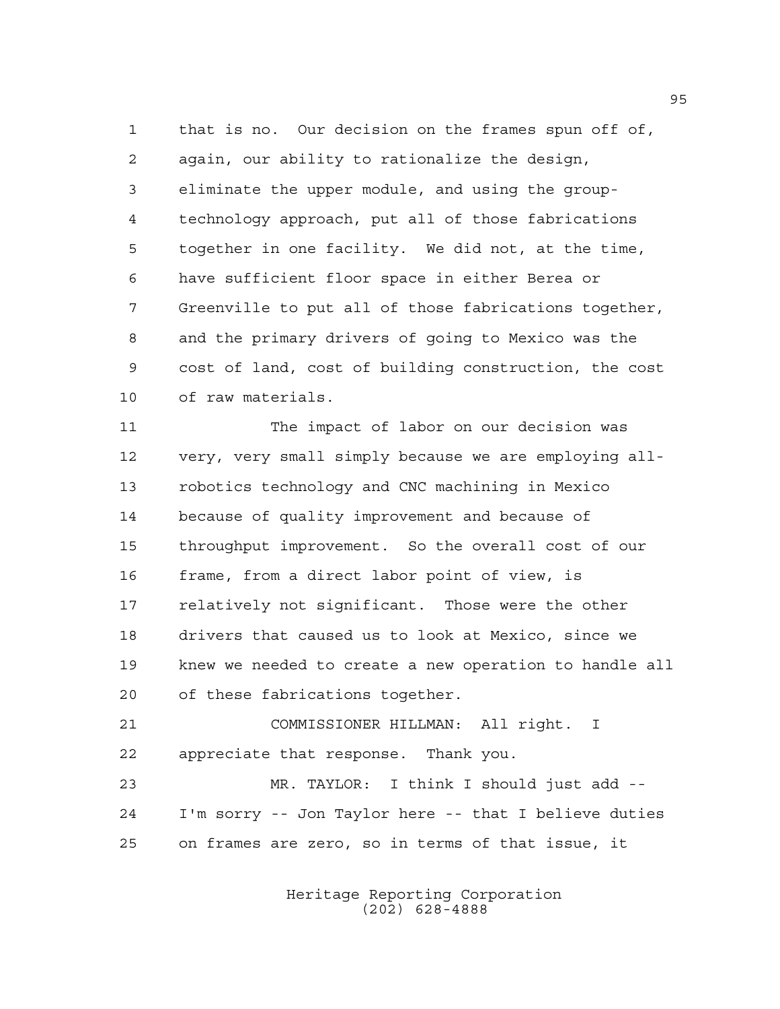that is no. Our decision on the frames spun off of, again, our ability to rationalize the design, eliminate the upper module, and using the group- technology approach, put all of those fabrications together in one facility. We did not, at the time, have sufficient floor space in either Berea or Greenville to put all of those fabrications together, and the primary drivers of going to Mexico was the cost of land, cost of building construction, the cost of raw materials.

11 The impact of labor on our decision was very, very small simply because we are employing all- robotics technology and CNC machining in Mexico because of quality improvement and because of throughput improvement. So the overall cost of our frame, from a direct labor point of view, is relatively not significant. Those were the other drivers that caused us to look at Mexico, since we knew we needed to create a new operation to handle all of these fabrications together.

 COMMISSIONER HILLMAN: All right. I appreciate that response. Thank you.

 MR. TAYLOR: I think I should just add -- I'm sorry -- Jon Taylor here -- that I believe duties on frames are zero, so in terms of that issue, it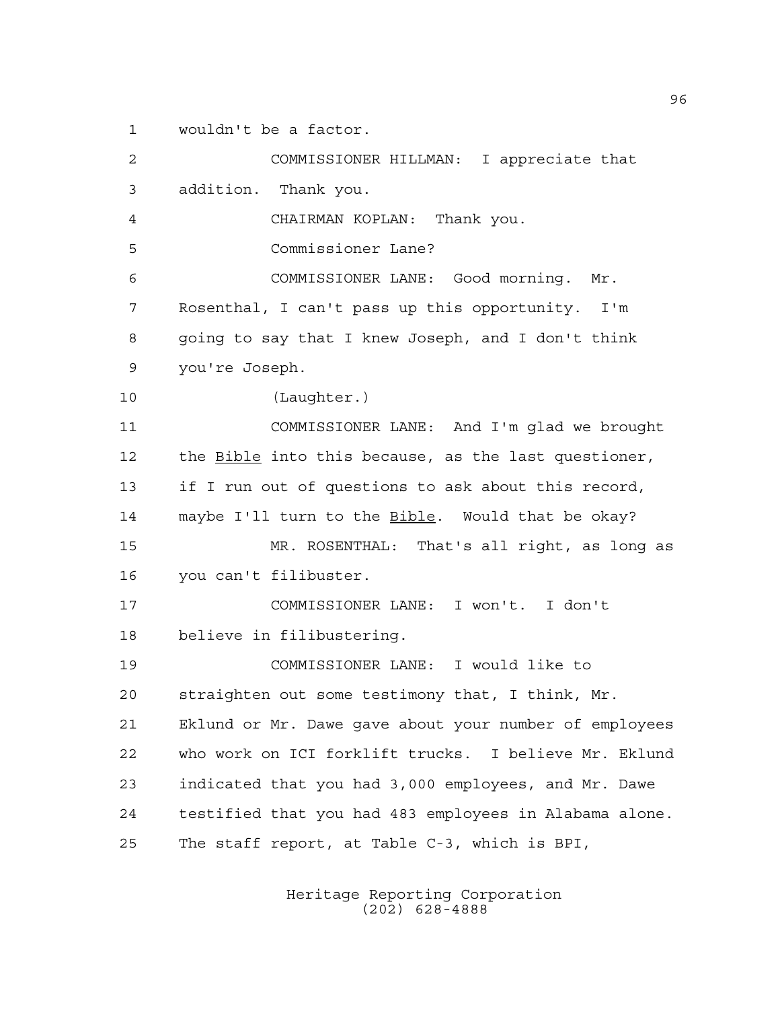wouldn't be a factor.

 COMMISSIONER HILLMAN: I appreciate that addition. Thank you. CHAIRMAN KOPLAN: Thank you. Commissioner Lane? COMMISSIONER LANE: Good morning. Mr. Rosenthal, I can't pass up this opportunity. I'm going to say that I knew Joseph, and I don't think you're Joseph. (Laughter.) COMMISSIONER LANE: And I'm glad we brought the Bible into this because, as the last questioner, if I run out of questions to ask about this record, 14 maybe I'll turn to the **Bible**. Would that be okay? MR. ROSENTHAL: That's all right, as long as you can't filibuster. COMMISSIONER LANE: I won't. I don't believe in filibustering. COMMISSIONER LANE: I would like to straighten out some testimony that, I think, Mr. Eklund or Mr. Dawe gave about your number of employees who work on ICI forklift trucks. I believe Mr. Eklund indicated that you had 3,000 employees, and Mr. Dawe testified that you had 483 employees in Alabama alone. The staff report, at Table C-3, which is BPI,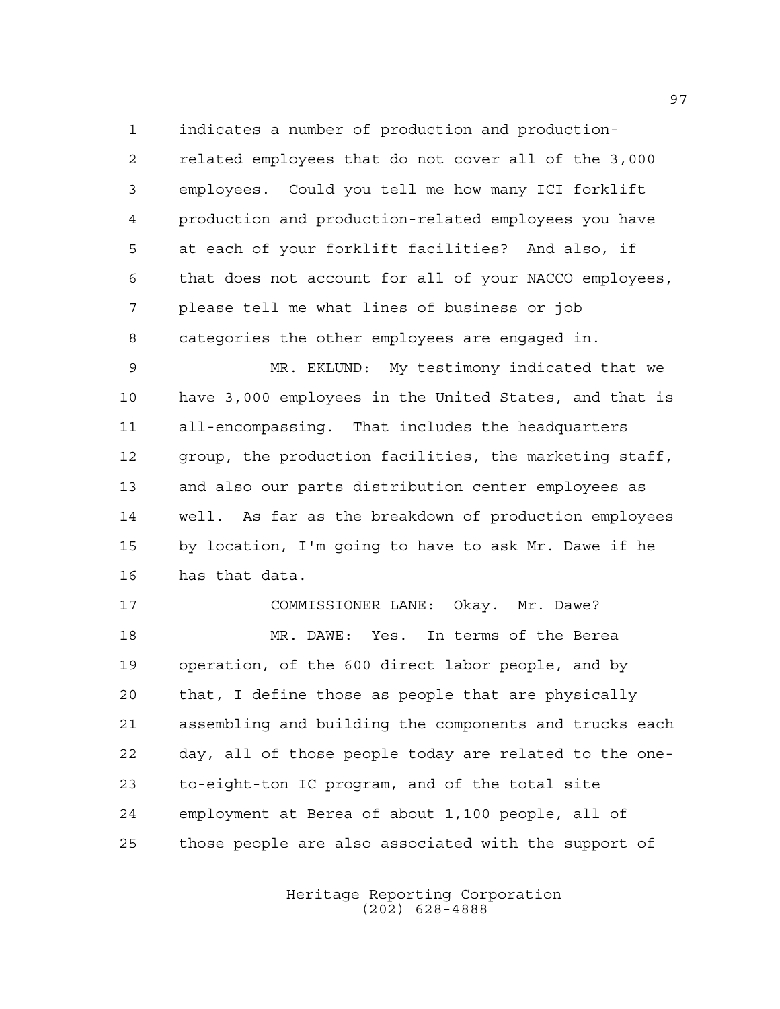indicates a number of production and production- related employees that do not cover all of the 3,000 employees. Could you tell me how many ICI forklift production and production-related employees you have at each of your forklift facilities? And also, if that does not account for all of your NACCO employees, please tell me what lines of business or job categories the other employees are engaged in.

 MR. EKLUND: My testimony indicated that we have 3,000 employees in the United States, and that is all-encompassing. That includes the headquarters group, the production facilities, the marketing staff, and also our parts distribution center employees as well. As far as the breakdown of production employees by location, I'm going to have to ask Mr. Dawe if he has that data.

 COMMISSIONER LANE: Okay. Mr. Dawe? MR. DAWE: Yes. In terms of the Berea operation, of the 600 direct labor people, and by that, I define those as people that are physically assembling and building the components and trucks each day, all of those people today are related to the one- to-eight-ton IC program, and of the total site employment at Berea of about 1,100 people, all of those people are also associated with the support of

> Heritage Reporting Corporation (202) 628-4888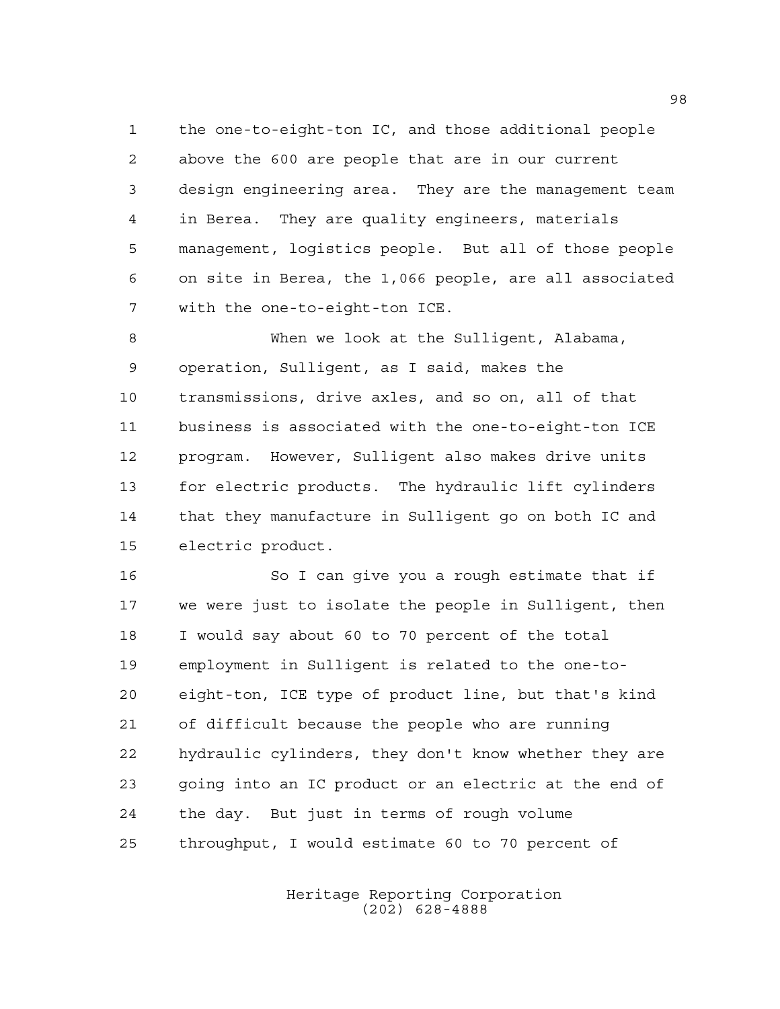the one-to-eight-ton IC, and those additional people above the 600 are people that are in our current design engineering area. They are the management team in Berea. They are quality engineers, materials management, logistics people. But all of those people on site in Berea, the 1,066 people, are all associated with the one-to-eight-ton ICE.

 When we look at the Sulligent, Alabama, operation, Sulligent, as I said, makes the transmissions, drive axles, and so on, all of that business is associated with the one-to-eight-ton ICE program. However, Sulligent also makes drive units for electric products. The hydraulic lift cylinders that they manufacture in Sulligent go on both IC and electric product.

 So I can give you a rough estimate that if we were just to isolate the people in Sulligent, then I would say about 60 to 70 percent of the total employment in Sulligent is related to the one-to- eight-ton, ICE type of product line, but that's kind of difficult because the people who are running hydraulic cylinders, they don't know whether they are going into an IC product or an electric at the end of the day. But just in terms of rough volume throughput, I would estimate 60 to 70 percent of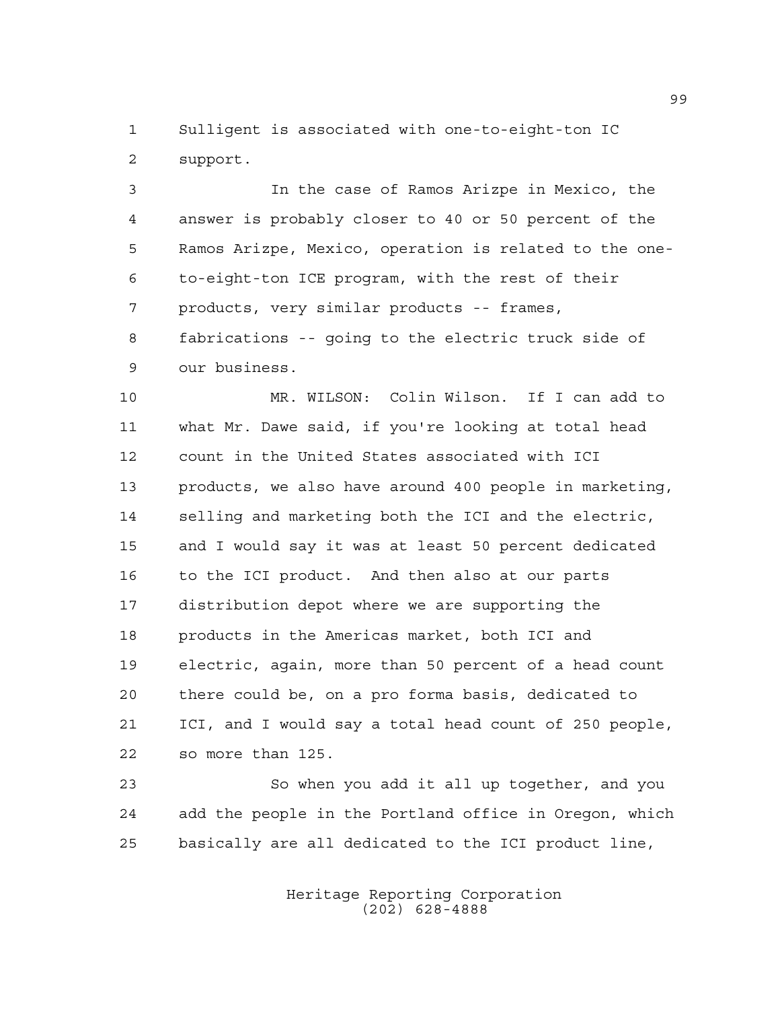Sulligent is associated with one-to-eight-ton IC support.

 In the case of Ramos Arizpe in Mexico, the answer is probably closer to 40 or 50 percent of the Ramos Arizpe, Mexico, operation is related to the one- to-eight-ton ICE program, with the rest of their products, very similar products -- frames, fabrications -- going to the electric truck side of our business.

 MR. WILSON: Colin Wilson. If I can add to what Mr. Dawe said, if you're looking at total head count in the United States associated with ICI products, we also have around 400 people in marketing, selling and marketing both the ICI and the electric, and I would say it was at least 50 percent dedicated to the ICI product. And then also at our parts distribution depot where we are supporting the products in the Americas market, both ICI and electric, again, more than 50 percent of a head count there could be, on a pro forma basis, dedicated to ICI, and I would say a total head count of 250 people, so more than 125.

 So when you add it all up together, and you add the people in the Portland office in Oregon, which basically are all dedicated to the ICI product line,

> Heritage Reporting Corporation (202) 628-4888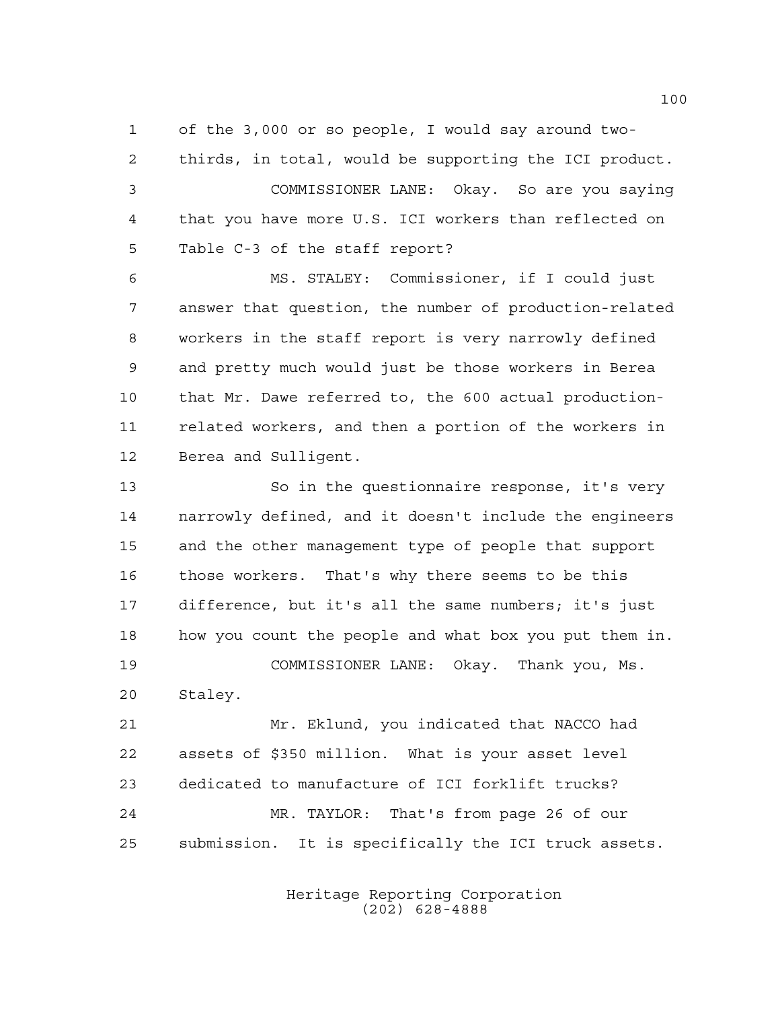of the 3,000 or so people, I would say around two-

 thirds, in total, would be supporting the ICI product. COMMISSIONER LANE: Okay. So are you saying that you have more U.S. ICI workers than reflected on Table C-3 of the staff report?

 MS. STALEY: Commissioner, if I could just answer that question, the number of production-related workers in the staff report is very narrowly defined and pretty much would just be those workers in Berea that Mr. Dawe referred to, the 600 actual production- related workers, and then a portion of the workers in Berea and Sulligent.

 So in the questionnaire response, it's very narrowly defined, and it doesn't include the engineers and the other management type of people that support those workers. That's why there seems to be this difference, but it's all the same numbers; it's just how you count the people and what box you put them in. COMMISSIONER LANE: Okay. Thank you, Ms. Staley.

 Mr. Eklund, you indicated that NACCO had assets of \$350 million. What is your asset level dedicated to manufacture of ICI forklift trucks? MR. TAYLOR: That's from page 26 of our submission. It is specifically the ICI truck assets.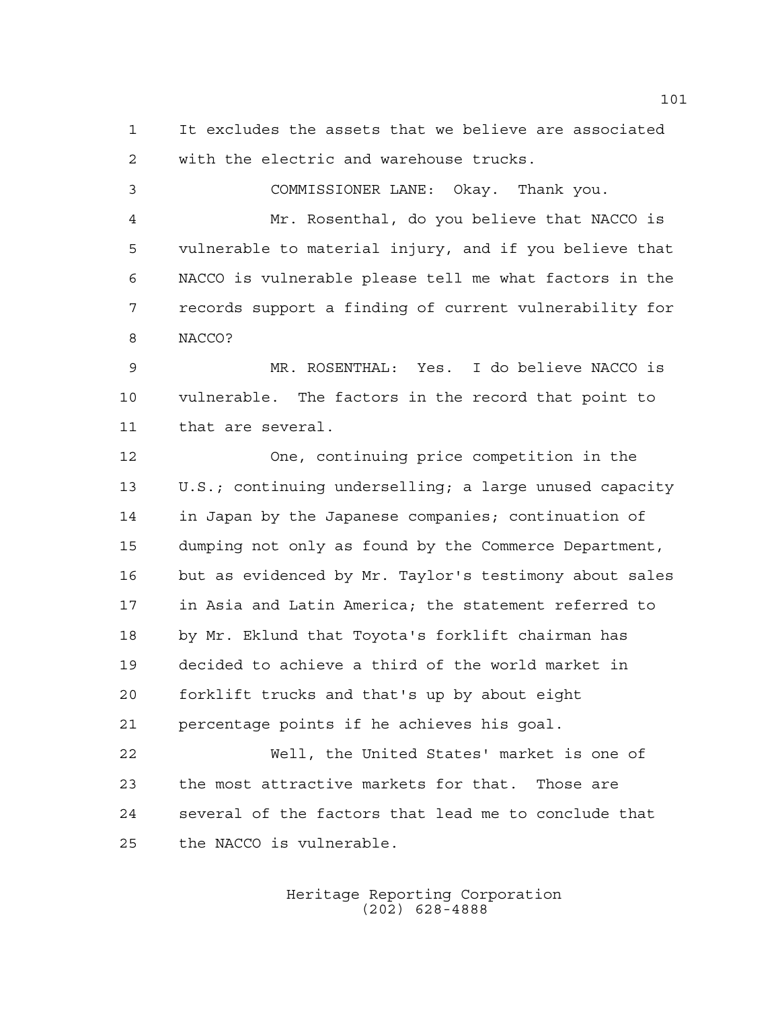It excludes the assets that we believe are associated with the electric and warehouse trucks.

 COMMISSIONER LANE: Okay. Thank you. Mr. Rosenthal, do you believe that NACCO is vulnerable to material injury, and if you believe that NACCO is vulnerable please tell me what factors in the records support a finding of current vulnerability for NACCO?

 MR. ROSENTHAL: Yes. I do believe NACCO is vulnerable. The factors in the record that point to that are several.

 One, continuing price competition in the U.S.; continuing underselling; a large unused capacity in Japan by the Japanese companies; continuation of dumping not only as found by the Commerce Department, but as evidenced by Mr. Taylor's testimony about sales in Asia and Latin America; the statement referred to by Mr. Eklund that Toyota's forklift chairman has decided to achieve a third of the world market in forklift trucks and that's up by about eight percentage points if he achieves his goal.

 Well, the United States' market is one of the most attractive markets for that. Those are several of the factors that lead me to conclude that the NACCO is vulnerable.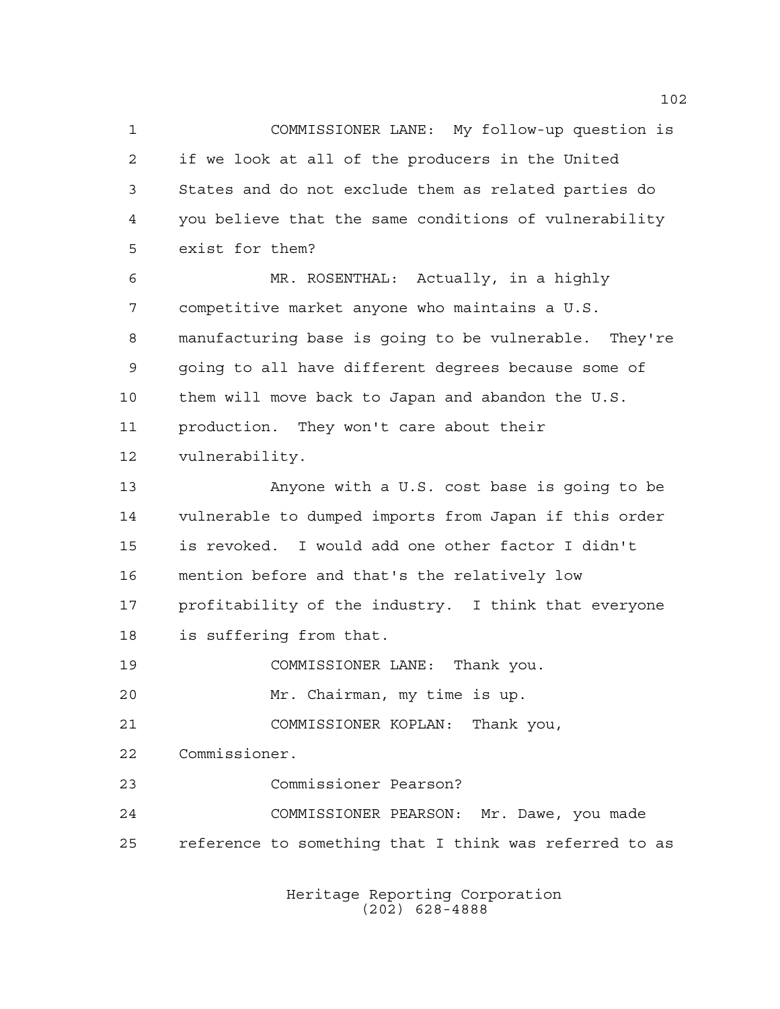COMMISSIONER LANE: My follow-up question is if we look at all of the producers in the United States and do not exclude them as related parties do you believe that the same conditions of vulnerability exist for them? MR. ROSENTHAL: Actually, in a highly competitive market anyone who maintains a U.S. manufacturing base is going to be vulnerable. They're going to all have different degrees because some of them will move back to Japan and abandon the U.S. production. They won't care about their vulnerability. Anyone with a U.S. cost base is going to be vulnerable to dumped imports from Japan if this order is revoked. I would add one other factor I didn't mention before and that's the relatively low profitability of the industry. I think that everyone is suffering from that. COMMISSIONER LANE: Thank you. Mr. Chairman, my time is up. COMMISSIONER KOPLAN: Thank you, Commissioner. Commissioner Pearson? COMMISSIONER PEARSON: Mr. Dawe, you made reference to something that I think was referred to as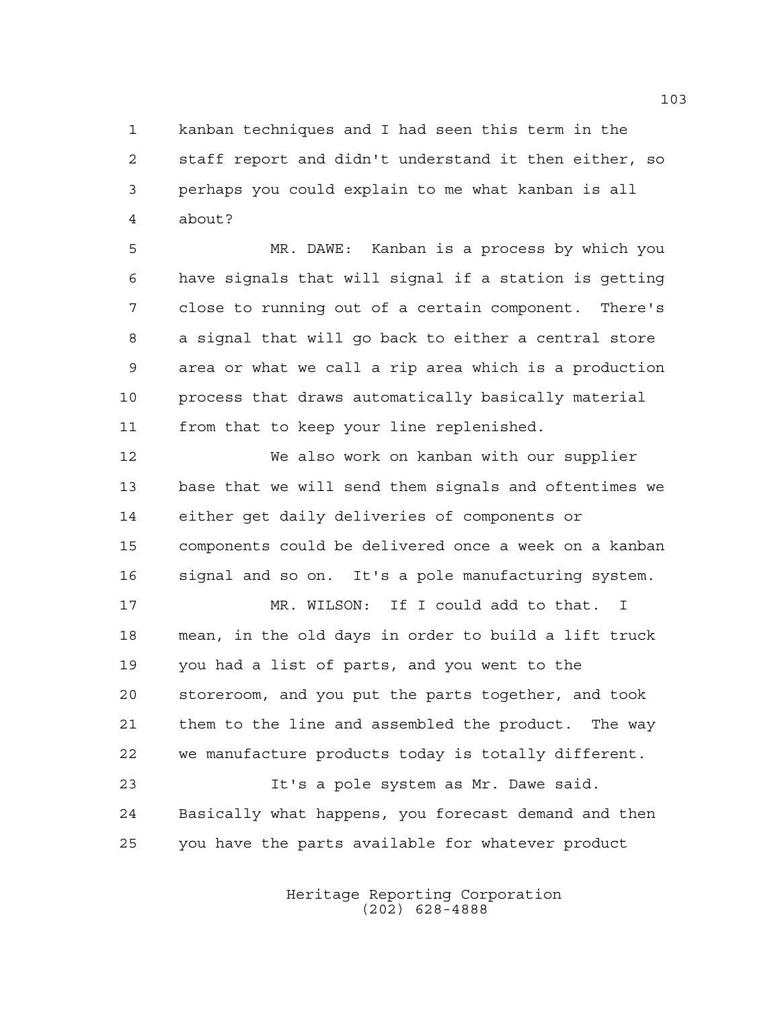kanban techniques and I had seen this term in the staff report and didn't understand it then either, so perhaps you could explain to me what kanban is all about?

 MR. DAWE: Kanban is a process by which you have signals that will signal if a station is getting close to running out of a certain component. There's a signal that will go back to either a central store area or what we call a rip area which is a production process that draws automatically basically material from that to keep your line replenished.

 We also work on kanban with our supplier base that we will send them signals and oftentimes we either get daily deliveries of components or components could be delivered once a week on a kanban signal and so on. It's a pole manufacturing system.

 MR. WILSON: If I could add to that. I mean, in the old days in order to build a lift truck you had a list of parts, and you went to the storeroom, and you put the parts together, and took them to the line and assembled the product. The way we manufacture products today is totally different. It's a pole system as Mr. Dawe said.

 Basically what happens, you forecast demand and then you have the parts available for whatever product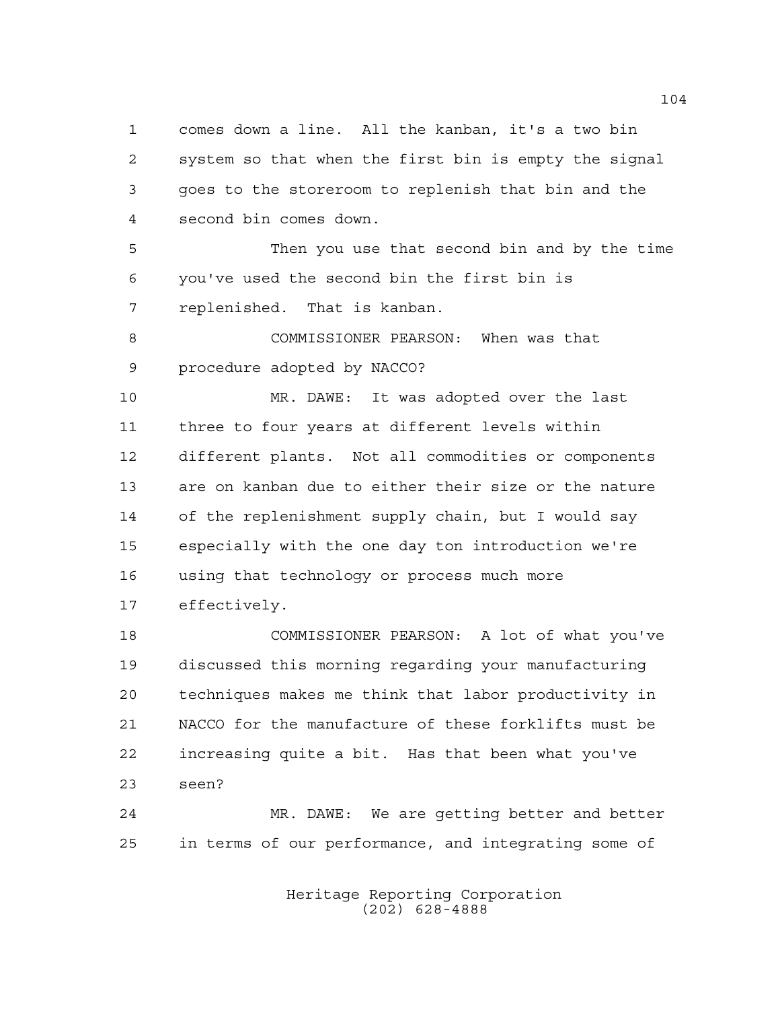comes down a line. All the kanban, it's a two bin system so that when the first bin is empty the signal goes to the storeroom to replenish that bin and the second bin comes down.

 Then you use that second bin and by the time you've used the second bin the first bin is replenished. That is kanban.

 COMMISSIONER PEARSON: When was that procedure adopted by NACCO?

 MR. DAWE: It was adopted over the last three to four years at different levels within different plants. Not all commodities or components are on kanban due to either their size or the nature of the replenishment supply chain, but I would say especially with the one day ton introduction we're using that technology or process much more effectively.

 COMMISSIONER PEARSON: A lot of what you've discussed this morning regarding your manufacturing techniques makes me think that labor productivity in NACCO for the manufacture of these forklifts must be increasing quite a bit. Has that been what you've seen?

 MR. DAWE: We are getting better and better in terms of our performance, and integrating some of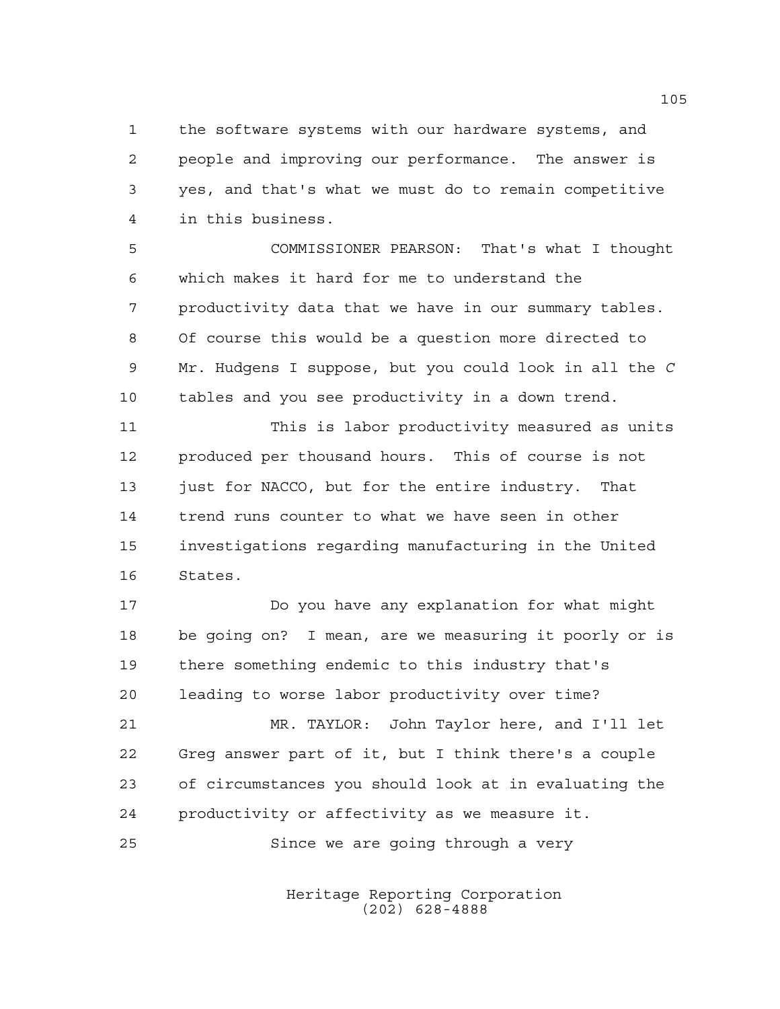the software systems with our hardware systems, and people and improving our performance. The answer is yes, and that's what we must do to remain competitive in this business.

 COMMISSIONER PEARSON: That's what I thought which makes it hard for me to understand the productivity data that we have in our summary tables. Of course this would be a question more directed to Mr. Hudgens I suppose, but you could look in all the *C* tables and you see productivity in a down trend.

 This is labor productivity measured as units produced per thousand hours. This of course is not 13 just for NACCO, but for the entire industry. That trend runs counter to what we have seen in other investigations regarding manufacturing in the United States.

 Do you have any explanation for what might be going on? I mean, are we measuring it poorly or is there something endemic to this industry that's leading to worse labor productivity over time? MR. TAYLOR: John Taylor here, and I'll let

 Greg answer part of it, but I think there's a couple of circumstances you should look at in evaluating the productivity or affectivity as we measure it.

Since we are going through a very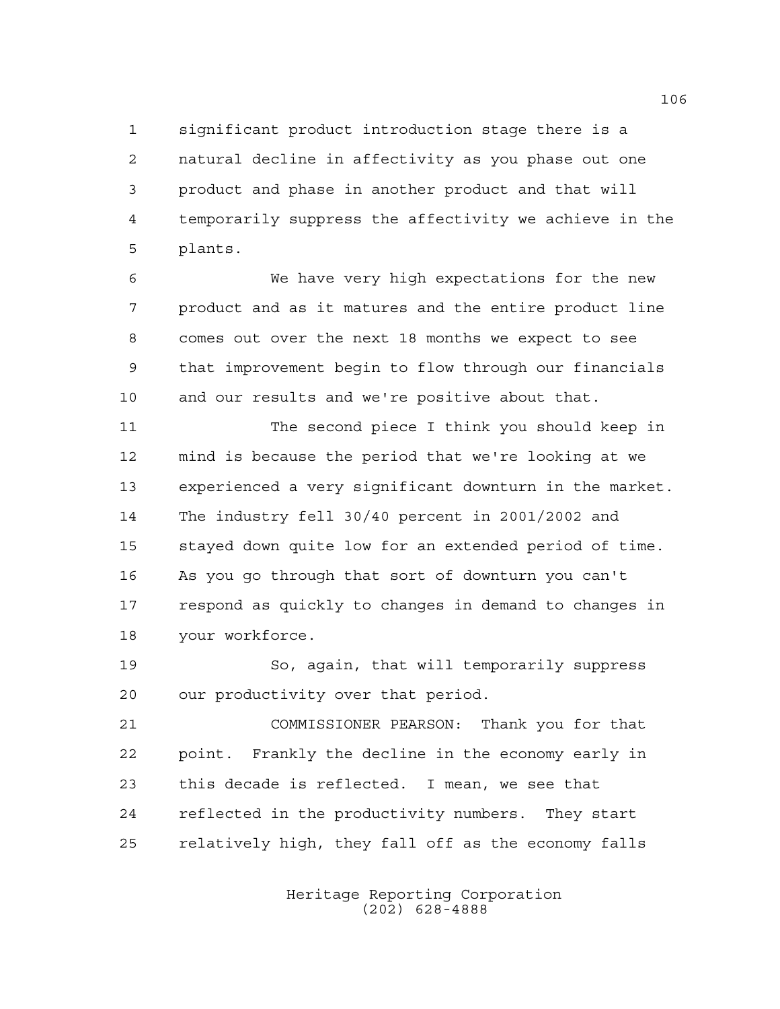significant product introduction stage there is a natural decline in affectivity as you phase out one product and phase in another product and that will temporarily suppress the affectivity we achieve in the plants.

 We have very high expectations for the new product and as it matures and the entire product line comes out over the next 18 months we expect to see that improvement begin to flow through our financials and our results and we're positive about that.

 The second piece I think you should keep in mind is because the period that we're looking at we experienced a very significant downturn in the market. The industry fell 30/40 percent in 2001/2002 and stayed down quite low for an extended period of time. As you go through that sort of downturn you can't respond as quickly to changes in demand to changes in your workforce.

 So, again, that will temporarily suppress our productivity over that period.

 COMMISSIONER PEARSON: Thank you for that point. Frankly the decline in the economy early in this decade is reflected. I mean, we see that reflected in the productivity numbers. They start relatively high, they fall off as the economy falls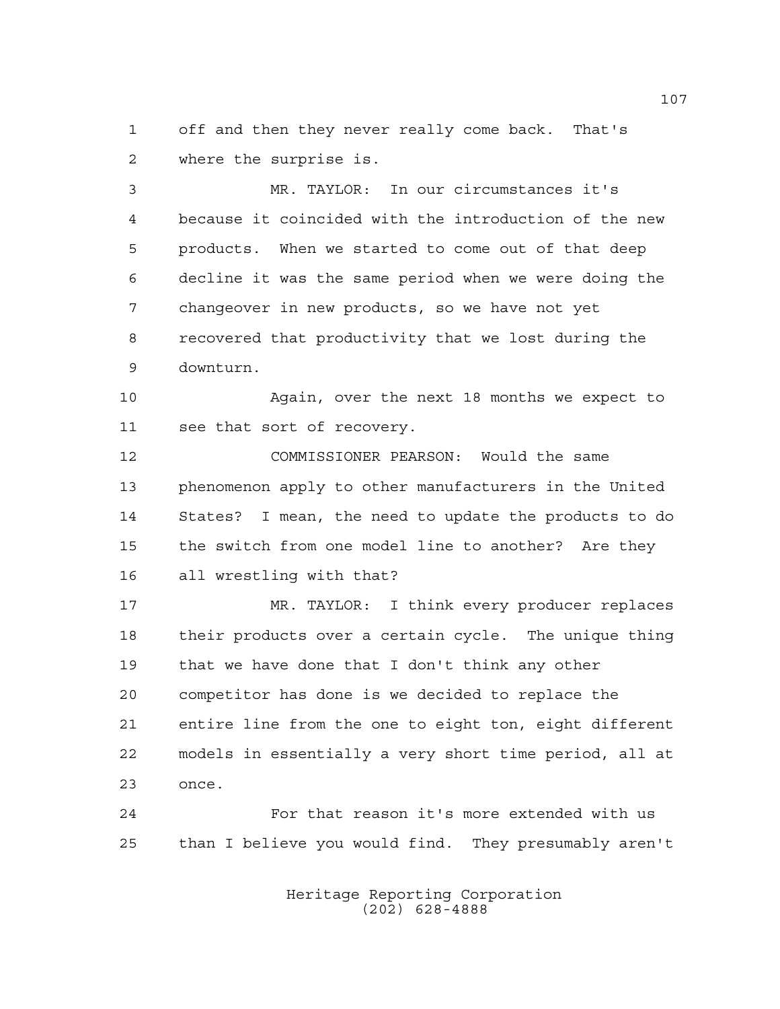off and then they never really come back. That's where the surprise is.

 MR. TAYLOR: In our circumstances it's because it coincided with the introduction of the new products. When we started to come out of that deep decline it was the same period when we were doing the changeover in new products, so we have not yet recovered that productivity that we lost during the downturn.

 Again, over the next 18 months we expect to see that sort of recovery.

 COMMISSIONER PEARSON: Would the same phenomenon apply to other manufacturers in the United States? I mean, the need to update the products to do the switch from one model line to another? Are they all wrestling with that?

 MR. TAYLOR: I think every producer replaces their products over a certain cycle. The unique thing that we have done that I don't think any other competitor has done is we decided to replace the entire line from the one to eight ton, eight different models in essentially a very short time period, all at once.

 For that reason it's more extended with us than I believe you would find. They presumably aren't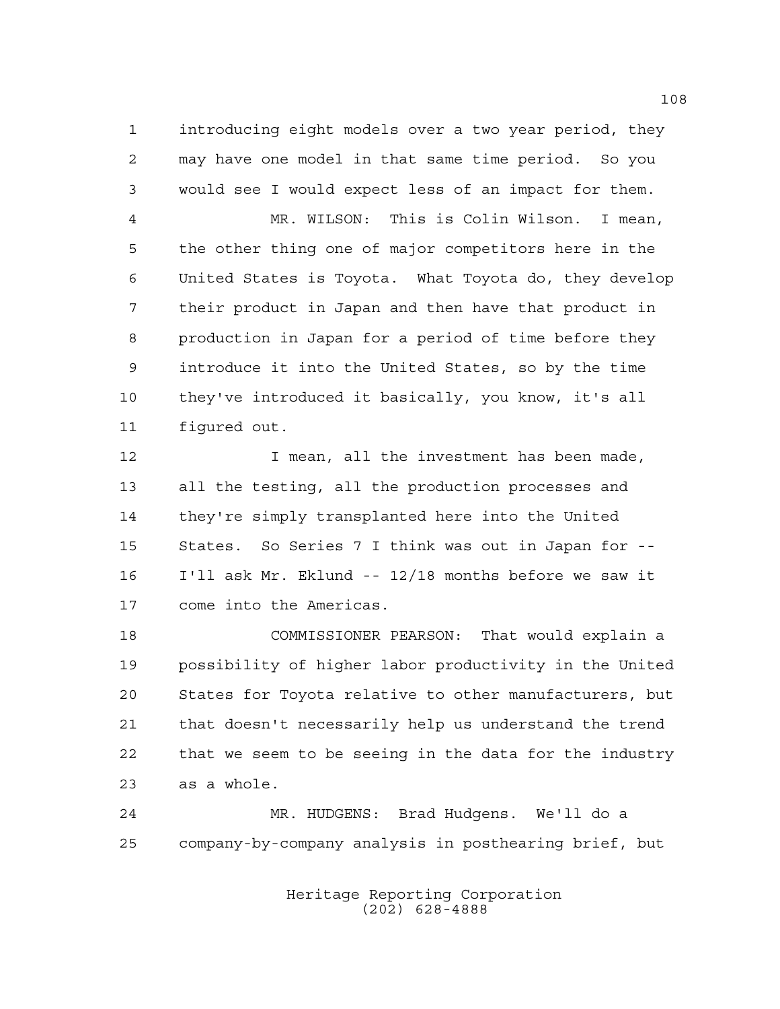introducing eight models over a two year period, they may have one model in that same time period. So you would see I would expect less of an impact for them.

 MR. WILSON: This is Colin Wilson. I mean, the other thing one of major competitors here in the United States is Toyota. What Toyota do, they develop their product in Japan and then have that product in production in Japan for a period of time before they introduce it into the United States, so by the time they've introduced it basically, you know, it's all figured out.

12 I mean, all the investment has been made, all the testing, all the production processes and they're simply transplanted here into the United States. So Series 7 I think was out in Japan for -- I'll ask Mr. Eklund -- 12/18 months before we saw it come into the Americas.

 COMMISSIONER PEARSON: That would explain a possibility of higher labor productivity in the United States for Toyota relative to other manufacturers, but that doesn't necessarily help us understand the trend that we seem to be seeing in the data for the industry as a whole.

 MR. HUDGENS: Brad Hudgens. We'll do a company-by-company analysis in posthearing brief, but

> Heritage Reporting Corporation (202) 628-4888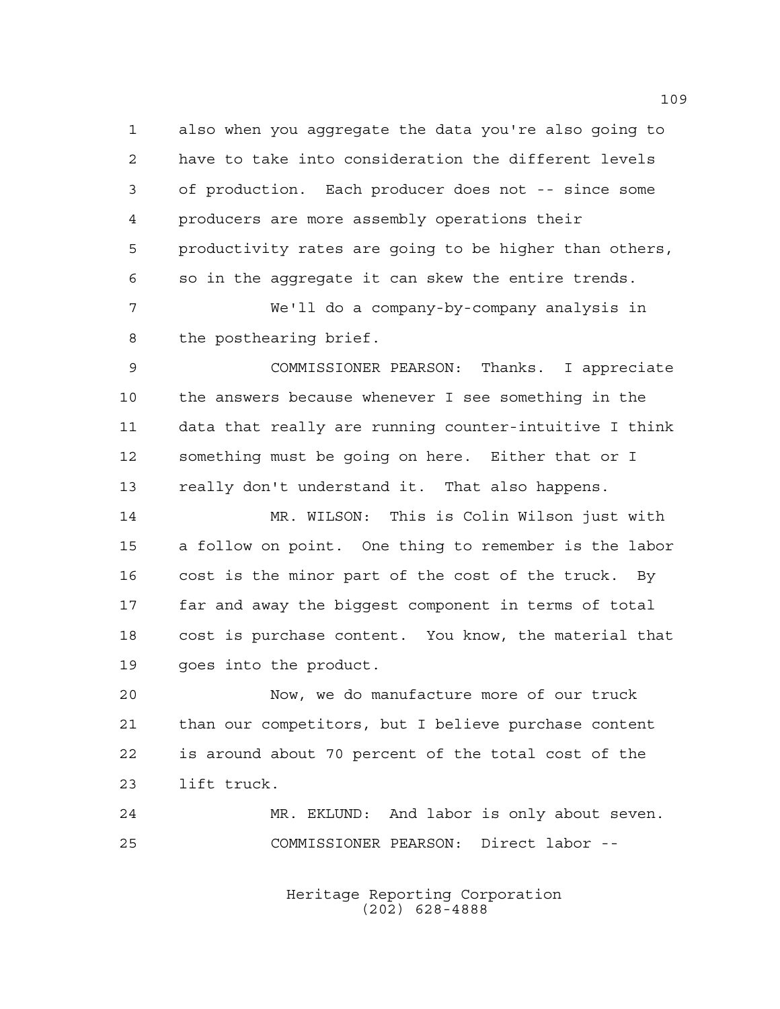also when you aggregate the data you're also going to have to take into consideration the different levels of production. Each producer does not -- since some producers are more assembly operations their productivity rates are going to be higher than others, so in the aggregate it can skew the entire trends.

 We'll do a company-by-company analysis in the posthearing brief.

 COMMISSIONER PEARSON: Thanks. I appreciate the answers because whenever I see something in the data that really are running counter-intuitive I think something must be going on here. Either that or I really don't understand it. That also happens.

 MR. WILSON: This is Colin Wilson just with a follow on point. One thing to remember is the labor cost is the minor part of the cost of the truck. By far and away the biggest component in terms of total cost is purchase content. You know, the material that goes into the product.

 Now, we do manufacture more of our truck than our competitors, but I believe purchase content is around about 70 percent of the total cost of the lift truck.

 MR. EKLUND: And labor is only about seven. COMMISSIONER PEARSON: Direct labor --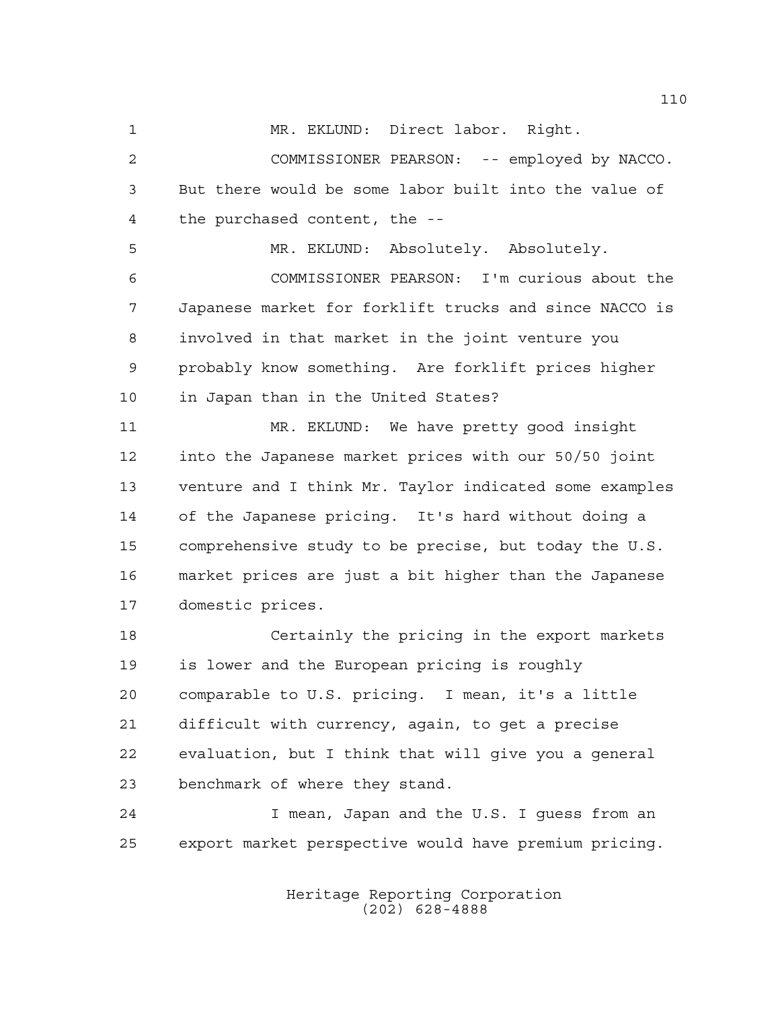MR. EKLUND: Direct labor. Right.

 COMMISSIONER PEARSON: -- employed by NACCO. But there would be some labor built into the value of the purchased content, the --

 MR. EKLUND: Absolutely. Absolutely. COMMISSIONER PEARSON: I'm curious about the Japanese market for forklift trucks and since NACCO is involved in that market in the joint venture you probably know something. Are forklift prices higher in Japan than in the United States?

 MR. EKLUND: We have pretty good insight into the Japanese market prices with our 50/50 joint venture and I think Mr. Taylor indicated some examples of the Japanese pricing. It's hard without doing a comprehensive study to be precise, but today the U.S. market prices are just a bit higher than the Japanese domestic prices.

 Certainly the pricing in the export markets is lower and the European pricing is roughly comparable to U.S. pricing. I mean, it's a little difficult with currency, again, to get a precise evaluation, but I think that will give you a general benchmark of where they stand.

 I mean, Japan and the U.S. I guess from an export market perspective would have premium pricing.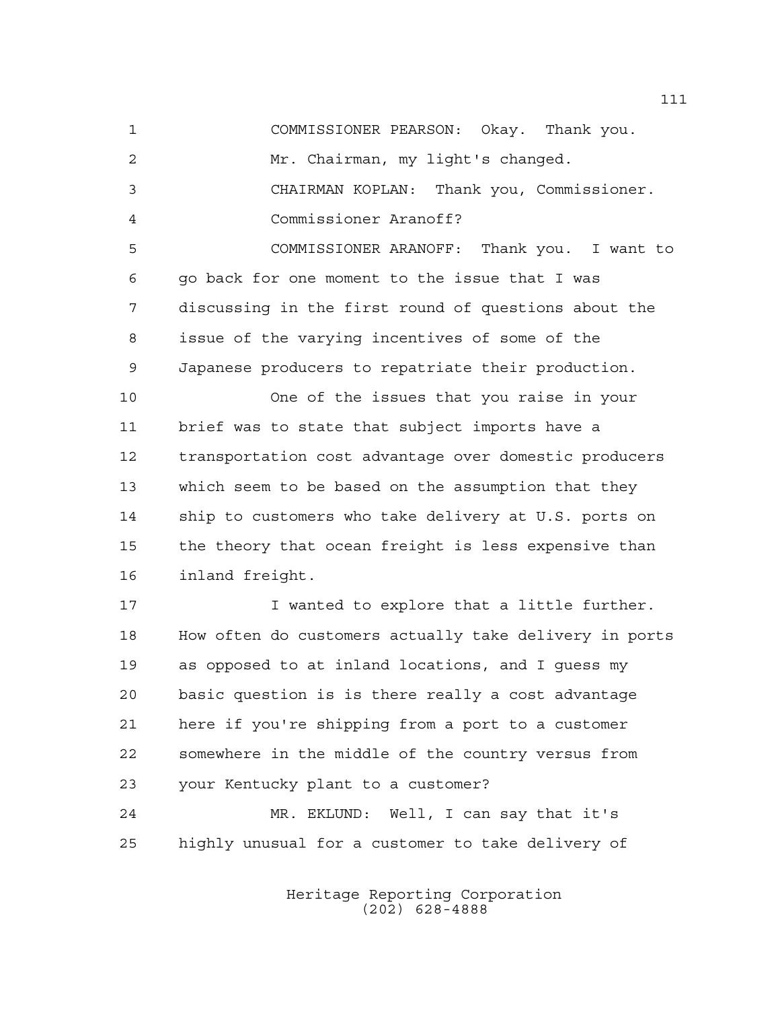COMMISSIONER PEARSON: Okay. Thank you. Mr. Chairman, my light's changed. CHAIRMAN KOPLAN: Thank you, Commissioner. Commissioner Aranoff? COMMISSIONER ARANOFF: Thank you. I want to

 go back for one moment to the issue that I was discussing in the first round of questions about the issue of the varying incentives of some of the Japanese producers to repatriate their production.

 One of the issues that you raise in your brief was to state that subject imports have a transportation cost advantage over domestic producers which seem to be based on the assumption that they ship to customers who take delivery at U.S. ports on the theory that ocean freight is less expensive than inland freight.

17 T wanted to explore that a little further. How often do customers actually take delivery in ports as opposed to at inland locations, and I guess my basic question is is there really a cost advantage here if you're shipping from a port to a customer somewhere in the middle of the country versus from your Kentucky plant to a customer?

 MR. EKLUND: Well, I can say that it's highly unusual for a customer to take delivery of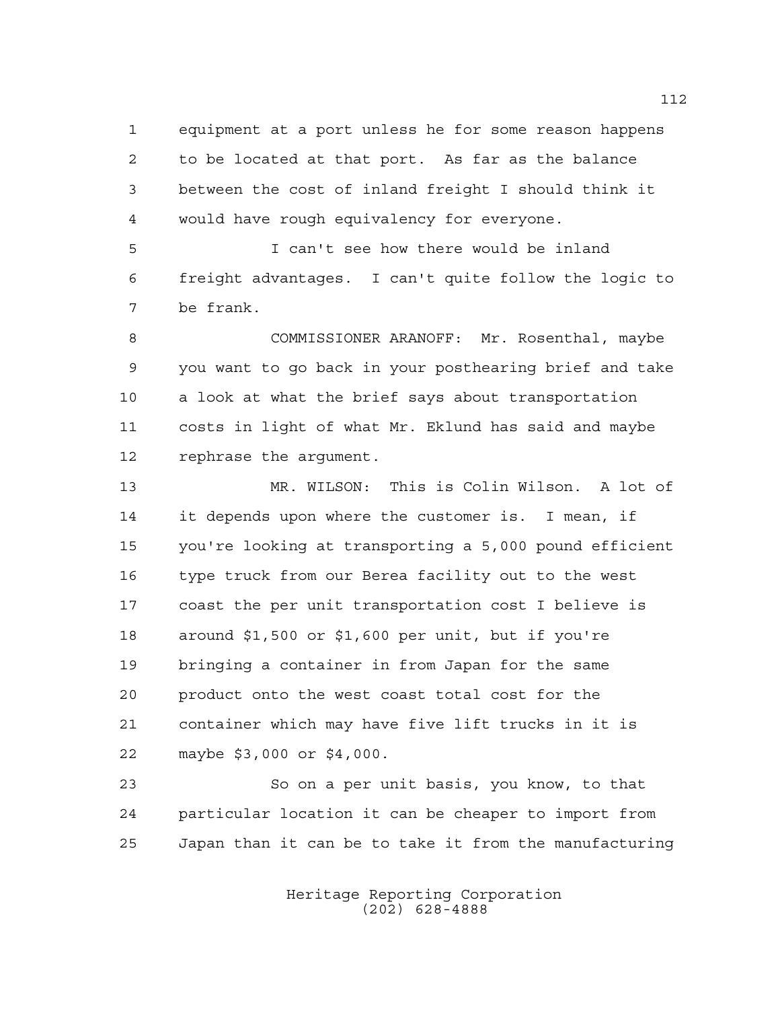equipment at a port unless he for some reason happens to be located at that port. As far as the balance between the cost of inland freight I should think it would have rough equivalency for everyone.

 I can't see how there would be inland freight advantages. I can't quite follow the logic to be frank.

 COMMISSIONER ARANOFF: Mr. Rosenthal, maybe you want to go back in your posthearing brief and take a look at what the brief says about transportation costs in light of what Mr. Eklund has said and maybe rephrase the argument.

 MR. WILSON: This is Colin Wilson. A lot of it depends upon where the customer is. I mean, if you're looking at transporting a 5,000 pound efficient type truck from our Berea facility out to the west coast the per unit transportation cost I believe is around \$1,500 or \$1,600 per unit, but if you're bringing a container in from Japan for the same product onto the west coast total cost for the container which may have five lift trucks in it is maybe \$3,000 or \$4,000.

 So on a per unit basis, you know, to that particular location it can be cheaper to import from Japan than it can be to take it from the manufacturing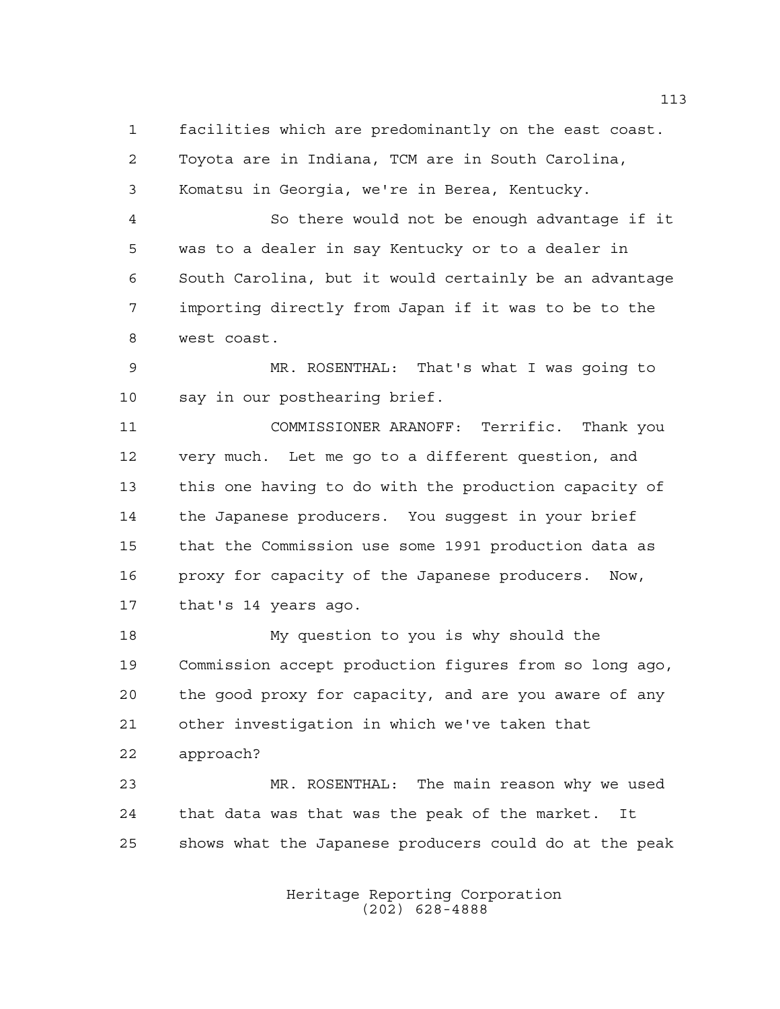facilities which are predominantly on the east coast. Toyota are in Indiana, TCM are in South Carolina, Komatsu in Georgia, we're in Berea, Kentucky.

 So there would not be enough advantage if it was to a dealer in say Kentucky or to a dealer in South Carolina, but it would certainly be an advantage importing directly from Japan if it was to be to the west coast.

 MR. ROSENTHAL: That's what I was going to say in our posthearing brief.

 COMMISSIONER ARANOFF: Terrific. Thank you very much. Let me go to a different question, and this one having to do with the production capacity of the Japanese producers. You suggest in your brief that the Commission use some 1991 production data as proxy for capacity of the Japanese producers. Now, that's 14 years ago.

 My question to you is why should the Commission accept production figures from so long ago, the good proxy for capacity, and are you aware of any other investigation in which we've taken that approach?

 MR. ROSENTHAL: The main reason why we used that data was that was the peak of the market. It shows what the Japanese producers could do at the peak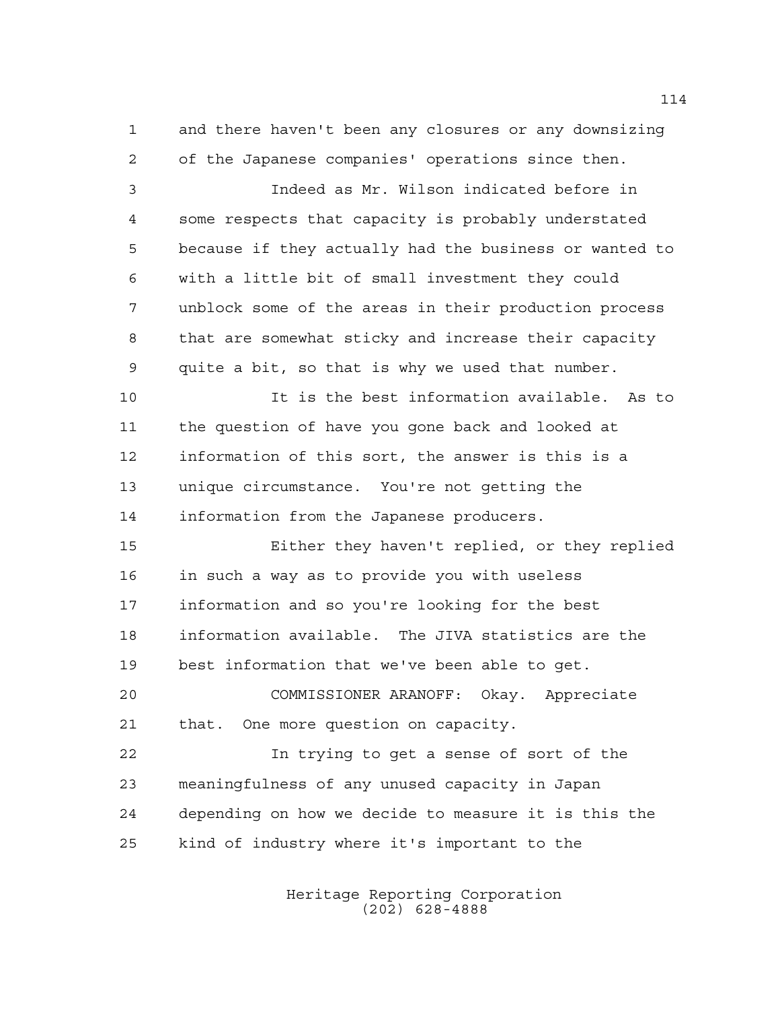and there haven't been any closures or any downsizing of the Japanese companies' operations since then.

 Indeed as Mr. Wilson indicated before in some respects that capacity is probably understated because if they actually had the business or wanted to with a little bit of small investment they could unblock some of the areas in their production process that are somewhat sticky and increase their capacity quite a bit, so that is why we used that number.

 It is the best information available. As to the question of have you gone back and looked at information of this sort, the answer is this is a unique circumstance. You're not getting the information from the Japanese producers.

 Either they haven't replied, or they replied in such a way as to provide you with useless information and so you're looking for the best information available. The JIVA statistics are the best information that we've been able to get.

 COMMISSIONER ARANOFF: Okay. Appreciate that. One more question on capacity.

 In trying to get a sense of sort of the meaningfulness of any unused capacity in Japan depending on how we decide to measure it is this the kind of industry where it's important to the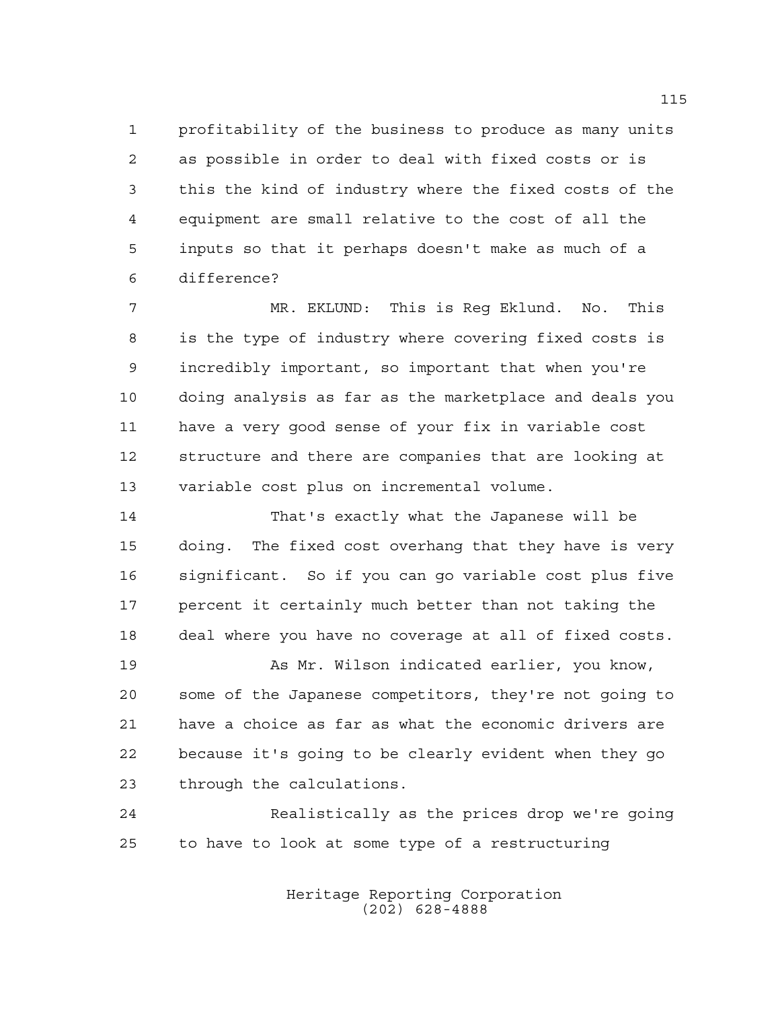profitability of the business to produce as many units as possible in order to deal with fixed costs or is this the kind of industry where the fixed costs of the equipment are small relative to the cost of all the inputs so that it perhaps doesn't make as much of a difference?

 MR. EKLUND: This is Reg Eklund. No. This is the type of industry where covering fixed costs is incredibly important, so important that when you're doing analysis as far as the marketplace and deals you have a very good sense of your fix in variable cost structure and there are companies that are looking at variable cost plus on incremental volume.

 That's exactly what the Japanese will be doing. The fixed cost overhang that they have is very significant. So if you can go variable cost plus five percent it certainly much better than not taking the deal where you have no coverage at all of fixed costs.

19 As Mr. Wilson indicated earlier, you know, some of the Japanese competitors, they're not going to have a choice as far as what the economic drivers are because it's going to be clearly evident when they go through the calculations.

 Realistically as the prices drop we're going to have to look at some type of a restructuring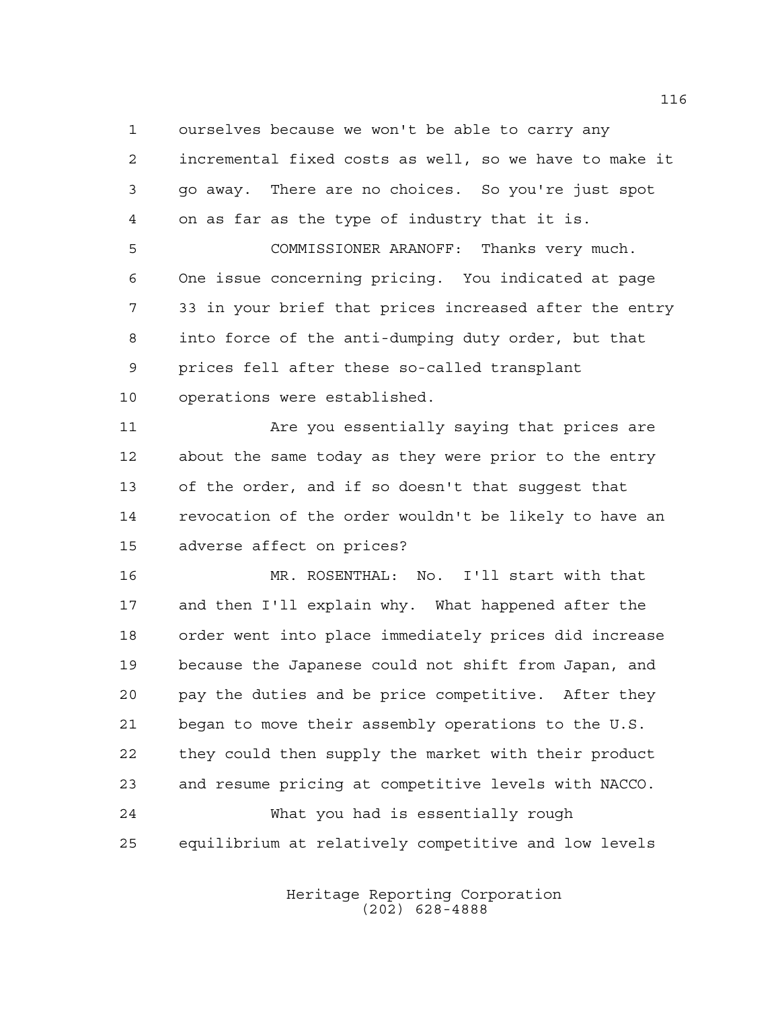ourselves because we won't be able to carry any

 incremental fixed costs as well, so we have to make it go away. There are no choices. So you're just spot on as far as the type of industry that it is.

 COMMISSIONER ARANOFF: Thanks very much. One issue concerning pricing. You indicated at page 33 in your brief that prices increased after the entry into force of the anti-dumping duty order, but that prices fell after these so-called transplant operations were established.

 Are you essentially saying that prices are about the same today as they were prior to the entry of the order, and if so doesn't that suggest that revocation of the order wouldn't be likely to have an adverse affect on prices?

 MR. ROSENTHAL: No. I'll start with that and then I'll explain why. What happened after the order went into place immediately prices did increase because the Japanese could not shift from Japan, and pay the duties and be price competitive. After they began to move their assembly operations to the U.S. they could then supply the market with their product and resume pricing at competitive levels with NACCO. What you had is essentially rough equilibrium at relatively competitive and low levels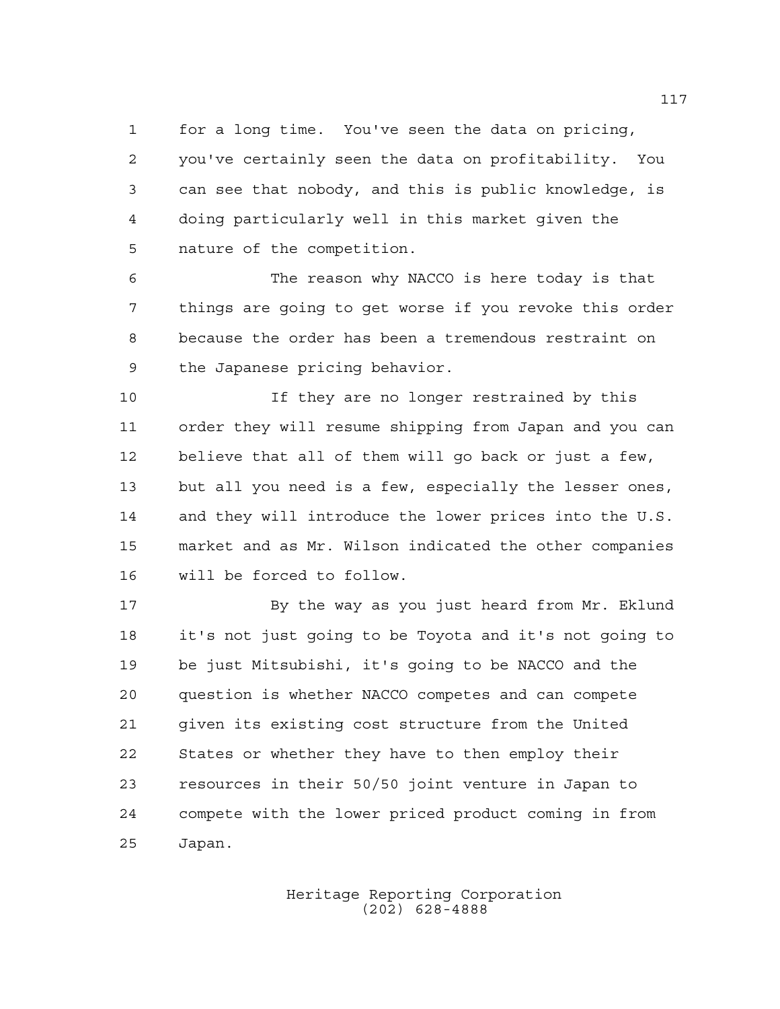for a long time. You've seen the data on pricing, you've certainly seen the data on profitability. You can see that nobody, and this is public knowledge, is doing particularly well in this market given the nature of the competition.

 The reason why NACCO is here today is that things are going to get worse if you revoke this order because the order has been a tremendous restraint on the Japanese pricing behavior.

 If they are no longer restrained by this order they will resume shipping from Japan and you can believe that all of them will go back or just a few, but all you need is a few, especially the lesser ones, 14 and they will introduce the lower prices into the U.S. market and as Mr. Wilson indicated the other companies will be forced to follow.

 By the way as you just heard from Mr. Eklund it's not just going to be Toyota and it's not going to be just Mitsubishi, it's going to be NACCO and the question is whether NACCO competes and can compete given its existing cost structure from the United States or whether they have to then employ their resources in their 50/50 joint venture in Japan to compete with the lower priced product coming in from Japan.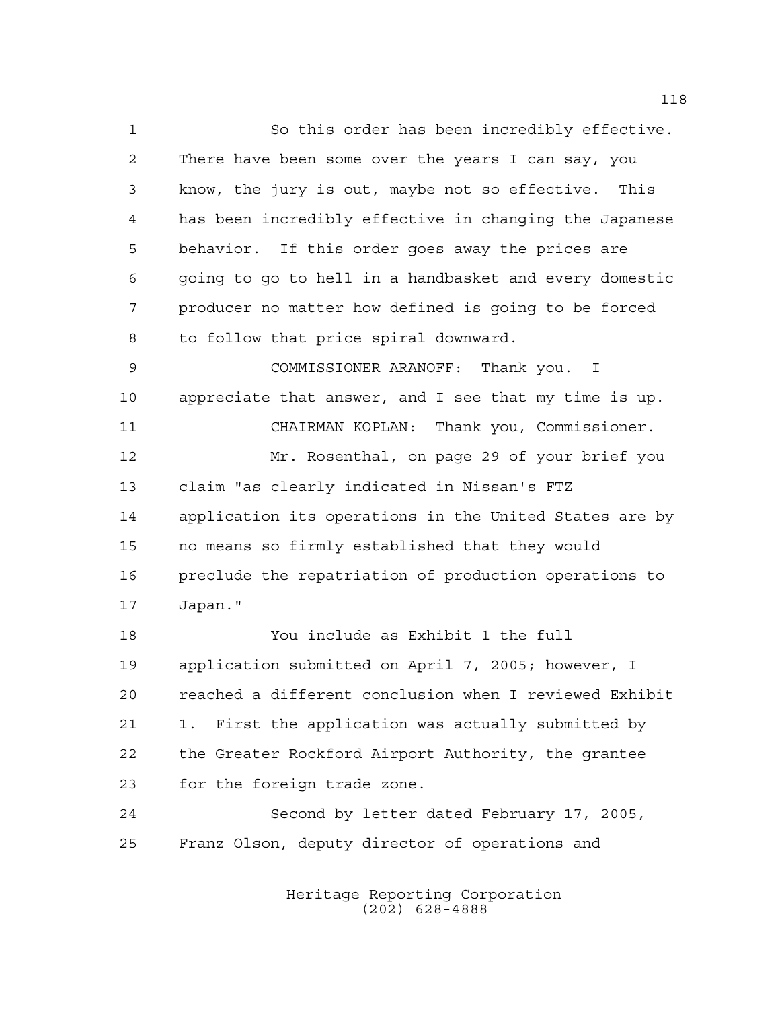So this order has been incredibly effective. There have been some over the years I can say, you know, the jury is out, maybe not so effective. This has been incredibly effective in changing the Japanese behavior. If this order goes away the prices are going to go to hell in a handbasket and every domestic producer no matter how defined is going to be forced to follow that price spiral downward.

 COMMISSIONER ARANOFF: Thank you. I appreciate that answer, and I see that my time is up. CHAIRMAN KOPLAN: Thank you, Commissioner. Mr. Rosenthal, on page 29 of your brief you claim "as clearly indicated in Nissan's FTZ application its operations in the United States are by no means so firmly established that they would preclude the repatriation of production operations to Japan."

 You include as Exhibit 1 the full application submitted on April 7, 2005; however, I reached a different conclusion when I reviewed Exhibit 1. First the application was actually submitted by the Greater Rockford Airport Authority, the grantee for the foreign trade zone.

 Second by letter dated February 17, 2005, Franz Olson, deputy director of operations and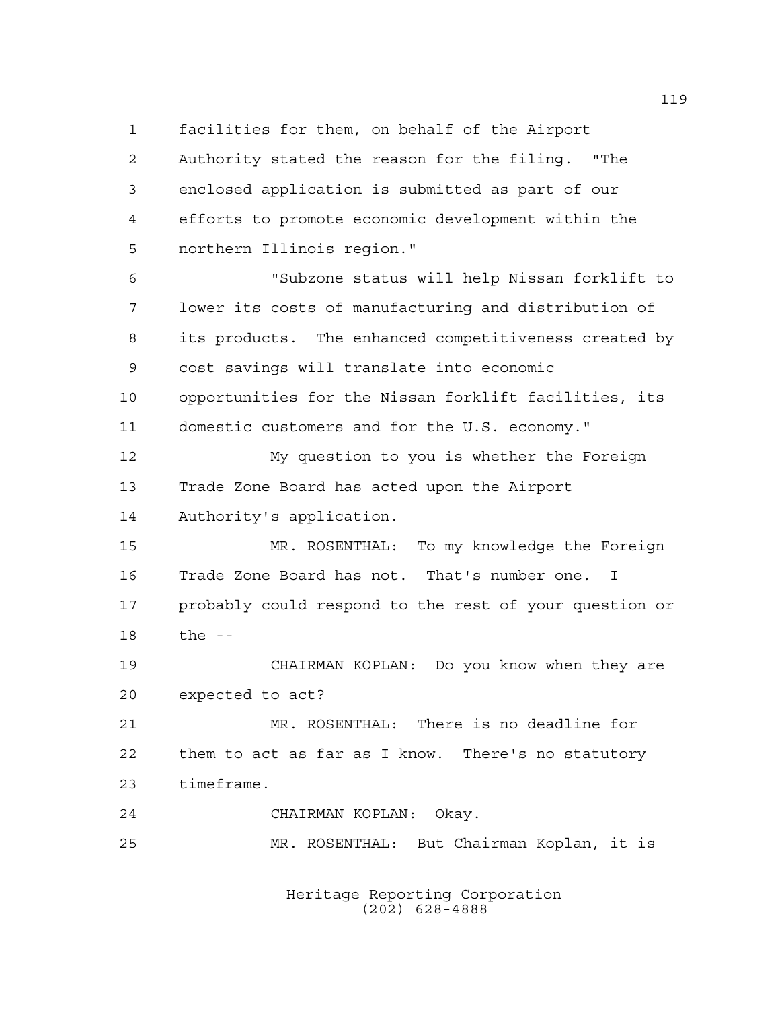facilities for them, on behalf of the Airport

 Authority stated the reason for the filing. "The enclosed application is submitted as part of our efforts to promote economic development within the northern Illinois region." "Subzone status will help Nissan forklift to lower its costs of manufacturing and distribution of its products. The enhanced competitiveness created by cost savings will translate into economic opportunities for the Nissan forklift facilities, its domestic customers and for the U.S. economy." My question to you is whether the Foreign Trade Zone Board has acted upon the Airport Authority's application. MR. ROSENTHAL: To my knowledge the Foreign Trade Zone Board has not. That's number one. I probably could respond to the rest of your question or the -- CHAIRMAN KOPLAN: Do you know when they are expected to act? MR. ROSENTHAL: There is no deadline for them to act as far as I know. There's no statutory timeframe. CHAIRMAN KOPLAN: Okay. MR. ROSENTHAL: But Chairman Koplan, it is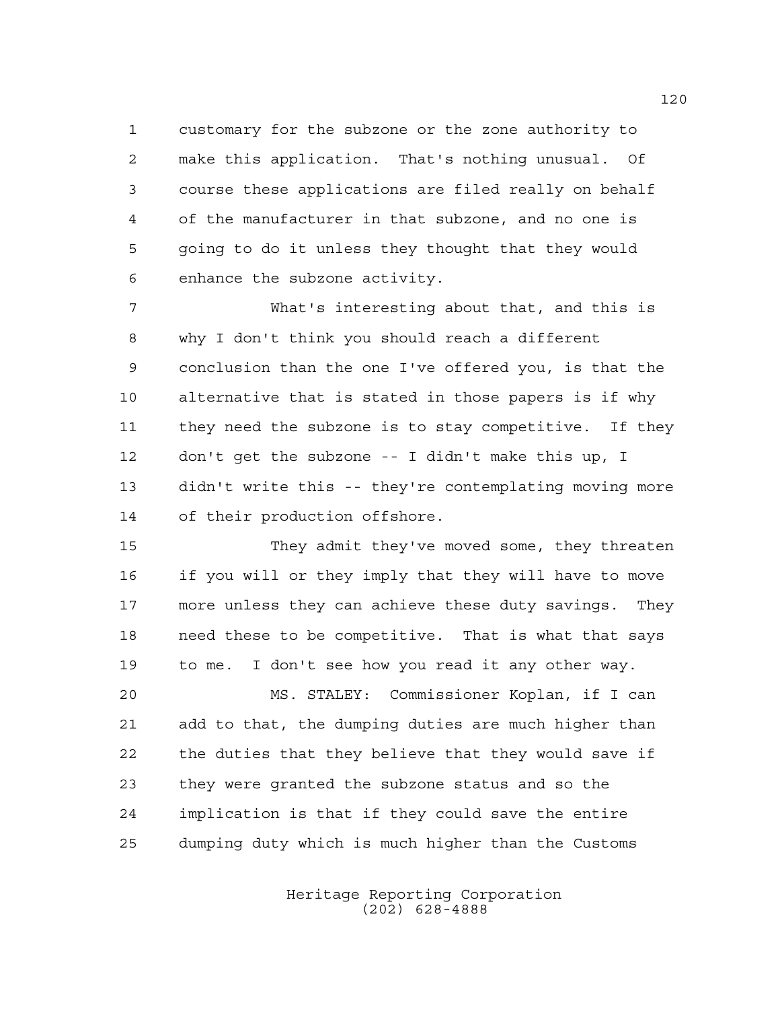customary for the subzone or the zone authority to make this application. That's nothing unusual. Of course these applications are filed really on behalf of the manufacturer in that subzone, and no one is going to do it unless they thought that they would enhance the subzone activity.

 What's interesting about that, and this is why I don't think you should reach a different conclusion than the one I've offered you, is that the alternative that is stated in those papers is if why they need the subzone is to stay competitive. If they don't get the subzone -- I didn't make this up, I didn't write this -- they're contemplating moving more of their production offshore.

 They admit they've moved some, they threaten if you will or they imply that they will have to move more unless they can achieve these duty savings. They need these to be competitive. That is what that says to me. I don't see how you read it any other way.

 MS. STALEY: Commissioner Koplan, if I can add to that, the dumping duties are much higher than the duties that they believe that they would save if they were granted the subzone status and so the implication is that if they could save the entire dumping duty which is much higher than the Customs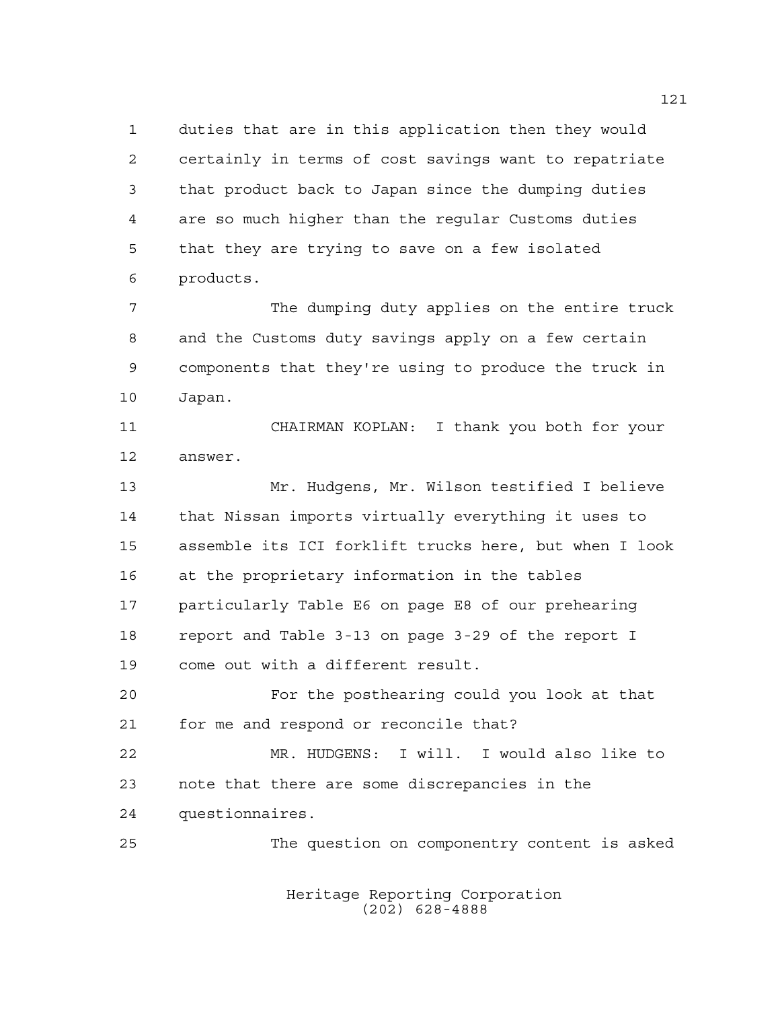duties that are in this application then they would certainly in terms of cost savings want to repatriate that product back to Japan since the dumping duties are so much higher than the regular Customs duties that they are trying to save on a few isolated products.

 The dumping duty applies on the entire truck and the Customs duty savings apply on a few certain components that they're using to produce the truck in Japan.

 CHAIRMAN KOPLAN: I thank you both for your answer.

 Mr. Hudgens, Mr. Wilson testified I believe that Nissan imports virtually everything it uses to assemble its ICI forklift trucks here, but when I look at the proprietary information in the tables particularly Table E6 on page E8 of our prehearing report and Table 3-13 on page 3-29 of the report I come out with a different result.

 For the posthearing could you look at that for me and respond or reconcile that?

 MR. HUDGENS: I will. I would also like to note that there are some discrepancies in the questionnaires.

The question on componentry content is asked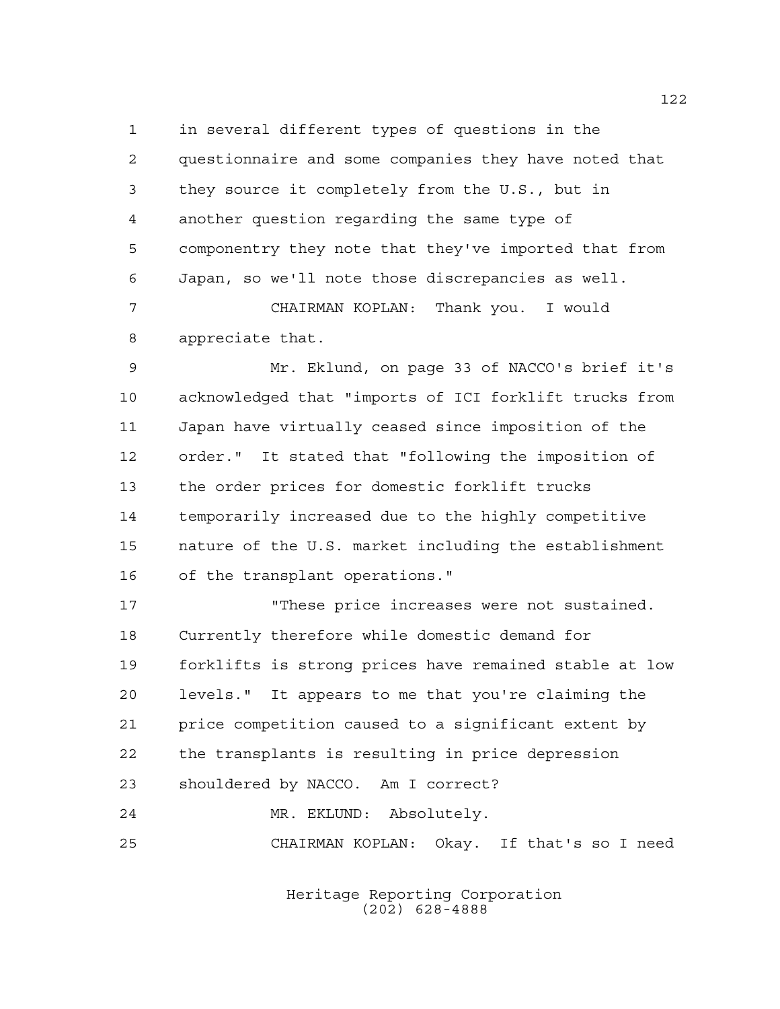in several different types of questions in the questionnaire and some companies they have noted that they source it completely from the U.S., but in another question regarding the same type of componentry they note that they've imported that from Japan, so we'll note those discrepancies as well. CHAIRMAN KOPLAN: Thank you. I would appreciate that.

 Mr. Eklund, on page 33 of NACCO's brief it's acknowledged that "imports of ICI forklift trucks from Japan have virtually ceased since imposition of the order." It stated that "following the imposition of the order prices for domestic forklift trucks temporarily increased due to the highly competitive nature of the U.S. market including the establishment of the transplant operations."

 "These price increases were not sustained. Currently therefore while domestic demand for forklifts is strong prices have remained stable at low levels." It appears to me that you're claiming the price competition caused to a significant extent by the transplants is resulting in price depression shouldered by NACCO. Am I correct? MR. EKLUND: Absolutely.

CHAIRMAN KOPLAN: Okay. If that's so I need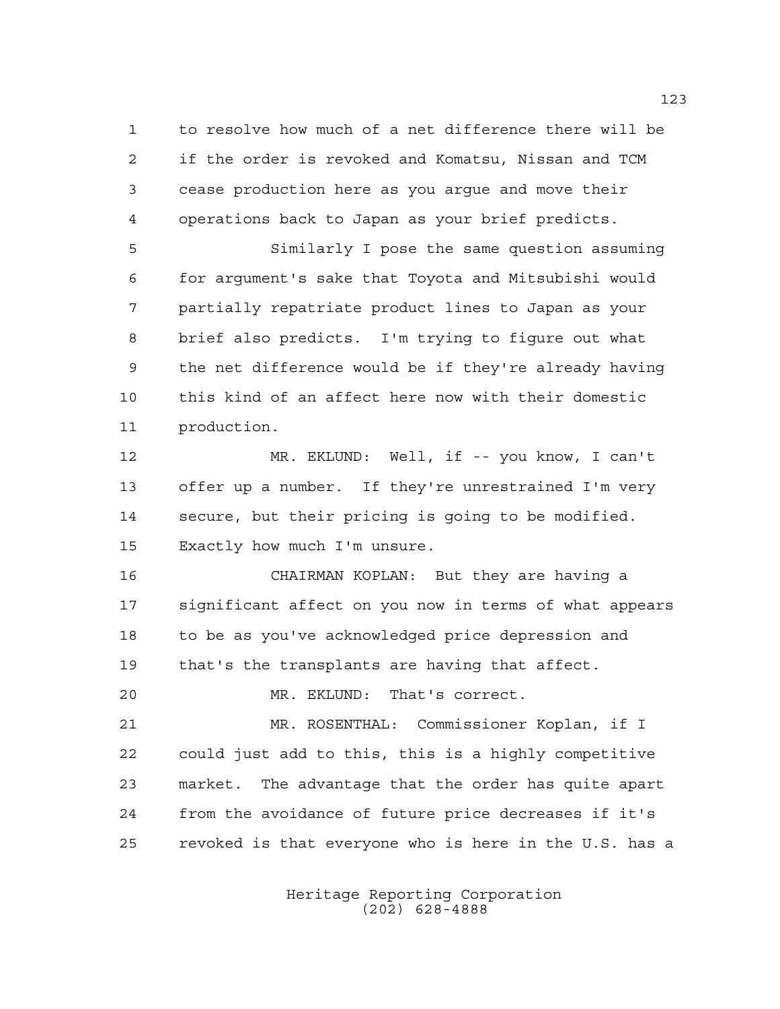to resolve how much of a net difference there will be if the order is revoked and Komatsu, Nissan and TCM cease production here as you argue and move their operations back to Japan as your brief predicts.

 Similarly I pose the same question assuming for argument's sake that Toyota and Mitsubishi would partially repatriate product lines to Japan as your brief also predicts. I'm trying to figure out what the net difference would be if they're already having this kind of an affect here now with their domestic production.

 MR. EKLUND: Well, if -- you know, I can't offer up a number. If they're unrestrained I'm very secure, but their pricing is going to be modified. Exactly how much I'm unsure.

 CHAIRMAN KOPLAN: But they are having a significant affect on you now in terms of what appears to be as you've acknowledged price depression and that's the transplants are having that affect.

MR. EKLUND: That's correct.

 MR. ROSENTHAL: Commissioner Koplan, if I could just add to this, this is a highly competitive market. The advantage that the order has quite apart from the avoidance of future price decreases if it's revoked is that everyone who is here in the U.S. has a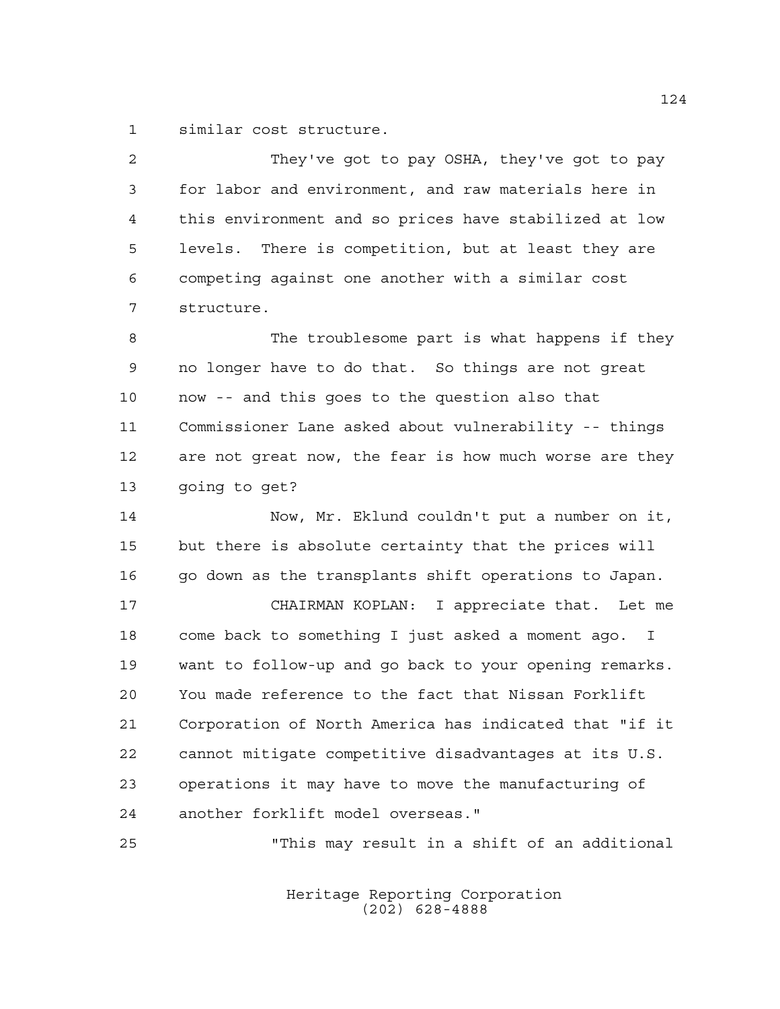similar cost structure.

| $\overline{2}$ | They've got to pay OSHA, they've got to pay            |
|----------------|--------------------------------------------------------|
| 3              | for labor and environment, and raw materials here in   |
| 4              | this environment and so prices have stabilized at low  |
| 5              | levels. There is competition, but at least they are    |
| 6              | competing against one another with a similar cost      |
| 7              | structure.                                             |
| 8              | The troublesome part is what happens if they           |
| 9              | no longer have to do that. So things are not great     |
| 10             | now -- and this goes to the question also that         |
| 11             | Commissioner Lane asked about vulnerability -- things  |
| 12             | are not great now, the fear is how much worse are they |
| 13             | going to get?                                          |
| 14             | Now, Mr. Eklund couldn't put a number on it,           |
| 15             | but there is absolute certainty that the prices will   |
| 16             | go down as the transplants shift operations to Japan.  |
| 17             | CHAIRMAN KOPLAN: I appreciate that. Let me             |
| 18             | come back to something I just asked a moment ago. I    |
| 19             | want to follow-up and go back to your opening remarks. |
| 20             | You made reference to the fact that Nissan Forklift    |
| 21             | Corporation of North America has indicated that "if it |
| 22             | cannot mitigate competitive disadvantages at its U.S.  |
| 23             | operations it may have to move the manufacturing of    |
| 24             | another forklift model overseas."                      |
| 25             | "This may result in a shift of an additional           |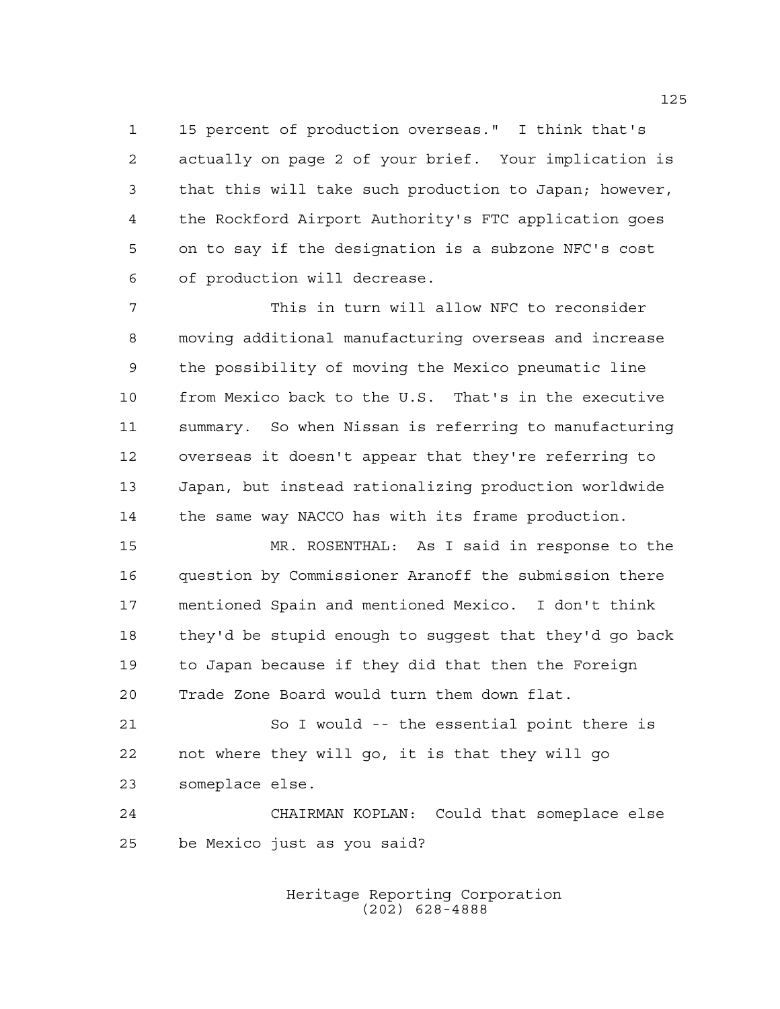15 percent of production overseas." I think that's actually on page 2 of your brief. Your implication is that this will take such production to Japan; however, the Rockford Airport Authority's FTC application goes on to say if the designation is a subzone NFC's cost of production will decrease.

 This in turn will allow NFC to reconsider moving additional manufacturing overseas and increase the possibility of moving the Mexico pneumatic line from Mexico back to the U.S. That's in the executive summary. So when Nissan is referring to manufacturing overseas it doesn't appear that they're referring to Japan, but instead rationalizing production worldwide the same way NACCO has with its frame production.

 MR. ROSENTHAL: As I said in response to the question by Commissioner Aranoff the submission there mentioned Spain and mentioned Mexico. I don't think they'd be stupid enough to suggest that they'd go back to Japan because if they did that then the Foreign Trade Zone Board would turn them down flat.

 So I would -- the essential point there is not where they will go, it is that they will go someplace else.

 CHAIRMAN KOPLAN: Could that someplace else be Mexico just as you said?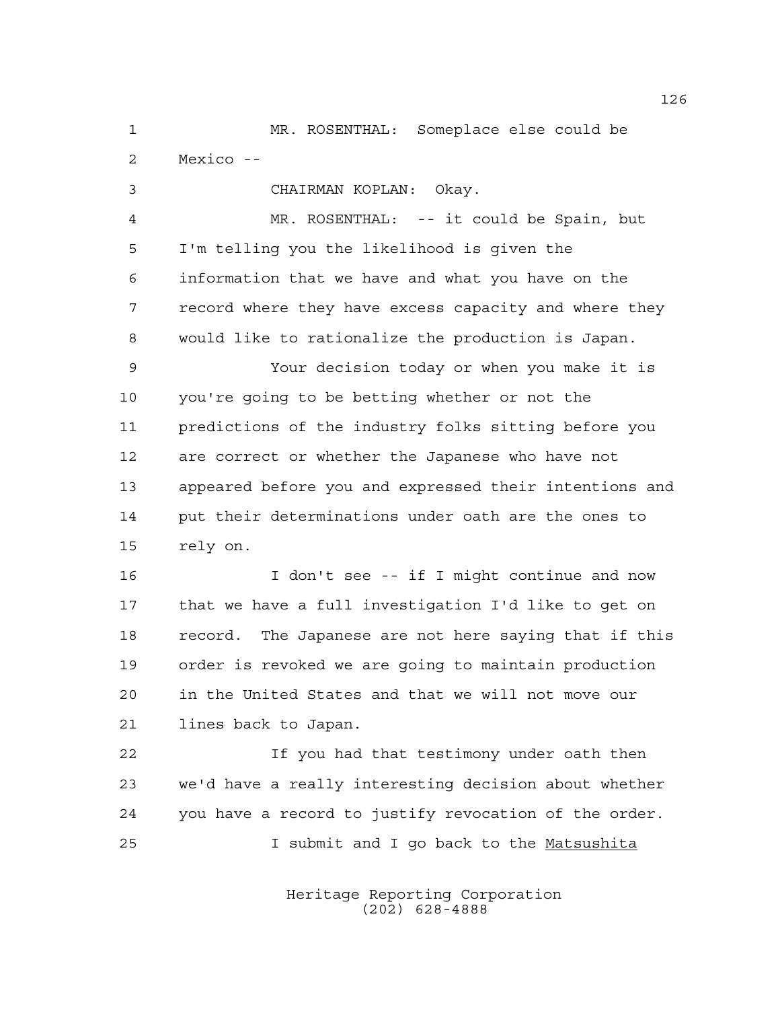MR. ROSENTHAL: Someplace else could be Mexico --

CHAIRMAN KOPLAN: Okay.

 MR. ROSENTHAL: -- it could be Spain, but I'm telling you the likelihood is given the information that we have and what you have on the record where they have excess capacity and where they would like to rationalize the production is Japan.

 Your decision today or when you make it is you're going to be betting whether or not the predictions of the industry folks sitting before you are correct or whether the Japanese who have not appeared before you and expressed their intentions and put their determinations under oath are the ones to rely on.

 I don't see -- if I might continue and now that we have a full investigation I'd like to get on record. The Japanese are not here saying that if this order is revoked we are going to maintain production in the United States and that we will not move our lines back to Japan.

 If you had that testimony under oath then we'd have a really interesting decision about whether you have a record to justify revocation of the order. I submit and I go back to the Matsushita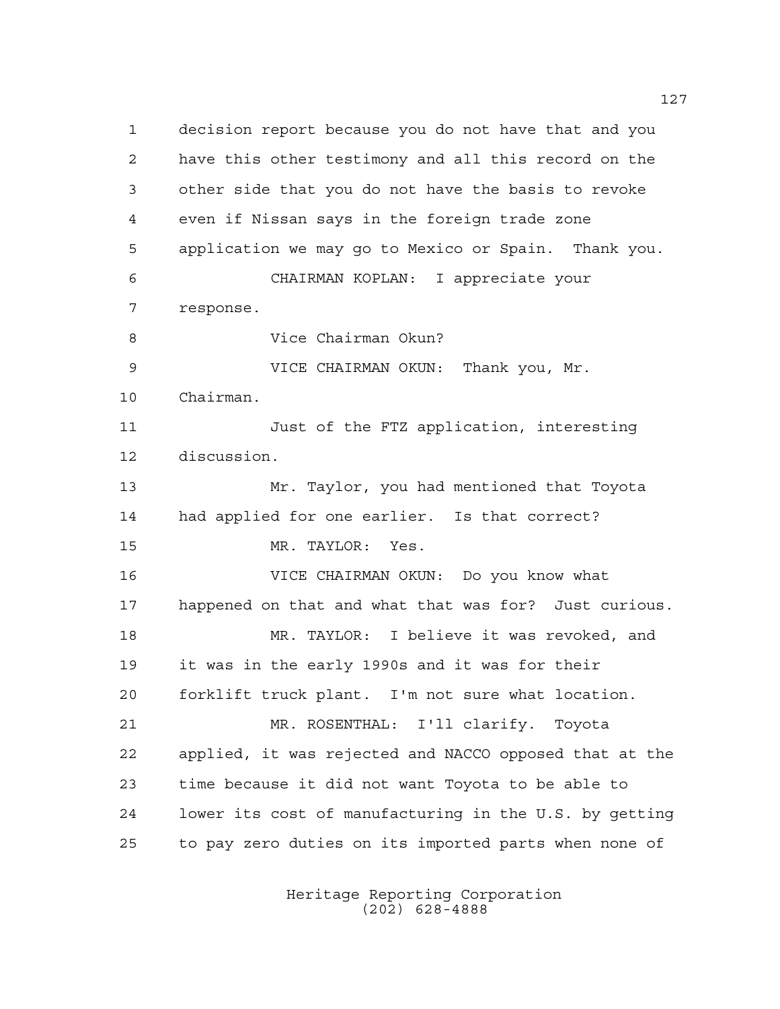decision report because you do not have that and you have this other testimony and all this record on the other side that you do not have the basis to revoke even if Nissan says in the foreign trade zone application we may go to Mexico or Spain. Thank you. CHAIRMAN KOPLAN: I appreciate your response. Vice Chairman Okun? VICE CHAIRMAN OKUN: Thank you, Mr. Chairman. Just of the FTZ application, interesting discussion. Mr. Taylor, you had mentioned that Toyota had applied for one earlier. Is that correct? MR. TAYLOR: Yes. VICE CHAIRMAN OKUN: Do you know what happened on that and what that was for? Just curious. MR. TAYLOR: I believe it was revoked, and it was in the early 1990s and it was for their forklift truck plant. I'm not sure what location. MR. ROSENTHAL: I'll clarify. Toyota applied, it was rejected and NACCO opposed that at the time because it did not want Toyota to be able to lower its cost of manufacturing in the U.S. by getting to pay zero duties on its imported parts when none of

> Heritage Reporting Corporation (202) 628-4888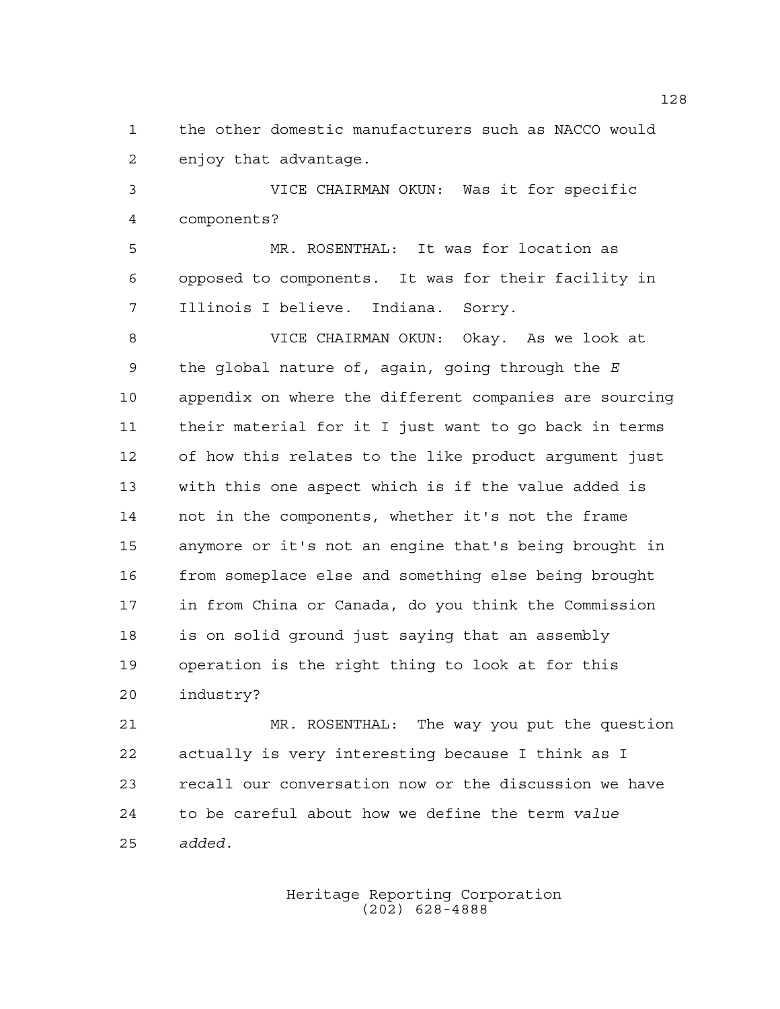the other domestic manufacturers such as NACCO would enjoy that advantage.

 VICE CHAIRMAN OKUN: Was it for specific components?

 MR. ROSENTHAL: It was for location as opposed to components. It was for their facility in Illinois I believe. Indiana. Sorry.

 VICE CHAIRMAN OKUN: Okay. As we look at the global nature of, again, going through the *E* appendix on where the different companies are sourcing their material for it I just want to go back in terms of how this relates to the like product argument just with this one aspect which is if the value added is not in the components, whether it's not the frame anymore or it's not an engine that's being brought in from someplace else and something else being brought in from China or Canada, do you think the Commission is on solid ground just saying that an assembly operation is the right thing to look at for this industry?

 MR. ROSENTHAL: The way you put the question actually is very interesting because I think as I recall our conversation now or the discussion we have to be careful about how we define the term *value added*.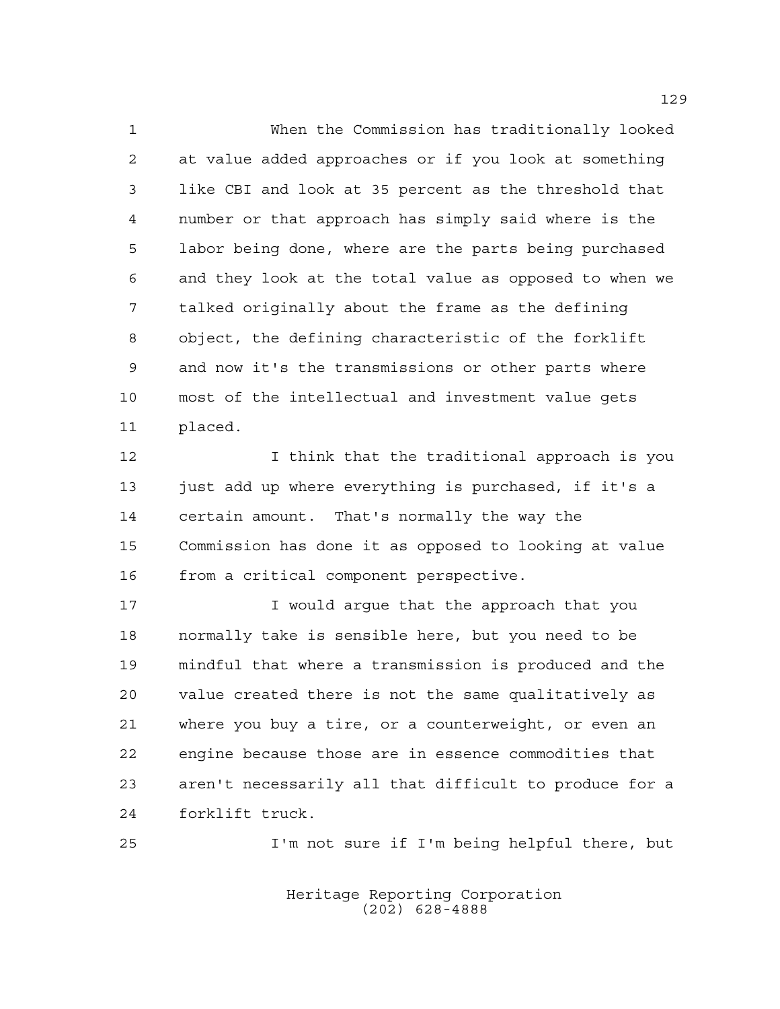When the Commission has traditionally looked at value added approaches or if you look at something like CBI and look at 35 percent as the threshold that number or that approach has simply said where is the labor being done, where are the parts being purchased and they look at the total value as opposed to when we talked originally about the frame as the defining object, the defining characteristic of the forklift and now it's the transmissions or other parts where most of the intellectual and investment value gets placed.

 I think that the traditional approach is you 13 just add up where everything is purchased, if it's a certain amount. That's normally the way the Commission has done it as opposed to looking at value from a critical component perspective.

**I** would arque that the approach that you normally take is sensible here, but you need to be mindful that where a transmission is produced and the value created there is not the same qualitatively as where you buy a tire, or a counterweight, or even an engine because those are in essence commodities that aren't necessarily all that difficult to produce for a forklift truck.

I'm not sure if I'm being helpful there, but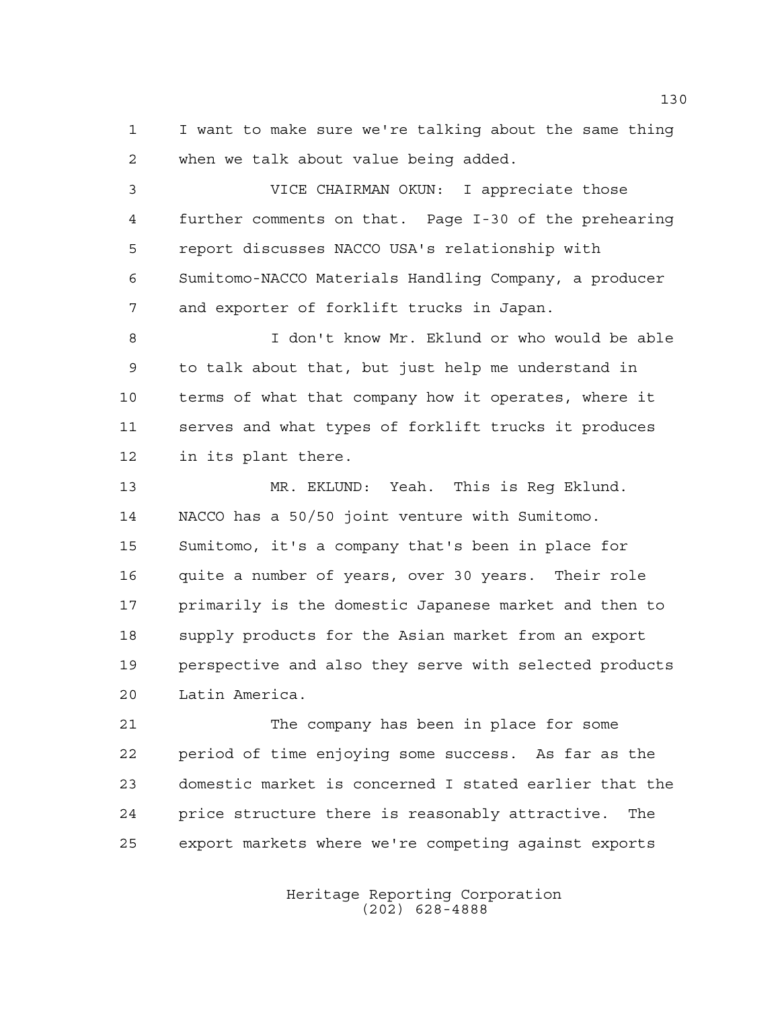I want to make sure we're talking about the same thing when we talk about value being added.

 VICE CHAIRMAN OKUN: I appreciate those further comments on that. Page I-30 of the prehearing report discusses NACCO USA's relationship with Sumitomo-NACCO Materials Handling Company, a producer and exporter of forklift trucks in Japan.

 I don't know Mr. Eklund or who would be able to talk about that, but just help me understand in terms of what that company how it operates, where it serves and what types of forklift trucks it produces in its plant there.

 MR. EKLUND: Yeah. This is Reg Eklund. NACCO has a 50/50 joint venture with Sumitomo. Sumitomo, it's a company that's been in place for quite a number of years, over 30 years. Their role primarily is the domestic Japanese market and then to supply products for the Asian market from an export perspective and also they serve with selected products Latin America.

 The company has been in place for some period of time enjoying some success. As far as the domestic market is concerned I stated earlier that the price structure there is reasonably attractive. The export markets where we're competing against exports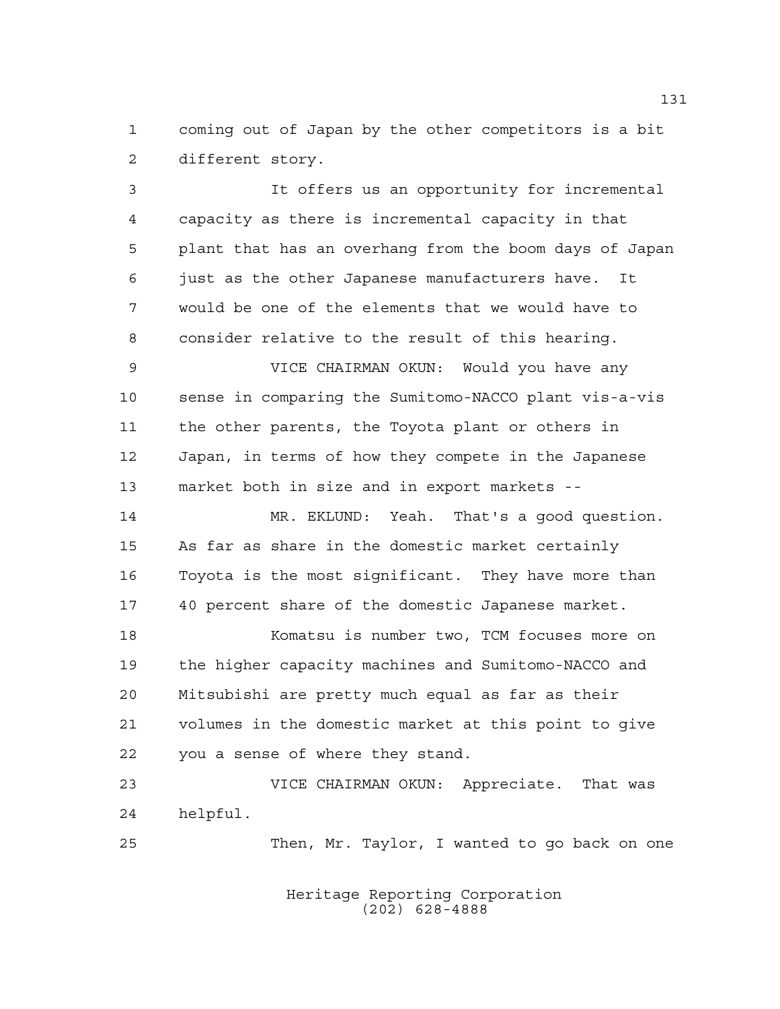coming out of Japan by the other competitors is a bit different story.

 It offers us an opportunity for incremental capacity as there is incremental capacity in that plant that has an overhang from the boom days of Japan just as the other Japanese manufacturers have. It would be one of the elements that we would have to consider relative to the result of this hearing. VICE CHAIRMAN OKUN: Would you have any sense in comparing the Sumitomo-NACCO plant vis-a-vis the other parents, the Toyota plant or others in Japan, in terms of how they compete in the Japanese market both in size and in export markets -- MR. EKLUND: Yeah. That's a good question. As far as share in the domestic market certainly Toyota is the most significant. They have more than 40 percent share of the domestic Japanese market. Komatsu is number two, TCM focuses more on the higher capacity machines and Sumitomo-NACCO and Mitsubishi are pretty much equal as far as their volumes in the domestic market at this point to give you a sense of where they stand.

 VICE CHAIRMAN OKUN: Appreciate. That was helpful.

Then, Mr. Taylor, I wanted to go back on one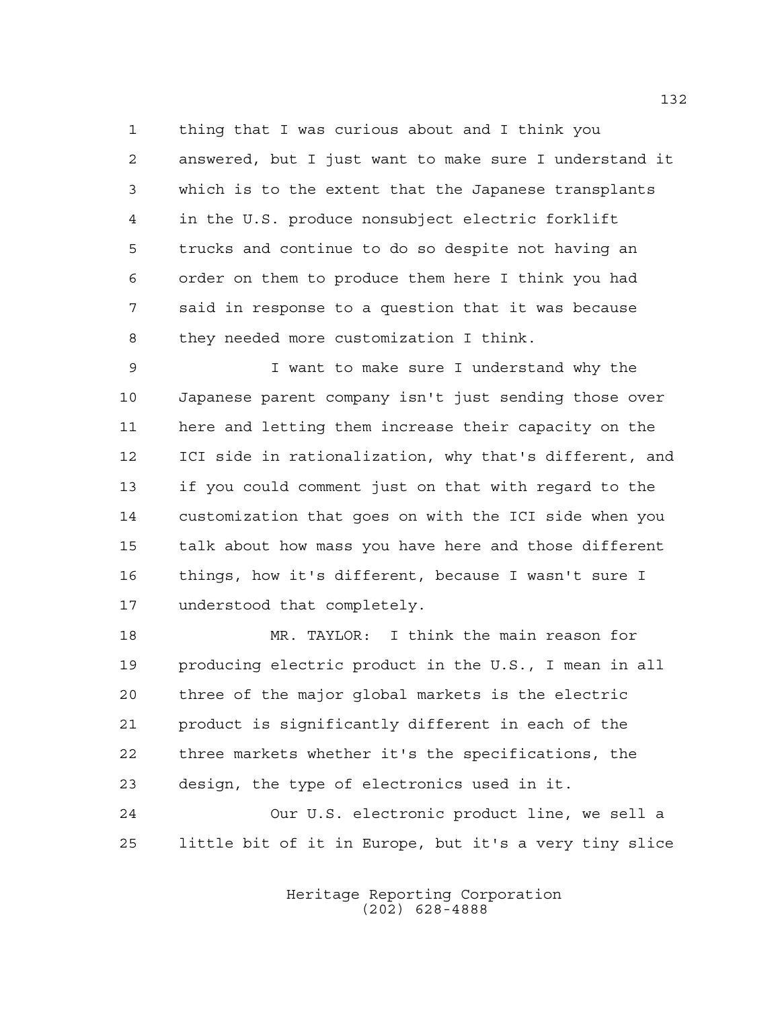thing that I was curious about and I think you answered, but I just want to make sure I understand it which is to the extent that the Japanese transplants in the U.S. produce nonsubject electric forklift trucks and continue to do so despite not having an order on them to produce them here I think you had said in response to a question that it was because they needed more customization I think.

 I want to make sure I understand why the Japanese parent company isn't just sending those over here and letting them increase their capacity on the ICI side in rationalization, why that's different, and if you could comment just on that with regard to the customization that goes on with the ICI side when you talk about how mass you have here and those different things, how it's different, because I wasn't sure I understood that completely.

 MR. TAYLOR: I think the main reason for producing electric product in the U.S., I mean in all three of the major global markets is the electric product is significantly different in each of the three markets whether it's the specifications, the design, the type of electronics used in it.

 Our U.S. electronic product line, we sell a little bit of it in Europe, but it's a very tiny slice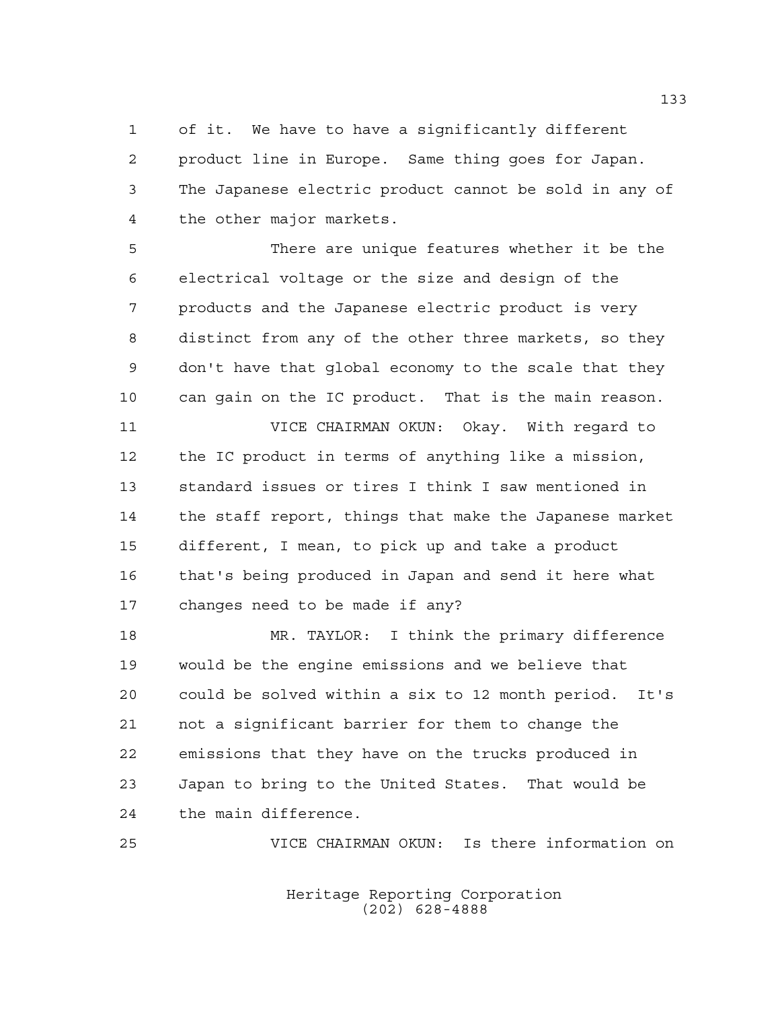of it. We have to have a significantly different product line in Europe. Same thing goes for Japan. The Japanese electric product cannot be sold in any of the other major markets.

 There are unique features whether it be the electrical voltage or the size and design of the products and the Japanese electric product is very distinct from any of the other three markets, so they don't have that global economy to the scale that they can gain on the IC product. That is the main reason.

 VICE CHAIRMAN OKUN: Okay. With regard to the IC product in terms of anything like a mission, standard issues or tires I think I saw mentioned in the staff report, things that make the Japanese market different, I mean, to pick up and take a product that's being produced in Japan and send it here what changes need to be made if any?

 MR. TAYLOR: I think the primary difference would be the engine emissions and we believe that could be solved within a six to 12 month period. It's not a significant barrier for them to change the emissions that they have on the trucks produced in Japan to bring to the United States. That would be the main difference.

VICE CHAIRMAN OKUN: Is there information on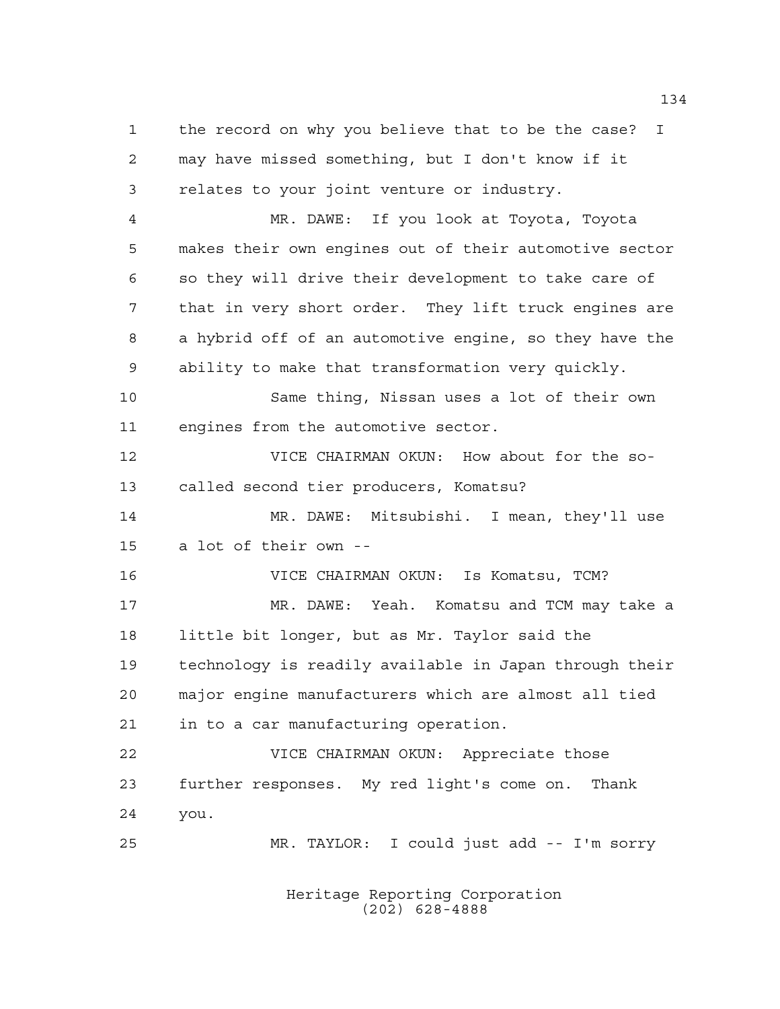the record on why you believe that to be the case? I may have missed something, but I don't know if it relates to your joint venture or industry.

 MR. DAWE: If you look at Toyota, Toyota makes their own engines out of their automotive sector so they will drive their development to take care of that in very short order. They lift truck engines are a hybrid off of an automotive engine, so they have the ability to make that transformation very quickly.

 Same thing, Nissan uses a lot of their own engines from the automotive sector.

 VICE CHAIRMAN OKUN: How about for the so- called second tier producers, Komatsu? MR. DAWE: Mitsubishi. I mean, they'll use

a lot of their own --

 VICE CHAIRMAN OKUN: Is Komatsu, TCM? MR. DAWE: Yeah. Komatsu and TCM may take a little bit longer, but as Mr. Taylor said the technology is readily available in Japan through their major engine manufacturers which are almost all tied in to a car manufacturing operation.

 VICE CHAIRMAN OKUN: Appreciate those further responses. My red light's come on. Thank you.

MR. TAYLOR: I could just add -- I'm sorry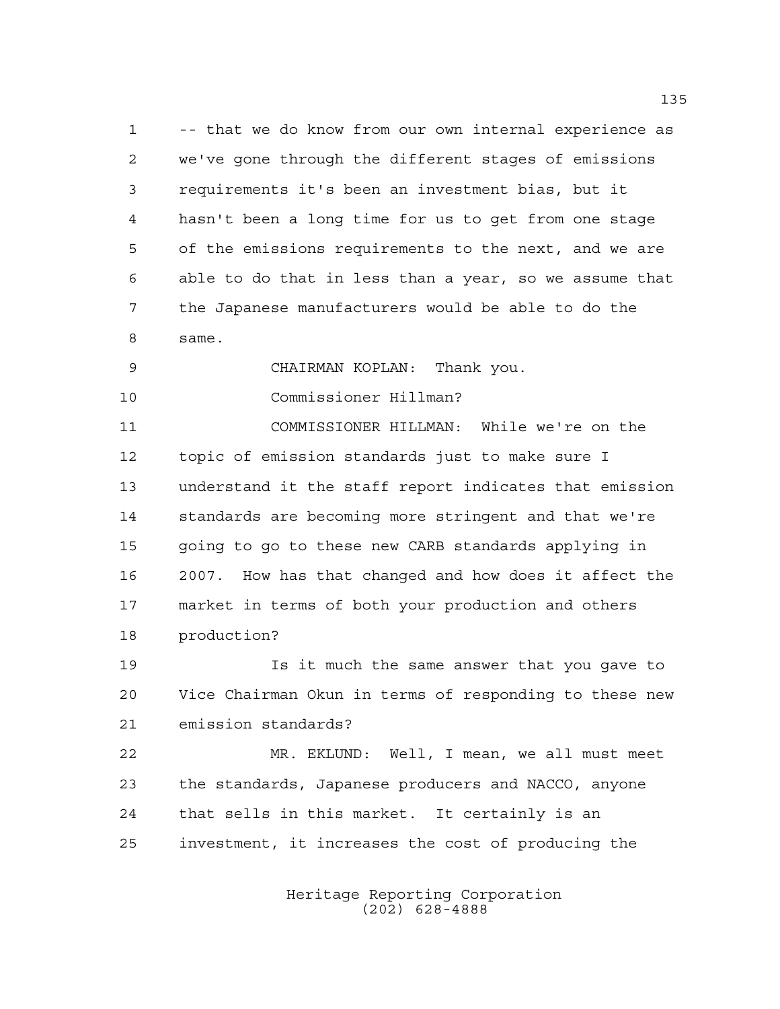-- that we do know from our own internal experience as we've gone through the different stages of emissions requirements it's been an investment bias, but it hasn't been a long time for us to get from one stage of the emissions requirements to the next, and we are able to do that in less than a year, so we assume that the Japanese manufacturers would be able to do the same.

CHAIRMAN KOPLAN: Thank you.

Commissioner Hillman?

 COMMISSIONER HILLMAN: While we're on the topic of emission standards just to make sure I understand it the staff report indicates that emission standards are becoming more stringent and that we're going to go to these new CARB standards applying in 2007. How has that changed and how does it affect the market in terms of both your production and others production?

 Is it much the same answer that you gave to Vice Chairman Okun in terms of responding to these new emission standards?

 MR. EKLUND: Well, I mean, we all must meet the standards, Japanese producers and NACCO, anyone that sells in this market. It certainly is an investment, it increases the cost of producing the

> Heritage Reporting Corporation (202) 628-4888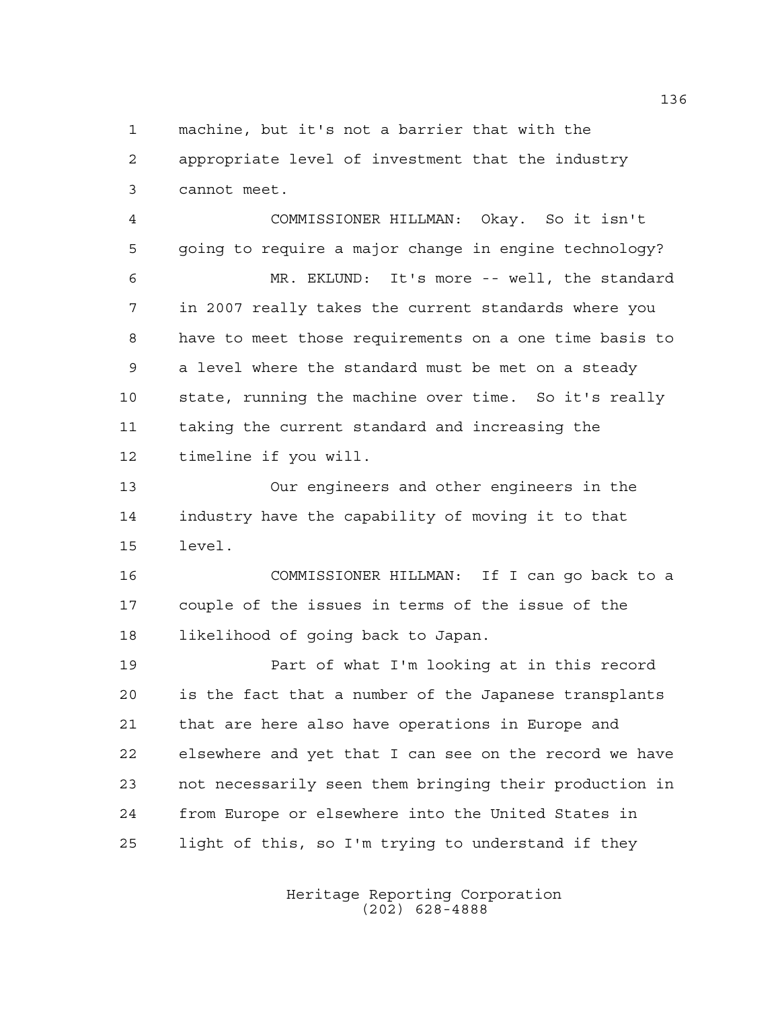machine, but it's not a barrier that with the

 appropriate level of investment that the industry cannot meet.

 COMMISSIONER HILLMAN: Okay. So it isn't going to require a major change in engine technology? MR. EKLUND: It's more -- well, the standard in 2007 really takes the current standards where you have to meet those requirements on a one time basis to a level where the standard must be met on a steady state, running the machine over time. So it's really taking the current standard and increasing the timeline if you will.

 Our engineers and other engineers in the industry have the capability of moving it to that level.

 COMMISSIONER HILLMAN: If I can go back to a couple of the issues in terms of the issue of the likelihood of going back to Japan.

 Part of what I'm looking at in this record is the fact that a number of the Japanese transplants that are here also have operations in Europe and elsewhere and yet that I can see on the record we have not necessarily seen them bringing their production in from Europe or elsewhere into the United States in light of this, so I'm trying to understand if they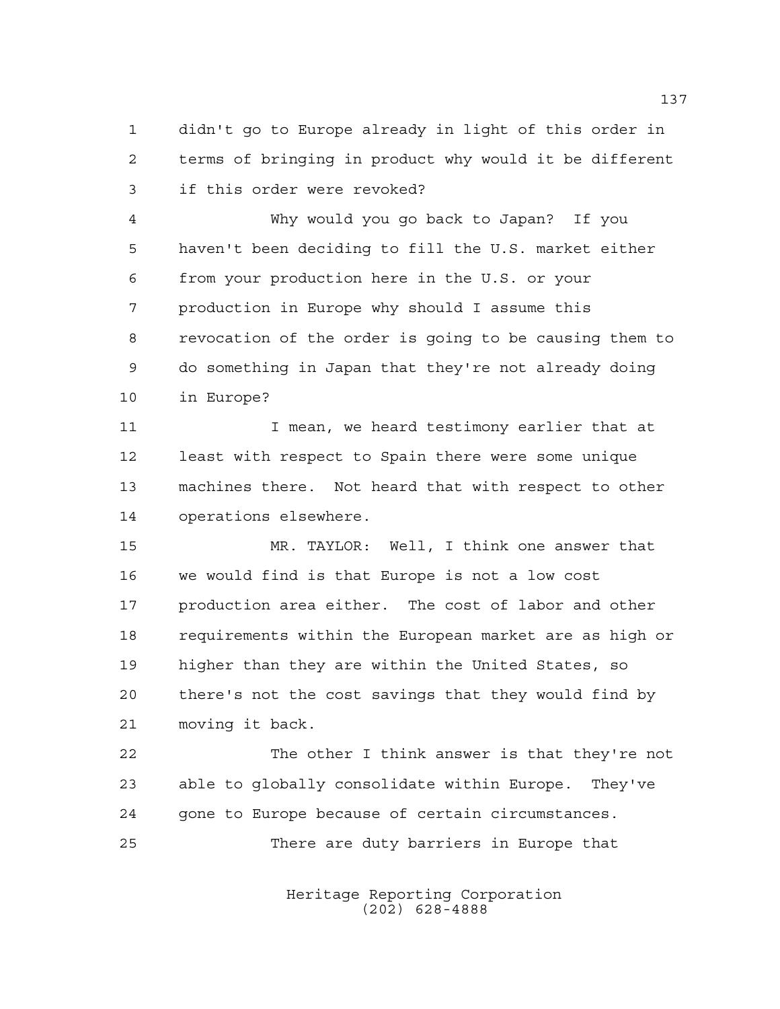didn't go to Europe already in light of this order in terms of bringing in product why would it be different if this order were revoked?

 Why would you go back to Japan? If you haven't been deciding to fill the U.S. market either from your production here in the U.S. or your production in Europe why should I assume this revocation of the order is going to be causing them to do something in Japan that they're not already doing in Europe?

11 I mean, we heard testimony earlier that at least with respect to Spain there were some unique machines there. Not heard that with respect to other operations elsewhere.

 MR. TAYLOR: Well, I think one answer that we would find is that Europe is not a low cost production area either. The cost of labor and other requirements within the European market are as high or higher than they are within the United States, so there's not the cost savings that they would find by moving it back.

 The other I think answer is that they're not able to globally consolidate within Europe. They've gone to Europe because of certain circumstances. There are duty barriers in Europe that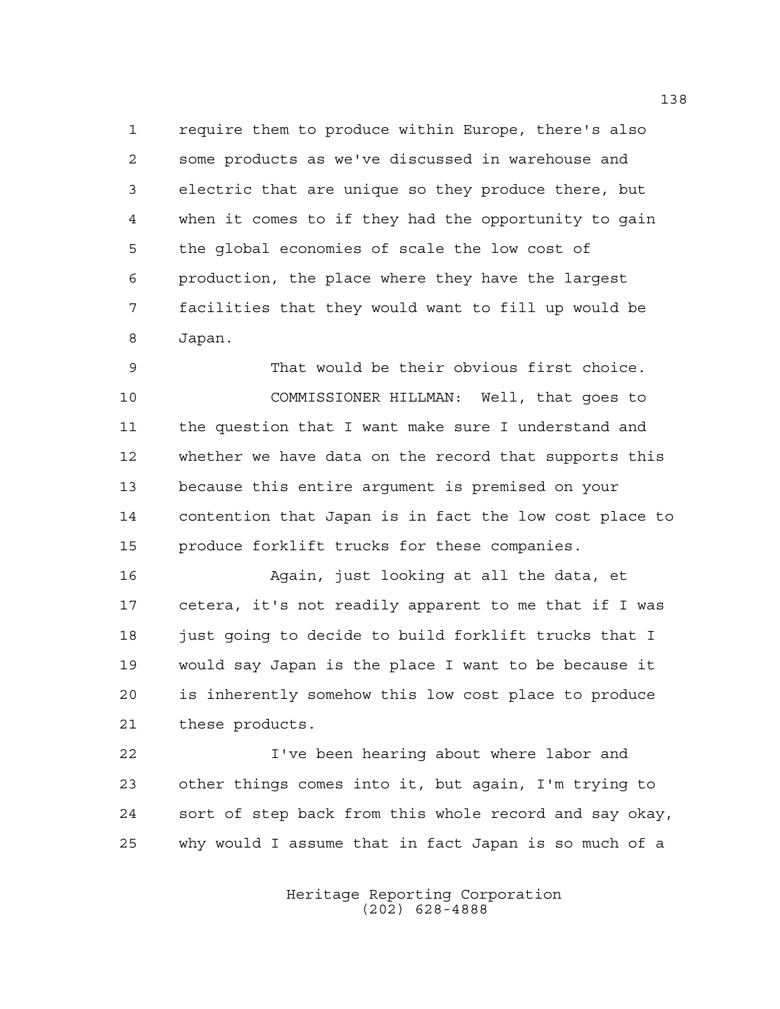require them to produce within Europe, there's also some products as we've discussed in warehouse and electric that are unique so they produce there, but when it comes to if they had the opportunity to gain the global economies of scale the low cost of production, the place where they have the largest facilities that they would want to fill up would be Japan.

 That would be their obvious first choice. COMMISSIONER HILLMAN: Well, that goes to the question that I want make sure I understand and whether we have data on the record that supports this because this entire argument is premised on your contention that Japan is in fact the low cost place to produce forklift trucks for these companies.

 Again, just looking at all the data, et cetera, it's not readily apparent to me that if I was 18 just going to decide to build forklift trucks that I would say Japan is the place I want to be because it is inherently somehow this low cost place to produce these products.

 I've been hearing about where labor and other things comes into it, but again, I'm trying to sort of step back from this whole record and say okay, why would I assume that in fact Japan is so much of a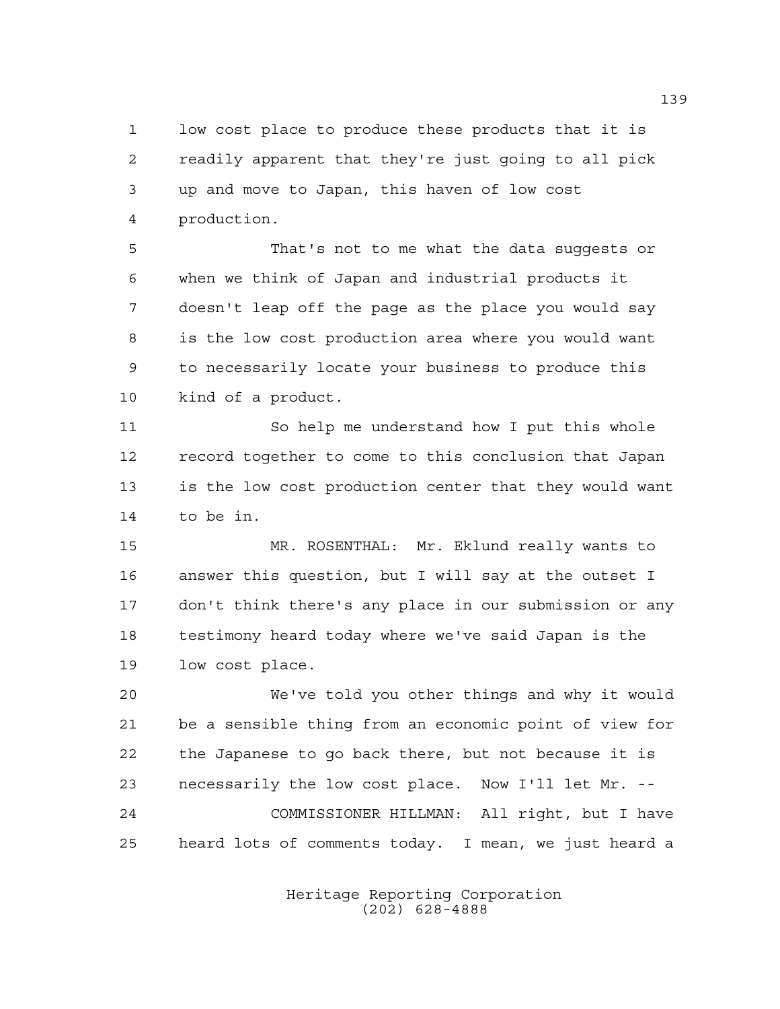low cost place to produce these products that it is readily apparent that they're just going to all pick up and move to Japan, this haven of low cost production.

 That's not to me what the data suggests or when we think of Japan and industrial products it doesn't leap off the page as the place you would say is the low cost production area where you would want to necessarily locate your business to produce this kind of a product.

 So help me understand how I put this whole record together to come to this conclusion that Japan is the low cost production center that they would want to be in.

 MR. ROSENTHAL: Mr. Eklund really wants to answer this question, but I will say at the outset I don't think there's any place in our submission or any testimony heard today where we've said Japan is the low cost place.

 We've told you other things and why it would be a sensible thing from an economic point of view for the Japanese to go back there, but not because it is necessarily the low cost place. Now I'll let Mr. -- COMMISSIONER HILLMAN: All right, but I have heard lots of comments today. I mean, we just heard a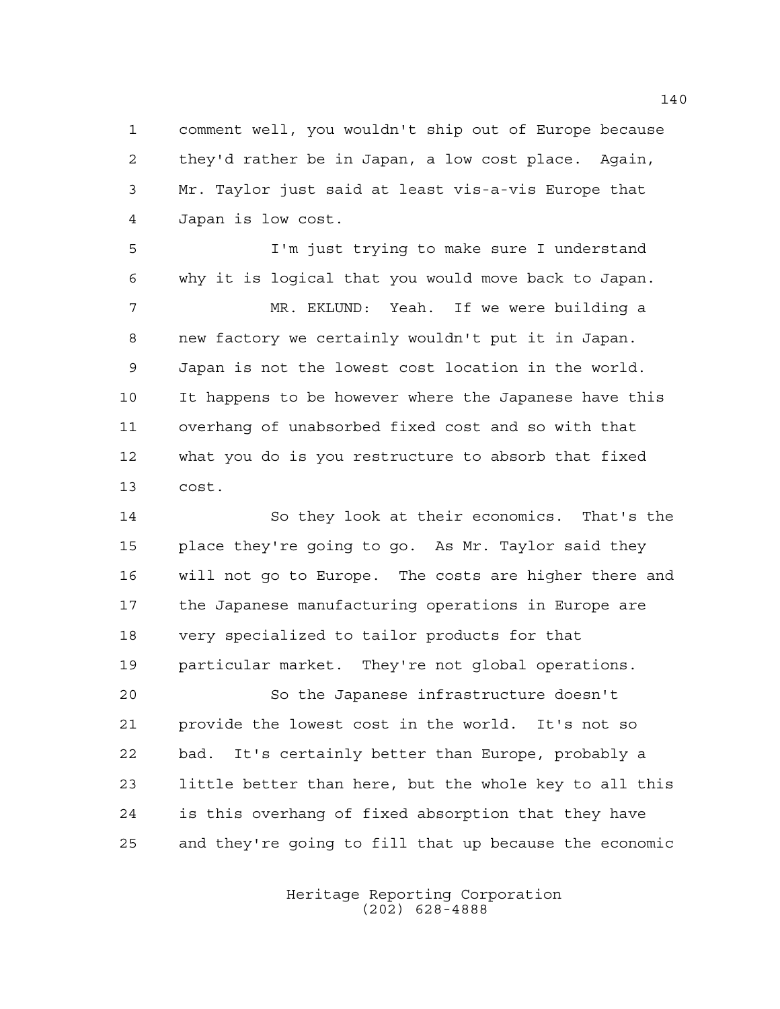comment well, you wouldn't ship out of Europe because they'd rather be in Japan, a low cost place. Again, Mr. Taylor just said at least vis-a-vis Europe that Japan is low cost.

 I'm just trying to make sure I understand why it is logical that you would move back to Japan. MR. EKLUND: Yeah. If we were building a new factory we certainly wouldn't put it in Japan. Japan is not the lowest cost location in the world. It happens to be however where the Japanese have this overhang of unabsorbed fixed cost and so with that what you do is you restructure to absorb that fixed cost.

 So they look at their economics. That's the place they're going to go. As Mr. Taylor said they will not go to Europe. The costs are higher there and the Japanese manufacturing operations in Europe are very specialized to tailor products for that particular market. They're not global operations. So the Japanese infrastructure doesn't

 provide the lowest cost in the world. It's not so bad. It's certainly better than Europe, probably a little better than here, but the whole key to all this is this overhang of fixed absorption that they have and they're going to fill that up because the economic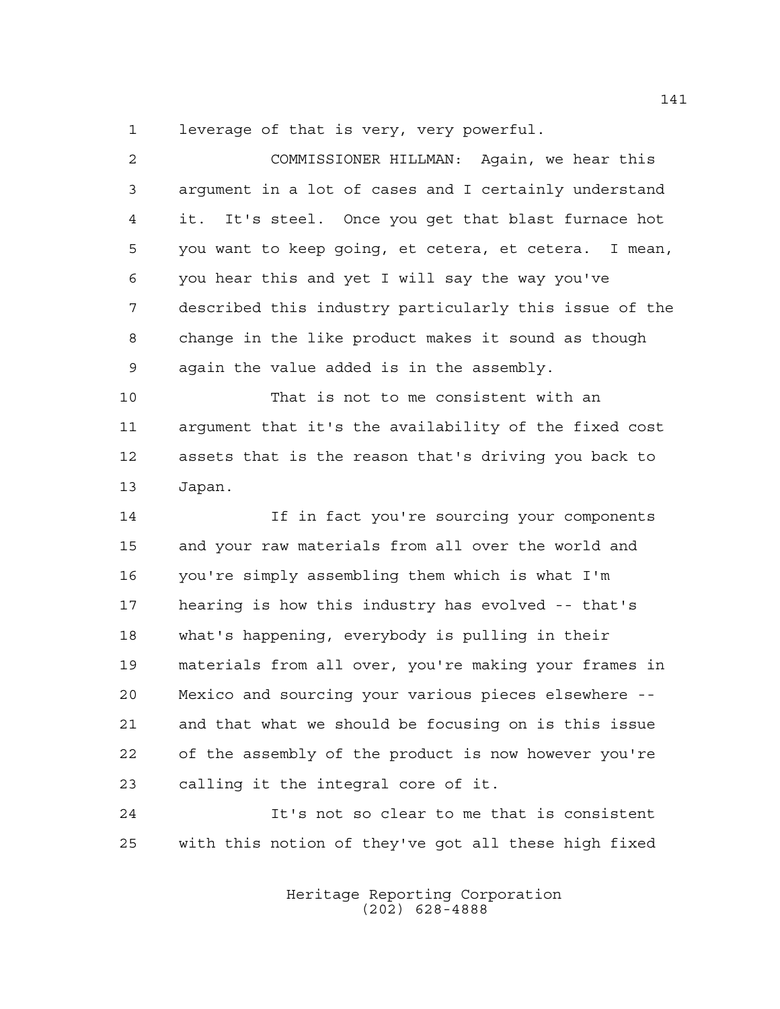leverage of that is very, very powerful.

| 2  | COMMISSIONER HILLMAN: Again, we hear this              |
|----|--------------------------------------------------------|
| 3  | argument in a lot of cases and I certainly understand  |
| 4  | It's steel. Once you get that blast furnace hot<br>it. |
| 5  | you want to keep going, et cetera, et cetera. I mean,  |
| 6  | you hear this and yet I will say the way you've        |
| 7  | described this industry particularly this issue of the |
| 8  | change in the like product makes it sound as though    |
| 9  | again the value added is in the assembly.              |
| 10 | That is not to me consistent with an                   |
| 11 | arqument that it's the availability of the fixed cost  |
| 12 | assets that is the reason that's driving you back to   |
| 13 | Japan.                                                 |
| 14 | If in fact you're sourcing your components             |
| 15 | and your raw materials from all over the world and     |
| 16 | you're simply assembling them which is what I'm        |
| 17 | hearing is how this industry has evolved -- that's     |
| 18 | what's happening, everybody is pulling in their        |
| 19 | materials from all over, you're making your frames in  |
| 20 | Mexico and sourcing your various pieces elsewhere --   |
| 21 | and that what we should be focusing on is this issue   |
| 22 | of the assembly of the product is now however you're   |
| 23 | calling it the integral core of it.                    |
|    |                                                        |

 It's not so clear to me that is consistent with this notion of they've got all these high fixed

> Heritage Reporting Corporation (202) 628-4888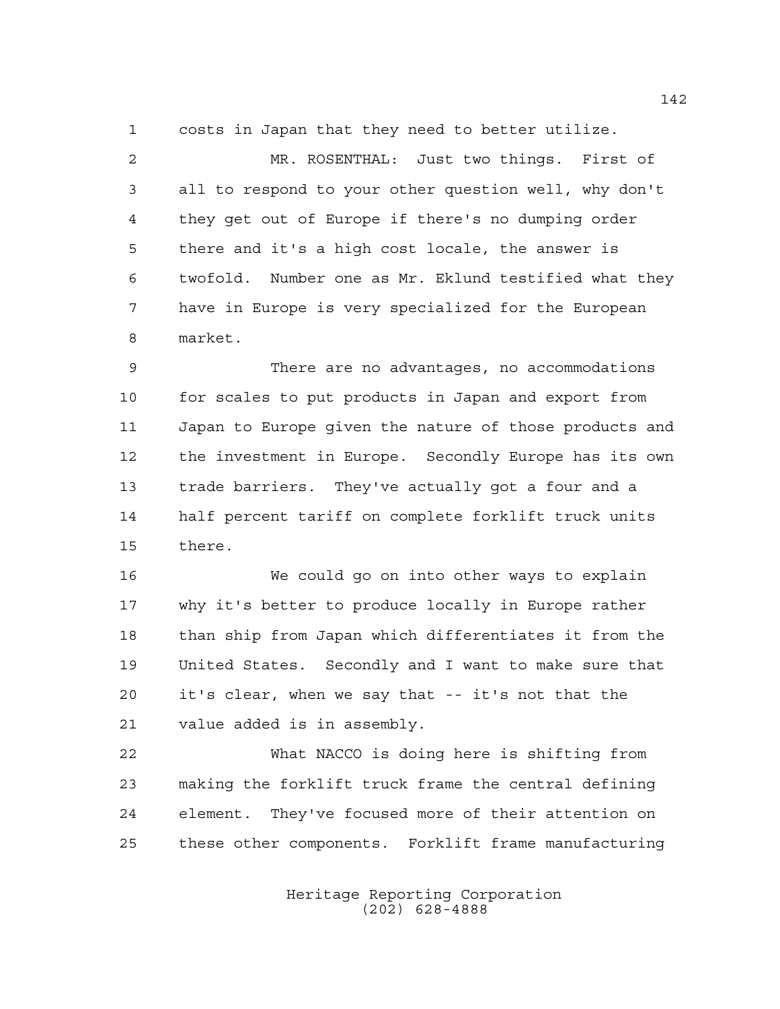costs in Japan that they need to better utilize.

 MR. ROSENTHAL: Just two things. First of all to respond to your other question well, why don't they get out of Europe if there's no dumping order there and it's a high cost locale, the answer is twofold. Number one as Mr. Eklund testified what they have in Europe is very specialized for the European market.

 There are no advantages, no accommodations for scales to put products in Japan and export from Japan to Europe given the nature of those products and the investment in Europe. Secondly Europe has its own trade barriers. They've actually got a four and a half percent tariff on complete forklift truck units there.

 We could go on into other ways to explain why it's better to produce locally in Europe rather 18 than ship from Japan which differentiates it from the United States. Secondly and I want to make sure that it's clear, when we say that -- it's not that the value added is in assembly.

 What NACCO is doing here is shifting from making the forklift truck frame the central defining element. They've focused more of their attention on these other components. Forklift frame manufacturing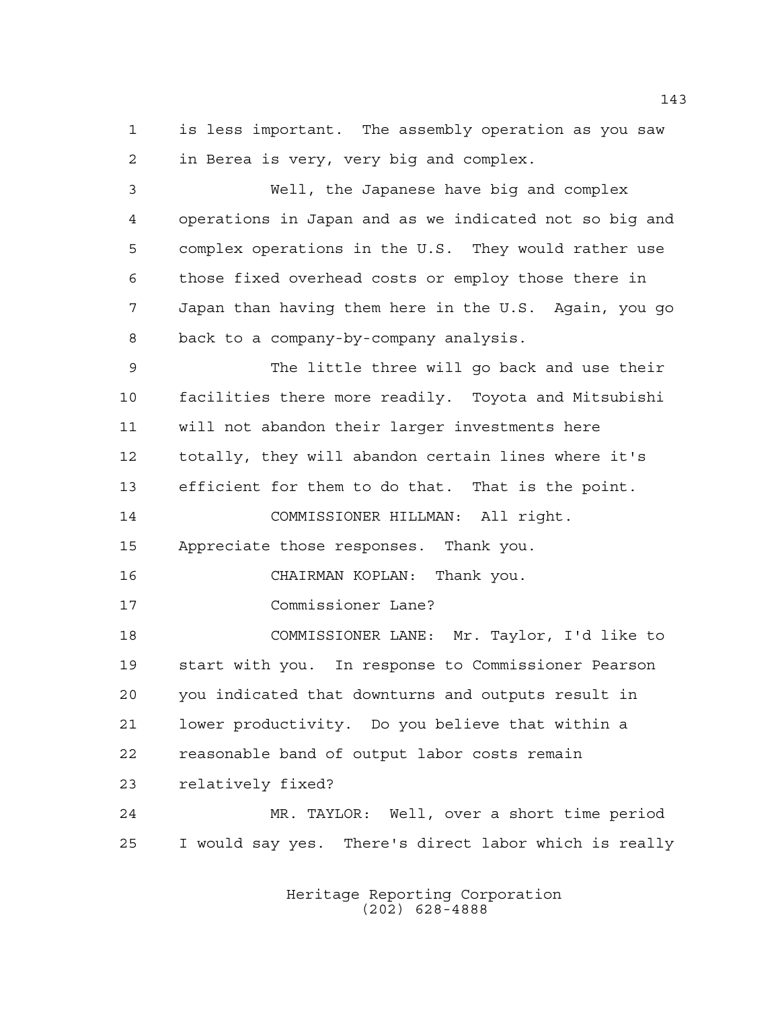is less important. The assembly operation as you saw in Berea is very, very big and complex.

 Well, the Japanese have big and complex operations in Japan and as we indicated not so big and complex operations in the U.S. They would rather use those fixed overhead costs or employ those there in Japan than having them here in the U.S. Again, you go back to a company-by-company analysis.

 The little three will go back and use their facilities there more readily. Toyota and Mitsubishi will not abandon their larger investments here totally, they will abandon certain lines where it's efficient for them to do that. That is the point.

COMMISSIONER HILLMAN: All right.

Appreciate those responses. Thank you.

CHAIRMAN KOPLAN: Thank you.

Commissioner Lane?

 COMMISSIONER LANE: Mr. Taylor, I'd like to start with you. In response to Commissioner Pearson you indicated that downturns and outputs result in lower productivity. Do you believe that within a reasonable band of output labor costs remain relatively fixed? MR. TAYLOR: Well, over a short time period

I would say yes. There's direct labor which is really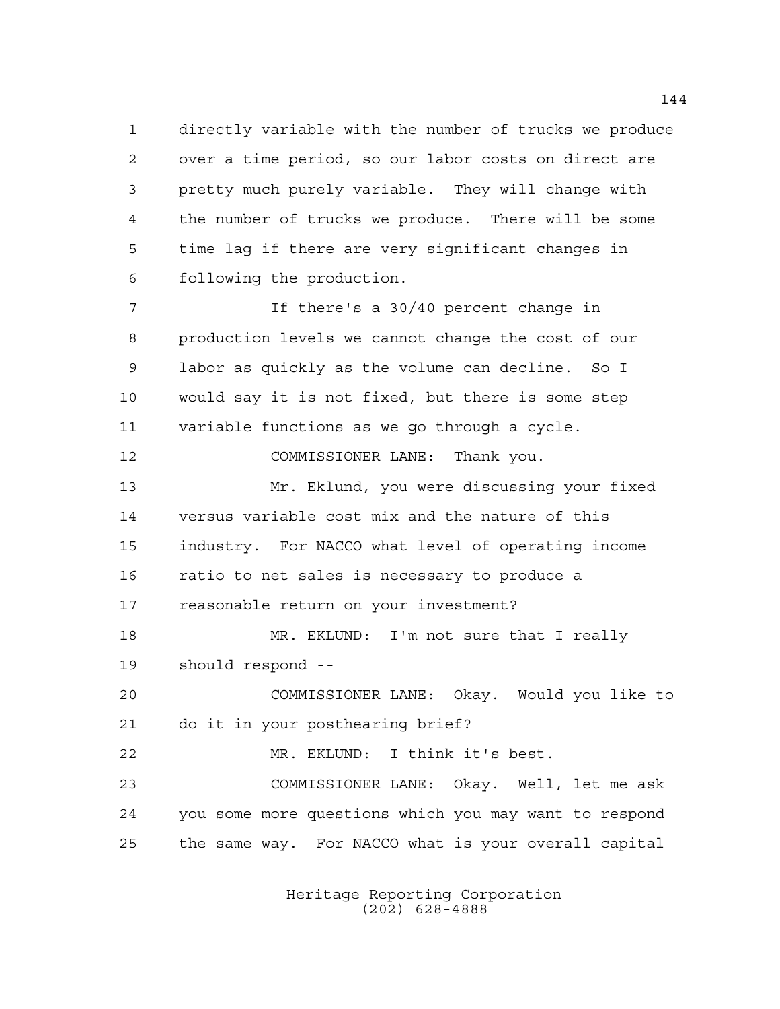directly variable with the number of trucks we produce over a time period, so our labor costs on direct are pretty much purely variable. They will change with the number of trucks we produce. There will be some time lag if there are very significant changes in following the production.

 If there's a 30/40 percent change in production levels we cannot change the cost of our labor as quickly as the volume can decline. So I would say it is not fixed, but there is some step variable functions as we go through a cycle.

COMMISSIONER LANE: Thank you.

 Mr. Eklund, you were discussing your fixed versus variable cost mix and the nature of this industry. For NACCO what level of operating income ratio to net sales is necessary to produce a reasonable return on your investment?

 MR. EKLUND: I'm not sure that I really should respond --

 COMMISSIONER LANE: Okay. Would you like to do it in your posthearing brief?

 MR. EKLUND: I think it's best. COMMISSIONER LANE: Okay. Well, let me ask you some more questions which you may want to respond the same way. For NACCO what is your overall capital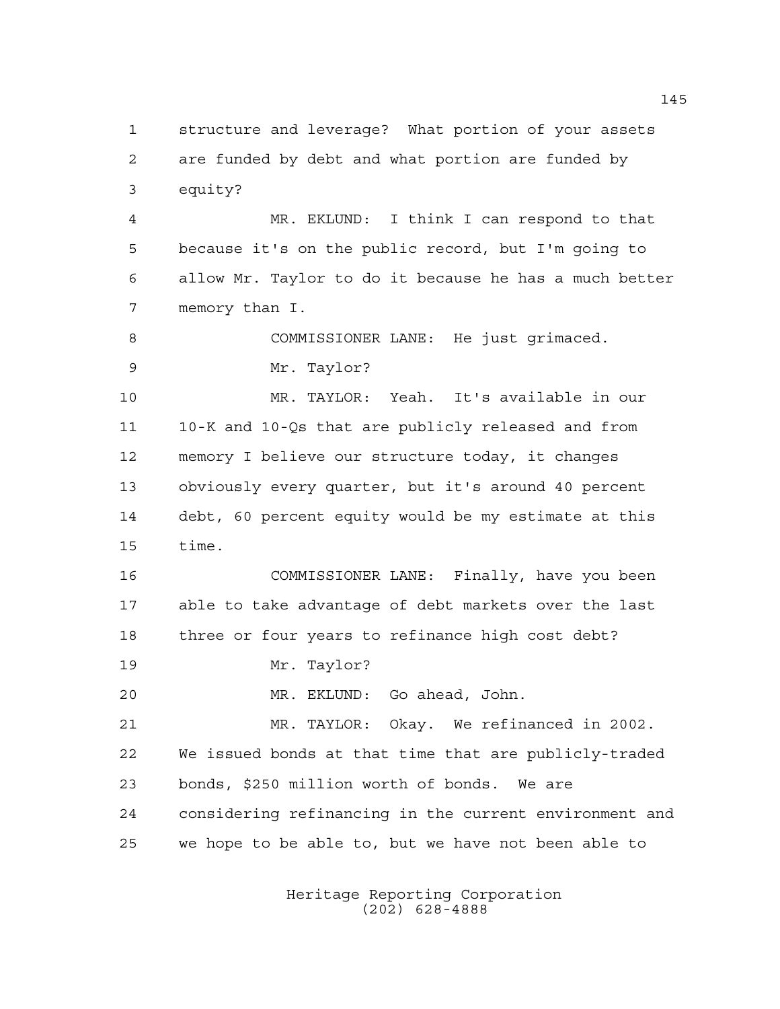structure and leverage? What portion of your assets are funded by debt and what portion are funded by equity?

 MR. EKLUND: I think I can respond to that because it's on the public record, but I'm going to allow Mr. Taylor to do it because he has a much better memory than I.

 COMMISSIONER LANE: He just grimaced. Mr. Taylor?

 MR. TAYLOR: Yeah. It's available in our 10-K and 10-Qs that are publicly released and from memory I believe our structure today, it changes obviously every quarter, but it's around 40 percent debt, 60 percent equity would be my estimate at this time.

 COMMISSIONER LANE: Finally, have you been able to take advantage of debt markets over the last three or four years to refinance high cost debt?

Mr. Taylor?

MR. EKLUND: Go ahead, John.

 MR. TAYLOR: Okay. We refinanced in 2002. We issued bonds at that time that are publicly-traded bonds, \$250 million worth of bonds. We are considering refinancing in the current environment and we hope to be able to, but we have not been able to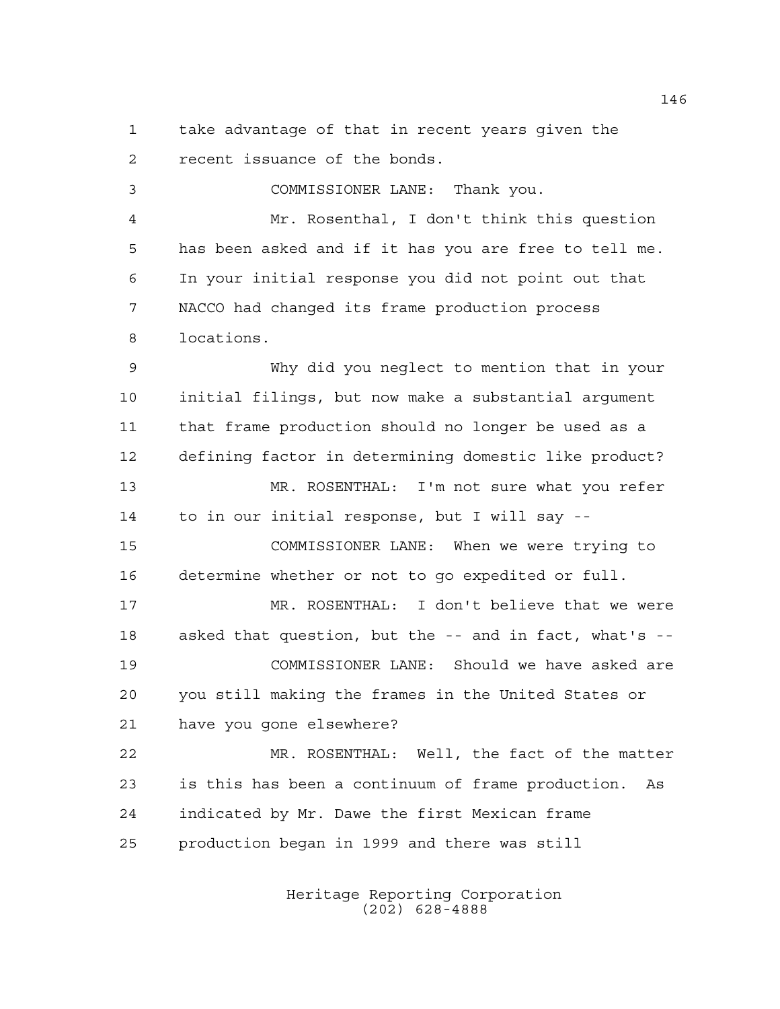take advantage of that in recent years given the recent issuance of the bonds.

 COMMISSIONER LANE: Thank you. Mr. Rosenthal, I don't think this question has been asked and if it has you are free to tell me. In your initial response you did not point out that NACCO had changed its frame production process locations. Why did you neglect to mention that in your initial filings, but now make a substantial argument that frame production should no longer be used as a defining factor in determining domestic like product? MR. ROSENTHAL: I'm not sure what you refer to in our initial response, but I will say -- COMMISSIONER LANE: When we were trying to determine whether or not to go expedited or full. MR. ROSENTHAL: I don't believe that we were asked that question, but the -- and in fact, what's -- COMMISSIONER LANE: Should we have asked are you still making the frames in the United States or have you gone elsewhere? MR. ROSENTHAL: Well, the fact of the matter is this has been a continuum of frame production. As indicated by Mr. Dawe the first Mexican frame

production began in 1999 and there was still

Heritage Reporting Corporation (202) 628-4888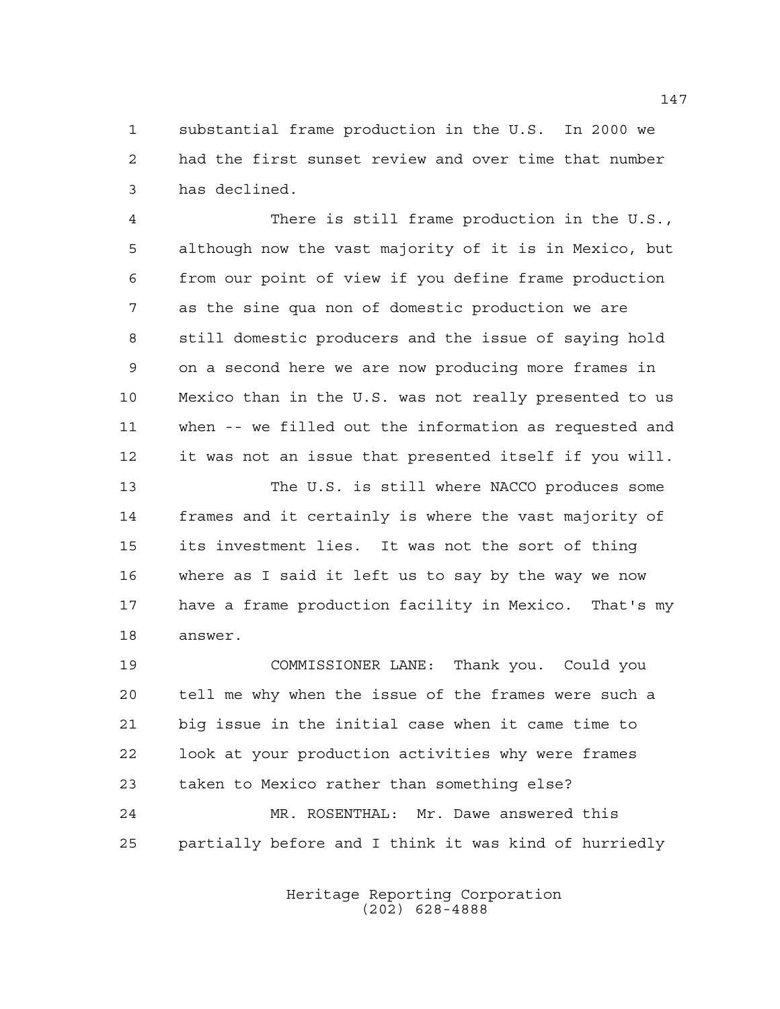substantial frame production in the U.S. In 2000 we had the first sunset review and over time that number has declined.

 There is still frame production in the U.S., although now the vast majority of it is in Mexico, but from our point of view if you define frame production as the sine qua non of domestic production we are still domestic producers and the issue of saying hold on a second here we are now producing more frames in Mexico than in the U.S. was not really presented to us when -- we filled out the information as requested and it was not an issue that presented itself if you will.

 The U.S. is still where NACCO produces some frames and it certainly is where the vast majority of its investment lies. It was not the sort of thing where as I said it left us to say by the way we now have a frame production facility in Mexico. That's my answer.

 COMMISSIONER LANE: Thank you. Could you tell me why when the issue of the frames were such a big issue in the initial case when it came time to look at your production activities why were frames taken to Mexico rather than something else? MR. ROSENTHAL: Mr. Dawe answered this partially before and I think it was kind of hurriedly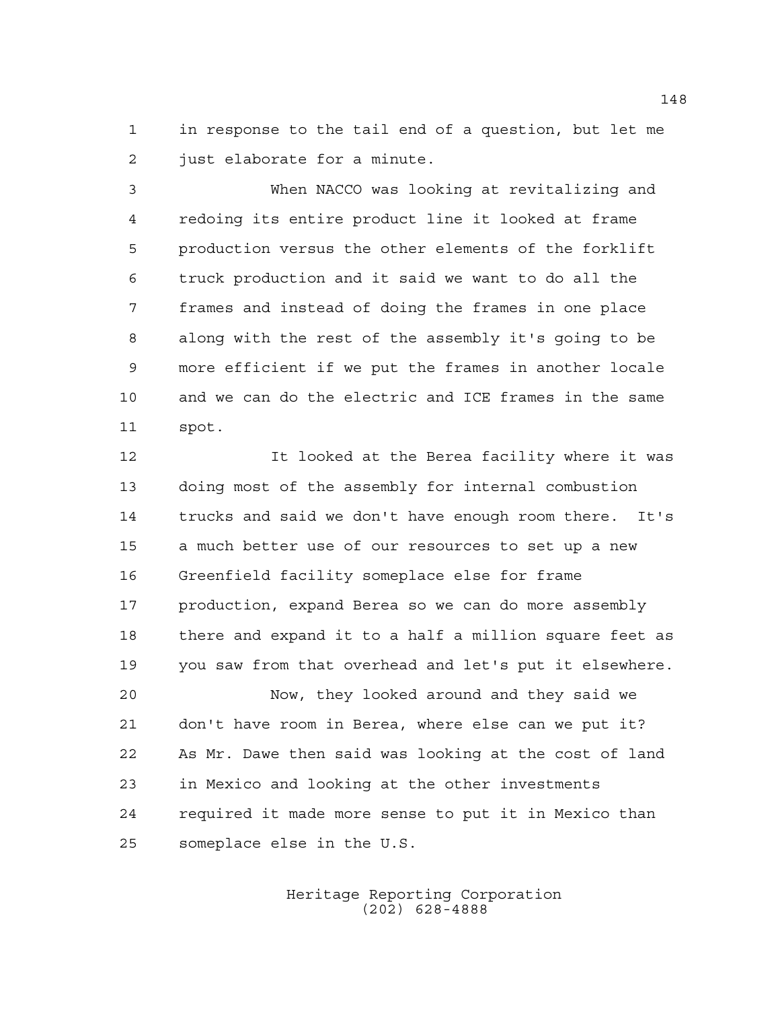in response to the tail end of a question, but let me just elaborate for a minute.

 When NACCO was looking at revitalizing and redoing its entire product line it looked at frame production versus the other elements of the forklift truck production and it said we want to do all the frames and instead of doing the frames in one place along with the rest of the assembly it's going to be more efficient if we put the frames in another locale and we can do the electric and ICE frames in the same spot.

 It looked at the Berea facility where it was doing most of the assembly for internal combustion trucks and said we don't have enough room there. It's a much better use of our resources to set up a new Greenfield facility someplace else for frame production, expand Berea so we can do more assembly there and expand it to a half a million square feet as you saw from that overhead and let's put it elsewhere. Now, they looked around and they said we don't have room in Berea, where else can we put it?

 As Mr. Dawe then said was looking at the cost of land in Mexico and looking at the other investments required it made more sense to put it in Mexico than someplace else in the U.S.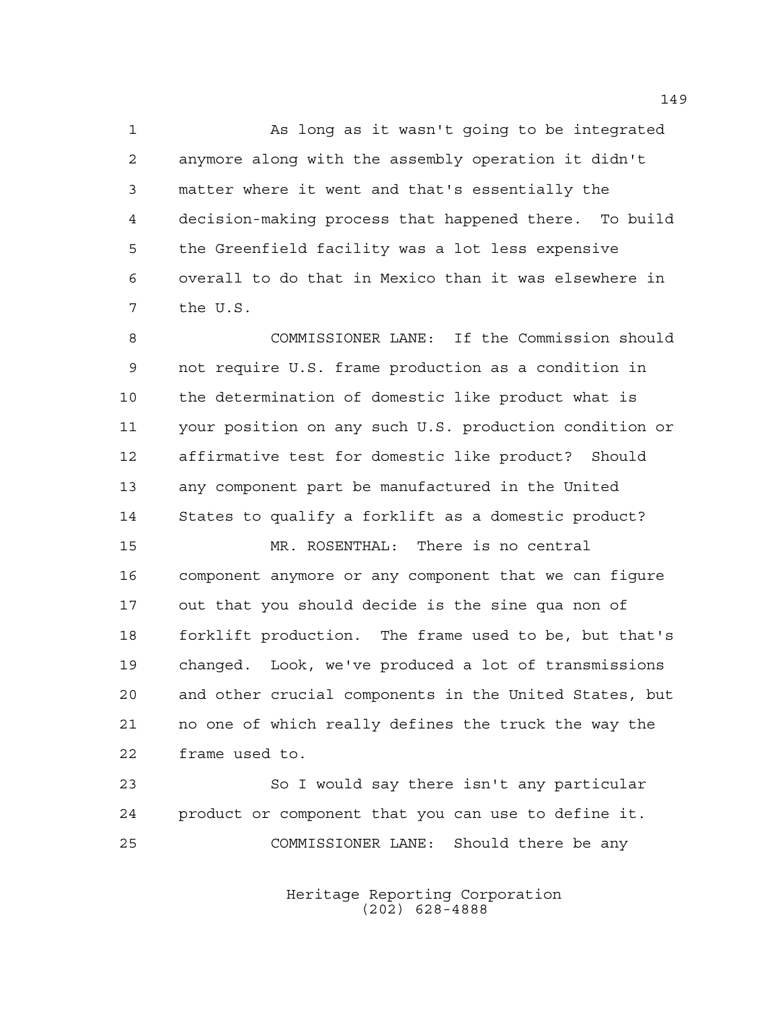As long as it wasn't going to be integrated anymore along with the assembly operation it didn't matter where it went and that's essentially the decision-making process that happened there. To build the Greenfield facility was a lot less expensive overall to do that in Mexico than it was elsewhere in the U.S.

 COMMISSIONER LANE: If the Commission should not require U.S. frame production as a condition in the determination of domestic like product what is your position on any such U.S. production condition or affirmative test for domestic like product? Should any component part be manufactured in the United States to qualify a forklift as a domestic product?

 MR. ROSENTHAL: There is no central component anymore or any component that we can figure out that you should decide is the sine qua non of forklift production. The frame used to be, but that's changed. Look, we've produced a lot of transmissions and other crucial components in the United States, but no one of which really defines the truck the way the frame used to.

 So I would say there isn't any particular product or component that you can use to define it. COMMISSIONER LANE: Should there be any

> Heritage Reporting Corporation (202) 628-4888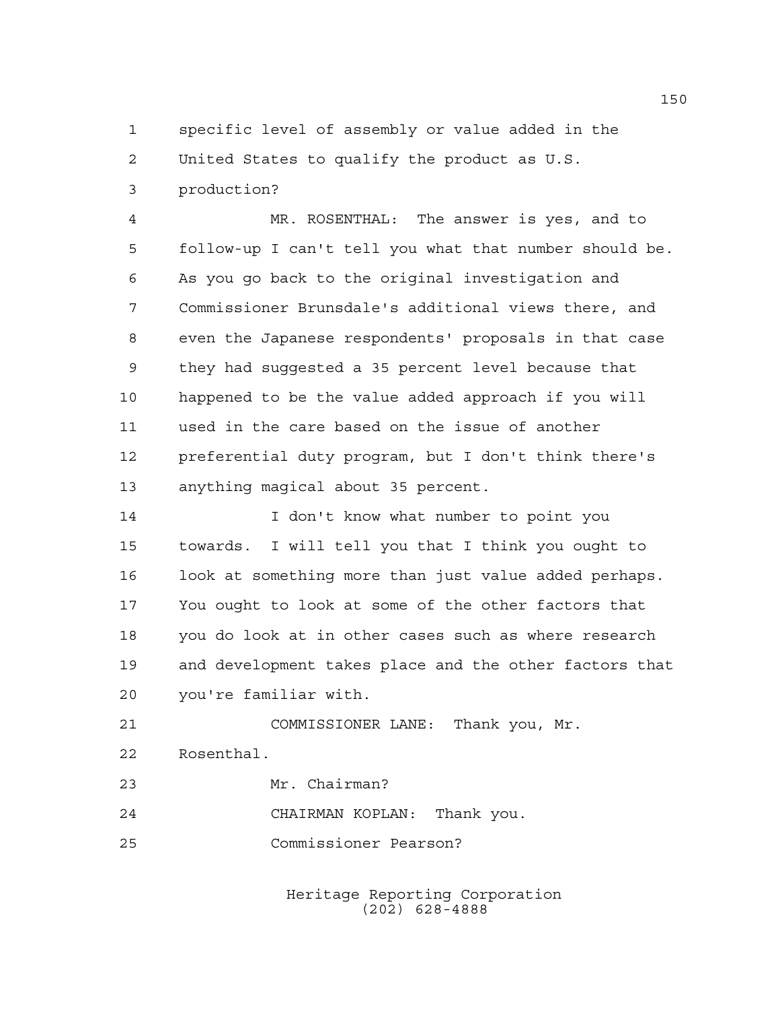specific level of assembly or value added in the

United States to qualify the product as U.S.

production?

 MR. ROSENTHAL: The answer is yes, and to follow-up I can't tell you what that number should be. As you go back to the original investigation and Commissioner Brunsdale's additional views there, and even the Japanese respondents' proposals in that case they had suggested a 35 percent level because that happened to be the value added approach if you will used in the care based on the issue of another preferential duty program, but I don't think there's anything magical about 35 percent.

 I don't know what number to point you towards. I will tell you that I think you ought to look at something more than just value added perhaps. You ought to look at some of the other factors that you do look at in other cases such as where research and development takes place and the other factors that you're familiar with.

 COMMISSIONER LANE: Thank you, Mr. Rosenthal.

- Mr. Chairman?
- CHAIRMAN KOPLAN: Thank you.
- Commissioner Pearson?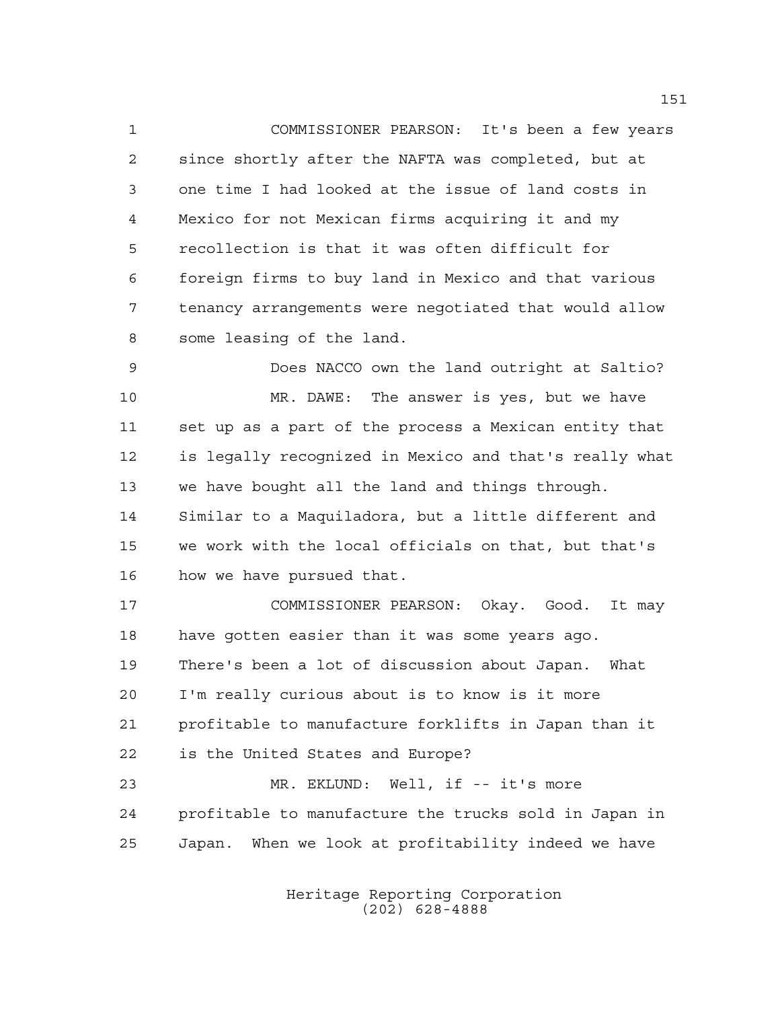COMMISSIONER PEARSON: It's been a few years since shortly after the NAFTA was completed, but at one time I had looked at the issue of land costs in Mexico for not Mexican firms acquiring it and my recollection is that it was often difficult for foreign firms to buy land in Mexico and that various tenancy arrangements were negotiated that would allow some leasing of the land.

 Does NACCO own the land outright at Saltio? MR. DAWE: The answer is yes, but we have set up as a part of the process a Mexican entity that is legally recognized in Mexico and that's really what we have bought all the land and things through. Similar to a Maquiladora, but a little different and we work with the local officials on that, but that's how we have pursued that.

 COMMISSIONER PEARSON: Okay. Good. It may have gotten easier than it was some years ago. There's been a lot of discussion about Japan. What I'm really curious about is to know is it more profitable to manufacture forklifts in Japan than it is the United States and Europe? MR. EKLUND: Well, if -- it's more profitable to manufacture the trucks sold in Japan in

Japan. When we look at profitability indeed we have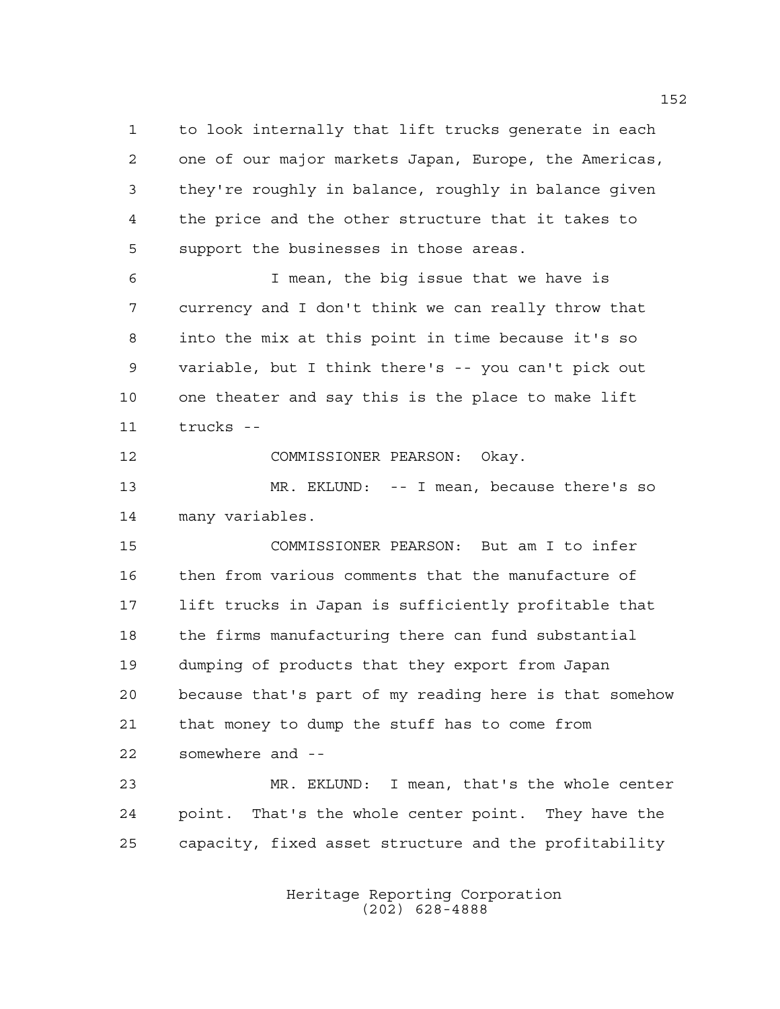to look internally that lift trucks generate in each one of our major markets Japan, Europe, the Americas, they're roughly in balance, roughly in balance given the price and the other structure that it takes to support the businesses in those areas.

 I mean, the big issue that we have is currency and I don't think we can really throw that into the mix at this point in time because it's so variable, but I think there's -- you can't pick out one theater and say this is the place to make lift trucks --

COMMISSIONER PEARSON: Okay.

 MR. EKLUND: -- I mean, because there's so many variables.

 COMMISSIONER PEARSON: But am I to infer then from various comments that the manufacture of lift trucks in Japan is sufficiently profitable that the firms manufacturing there can fund substantial dumping of products that they export from Japan because that's part of my reading here is that somehow that money to dump the stuff has to come from somewhere and --

 MR. EKLUND: I mean, that's the whole center point. That's the whole center point. They have the capacity, fixed asset structure and the profitability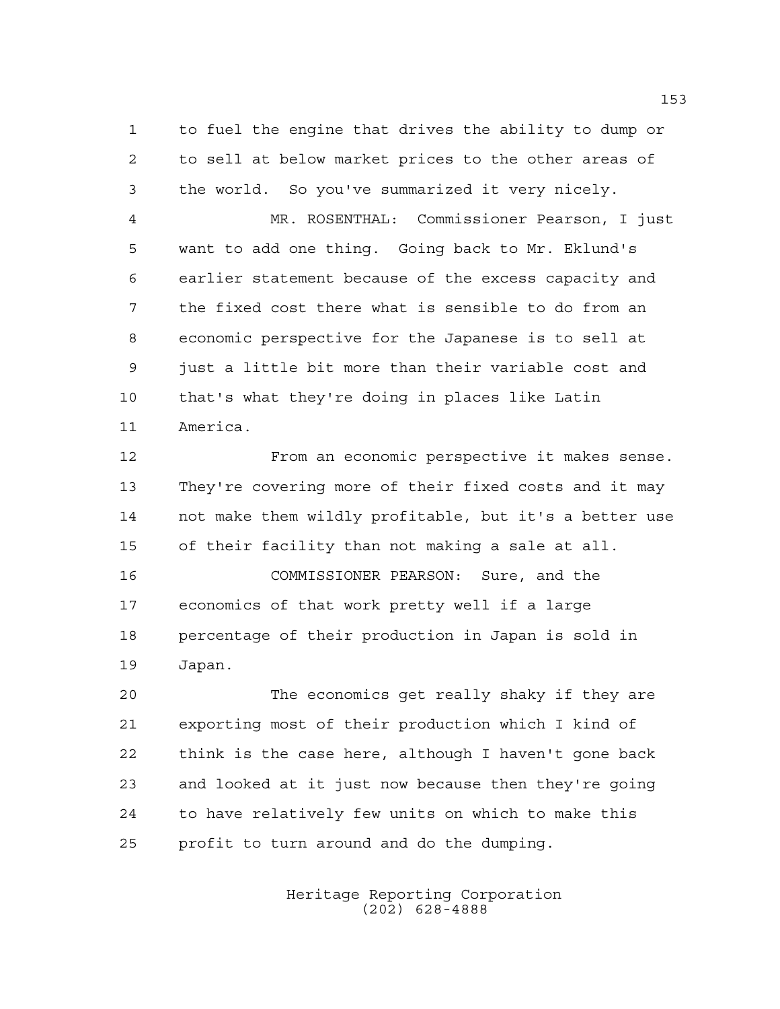to fuel the engine that drives the ability to dump or to sell at below market prices to the other areas of the world. So you've summarized it very nicely.

 MR. ROSENTHAL: Commissioner Pearson, I just want to add one thing. Going back to Mr. Eklund's earlier statement because of the excess capacity and the fixed cost there what is sensible to do from an economic perspective for the Japanese is to sell at just a little bit more than their variable cost and that's what they're doing in places like Latin America.

 From an economic perspective it makes sense. They're covering more of their fixed costs and it may not make them wildly profitable, but it's a better use of their facility than not making a sale at all. COMMISSIONER PEARSON: Sure, and the

 economics of that work pretty well if a large percentage of their production in Japan is sold in Japan.

 The economics get really shaky if they are exporting most of their production which I kind of think is the case here, although I haven't gone back and looked at it just now because then they're going to have relatively few units on which to make this profit to turn around and do the dumping.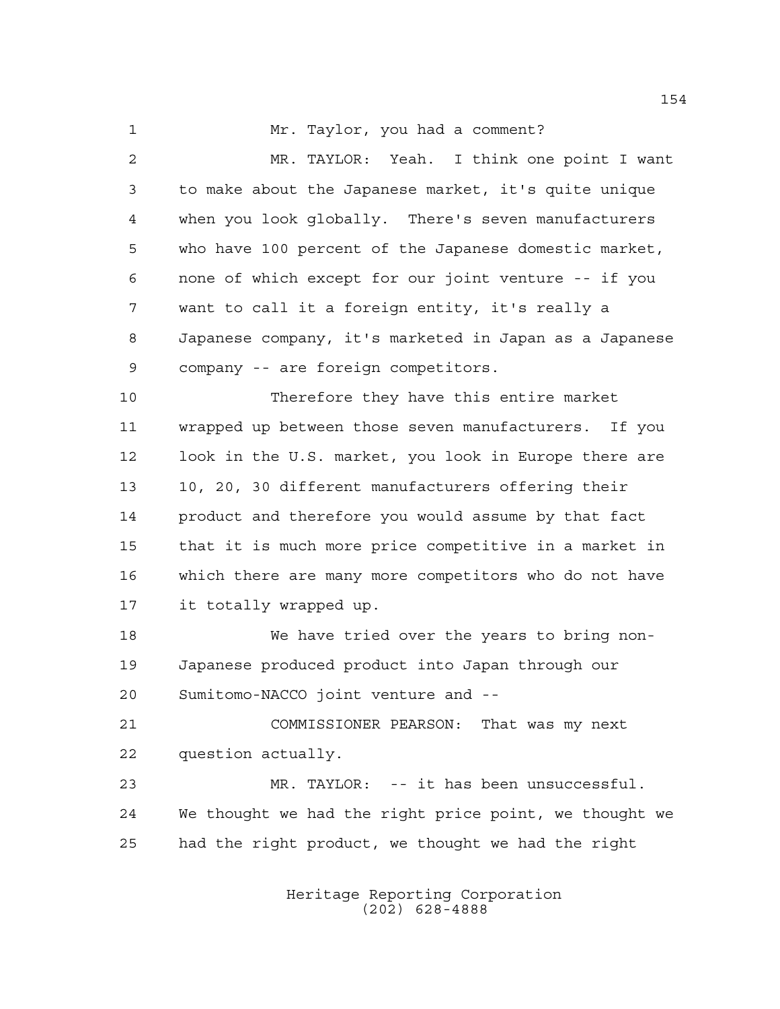1 Mr. Taylor, you had a comment?

 MR. TAYLOR: Yeah. I think one point I want to make about the Japanese market, it's quite unique when you look globally. There's seven manufacturers who have 100 percent of the Japanese domestic market, none of which except for our joint venture -- if you want to call it a foreign entity, it's really a Japanese company, it's marketed in Japan as a Japanese company -- are foreign competitors. Therefore they have this entire market wrapped up between those seven manufacturers. If you look in the U.S. market, you look in Europe there are 10, 20, 30 different manufacturers offering their product and therefore you would assume by that fact that it is much more price competitive in a market in which there are many more competitors who do not have it totally wrapped up. We have tried over the years to bring non- Japanese produced product into Japan through our Sumitomo-NACCO joint venture and -- COMMISSIONER PEARSON: That was my next question actually. MR. TAYLOR: -- it has been unsuccessful. We thought we had the right price point, we thought we had the right product, we thought we had the right

> Heritage Reporting Corporation (202) 628-4888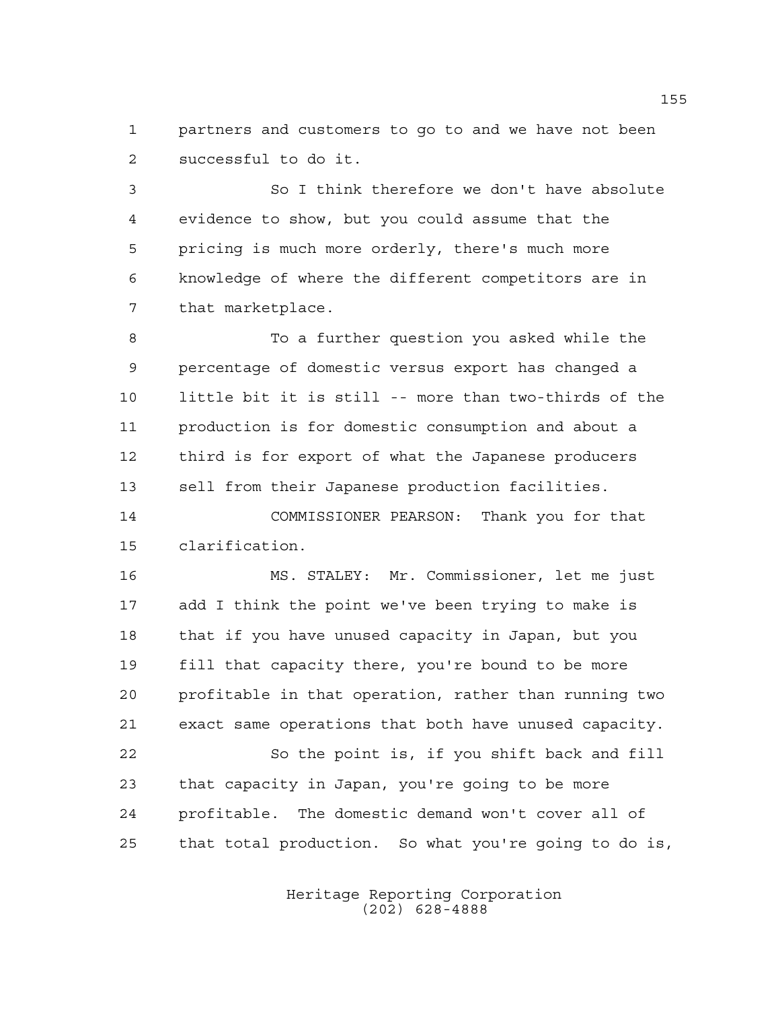partners and customers to go to and we have not been successful to do it.

 So I think therefore we don't have absolute evidence to show, but you could assume that the pricing is much more orderly, there's much more knowledge of where the different competitors are in that marketplace.

 To a further question you asked while the percentage of domestic versus export has changed a little bit it is still -- more than two-thirds of the production is for domestic consumption and about a third is for export of what the Japanese producers sell from their Japanese production facilities.

 COMMISSIONER PEARSON: Thank you for that clarification.

 MS. STALEY: Mr. Commissioner, let me just add I think the point we've been trying to make is that if you have unused capacity in Japan, but you fill that capacity there, you're bound to be more profitable in that operation, rather than running two exact same operations that both have unused capacity. 22 So the point is, if you shift back and fill that capacity in Japan, you're going to be more

 profitable. The domestic demand won't cover all of that total production. So what you're going to do is,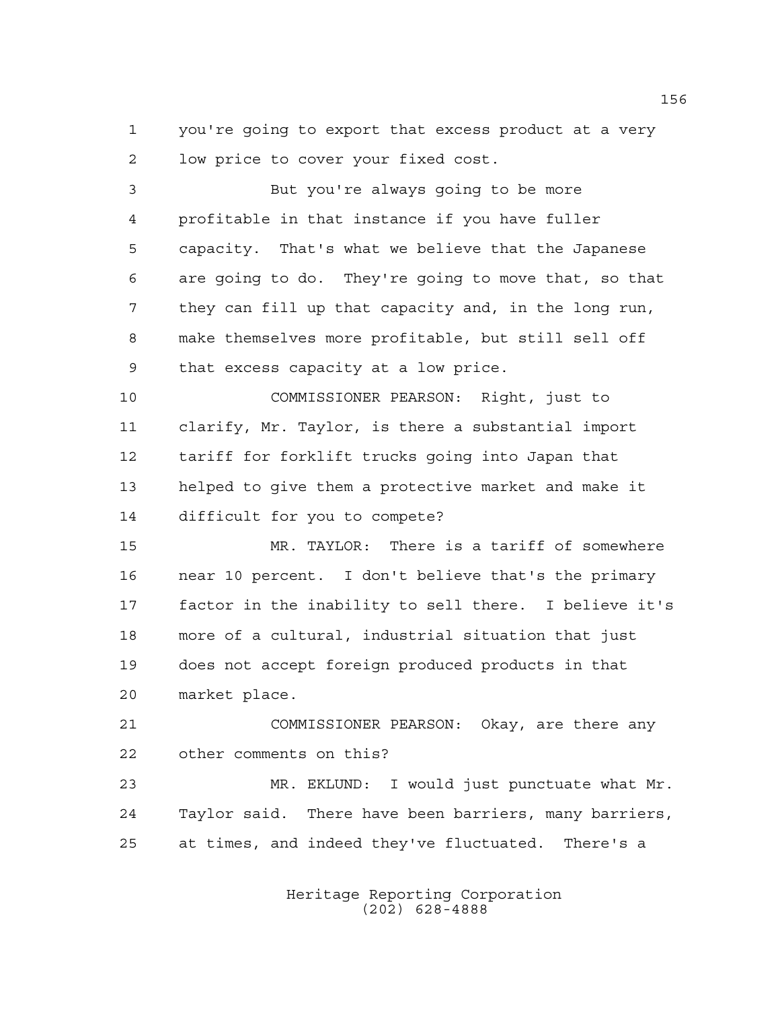you're going to export that excess product at a very low price to cover your fixed cost.

3 But you're always going to be more profitable in that instance if you have fuller capacity. That's what we believe that the Japanese are going to do. They're going to move that, so that they can fill up that capacity and, in the long run, make themselves more profitable, but still sell off that excess capacity at a low price.

 COMMISSIONER PEARSON: Right, just to clarify, Mr. Taylor, is there a substantial import tariff for forklift trucks going into Japan that helped to give them a protective market and make it difficult for you to compete?

 MR. TAYLOR: There is a tariff of somewhere near 10 percent. I don't believe that's the primary factor in the inability to sell there. I believe it's more of a cultural, industrial situation that just does not accept foreign produced products in that market place.

 COMMISSIONER PEARSON: Okay, are there any other comments on this?

23 MR. EKLUND: I would just punctuate what Mr. Taylor said. There have been barriers, many barriers, at times, and indeed they've fluctuated. There's a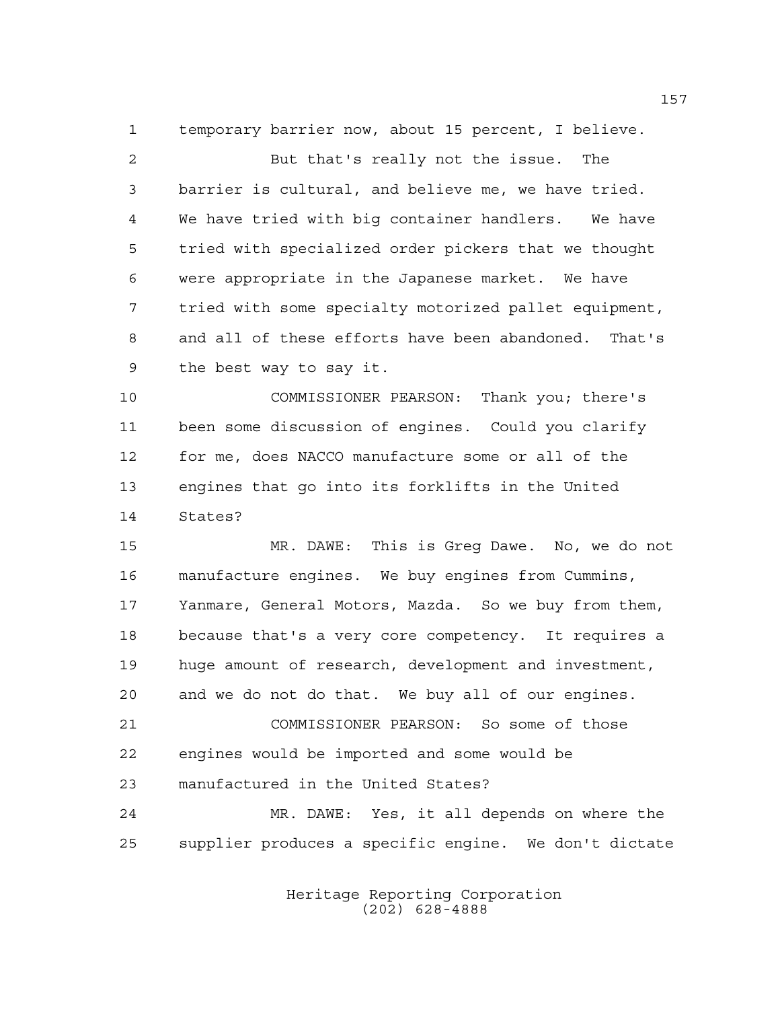temporary barrier now, about 15 percent, I believe.

2 But that's really not the issue. The barrier is cultural, and believe me, we have tried. We have tried with big container handlers. We have tried with specialized order pickers that we thought were appropriate in the Japanese market. We have tried with some specialty motorized pallet equipment, and all of these efforts have been abandoned. That's the best way to say it.

 COMMISSIONER PEARSON: Thank you; there's been some discussion of engines. Could you clarify for me, does NACCO manufacture some or all of the engines that go into its forklifts in the United States?

15 MR. DAWE: This is Greg Dawe. No, we do not manufacture engines. We buy engines from Cummins, Yanmare, General Motors, Mazda. So we buy from them, because that's a very core competency. It requires a huge amount of research, development and investment, and we do not do that. We buy all of our engines. COMMISSIONER PEARSON: So some of those engines would be imported and some would be manufactured in the United States? MR. DAWE: Yes, it all depends on where the supplier produces a specific engine. We don't dictate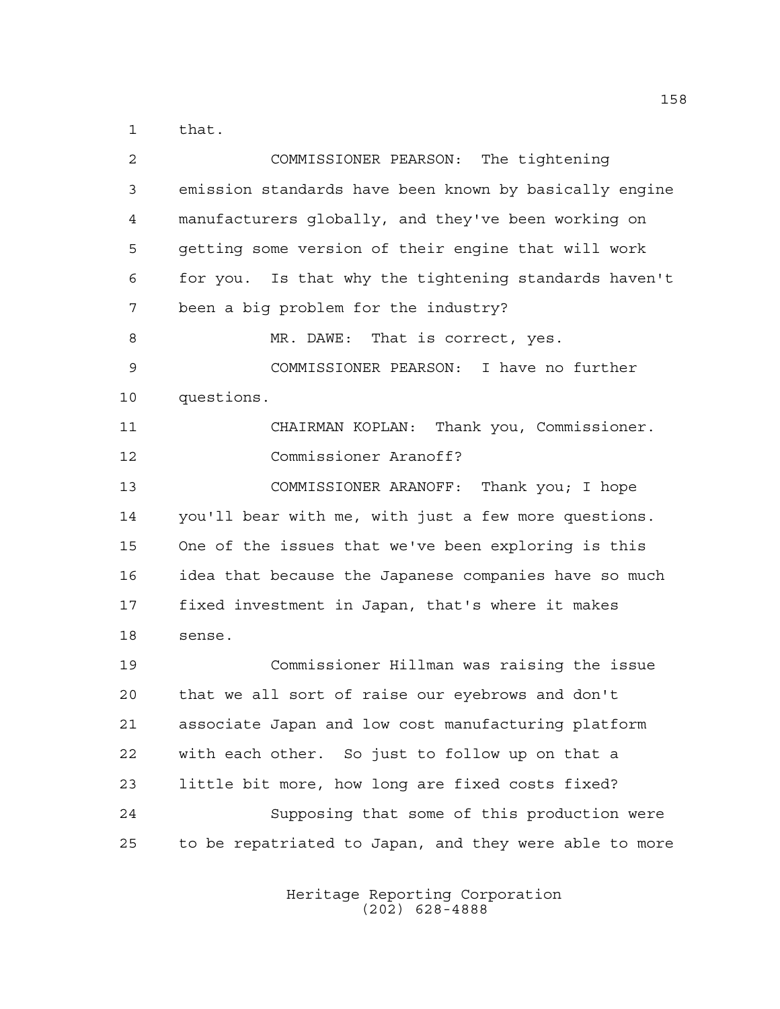that.

| 2           | COMMISSIONER PEARSON: The tightening                   |
|-------------|--------------------------------------------------------|
| 3           | emission standards have been known by basically engine |
| 4           | manufacturers globally, and they've been working on    |
| 5           | getting some version of their engine that will work    |
| 6           | for you. Is that why the tightening standards haven't  |
| 7           | been a big problem for the industry?                   |
| 8           | MR. DAWE: That is correct, yes.                        |
| $\mathsf 9$ | COMMISSIONER PEARSON: I have no further                |
| 10          | questions.                                             |
| 11          | CHAIRMAN KOPLAN: Thank you, Commissioner.              |
| 12          | Commissioner Aranoff?                                  |
| 13          | COMMISSIONER ARANOFF: Thank you; I hope                |
| 14          | you'll bear with me, with just a few more questions.   |
| 15          | One of the issues that we've been exploring is this    |
| 16          | idea that because the Japanese companies have so much  |
| 17          | fixed investment in Japan, that's where it makes       |
| 18          | sense.                                                 |
| 19          | Commissioner Hillman was raising the issue             |
| 20          | that we all sort of raise our eyebrows and don't       |
| 21          | associate Japan and low cost manufacturing platform    |
| 22          | with each other. So just to follow up on that a        |
| 23          | little bit more, how long are fixed costs fixed?       |
| 24          | Supposing that some of this production were            |
| 25          | to be repatriated to Japan, and they were able to more |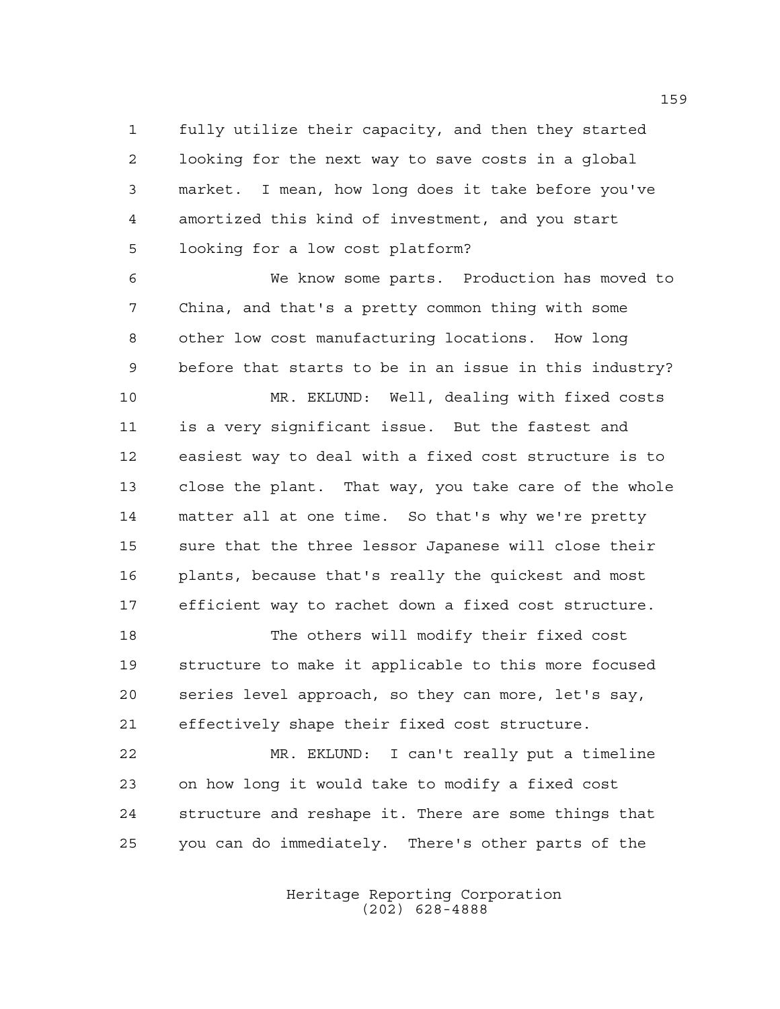fully utilize their capacity, and then they started looking for the next way to save costs in a global market. I mean, how long does it take before you've amortized this kind of investment, and you start looking for a low cost platform?

6 We know some parts. Production has moved to China, and that's a pretty common thing with some other low cost manufacturing locations. How long before that starts to be in an issue in this industry?

 MR. EKLUND: Well, dealing with fixed costs is a very significant issue. But the fastest and easiest way to deal with a fixed cost structure is to close the plant. That way, you take care of the whole matter all at one time. So that's why we're pretty sure that the three lessor Japanese will close their plants, because that's really the quickest and most efficient way to rachet down a fixed cost structure.

 The others will modify their fixed cost structure to make it applicable to this more focused series level approach, so they can more, let's say, effectively shape their fixed cost structure.

 MR. EKLUND: I can't really put a timeline on how long it would take to modify a fixed cost structure and reshape it. There are some things that you can do immediately. There's other parts of the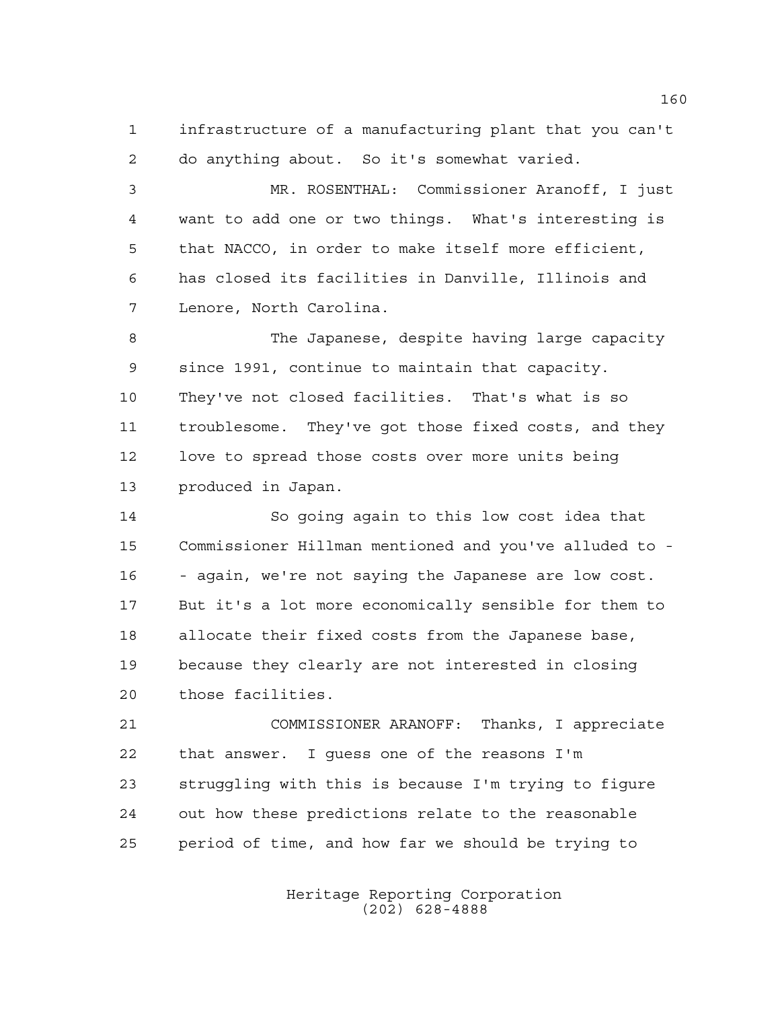infrastructure of a manufacturing plant that you can't do anything about. So it's somewhat varied.

 MR. ROSENTHAL: Commissioner Aranoff, I just want to add one or two things. What's interesting is that NACCO, in order to make itself more efficient, has closed its facilities in Danville, Illinois and Lenore, North Carolina.

8 The Japanese, despite having large capacity since 1991, continue to maintain that capacity. They've not closed facilities. That's what is so troublesome. They've got those fixed costs, and they love to spread those costs over more units being produced in Japan.

 So going again to this low cost idea that Commissioner Hillman mentioned and you've alluded to - - again, we're not saying the Japanese are low cost. But it's a lot more economically sensible for them to allocate their fixed costs from the Japanese base, because they clearly are not interested in closing those facilities.

 COMMISSIONER ARANOFF: Thanks, I appreciate that answer. I guess one of the reasons I'm struggling with this is because I'm trying to figure out how these predictions relate to the reasonable period of time, and how far we should be trying to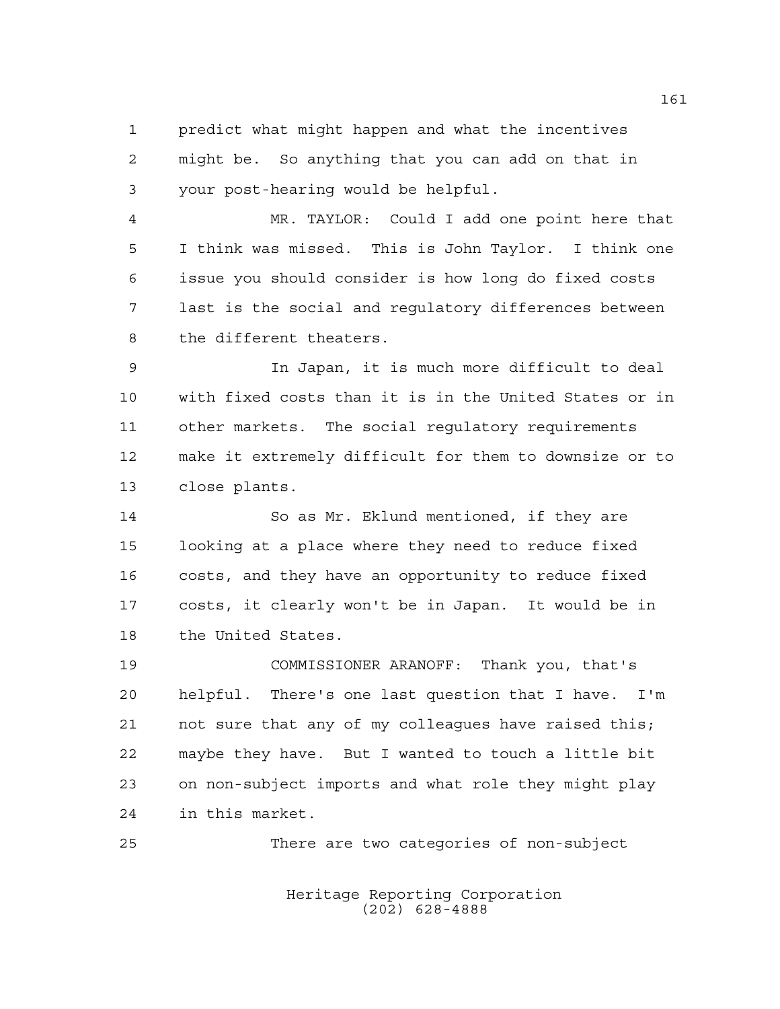predict what might happen and what the incentives might be. So anything that you can add on that in your post-hearing would be helpful.

 MR. TAYLOR: Could I add one point here that I think was missed. This is John Taylor. I think one issue you should consider is how long do fixed costs last is the social and regulatory differences between the different theaters.

 In Japan, it is much more difficult to deal with fixed costs than it is in the United States or in other markets. The social regulatory requirements make it extremely difficult for them to downsize or to close plants.

 So as Mr. Eklund mentioned, if they are looking at a place where they need to reduce fixed costs, and they have an opportunity to reduce fixed costs, it clearly won't be in Japan. It would be in the United States.

 COMMISSIONER ARANOFF: Thank you, that's helpful. There's one last question that I have. I'm 21 not sure that any of my colleagues have raised this; maybe they have. But I wanted to touch a little bit on non-subject imports and what role they might play in this market.

There are two categories of non-subject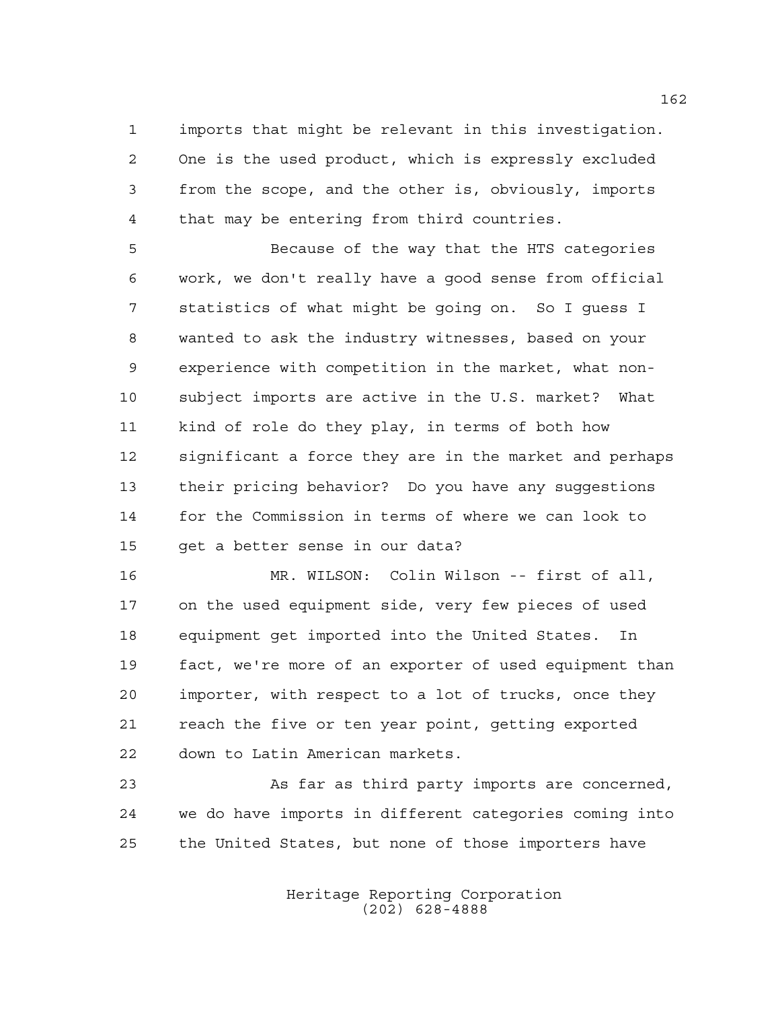imports that might be relevant in this investigation. One is the used product, which is expressly excluded from the scope, and the other is, obviously, imports that may be entering from third countries.

 Because of the way that the HTS categories work, we don't really have a good sense from official statistics of what might be going on. So I guess I wanted to ask the industry witnesses, based on your experience with competition in the market, what non- subject imports are active in the U.S. market? What kind of role do they play, in terms of both how significant a force they are in the market and perhaps their pricing behavior? Do you have any suggestions for the Commission in terms of where we can look to get a better sense in our data?

 MR. WILSON: Colin Wilson -- first of all, on the used equipment side, very few pieces of used equipment get imported into the United States. In fact, we're more of an exporter of used equipment than importer, with respect to a lot of trucks, once they reach the five or ten year point, getting exported down to Latin American markets.

 As far as third party imports are concerned, we do have imports in different categories coming into the United States, but none of those importers have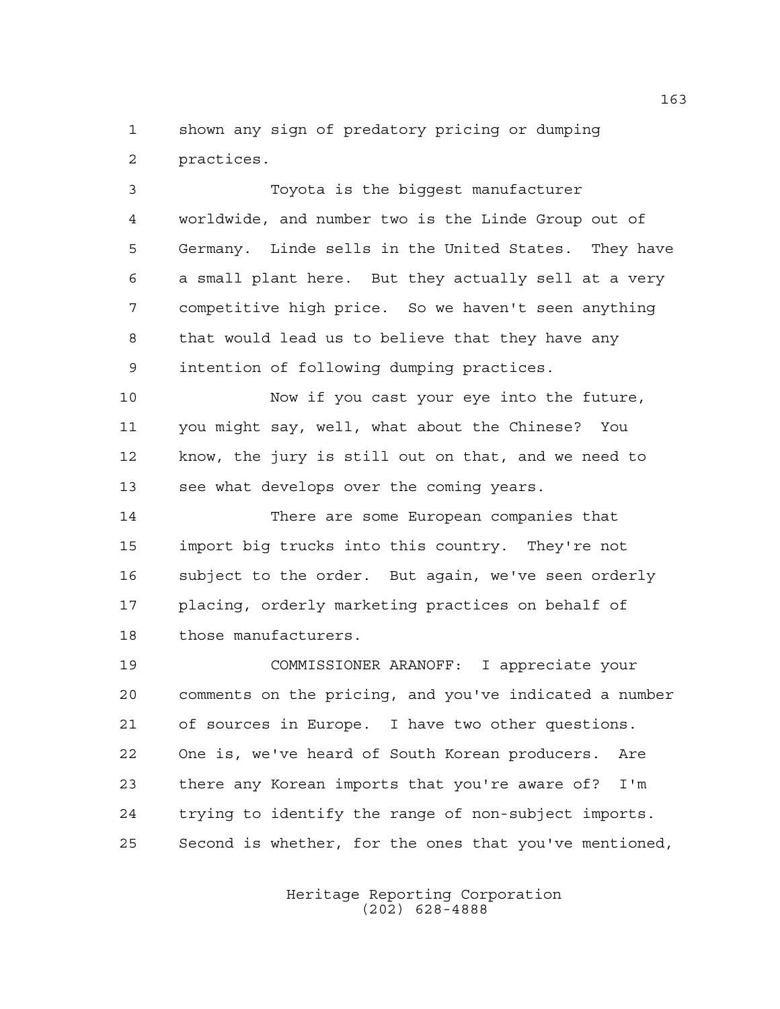shown any sign of predatory pricing or dumping practices.

 Toyota is the biggest manufacturer worldwide, and number two is the Linde Group out of Germany. Linde sells in the United States. They have a small plant here. But they actually sell at a very competitive high price. So we haven't seen anything that would lead us to believe that they have any intention of following dumping practices.

 Now if you cast your eye into the future, you might say, well, what about the Chinese? You know, the jury is still out on that, and we need to see what develops over the coming years.

 There are some European companies that import big trucks into this country. They're not subject to the order. But again, we've seen orderly placing, orderly marketing practices on behalf of those manufacturers.

 COMMISSIONER ARANOFF: I appreciate your comments on the pricing, and you've indicated a number of sources in Europe. I have two other questions. One is, we've heard of South Korean producers. Are there any Korean imports that you're aware of? I'm trying to identify the range of non-subject imports. Second is whether, for the ones that you've mentioned,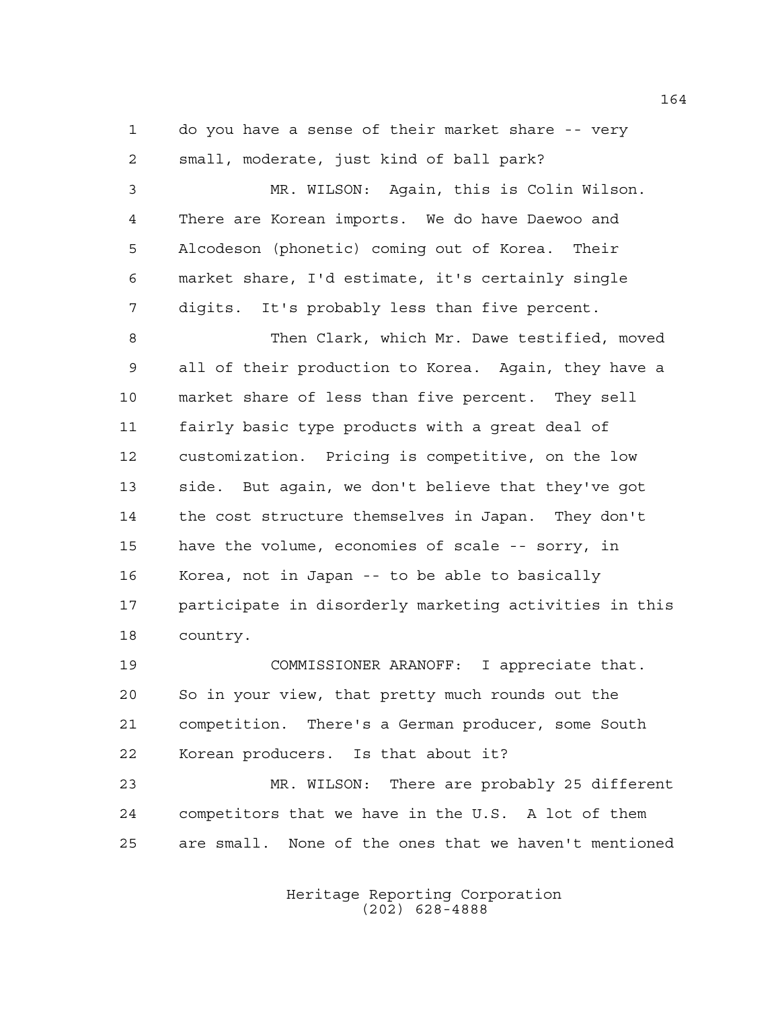do you have a sense of their market share -- very small, moderate, just kind of ball park?

 MR. WILSON: Again, this is Colin Wilson. There are Korean imports. We do have Daewoo and Alcodeson (phonetic) coming out of Korea. Their market share, I'd estimate, it's certainly single digits. It's probably less than five percent.

 Then Clark, which Mr. Dawe testified, moved all of their production to Korea. Again, they have a market share of less than five percent. They sell fairly basic type products with a great deal of customization. Pricing is competitive, on the low side. But again, we don't believe that they've got the cost structure themselves in Japan. They don't have the volume, economies of scale -- sorry, in Korea, not in Japan -- to be able to basically participate in disorderly marketing activities in this country.

 COMMISSIONER ARANOFF: I appreciate that. So in your view, that pretty much rounds out the competition. There's a German producer, some South Korean producers. Is that about it?

 MR. WILSON: There are probably 25 different competitors that we have in the U.S. A lot of them are small. None of the ones that we haven't mentioned

> Heritage Reporting Corporation (202) 628-4888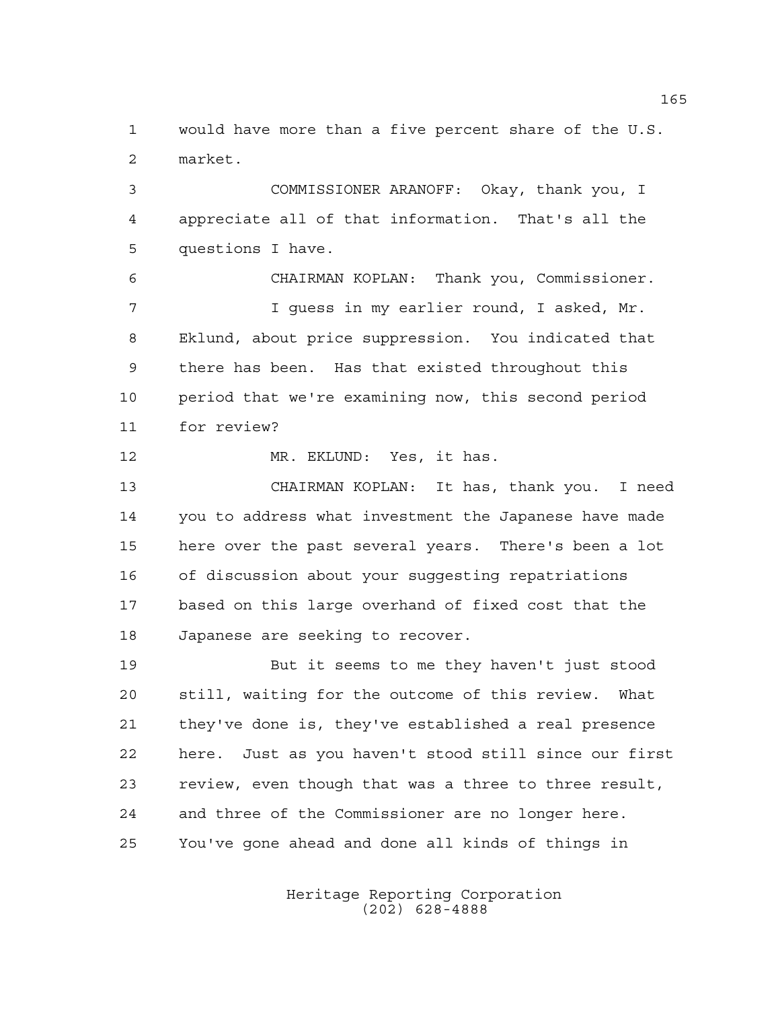would have more than a five percent share of the U.S. market.

 COMMISSIONER ARANOFF: Okay, thank you, I appreciate all of that information. That's all the questions I have.

6 CHAIRMAN KOPLAN: Thank you, Commissioner. 7 I guess in my earlier round, I asked, Mr. Eklund, about price suppression. You indicated that there has been. Has that existed throughout this period that we're examining now, this second period for review?

MR. EKLUND: Yes, it has.

13 CHAIRMAN KOPLAN: It has, thank you. I need you to address what investment the Japanese have made here over the past several years. There's been a lot of discussion about your suggesting repatriations based on this large overhand of fixed cost that the Japanese are seeking to recover.

 But it seems to me they haven't just stood still, waiting for the outcome of this review. What they've done is, they've established a real presence here. Just as you haven't stood still since our first review, even though that was a three to three result, and three of the Commissioner are no longer here. You've gone ahead and done all kinds of things in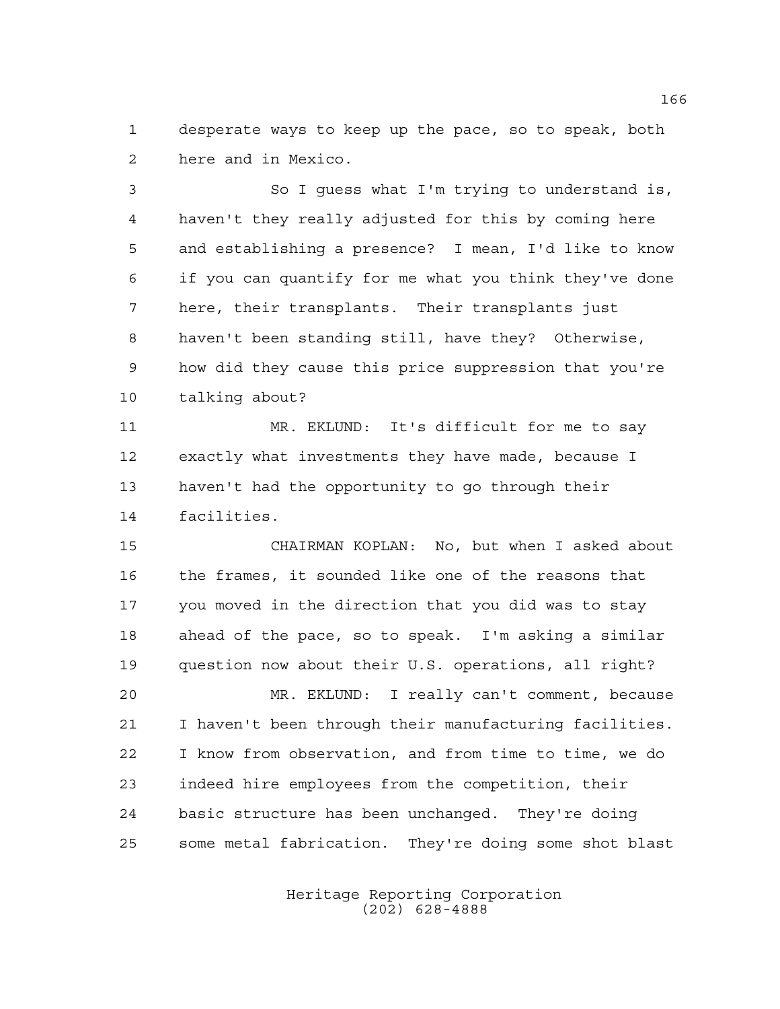desperate ways to keep up the pace, so to speak, both here and in Mexico.

 So I guess what I'm trying to understand is, haven't they really adjusted for this by coming here and establishing a presence? I mean, I'd like to know if you can quantify for me what you think they've done here, their transplants. Their transplants just haven't been standing still, have they? Otherwise, how did they cause this price suppression that you're talking about?

 MR. EKLUND: It's difficult for me to say exactly what investments they have made, because I haven't had the opportunity to go through their facilities.

15 CHAIRMAN KOPLAN: No, but when I asked about the frames, it sounded like one of the reasons that you moved in the direction that you did was to stay ahead of the pace, so to speak. I'm asking a similar question now about their U.S. operations, all right?

 MR. EKLUND: I really can't comment, because I haven't been through their manufacturing facilities. I know from observation, and from time to time, we do indeed hire employees from the competition, their basic structure has been unchanged. They're doing some metal fabrication. They're doing some shot blast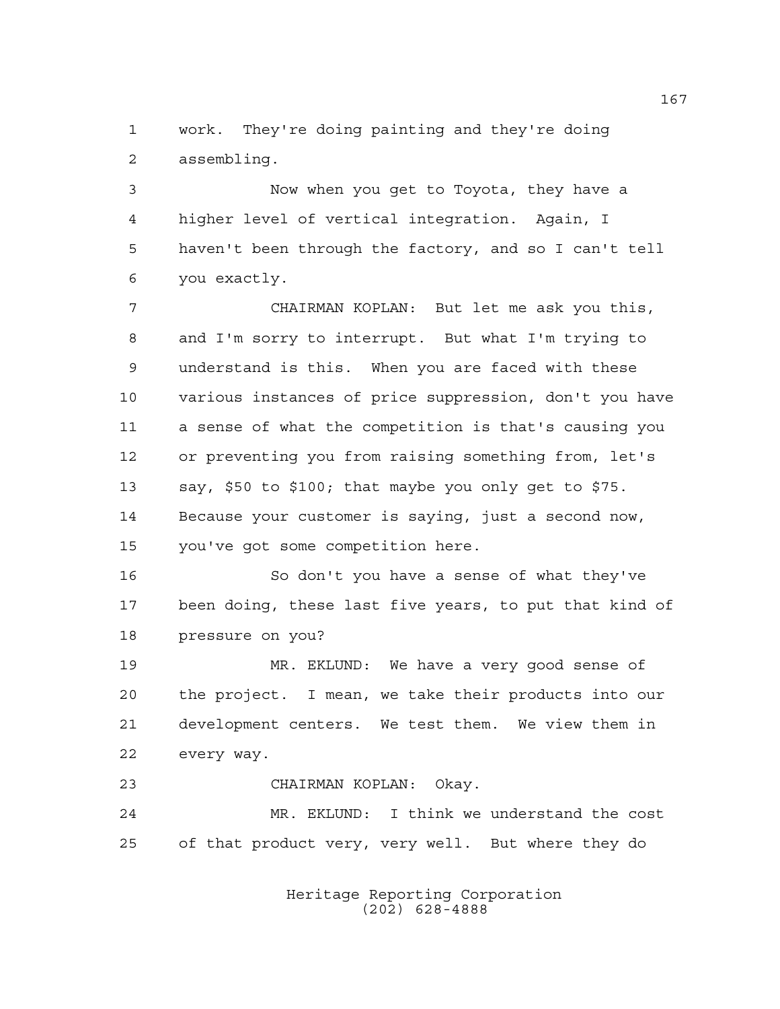work. They're doing painting and they're doing assembling.

 Now when you get to Toyota, they have a higher level of vertical integration. Again, I haven't been through the factory, and so I can't tell you exactly.

7 CHAIRMAN KOPLAN: But let me ask you this, and I'm sorry to interrupt. But what I'm trying to understand is this. When you are faced with these various instances of price suppression, don't you have a sense of what the competition is that's causing you or preventing you from raising something from, let's say, \$50 to \$100; that maybe you only get to \$75. Because your customer is saying, just a second now, you've got some competition here.

 So don't you have a sense of what they've been doing, these last five years, to put that kind of pressure on you?

 MR. EKLUND: We have a very good sense of the project. I mean, we take their products into our development centers. We test them. We view them in every way.

23 CHAIRMAN KOPLAN: Okay.

 MR. EKLUND: I think we understand the cost of that product very, very well. But where they do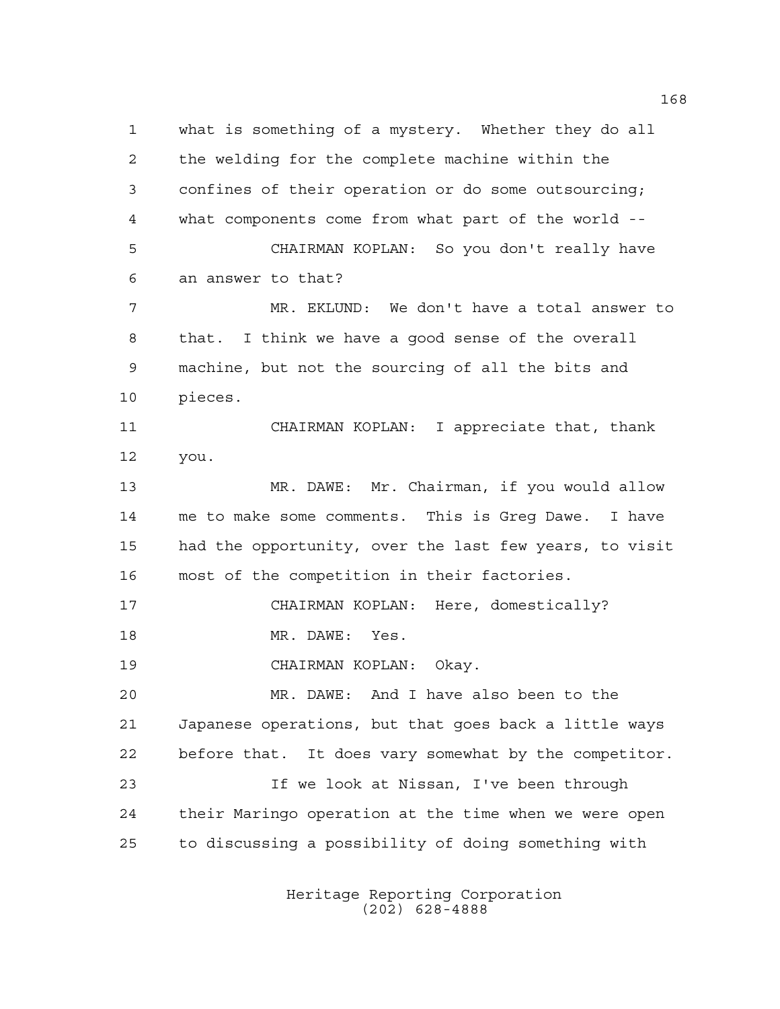what is something of a mystery. Whether they do all the welding for the complete machine within the confines of their operation or do some outsourcing; what components come from what part of the world -- 5 CHAIRMAN KOPLAN: So you don't really have an answer to that? MR. EKLUND: We don't have a total answer to that. I think we have a good sense of the overall machine, but not the sourcing of all the bits and pieces. 11 CHAIRMAN KOPLAN: I appreciate that, thank you. MR. DAWE: Mr. Chairman, if you would allow me to make some comments. This is Greg Dawe. I have had the opportunity, over the last few years, to visit most of the competition in their factories. 17 CHAIRMAN KOPLAN: Here, domestically? 18 MR. DAWE: Yes. 19 CHAIRMAN KOPLAN: Okay. MR. DAWE: And I have also been to the Japanese operations, but that goes back a little ways before that. It does vary somewhat by the competitor. If we look at Nissan, I've been through their Maringo operation at the time when we were open to discussing a possibility of doing something with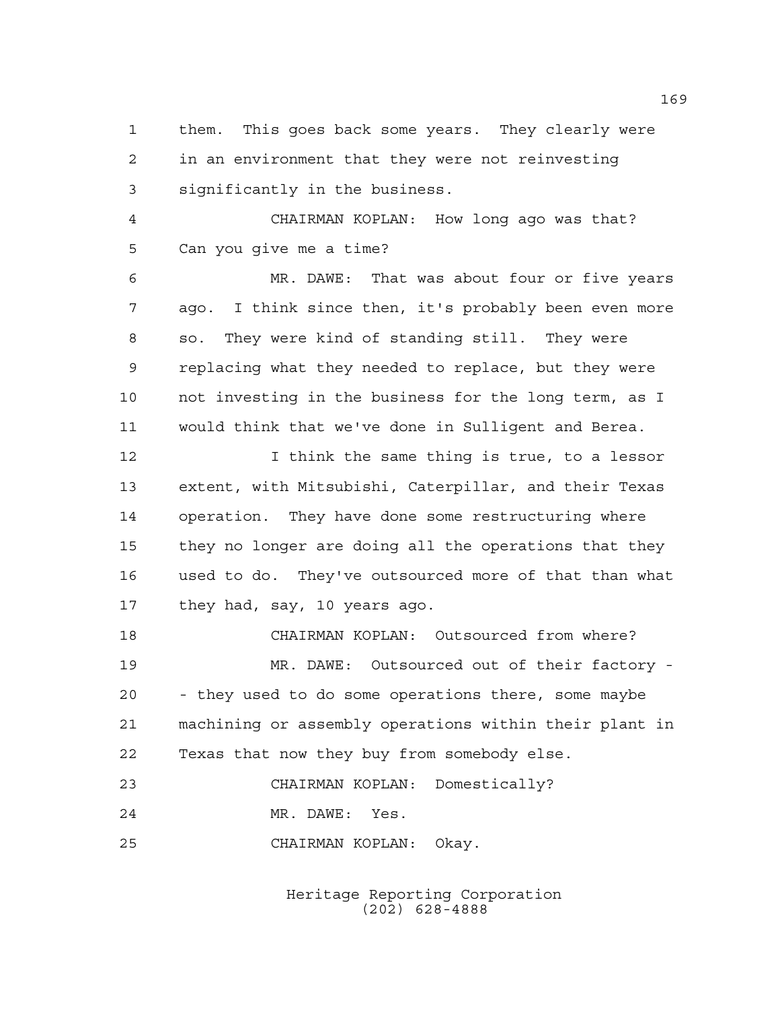them. This goes back some years. They clearly were in an environment that they were not reinvesting significantly in the business.

4 CHAIRMAN KOPLAN: How long ago was that? Can you give me a time?

 MR. DAWE: That was about four or five years ago. I think since then, it's probably been even more so. They were kind of standing still. They were replacing what they needed to replace, but they were not investing in the business for the long term, as I would think that we've done in Sulligent and Berea.

 I think the same thing is true, to a lessor extent, with Mitsubishi, Caterpillar, and their Texas operation. They have done some restructuring where they no longer are doing all the operations that they used to do. They've outsourced more of that than what they had, say, 10 years ago.

18 CHAIRMAN KOPLAN: Outsourced from where? MR. DAWE: Outsourced out of their factory - - they used to do some operations there, some maybe machining or assembly operations within their plant in Texas that now they buy from somebody else. 23 CHAIRMAN KOPLAN: Domestically?

MR. DAWE: Yes.

25 CHAIRMAN KOPLAN: Okay.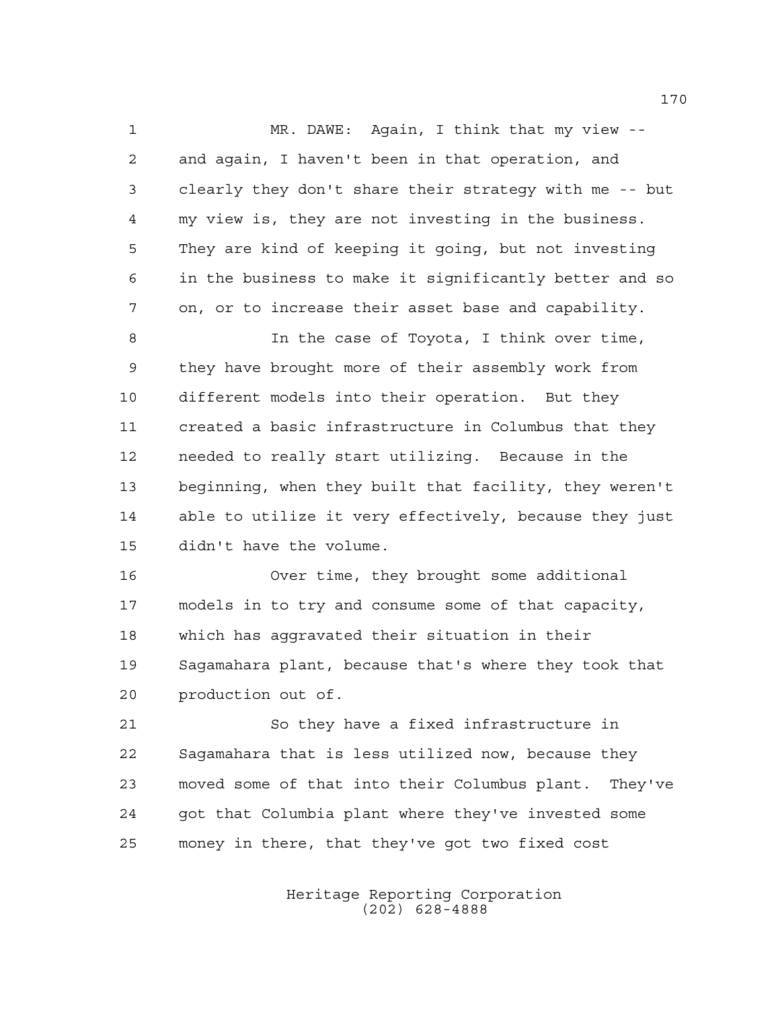MR. DAWE: Again, I think that my view -- and again, I haven't been in that operation, and clearly they don't share their strategy with me -- but my view is, they are not investing in the business. They are kind of keeping it going, but not investing in the business to make it significantly better and so on, or to increase their asset base and capability. 8 10 In the case of Toyota, I think over time, they have brought more of their assembly work from different models into their operation. But they created a basic infrastructure in Columbus that they needed to really start utilizing. Because in the beginning, when they built that facility, they weren't able to utilize it very effectively, because they just didn't have the volume. Over time, they brought some additional

 models in to try and consume some of that capacity, which has aggravated their situation in their Sagamahara plant, because that's where they took that production out of.

 So they have a fixed infrastructure in Sagamahara that is less utilized now, because they moved some of that into their Columbus plant. They've 24 got that Columbia plant where they've invested some money in there, that they've got two fixed cost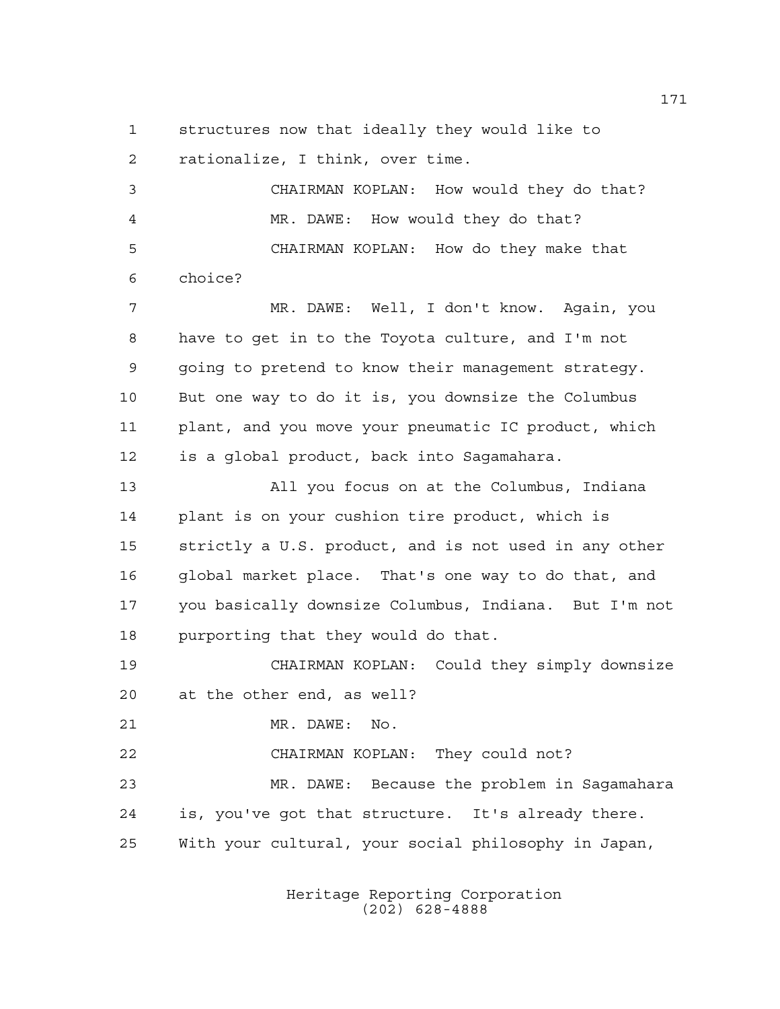structures now that ideally they would like to rationalize, I think, over time.

3 CHAIRMAN KOPLAN: How would they do that? MR. DAWE: How would they do that? 5 CHAIRMAN KOPLAN: How do they make that choice? MR. DAWE: Well, I don't know. Again, you have to get in to the Toyota culture, and I'm not going to pretend to know their management strategy. But one way to do it is, you downsize the Columbus 11 plant, and you move your pneumatic IC product, which is a global product, back into Sagamahara. All you focus on at the Columbus, Indiana plant is on your cushion tire product, which is strictly a U.S. product, and is not used in any other global market place. That's one way to do that, and you basically downsize Columbus, Indiana. But I'm not purporting that they would do that. 19 CHAIRMAN KOPLAN: Could they simply downsize at the other end, as well? MR. DAWE: No. 22 CHAIRMAN KOPLAN: They could not?

 MR. DAWE: Because the problem in Sagamahara is, you've got that structure. It's already there. With your cultural, your social philosophy in Japan,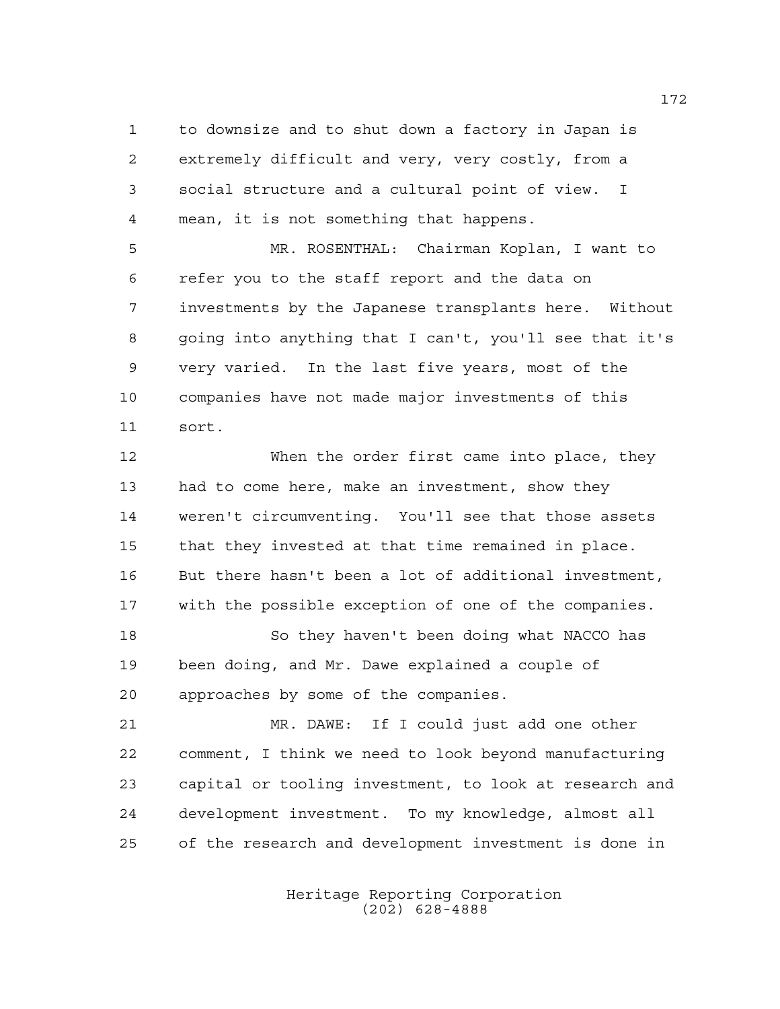to downsize and to shut down a factory in Japan is extremely difficult and very, very costly, from a social structure and a cultural point of view. I mean, it is not something that happens.

 MR. ROSENTHAL: Chairman Koplan, I want to refer you to the staff report and the data on investments by the Japanese transplants here. Without going into anything that I can't, you'll see that it's very varied. In the last five years, most of the companies have not made major investments of this sort.

 When the order first came into place, they had to come here, make an investment, show they weren't circumventing. You'll see that those assets that they invested at that time remained in place. But there hasn't been a lot of additional investment, with the possible exception of one of the companies.

 So they haven't been doing what NACCO has been doing, and Mr. Dawe explained a couple of approaches by some of the companies.

 MR. DAWE: If I could just add one other comment, I think we need to look beyond manufacturing capital or tooling investment, to look at research and development investment. To my knowledge, almost all of the research and development investment is done in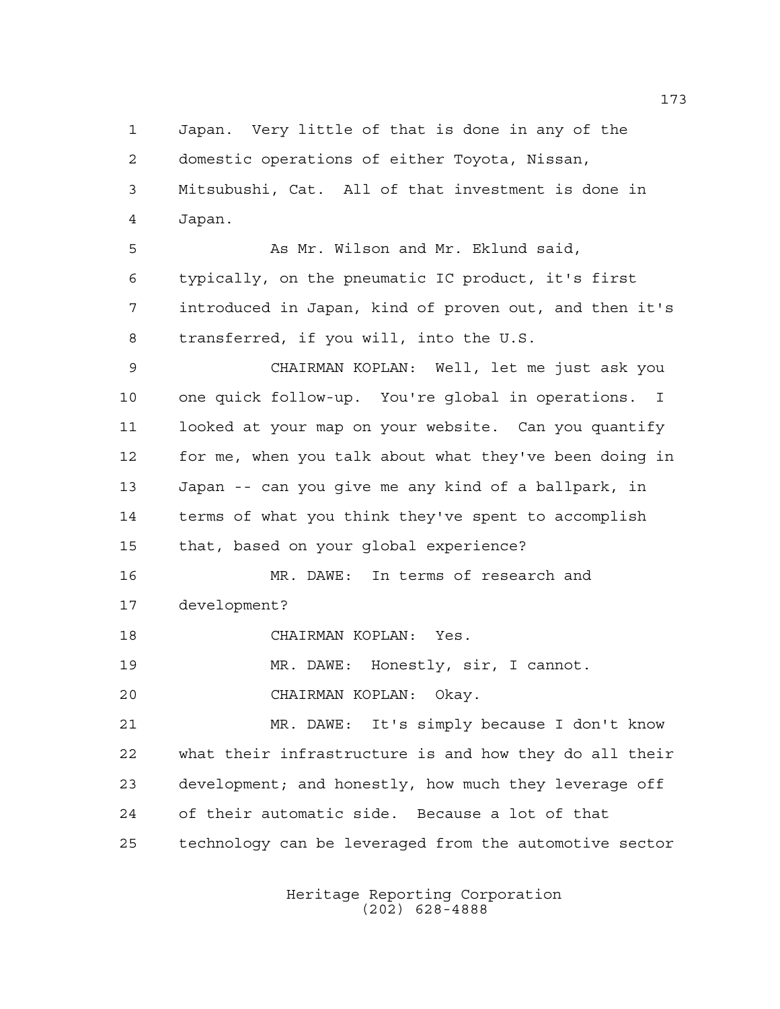Japan. Very little of that is done in any of the domestic operations of either Toyota, Nissan, Mitsubushi, Cat. All of that investment is done in Japan. 5 As Mr. Wilson and Mr. Eklund said, typically, on the pneumatic IC product, it's first introduced in Japan, kind of proven out, and then it's transferred, if you will, into the U.S. 9 CHAIRMAN KOPLAN: Well, let me just ask you one quick follow-up. You're global in operations. I looked at your map on your website. Can you quantify for me, when you talk about what they've been doing in Japan -- can you give me any kind of a ballpark, in terms of what you think they've spent to accomplish that, based on your global experience? MR. DAWE: In terms of research and development? 18 CHAIRMAN KOPLAN: Yes. MR. DAWE: Honestly, sir, I cannot. 20 CHAIRMAN KOPLAN: Okay. MR. DAWE: It's simply because I don't know what their infrastructure is and how they do all their development; and honestly, how much they leverage off of their automatic side. Because a lot of that technology can be leveraged from the automotive sector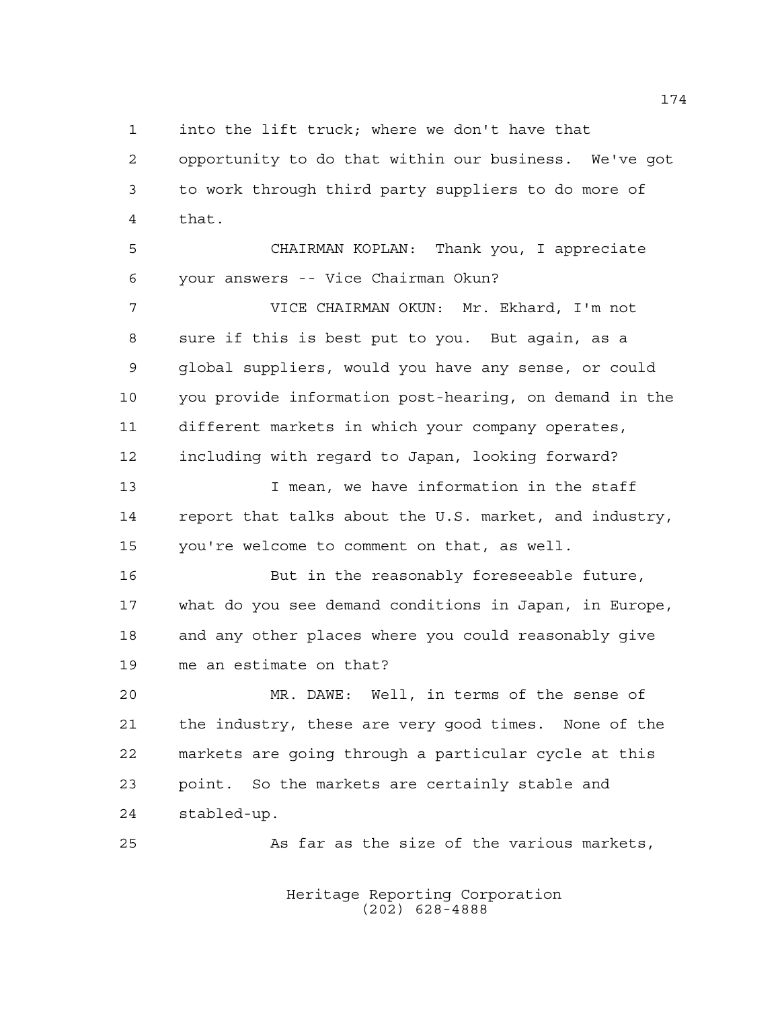into the lift truck; where we don't have that

 opportunity to do that within our business. We've got to work through third party suppliers to do more of that.

5 CHAIRMAN KOPLAN: Thank you, I appreciate your answers -- Vice Chairman Okun?

 VICE CHAIRMAN OKUN: Mr. Ekhard, I'm not sure if this is best put to you. But again, as a global suppliers, would you have any sense, or could you provide information post-hearing, on demand in the different markets in which your company operates, including with regard to Japan, looking forward?

 I mean, we have information in the staff report that talks about the U.S. market, and industry, you're welcome to comment on that, as well.

 But in the reasonably foreseeable future, what do you see demand conditions in Japan, in Europe, and any other places where you could reasonably give me an estimate on that?

 MR. DAWE: Well, in terms of the sense of the industry, these are very good times. None of the markets are going through a particular cycle at this point. So the markets are certainly stable and stabled-up.

25 As far as the size of the various markets,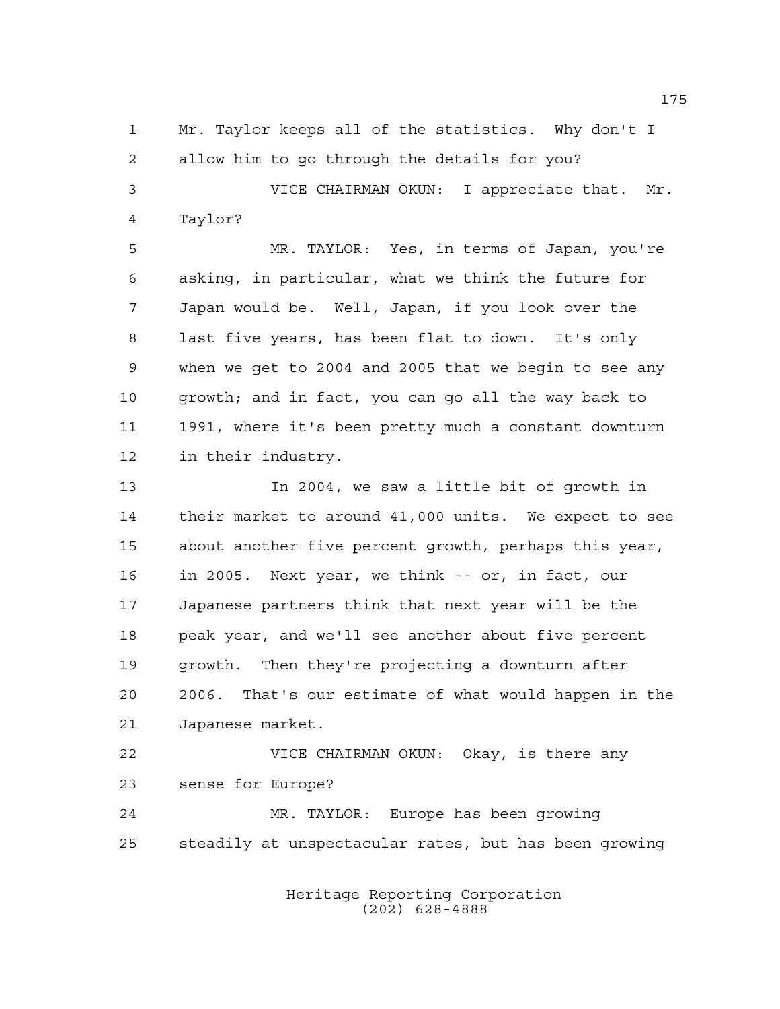Mr. Taylor keeps all of the statistics. Why don't I allow him to go through the details for you?

 VICE CHAIRMAN OKUN: I appreciate that. Mr. Taylor?

 MR. TAYLOR: Yes, in terms of Japan, you're asking, in particular, what we think the future for Japan would be. Well, Japan, if you look over the last five years, has been flat to down. It's only when we get to 2004 and 2005 that we begin to see any growth; and in fact, you can go all the way back to 1991, where it's been pretty much a constant downturn in their industry.

 In 2004, we saw a little bit of growth in their market to around 41,000 units. We expect to see about another five percent growth, perhaps this year, in 2005. Next year, we think -- or, in fact, our Japanese partners think that next year will be the peak year, and we'll see another about five percent growth. Then they're projecting a downturn after 2006. That's our estimate of what would happen in the Japanese market.

 VICE CHAIRMAN OKUN: Okay, is there any sense for Europe?

 MR. TAYLOR: Europe has been growing steadily at unspectacular rates, but has been growing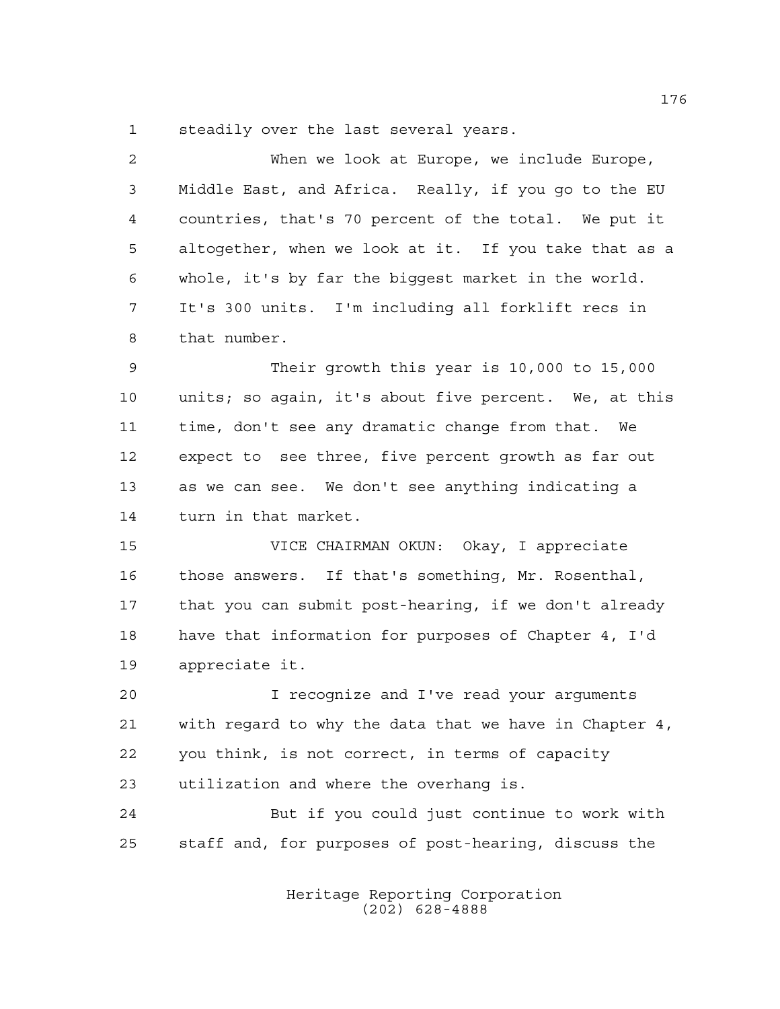steadily over the last several years.

| $\overline{2}$ | When we look at Europe, we include Europe,             |
|----------------|--------------------------------------------------------|
| 3              | Middle East, and Africa. Really, if you go to the EU   |
| $\overline{4}$ | countries, that's 70 percent of the total. We put it   |
| 5              | altogether, when we look at it. If you take that as a  |
| 6              | whole, it's by far the biggest market in the world.    |
| 7              | It's 300 units. I'm including all forklift recs in     |
| 8              | that number.                                           |
| 9              | Their growth this year is 10,000 to 15,000             |
| 10             | units; so again, it's about five percent. We, at this  |
| 11             | time, don't see any dramatic change from that. We      |
| 12             | expect to see three, five percent growth as far out    |
| 13             | as we can see. We don't see anything indicating a      |
| 14             | turn in that market.                                   |
| 15             | VICE CHAIRMAN OKUN: Okay, I appreciate                 |
| 16             | those answers. If that's something, Mr. Rosenthal,     |
| 17             | that you can submit post-hearing, if we don't already  |
| 18             | have that information for purposes of Chapter 4, I'd   |
| 19             | appreciate it.                                         |
| 20             | I recognize and I've read your arguments               |
| 21             | with regard to why the data that we have in Chapter 4, |
| 22             | you think, is not correct, in terms of capacity        |
| 23             | utilization and where the overhang is.                 |
| 24             | But if you could just continue to work with            |
| 25             | staff and, for purposes of post-hearing, discuss the   |

Heritage Reporting Corporation (202) 628-4888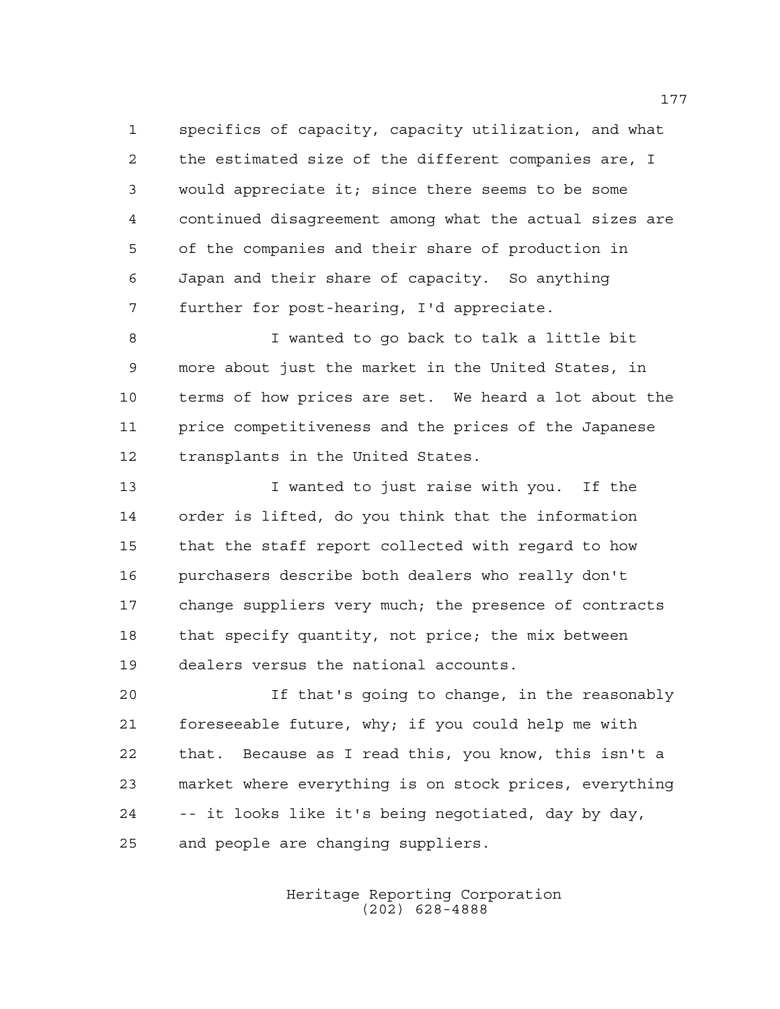specifics of capacity, capacity utilization, and what the estimated size of the different companies are, I would appreciate it; since there seems to be some continued disagreement among what the actual sizes are of the companies and their share of production in Japan and their share of capacity. So anything further for post-hearing, I'd appreciate.

 I wanted to go back to talk a little bit more about just the market in the United States, in terms of how prices are set. We heard a lot about the price competitiveness and the prices of the Japanese transplants in the United States.

 I wanted to just raise with you. If the order is lifted, do you think that the information that the staff report collected with regard to how purchasers describe both dealers who really don't change suppliers very much; the presence of contracts that specify quantity, not price; the mix between dealers versus the national accounts.

 If that's going to change, in the reasonably foreseeable future, why; if you could help me with that. Because as I read this, you know, this isn't a market where everything is on stock prices, everything -- it looks like it's being negotiated, day by day, and people are changing suppliers.

> Heritage Reporting Corporation (202) 628-4888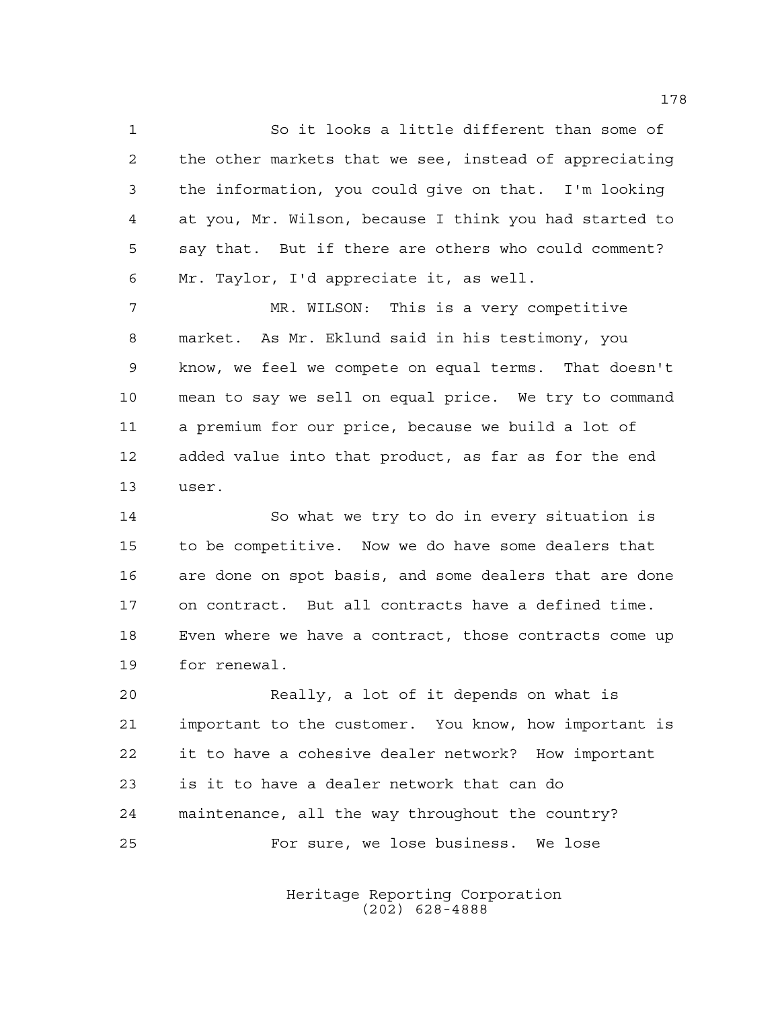So it looks a little different than some of the other markets that we see, instead of appreciating the information, you could give on that. I'm looking at you, Mr. Wilson, because I think you had started to say that. But if there are others who could comment? Mr. Taylor, I'd appreciate it, as well.

 MR. WILSON: This is a very competitive market. As Mr. Eklund said in his testimony, you know, we feel we compete on equal terms. That doesn't mean to say we sell on equal price. We try to command a premium for our price, because we build a lot of added value into that product, as far as for the end user.

 So what we try to do in every situation is to be competitive. Now we do have some dealers that are done on spot basis, and some dealers that are done on contract. But all contracts have a defined time. Even where we have a contract, those contracts come up for renewal.

 Really, a lot of it depends on what is important to the customer. You know, how important is it to have a cohesive dealer network? How important is it to have a dealer network that can do maintenance, all the way throughout the country? For sure, we lose business. We lose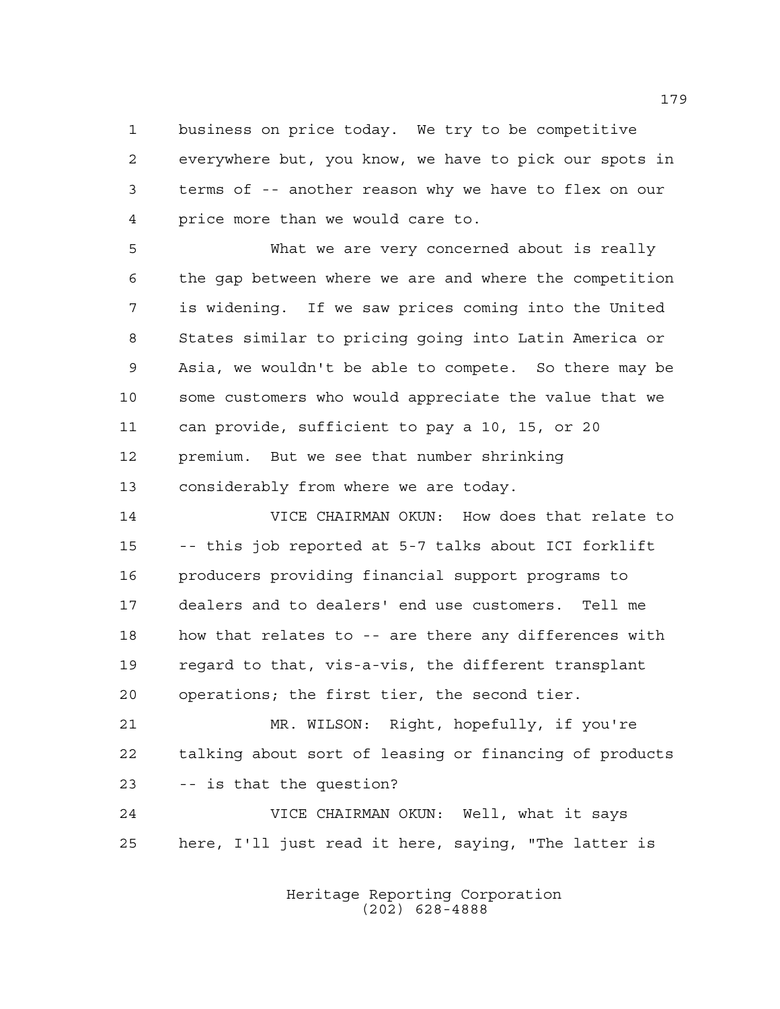business on price today. We try to be competitive everywhere but, you know, we have to pick our spots in terms of -- another reason why we have to flex on our price more than we would care to.

 What we are very concerned about is really the gap between where we are and where the competition is widening. If we saw prices coming into the United States similar to pricing going into Latin America or Asia, we wouldn't be able to compete. So there may be some customers who would appreciate the value that we can provide, sufficient to pay a 10, 15, or 20 premium. But we see that number shrinking considerably from where we are today.

 VICE CHAIRMAN OKUN: How does that relate to -- this job reported at 5-7 talks about ICI forklift producers providing financial support programs to dealers and to dealers' end use customers. Tell me how that relates to -- are there any differences with regard to that, vis-a-vis, the different transplant operations; the first tier, the second tier.

 MR. WILSON: Right, hopefully, if you're talking about sort of leasing or financing of products -- is that the question?

 VICE CHAIRMAN OKUN: Well, what it says here, I'll just read it here, saying, "The latter is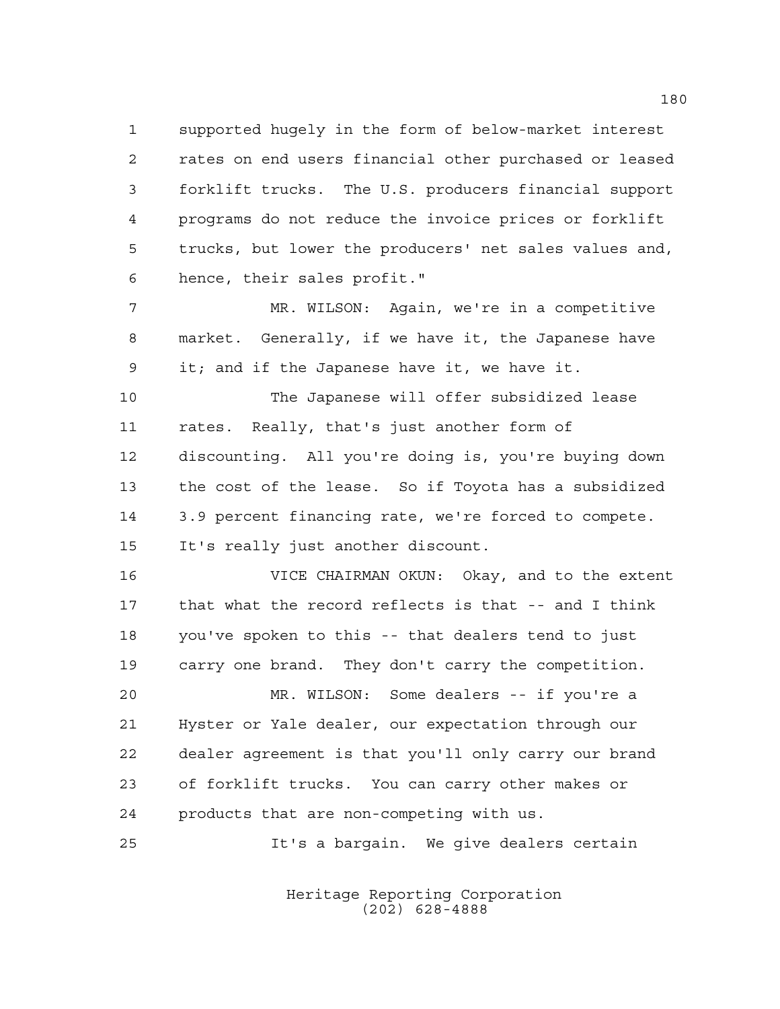supported hugely in the form of below-market interest rates on end users financial other purchased or leased forklift trucks. The U.S. producers financial support programs do not reduce the invoice prices or forklift trucks, but lower the producers' net sales values and, hence, their sales profit."

 MR. WILSON: Again, we're in a competitive market. Generally, if we have it, the Japanese have it; and if the Japanese have it, we have it.

 The Japanese will offer subsidized lease rates. Really, that's just another form of discounting. All you're doing is, you're buying down the cost of the lease. So if Toyota has a subsidized 3.9 percent financing rate, we're forced to compete. It's really just another discount.

 VICE CHAIRMAN OKUN: Okay, and to the extent that what the record reflects is that -- and I think you've spoken to this -- that dealers tend to just carry one brand. They don't carry the competition.

 MR. WILSON: Some dealers -- if you're a Hyster or Yale dealer, our expectation through our dealer agreement is that you'll only carry our brand of forklift trucks. You can carry other makes or products that are non-competing with us.

It's a bargain. We give dealers certain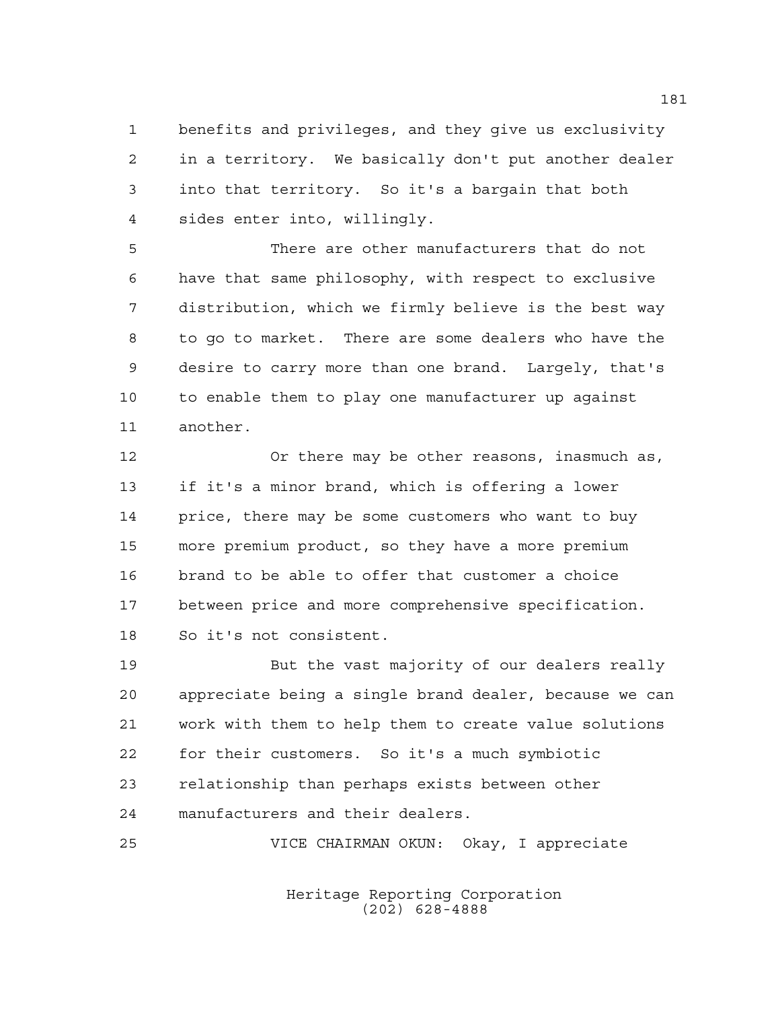benefits and privileges, and they give us exclusivity in a territory. We basically don't put another dealer into that territory. So it's a bargain that both sides enter into, willingly.

 There are other manufacturers that do not have that same philosophy, with respect to exclusive distribution, which we firmly believe is the best way to go to market. There are some dealers who have the desire to carry more than one brand. Largely, that's to enable them to play one manufacturer up against another.

 Or there may be other reasons, inasmuch as, if it's a minor brand, which is offering a lower price, there may be some customers who want to buy more premium product, so they have a more premium brand to be able to offer that customer a choice between price and more comprehensive specification. So it's not consistent.

 But the vast majority of our dealers really appreciate being a single brand dealer, because we can work with them to help them to create value solutions for their customers. So it's a much symbiotic relationship than perhaps exists between other manufacturers and their dealers.

VICE CHAIRMAN OKUN: Okay, I appreciate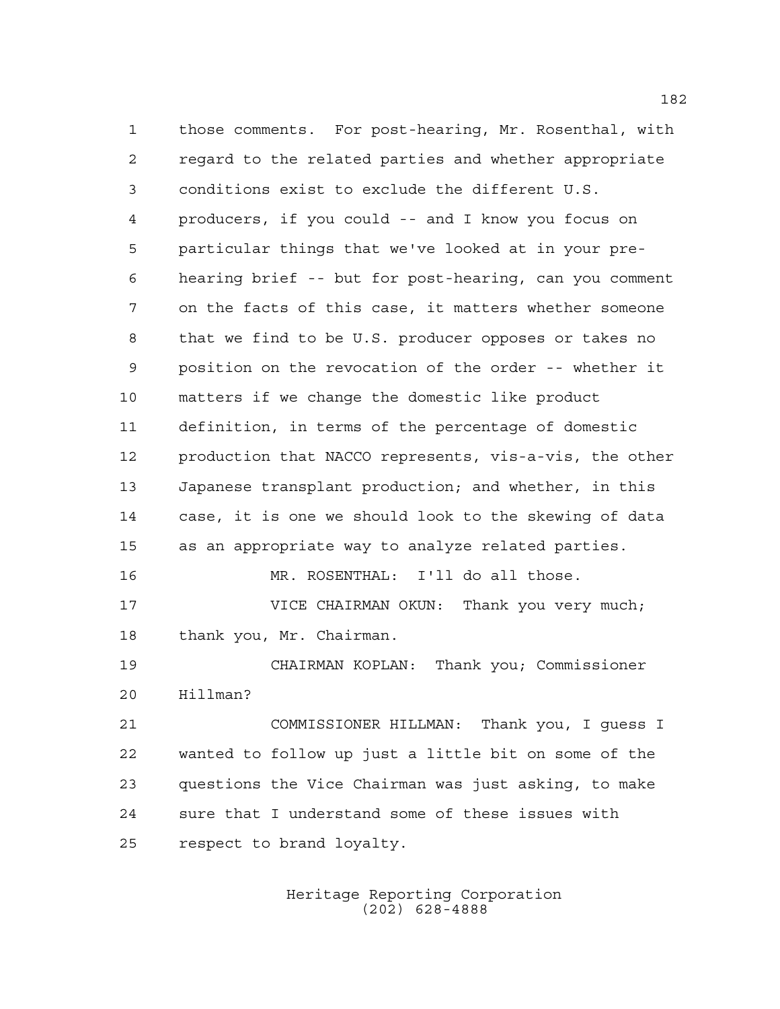those comments. For post-hearing, Mr. Rosenthal, with regard to the related parties and whether appropriate conditions exist to exclude the different U.S. producers, if you could -- and I know you focus on particular things that we've looked at in your pre- hearing brief -- but for post-hearing, can you comment on the facts of this case, it matters whether someone that we find to be U.S. producer opposes or takes no position on the revocation of the order -- whether it matters if we change the domestic like product definition, in terms of the percentage of domestic production that NACCO represents, vis-a-vis, the other Japanese transplant production; and whether, in this case, it is one we should look to the skewing of data as an appropriate way to analyze related parties. MR. ROSENTHAL: I'll do all those. **VICE CHAIRMAN OKUN:** Thank you very much; thank you, Mr. Chairman. 19 CHAIRMAN KOPLAN: Thank you; Commissioner Hillman? COMMISSIONER HILLMAN: Thank you, I guess I wanted to follow up just a little bit on some of the questions the Vice Chairman was just asking, to make sure that I understand some of these issues with respect to brand loyalty.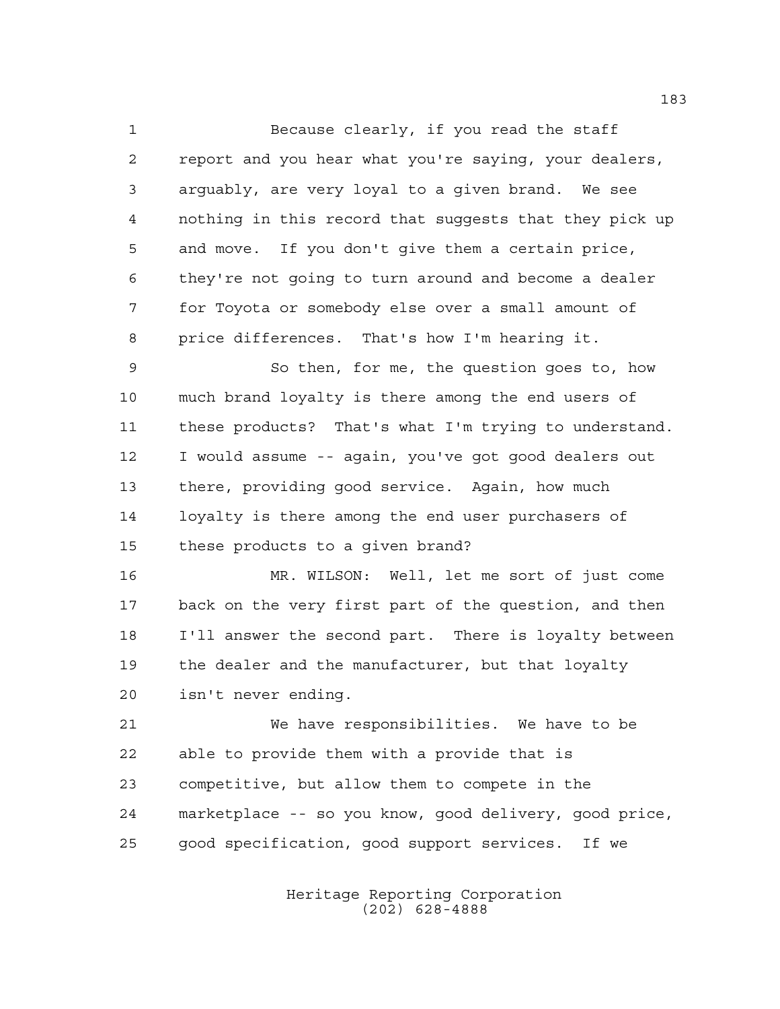Because clearly, if you read the staff report and you hear what you're saying, your dealers, arguably, are very loyal to a given brand. We see nothing in this record that suggests that they pick up and move. If you don't give them a certain price, they're not going to turn around and become a dealer for Toyota or somebody else over a small amount of price differences. That's how I'm hearing it.

 So then, for me, the question goes to, how much brand loyalty is there among the end users of these products? That's what I'm trying to understand. I would assume -- again, you've got good dealers out there, providing good service. Again, how much loyalty is there among the end user purchasers of these products to a given brand?

 MR. WILSON: Well, let me sort of just come back on the very first part of the question, and then I'll answer the second part. There is loyalty between the dealer and the manufacturer, but that loyalty isn't never ending.

 We have responsibilities. We have to be able to provide them with a provide that is competitive, but allow them to compete in the marketplace -- so you know, good delivery, good price, good specification, good support services. If we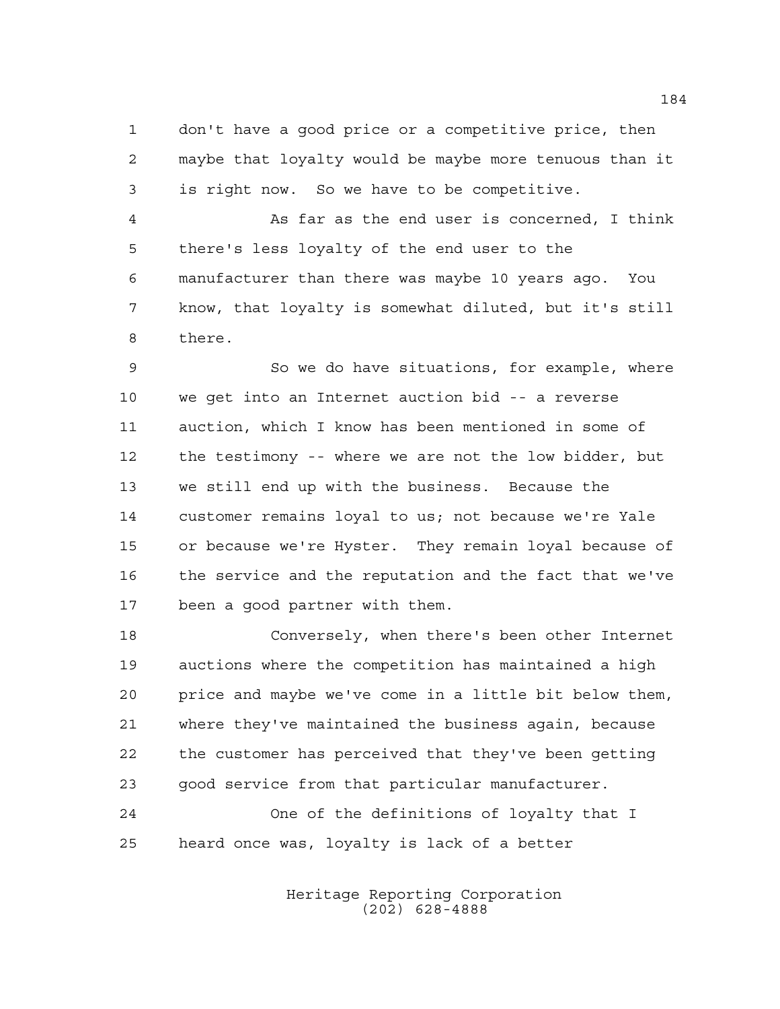don't have a good price or a competitive price, then maybe that loyalty would be maybe more tenuous than it is right now. So we have to be competitive.

 As far as the end user is concerned, I think there's less loyalty of the end user to the manufacturer than there was maybe 10 years ago. You know, that loyalty is somewhat diluted, but it's still there.

 So we do have situations, for example, where we get into an Internet auction bid -- a reverse auction, which I know has been mentioned in some of the testimony -- where we are not the low bidder, but we still end up with the business. Because the customer remains loyal to us; not because we're Yale or because we're Hyster. They remain loyal because of the service and the reputation and the fact that we've been a good partner with them.

 Conversely, when there's been other Internet auctions where the competition has maintained a high price and maybe we've come in a little bit below them, where they've maintained the business again, because the customer has perceived that they've been getting good service from that particular manufacturer.

 One of the definitions of loyalty that I heard once was, loyalty is lack of a better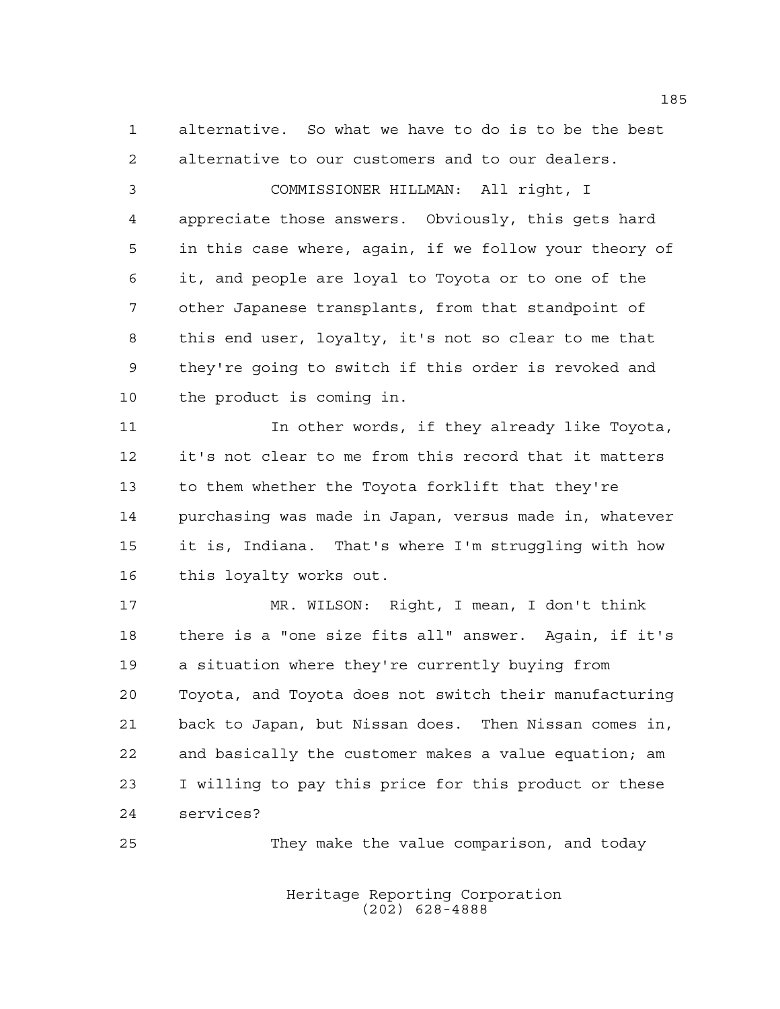alternative. So what we have to do is to be the best alternative to our customers and to our dealers.

 COMMISSIONER HILLMAN: All right, I appreciate those answers. Obviously, this gets hard in this case where, again, if we follow your theory of it, and people are loyal to Toyota or to one of the other Japanese transplants, from that standpoint of this end user, loyalty, it's not so clear to me that they're going to switch if this order is revoked and the product is coming in.

11 11 In other words, if they already like Toyota, it's not clear to me from this record that it matters to them whether the Toyota forklift that they're purchasing was made in Japan, versus made in, whatever it is, Indiana. That's where I'm struggling with how this loyalty works out.

 MR. WILSON: Right, I mean, I don't think there is a "one size fits all" answer. Again, if it's a situation where they're currently buying from Toyota, and Toyota does not switch their manufacturing back to Japan, but Nissan does. Then Nissan comes in, and basically the customer makes a value equation; am I willing to pay this price for this product or these services?

They make the value comparison, and today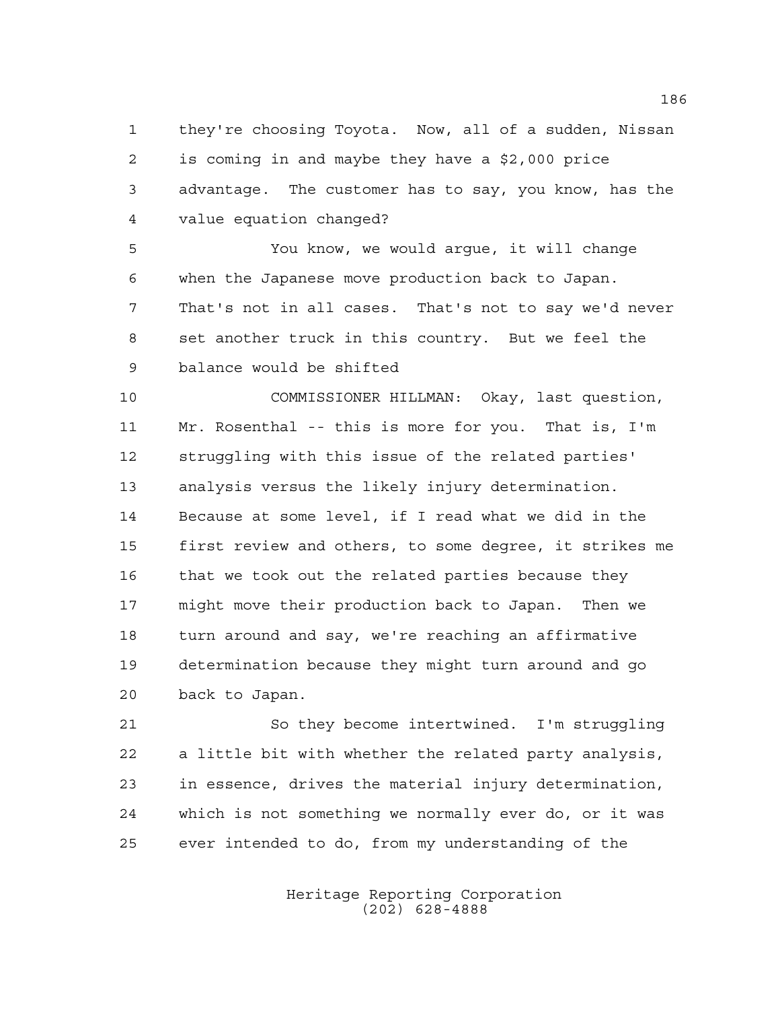they're choosing Toyota. Now, all of a sudden, Nissan is coming in and maybe they have a \$2,000 price advantage. The customer has to say, you know, has the value equation changed?

 You know, we would argue, it will change when the Japanese move production back to Japan. That's not in all cases. That's not to say we'd never set another truck in this country. But we feel the balance would be shifted

 COMMISSIONER HILLMAN: Okay, last question, Mr. Rosenthal -- this is more for you. That is, I'm struggling with this issue of the related parties' analysis versus the likely injury determination. Because at some level, if I read what we did in the first review and others, to some degree, it strikes me 16 that we took out the related parties because they might move their production back to Japan. Then we 18 turn around and say, we're reaching an affirmative determination because they might turn around and go back to Japan.

 So they become intertwined. I'm struggling a little bit with whether the related party analysis, in essence, drives the material injury determination, which is not something we normally ever do, or it was ever intended to do, from my understanding of the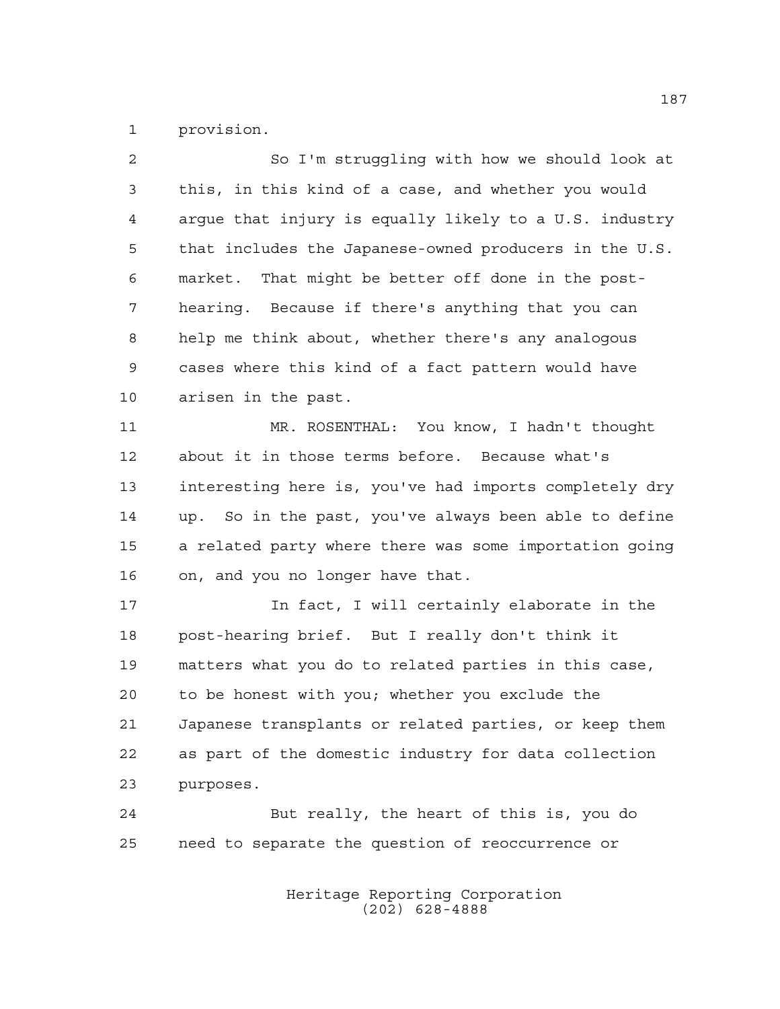provision.

| 2              | So I'm struggling with how we should look at           |
|----------------|--------------------------------------------------------|
| 3              | this, in this kind of a case, and whether you would    |
| $\overline{4}$ | argue that injury is equally likely to a U.S. industry |
| 5              | that includes the Japanese-owned producers in the U.S. |
| 6              | market. That might be better off done in the post-     |
| 7              | hearing. Because if there's anything that you can      |
| 8              | help me think about, whether there's any analogous     |
| 9              | cases where this kind of a fact pattern would have     |
| 10             | arisen in the past.                                    |
| 11             | MR. ROSENTHAL: You know, I hadn't thought              |
| 12             | about it in those terms before. Because what's         |
| 13             | interesting here is, you've had imports completely dry |
| 14             | up. So in the past, you've always been able to define  |
| 15             | a related party where there was some importation going |
| 16             | on, and you no longer have that.                       |
| 17             | In fact, I will certainly elaborate in the             |
| 18             | post-hearing brief. But I really don't think it        |
| 19             | matters what you do to related parties in this case,   |
| 20             | to be honest with you; whether you exclude the         |
| 21             | Japanese transplants or related parties, or keep them  |
| 22             | as part of the domestic industry for data collection   |
| 23             | purposes.                                              |
| 24             | But really, the heart of this is, you do               |
| 25             | need to separate the question of reoccurrence or       |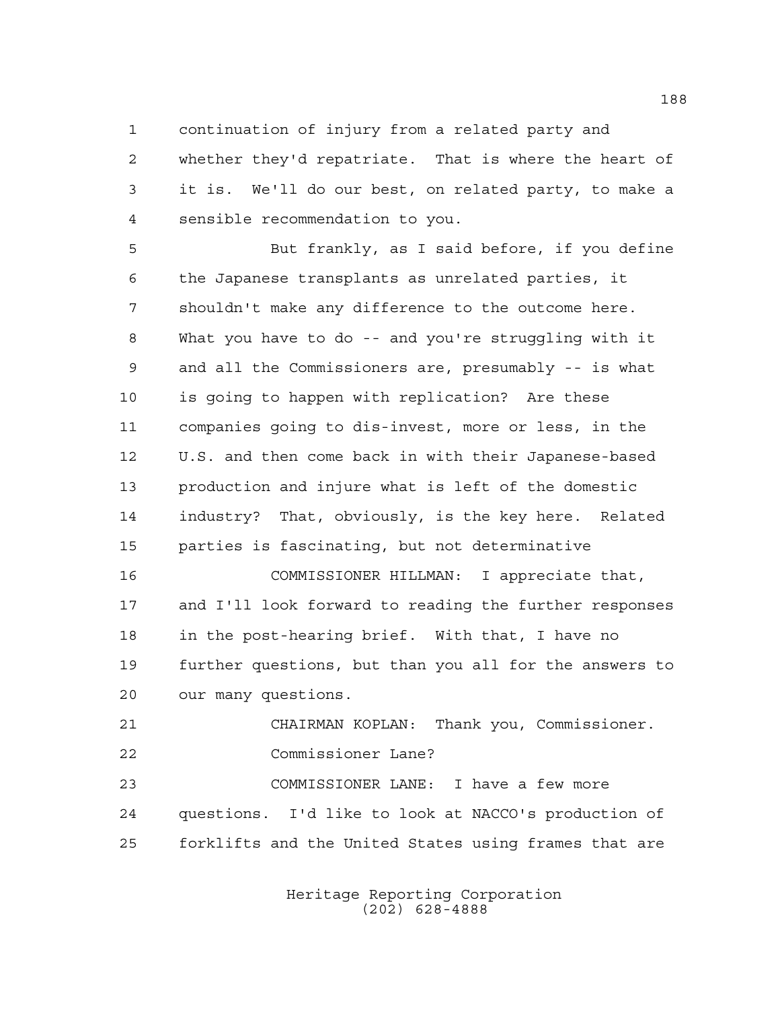continuation of injury from a related party and

 whether they'd repatriate. That is where the heart of it is. We'll do our best, on related party, to make a sensible recommendation to you.

 But frankly, as I said before, if you define the Japanese transplants as unrelated parties, it shouldn't make any difference to the outcome here. What you have to do -- and you're struggling with it and all the Commissioners are, presumably -- is what is going to happen with replication? Are these companies going to dis-invest, more or less, in the U.S. and then come back in with their Japanese-based production and injure what is left of the domestic industry? That, obviously, is the key here. Related parties is fascinating, but not determinative COMMISSIONER HILLMAN: I appreciate that, and I'll look forward to reading the further responses in the post-hearing brief. With that, I have no further questions, but than you all for the answers to our many questions. 21 CHAIRMAN KOPLAN: Thank you, Commissioner. Commissioner Lane?

 COMMISSIONER LANE: I have a few more questions. I'd like to look at NACCO's production of forklifts and the United States using frames that are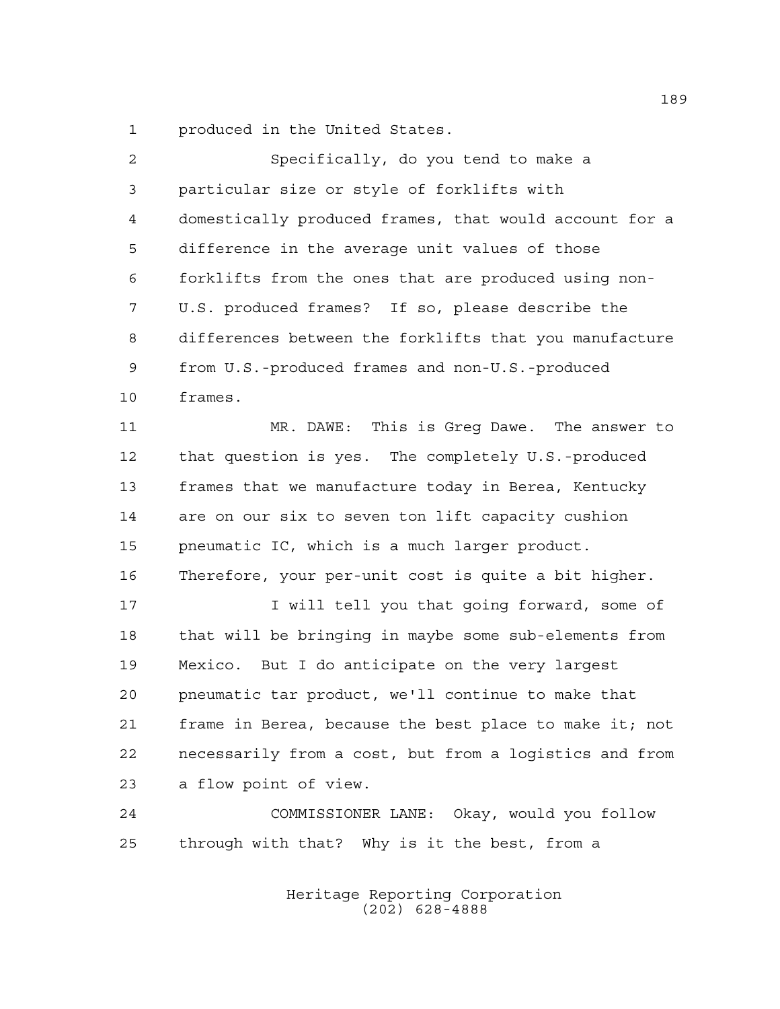produced in the United States.

| $\overline{2}$ | Specifically, do you tend to make a                    |
|----------------|--------------------------------------------------------|
| 3              | particular size or style of forklifts with             |
| 4              | domestically produced frames, that would account for a |
| 5              | difference in the average unit values of those         |
| 6              | forklifts from the ones that are produced using non-   |
| 7              | U.S. produced frames? If so, please describe the       |
| 8              | differences between the forklifts that you manufacture |
| $\mathsf 9$    | from U.S.-produced frames and non-U.S.-produced        |
| 10             | frames.                                                |
| 11             | MR. DAWE: This is Greg Dawe. The answer to             |
| 12             | that question is yes. The completely U.S.-produced     |
| 13             | frames that we manufacture today in Berea, Kentucky    |
| 14             | are on our six to seven ton lift capacity cushion      |
| 15             | pneumatic IC, which is a much larger product.          |
| 16             | Therefore, your per-unit cost is quite a bit higher.   |
| 17             | I will tell you that going forward, some of            |
| 18             | that will be bringing in maybe some sub-elements from  |
| 19             | Mexico. But I do anticipate on the very largest        |
| 20             | pneumatic tar product, we'll continue to make that     |
| 21             | frame in Berea, because the best place to make it; not |
| 22             | necessarily from a cost, but from a logistics and from |
| 23             | a flow point of view.                                  |
| 24             | COMMISSIONER LANE: Okay, would you follow              |
| 25             | through with that? Why is it the best, from a          |
|                |                                                        |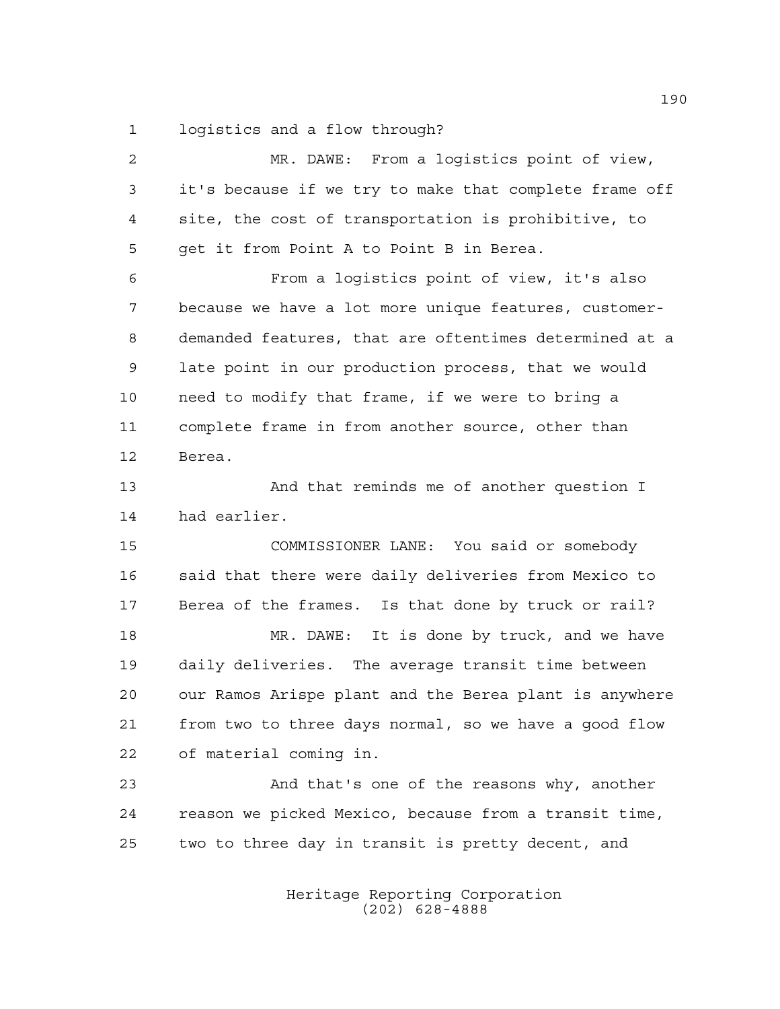logistics and a flow through?

| $\overline{2}$ | MR. DAWE: From a logistics point of view,              |
|----------------|--------------------------------------------------------|
| $\mathfrak{Z}$ | it's because if we try to make that complete frame off |
| 4              | site, the cost of transportation is prohibitive, to    |
| 5              | get it from Point A to Point B in Berea.               |
| 6              | From a logistics point of view, it's also              |
| 7              | because we have a lot more unique features, customer-  |
| 8              | demanded features, that are oftentimes determined at a |
| 9              | late point in our production process, that we would    |
| 10             | need to modify that frame, if we were to bring a       |
| 11             | complete frame in from another source, other than      |
| 12             | Berea.                                                 |
| 13             | And that reminds me of another question I              |
| 14             | had earlier.                                           |
| 15             | COMMISSIONER LANE: You said or somebody                |
| 16             | said that there were daily deliveries from Mexico to   |
| 17             | Berea of the frames. Is that done by truck or rail?    |
| 18             | MR. DAWE: It is done by truck, and we have             |
| 19             | daily deliveries. The average transit time between     |
| 20             | our Ramos Arispe plant and the Berea plant is anywhere |
| 21             | from two to three days normal, so we have a good flow  |
| 22             | of material coming in.                                 |
| 23             | And that's one of the reasons why, another             |
| 24             | reason we picked Mexico, because from a transit time,  |
| 25             | two to three day in transit is pretty decent, and      |
|                |                                                        |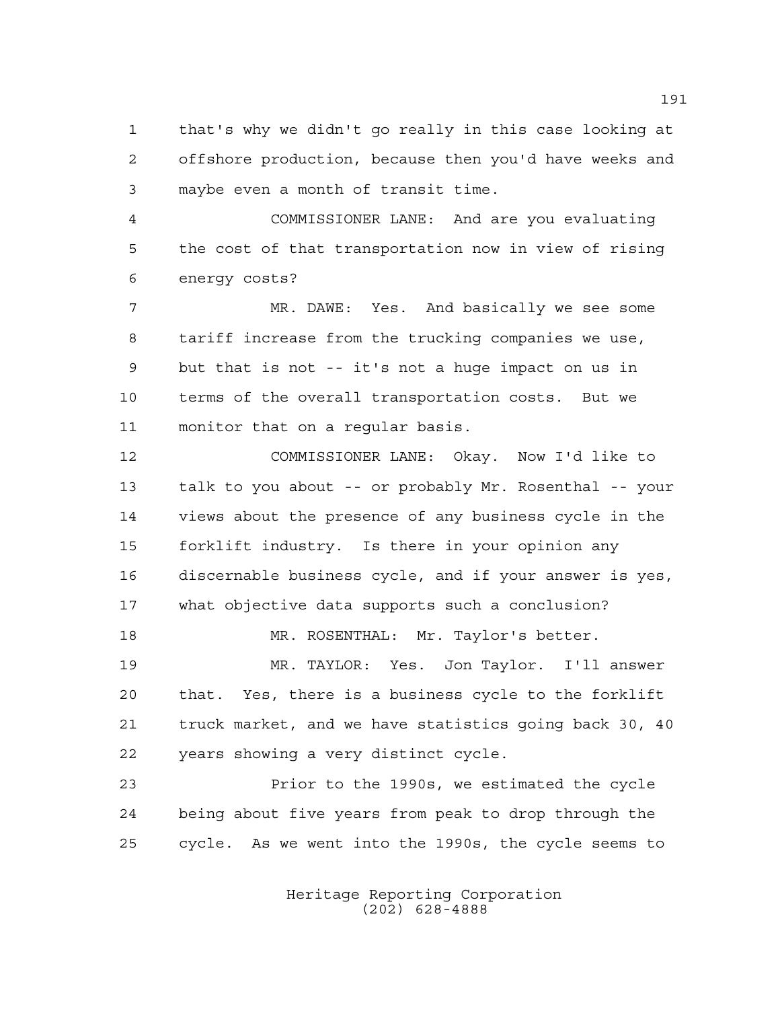that's why we didn't go really in this case looking at offshore production, because then you'd have weeks and maybe even a month of transit time.

 COMMISSIONER LANE: And are you evaluating the cost of that transportation now in view of rising energy costs?

 MR. DAWE: Yes. And basically we see some tariff increase from the trucking companies we use, but that is not -- it's not a huge impact on us in terms of the overall transportation costs. But we monitor that on a regular basis.

 COMMISSIONER LANE: Okay. Now I'd like to talk to you about -- or probably Mr. Rosenthal -- your views about the presence of any business cycle in the forklift industry. Is there in your opinion any discernable business cycle, and if your answer is yes, what objective data supports such a conclusion? 18 MR. ROSENTHAL: Mr. Taylor's better.

 MR. TAYLOR: Yes. Jon Taylor. I'll answer that. Yes, there is a business cycle to the forklift truck market, and we have statistics going back 30, 40 years showing a very distinct cycle.

 Prior to the 1990s, we estimated the cycle being about five years from peak to drop through the cycle. As we went into the 1990s, the cycle seems to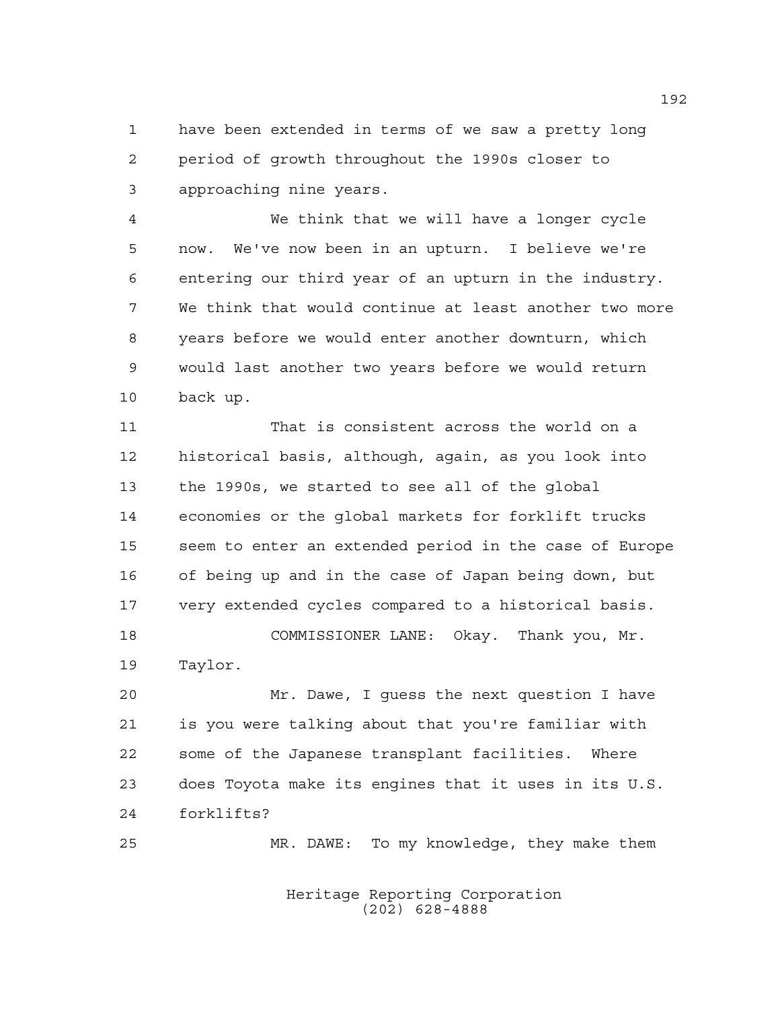have been extended in terms of we saw a pretty long period of growth throughout the 1990s closer to approaching nine years.

 We think that we will have a longer cycle now. We've now been in an upturn. I believe we're entering our third year of an upturn in the industry. We think that would continue at least another two more years before we would enter another downturn, which would last another two years before we would return back up.

 That is consistent across the world on a historical basis, although, again, as you look into the 1990s, we started to see all of the global economies or the global markets for forklift trucks seem to enter an extended period in the case of Europe of being up and in the case of Japan being down, but very extended cycles compared to a historical basis. COMMISSIONER LANE: Okay. Thank you, Mr.

Taylor.

 Mr. Dawe, I guess the next question I have is you were talking about that you're familiar with some of the Japanese transplant facilities. Where does Toyota make its engines that it uses in its U.S. forklifts?

Heritage Reporting Corporation MR. DAWE: To my knowledge, they make them

(202) 628-4888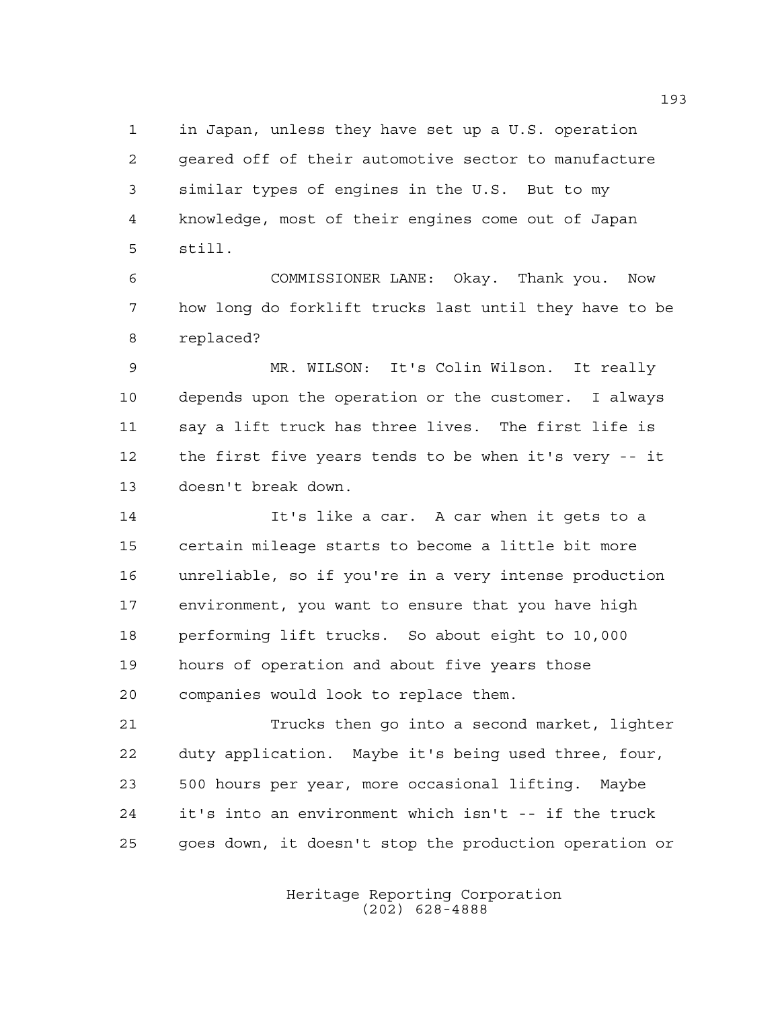in Japan, unless they have set up a U.S. operation geared off of their automotive sector to manufacture similar types of engines in the U.S. But to my knowledge, most of their engines come out of Japan still.

 COMMISSIONER LANE: Okay. Thank you. Now how long do forklift trucks last until they have to be replaced?

 MR. WILSON: It's Colin Wilson. It really depends upon the operation or the customer. I always say a lift truck has three lives. The first life is the first five years tends to be when it's very -- it doesn't break down.

 It's like a car. A car when it gets to a certain mileage starts to become a little bit more unreliable, so if you're in a very intense production environment, you want to ensure that you have high performing lift trucks. So about eight to 10,000 hours of operation and about five years those companies would look to replace them.

 Trucks then go into a second market, lighter duty application. Maybe it's being used three, four, 500 hours per year, more occasional lifting. Maybe it's into an environment which isn't -- if the truck goes down, it doesn't stop the production operation or

> Heritage Reporting Corporation (202) 628-4888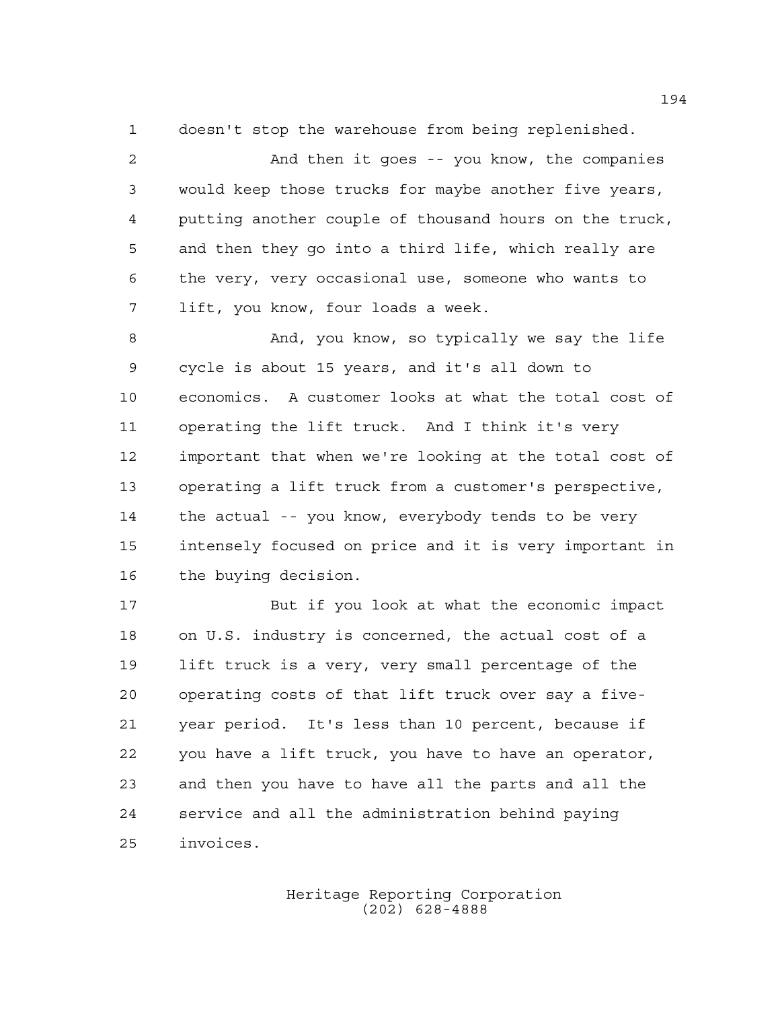doesn't stop the warehouse from being replenished.

 And then it goes -- you know, the companies would keep those trucks for maybe another five years, putting another couple of thousand hours on the truck, and then they go into a third life, which really are the very, very occasional use, someone who wants to lift, you know, four loads a week.

 And, you know, so typically we say the life cycle is about 15 years, and it's all down to economics. A customer looks at what the total cost of operating the lift truck. And I think it's very important that when we're looking at the total cost of operating a lift truck from a customer's perspective, the actual -- you know, everybody tends to be very intensely focused on price and it is very important in the buying decision.

 But if you look at what the economic impact on U.S. industry is concerned, the actual cost of a lift truck is a very, very small percentage of the operating costs of that lift truck over say a five- year period. It's less than 10 percent, because if you have a lift truck, you have to have an operator, and then you have to have all the parts and all the service and all the administration behind paying invoices.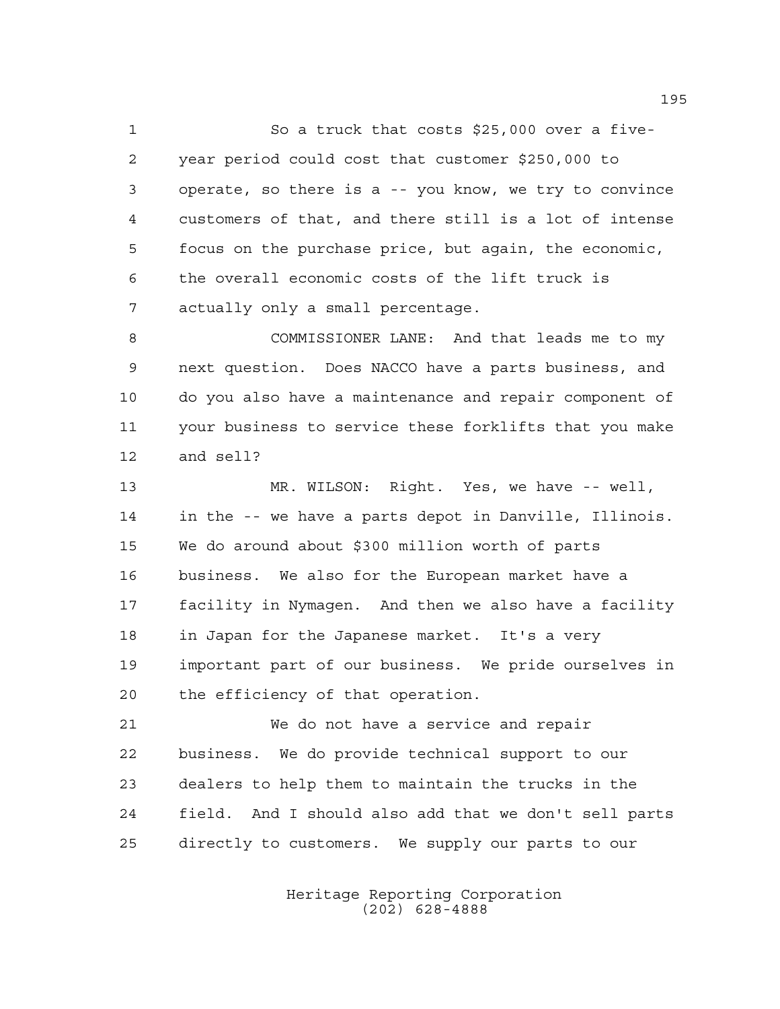1 So a truck that costs \$25,000 over a five- year period could cost that customer \$250,000 to operate, so there is a -- you know, we try to convince customers of that, and there still is a lot of intense focus on the purchase price, but again, the economic, the overall economic costs of the lift truck is actually only a small percentage.

 COMMISSIONER LANE: And that leads me to my next question. Does NACCO have a parts business, and do you also have a maintenance and repair component of your business to service these forklifts that you make and sell?

 MR. WILSON: Right. Yes, we have -- well, in the -- we have a parts depot in Danville, Illinois. We do around about \$300 million worth of parts business. We also for the European market have a facility in Nymagen. And then we also have a facility in Japan for the Japanese market. It's a very important part of our business. We pride ourselves in the efficiency of that operation.

 We do not have a service and repair business. We do provide technical support to our dealers to help them to maintain the trucks in the field. And I should also add that we don't sell parts directly to customers. We supply our parts to our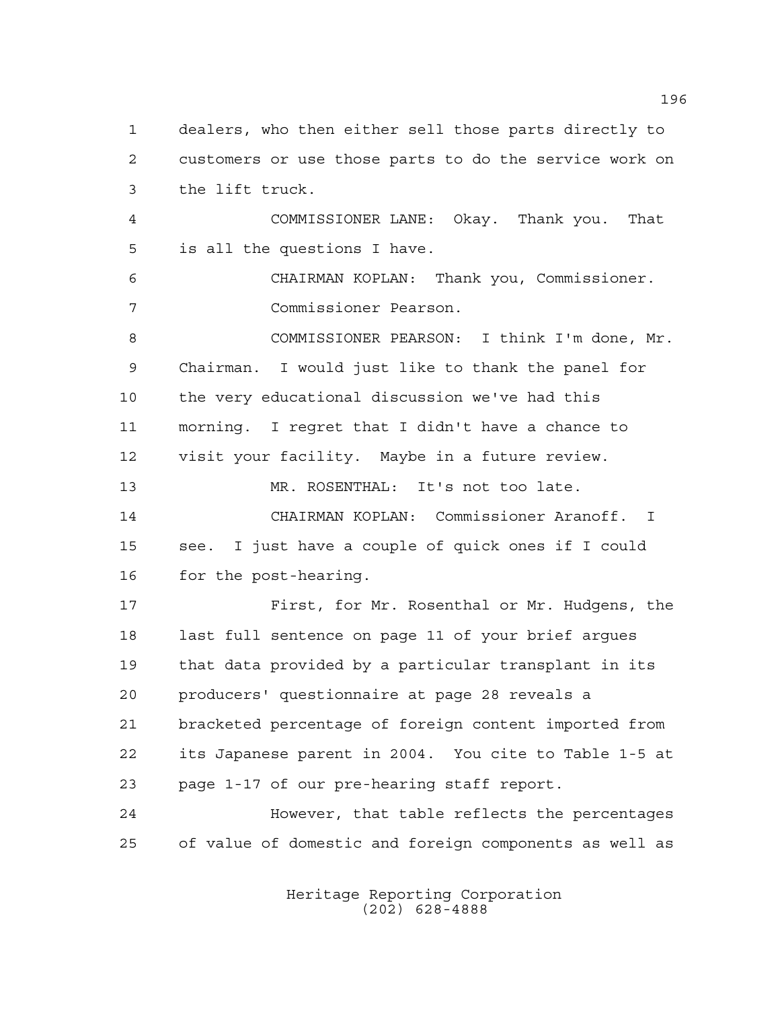dealers, who then either sell those parts directly to customers or use those parts to do the service work on the lift truck. COMMISSIONER LANE: Okay. Thank you. That is all the questions I have. CHAIRMAN KOPLAN: Thank you, Commissioner. Commissioner Pearson. COMMISSIONER PEARSON: I think I'm done, Mr. Chairman. I would just like to thank the panel for the very educational discussion we've had this morning. I regret that I didn't have a chance to visit your facility. Maybe in a future review. MR. ROSENTHAL: It's not too late. CHAIRMAN KOPLAN: Commissioner Aranoff. I see. I just have a couple of quick ones if I could for the post-hearing. First, for Mr. Rosenthal or Mr. Hudgens, the last full sentence on page 11 of your brief argues that data provided by a particular transplant in its producers' questionnaire at page 28 reveals a bracketed percentage of foreign content imported from its Japanese parent in 2004. You cite to Table 1-5 at page 1-17 of our pre-hearing staff report. However, that table reflects the percentages of value of domestic and foreign components as well as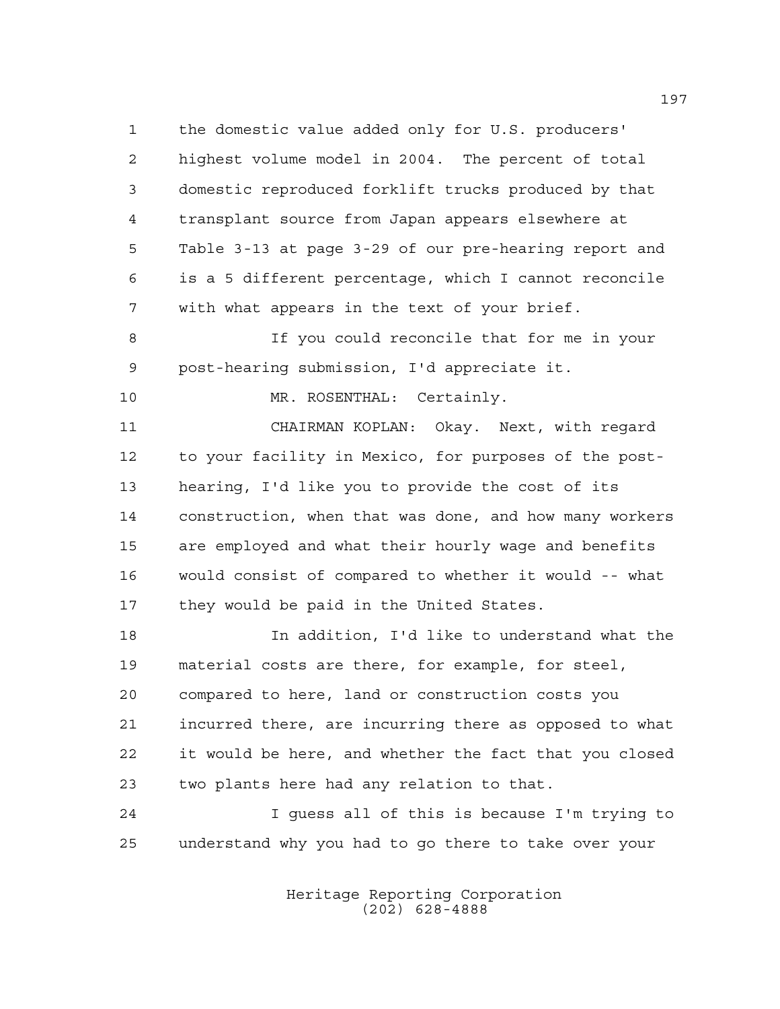the domestic value added only for U.S. producers' highest volume model in 2004. The percent of total domestic reproduced forklift trucks produced by that transplant source from Japan appears elsewhere at Table 3-13 at page 3-29 of our pre-hearing report and is a 5 different percentage, which I cannot reconcile with what appears in the text of your brief.

 If you could reconcile that for me in your post-hearing submission, I'd appreciate it.

10 MR. ROSENTHAL: Certainly.

 CHAIRMAN KOPLAN: Okay. Next, with regard to your facility in Mexico, for purposes of the post- hearing, I'd like you to provide the cost of its construction, when that was done, and how many workers are employed and what their hourly wage and benefits would consist of compared to whether it would -- what 17 they would be paid in the United States.

 In addition, I'd like to understand what the material costs are there, for example, for steel, compared to here, land or construction costs you incurred there, are incurring there as opposed to what it would be here, and whether the fact that you closed two plants here had any relation to that.

 I guess all of this is because I'm trying to understand why you had to go there to take over your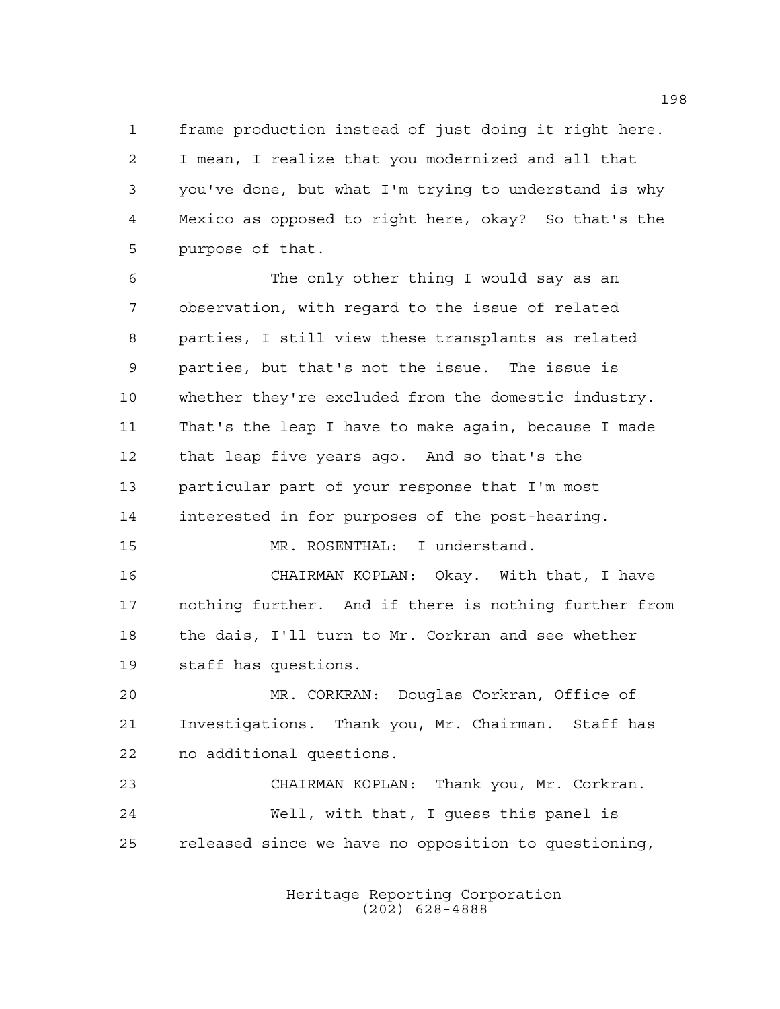frame production instead of just doing it right here. I mean, I realize that you modernized and all that you've done, but what I'm trying to understand is why Mexico as opposed to right here, okay? So that's the purpose of that.

 The only other thing I would say as an observation, with regard to the issue of related parties, I still view these transplants as related parties, but that's not the issue. The issue is whether they're excluded from the domestic industry. That's the leap I have to make again, because I made that leap five years ago. And so that's the particular part of your response that I'm most interested in for purposes of the post-hearing. MR. ROSENTHAL: I understand.

 CHAIRMAN KOPLAN: Okay. With that, I have nothing further. And if there is nothing further from the dais, I'll turn to Mr. Corkran and see whether

staff has questions.

 MR. CORKRAN: Douglas Corkran, Office of Investigations. Thank you, Mr. Chairman. Staff has no additional questions.

 CHAIRMAN KOPLAN: Thank you, Mr. Corkran. Well, with that, I guess this panel is released since we have no opposition to questioning,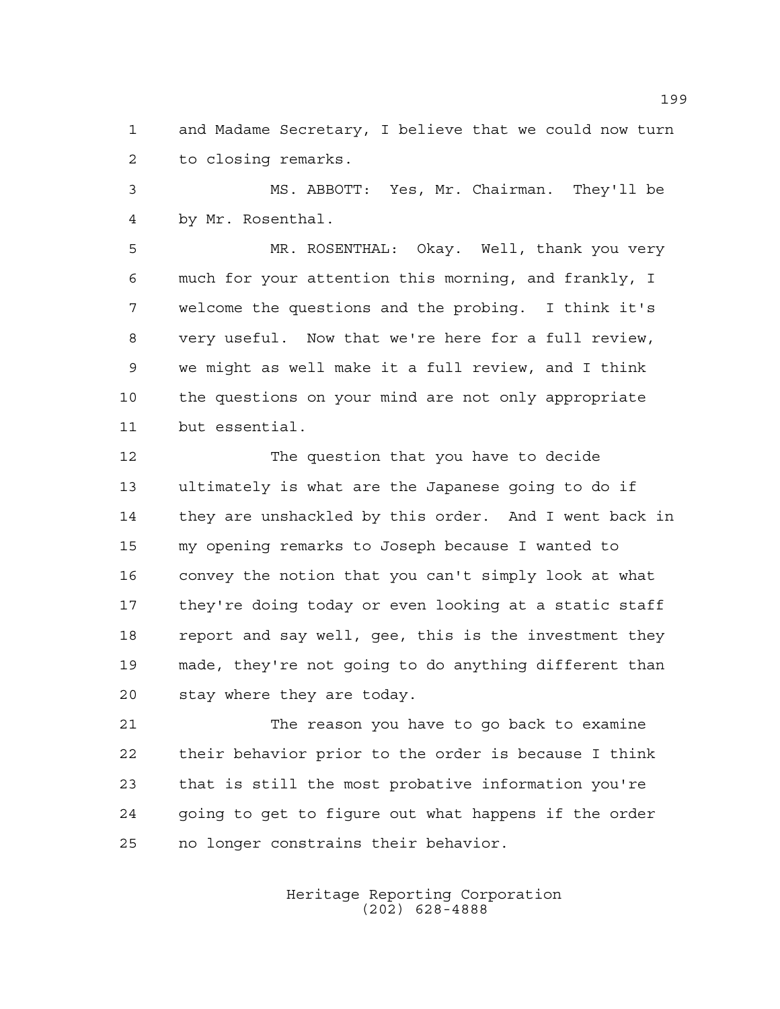and Madame Secretary, I believe that we could now turn to closing remarks.

 MS. ABBOTT: Yes, Mr. Chairman. They'll be by Mr. Rosenthal.

 MR. ROSENTHAL: Okay. Well, thank you very much for your attention this morning, and frankly, I welcome the questions and the probing. I think it's very useful. Now that we're here for a full review, we might as well make it a full review, and I think the questions on your mind are not only appropriate but essential.

 The question that you have to decide ultimately is what are the Japanese going to do if they are unshackled by this order. And I went back in my opening remarks to Joseph because I wanted to convey the notion that you can't simply look at what they're doing today or even looking at a static staff report and say well, gee, this is the investment they made, they're not going to do anything different than stay where they are today.

 The reason you have to go back to examine their behavior prior to the order is because I think that is still the most probative information you're going to get to figure out what happens if the order no longer constrains their behavior.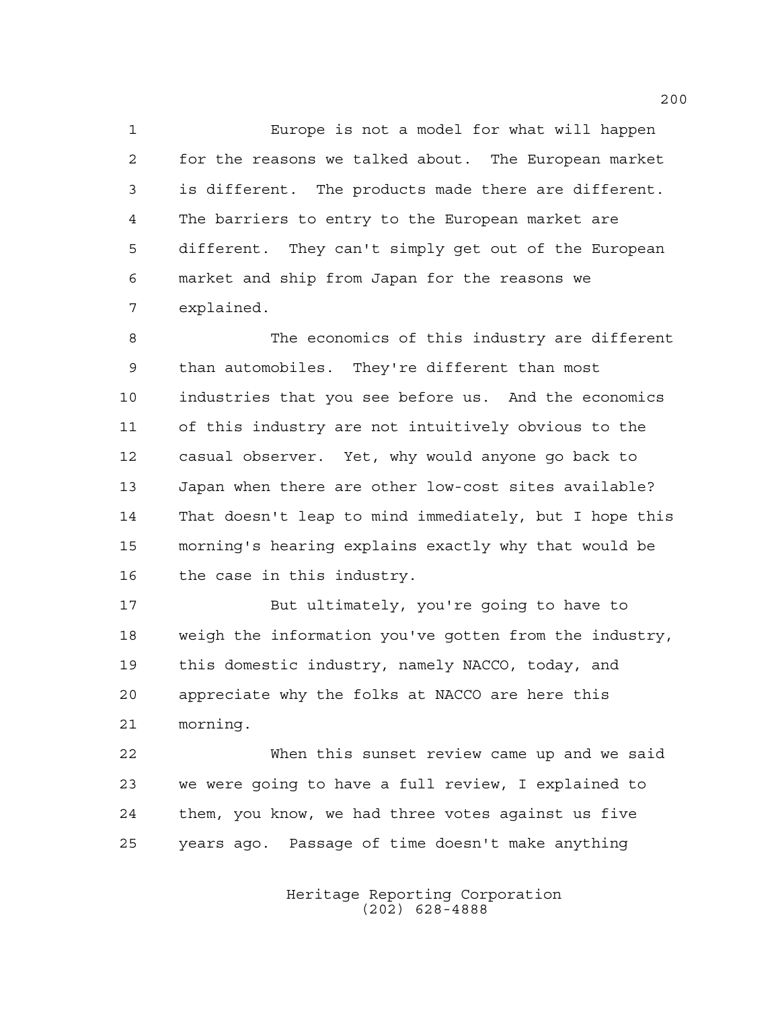Europe is not a model for what will happen for the reasons we talked about. The European market is different. The products made there are different. The barriers to entry to the European market are different. They can't simply get out of the European market and ship from Japan for the reasons we explained.

 The economics of this industry are different than automobiles. They're different than most industries that you see before us. And the economics of this industry are not intuitively obvious to the casual observer. Yet, why would anyone go back to Japan when there are other low-cost sites available? That doesn't leap to mind immediately, but I hope this morning's hearing explains exactly why that would be the case in this industry.

 But ultimately, you're going to have to weigh the information you've gotten from the industry, this domestic industry, namely NACCO, today, and appreciate why the folks at NACCO are here this morning.

 When this sunset review came up and we said we were going to have a full review, I explained to them, you know, we had three votes against us five years ago. Passage of time doesn't make anything

> Heritage Reporting Corporation (202) 628-4888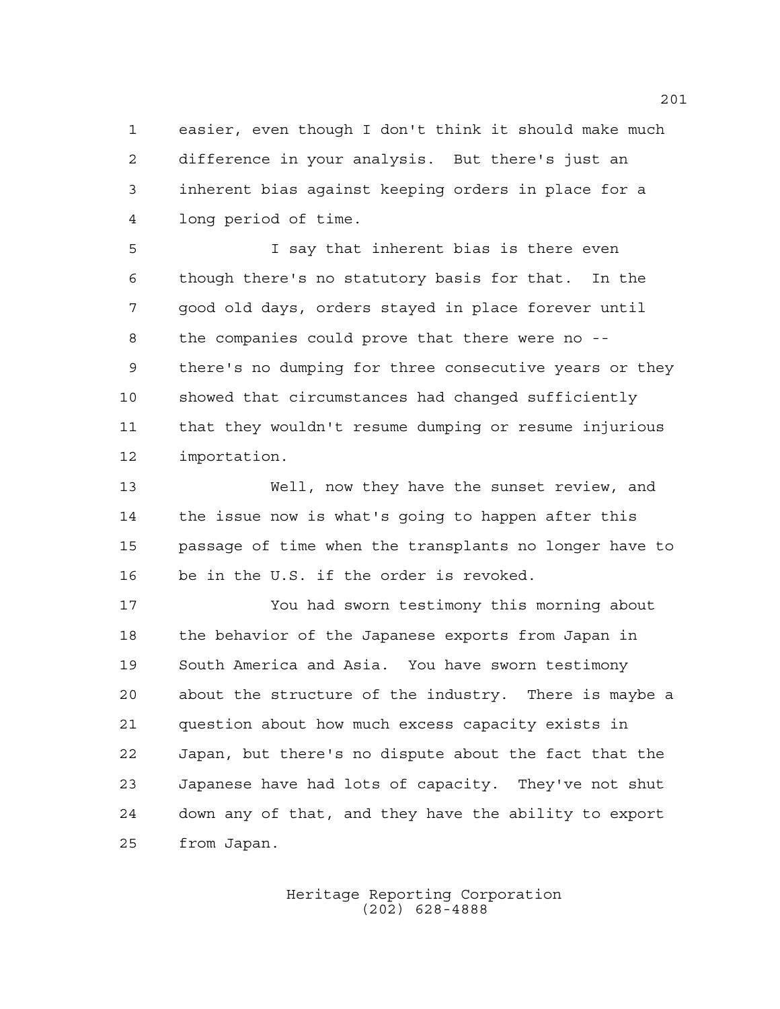easier, even though I don't think it should make much difference in your analysis. But there's just an inherent bias against keeping orders in place for a long period of time.

 I say that inherent bias is there even though there's no statutory basis for that. In the good old days, orders stayed in place forever until the companies could prove that there were no -- there's no dumping for three consecutive years or they showed that circumstances had changed sufficiently that they wouldn't resume dumping or resume injurious importation.

 Well, now they have the sunset review, and the issue now is what's going to happen after this passage of time when the transplants no longer have to be in the U.S. if the order is revoked.

 You had sworn testimony this morning about the behavior of the Japanese exports from Japan in South America and Asia. You have sworn testimony about the structure of the industry. There is maybe a question about how much excess capacity exists in Japan, but there's no dispute about the fact that the Japanese have had lots of capacity. They've not shut down any of that, and they have the ability to export from Japan.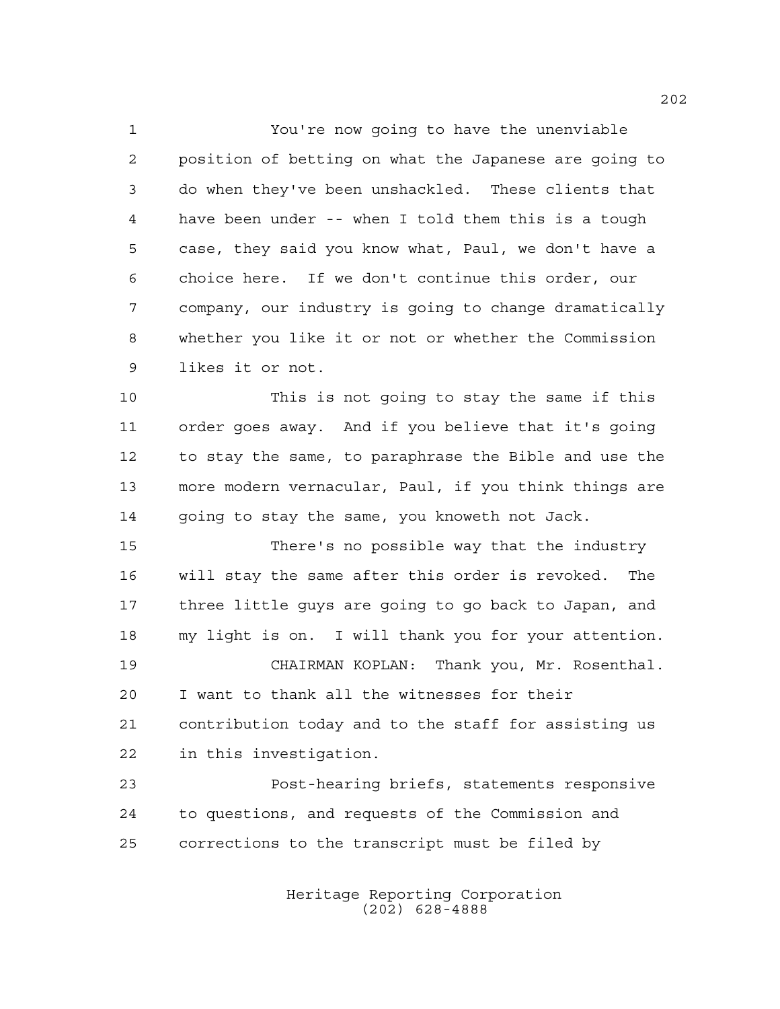You're now going to have the unenviable position of betting on what the Japanese are going to do when they've been unshackled. These clients that have been under -- when I told them this is a tough case, they said you know what, Paul, we don't have a choice here. If we don't continue this order, our company, our industry is going to change dramatically whether you like it or not or whether the Commission likes it or not.

 This is not going to stay the same if this order goes away. And if you believe that it's going to stay the same, to paraphrase the Bible and use the more modern vernacular, Paul, if you think things are going to stay the same, you knoweth not Jack.

 There's no possible way that the industry will stay the same after this order is revoked. The three little guys are going to go back to Japan, and my light is on. I will thank you for your attention. CHAIRMAN KOPLAN: Thank you, Mr. Rosenthal. I want to thank all the witnesses for their

 contribution today and to the staff for assisting us in this investigation.

 Post-hearing briefs, statements responsive to questions, and requests of the Commission and corrections to the transcript must be filed by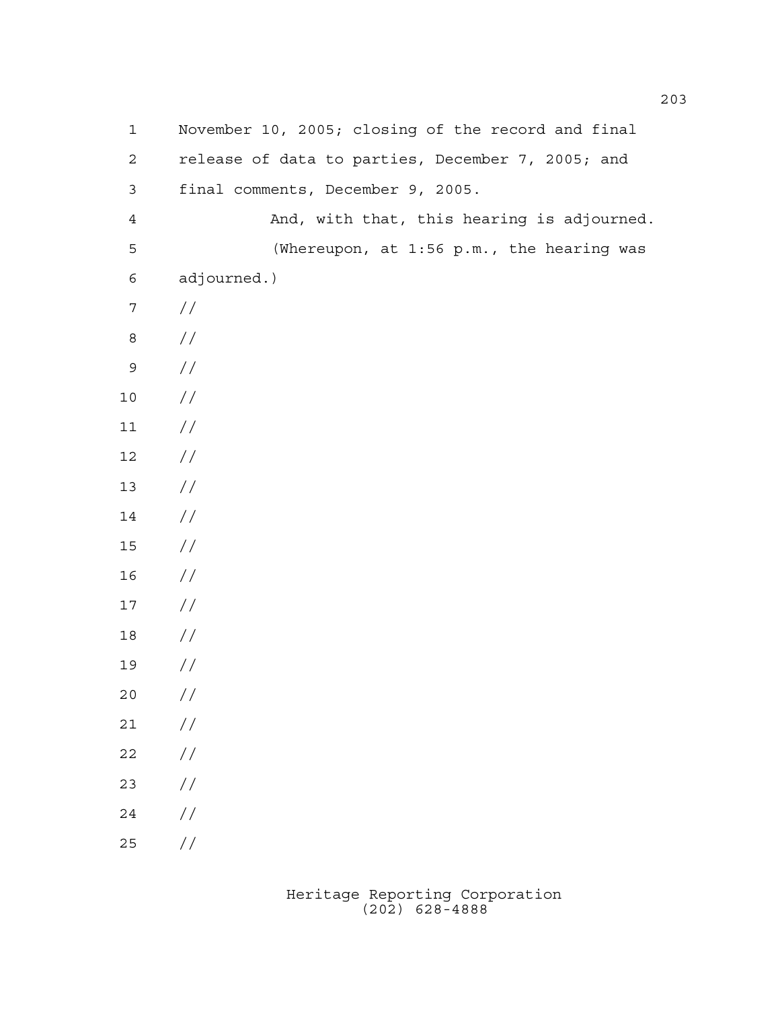| $\mathbf 1$    | November 10, 2005; closing of the record and final |
|----------------|----------------------------------------------------|
| $\mathbf{2}$   | release of data to parties, December 7, 2005; and  |
| $\mathsf 3$    | final comments, December 9, 2005.                  |
| $\overline{4}$ | And, with that, this hearing is adjourned.         |
| 5              | (Whereupon, at 1:56 p.m., the hearing was          |
| 6              | adjourned.)                                        |
| $\overline{7}$ | $\frac{1}{2}$                                      |
| $\,8\,$        | $\frac{1}{2}$                                      |
| $\mathsf 9$    | //                                                 |
| $10$           | $\frac{1}{2}$                                      |
| 11             | $\frac{1}{2}$                                      |
| 12             | //                                                 |
| 13             | //                                                 |
| 14             | //                                                 |
| 15             | //                                                 |
| 16             | //                                                 |
| 17             | //                                                 |
| 18             | //                                                 |
| 19             | //                                                 |
| 20             | $\frac{1}{2}$                                      |
| $2\sqrt{1}$    | $\!/\!$                                            |
| 22             | $\sqrt{}$                                          |
| 23             | $\frac{1}{2}$                                      |
| 24             | //                                                 |
| $25\,$         | $\frac{1}{2}$                                      |